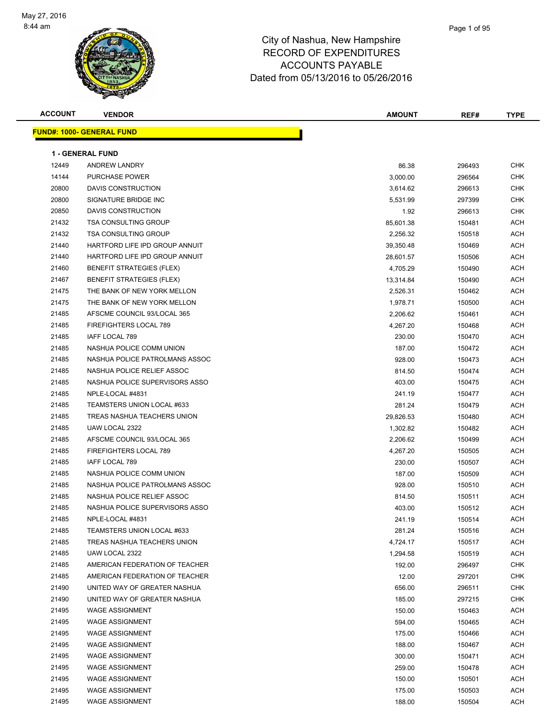

| <b>ACCOUNT</b> | <b>VENDOR</b>                    | AMOUNT    | REF#   | <b>TYPE</b> |
|----------------|----------------------------------|-----------|--------|-------------|
|                | <b>FUND#: 1000- GENERAL FUND</b> |           |        |             |
|                | <b>1 - GENERAL FUND</b>          |           |        |             |
| 12449          | <b>ANDREW LANDRY</b>             | 86.38     | 296493 | <b>CHK</b>  |
| 14144          | <b>PURCHASE POWER</b>            | 3,000.00  | 296564 | <b>CHK</b>  |
| 20800          | DAVIS CONSTRUCTION               | 3,614.62  | 296613 | CHK         |
| 20800          | SIGNATURE BRIDGE INC             | 5,531.99  | 297399 | <b>CHK</b>  |
| 20850          | DAVIS CONSTRUCTION               | 1.92      | 296613 | <b>CHK</b>  |
| 21432          | <b>TSA CONSULTING GROUP</b>      | 85,601.38 | 150481 | ACH         |
| 21432          | <b>TSA CONSULTING GROUP</b>      | 2,256.32  | 150518 | ACH         |
| 21440          | HARTFORD LIFE IPD GROUP ANNUIT   | 39,350.48 | 150469 | ACH         |
| 21440          | HARTFORD LIFE IPD GROUP ANNUIT   | 28,601.57 | 150506 | ACH         |
| 21460          | <b>BENEFIT STRATEGIES (FLEX)</b> | 4,705.29  | 150490 | ACH         |
| 21467          | <b>BENEFIT STRATEGIES (FLEX)</b> | 13,314.84 | 150490 | ACH         |
| 21475          | THE BANK OF NEW YORK MELLON      | 2,526.31  | 150462 | ACH         |
| 21475          | THE BANK OF NEW YORK MELLON      | 1,978.71  | 150500 | ACH         |
| 21485          | AFSCME COUNCIL 93/LOCAL 365      | 2,206.62  | 150461 | ACH         |
| 21485          | FIREFIGHTERS LOCAL 789           | 4,267.20  | 150468 | ACH         |
| 21485          | IAFF LOCAL 789                   | 230.00    | 150470 | ACH         |
| 21485          | NASHUA POLICE COMM UNION         | 187.00    | 150472 | ACH         |
| 21485          | NASHUA POLICE PATROLMANS ASSOC   | 928.00    | 150473 | ACH         |
| 21485          | NASHUA POLICE RELIEF ASSOC       | 814.50    | 150474 | ACH         |
| 21485          | NASHUA POLICE SUPERVISORS ASSO   | 403.00    | 150475 | ACH         |
| 21485          | NPLE-LOCAL #4831                 | 241.19    | 150477 | ACH         |
| 21485          | TEAMSTERS UNION LOCAL #633       | 281.24    | 150479 | ACH         |
| 21485          | TREAS NASHUA TEACHERS UNION      | 29,826.53 | 150480 | ACH         |
| 21485          | UAW LOCAL 2322                   | 1,302.82  | 150482 | <b>ACH</b>  |
| 21485          | AFSCME COUNCIL 93/LOCAL 365      | 2,206.62  | 150499 | ACH         |
| 21485          | FIREFIGHTERS LOCAL 789           | 4,267.20  | 150505 | ACH         |
| 21485          | IAFF LOCAL 789                   | 230.00    | 150507 | ACH         |
| 21485          | NASHUA POLICE COMM UNION         | 187.00    | 150509 | ACH         |
| 21485          | NASHUA POLICE PATROLMANS ASSOC   | 928.00    | 150510 | ACH         |
| 21485          | NASHUA POLICE RELIEF ASSOC       | 814.50    | 150511 | ACH         |
| 21485          | NASHUA POLICE SUPERVISORS ASSO   | 403.00    | 150512 | ACH         |
| 21485          | NPLE-LOCAL #4831                 | 241.19    | 150514 | ACH         |
| 21485          | TEAMSTERS UNION LOCAL #633       | 281.24    | 150516 | ACH         |
| 21485          | TREAS NASHUA TEACHERS UNION      | 4,724.17  | 150517 | ACH         |
| 21485          | UAW LOCAL 2322                   | 1,294.58  | 150519 | <b>ACH</b>  |
| 21485          | AMERICAN FEDERATION OF TEACHER   | 192.00    | 296497 | <b>CHK</b>  |
| 21485          | AMERICAN FEDERATION OF TEACHER   | 12.00     | 297201 | <b>CHK</b>  |
| 21490          | UNITED WAY OF GREATER NASHUA     | 656.00    | 296511 | CHK         |
| 21490          | UNITED WAY OF GREATER NASHUA     | 185.00    | 297215 | <b>CHK</b>  |
| 21495          | <b>WAGE ASSIGNMENT</b>           | 150.00    | 150463 | ACH         |
| 21495          | <b>WAGE ASSIGNMENT</b>           | 594.00    | 150465 | ACH         |
| 21495          | <b>WAGE ASSIGNMENT</b>           | 175.00    | 150466 | ACH         |
| 21495          | <b>WAGE ASSIGNMENT</b>           | 188.00    | 150467 | ACH         |
| 21495          | <b>WAGE ASSIGNMENT</b>           | 300.00    | 150471 | ACH         |
| 21495          | <b>WAGE ASSIGNMENT</b>           | 259.00    | 150478 | ACH         |
| 21495          | <b>WAGE ASSIGNMENT</b>           | 150.00    | 150501 | ACH         |
| 21495          | <b>WAGE ASSIGNMENT</b>           | 175.00    | 150503 | ACH         |
| 21495          | <b>WAGE ASSIGNMENT</b>           | 188.00    | 150504 | ACH         |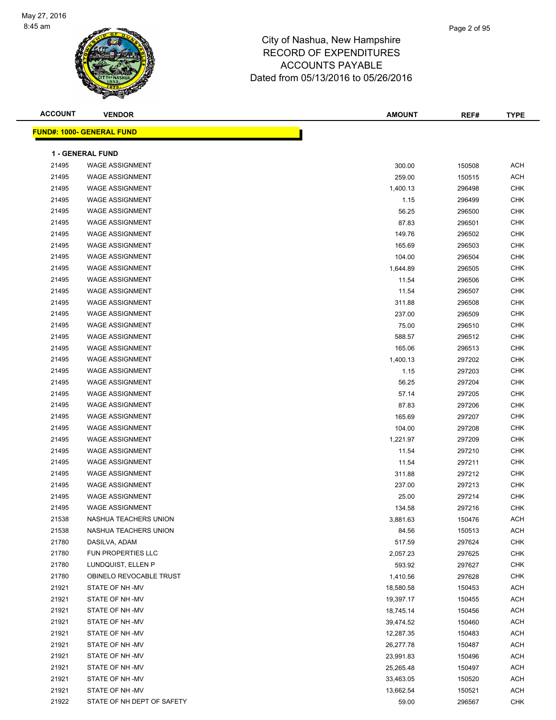

| <b>ACCOUNT</b> | <b>VENDOR</b>                    | AMOUNT    | REF#   | <b>TYPE</b> |
|----------------|----------------------------------|-----------|--------|-------------|
|                | <b>FUND#: 1000- GENERAL FUND</b> |           |        |             |
|                |                                  |           |        |             |
|                | <b>1 - GENERAL FUND</b>          |           |        |             |
| 21495          | <b>WAGE ASSIGNMENT</b>           | 300.00    | 150508 | <b>ACH</b>  |
| 21495          | <b>WAGE ASSIGNMENT</b>           | 259.00    | 150515 | <b>ACH</b>  |
| 21495          | <b>WAGE ASSIGNMENT</b>           | 1,400.13  | 296498 | <b>CHK</b>  |
| 21495          | <b>WAGE ASSIGNMENT</b>           | 1.15      | 296499 | <b>CHK</b>  |
| 21495          | <b>WAGE ASSIGNMENT</b>           | 56.25     | 296500 | <b>CHK</b>  |
| 21495          | <b>WAGE ASSIGNMENT</b>           | 87.83     | 296501 | <b>CHK</b>  |
| 21495          | <b>WAGE ASSIGNMENT</b>           | 149.76    | 296502 | CHK         |
| 21495          | <b>WAGE ASSIGNMENT</b>           | 165.69    | 296503 | CHK         |
| 21495          | <b>WAGE ASSIGNMENT</b>           | 104.00    | 296504 | <b>CHK</b>  |
| 21495          | <b>WAGE ASSIGNMENT</b>           | 1,644.89  | 296505 | <b>CHK</b>  |
| 21495          | <b>WAGE ASSIGNMENT</b>           | 11.54     | 296506 | <b>CHK</b>  |
| 21495          | <b>WAGE ASSIGNMENT</b>           | 11.54     | 296507 | <b>CHK</b>  |
| 21495          | <b>WAGE ASSIGNMENT</b>           | 311.88    | 296508 | <b>CHK</b>  |
| 21495          | <b>WAGE ASSIGNMENT</b>           | 237.00    | 296509 | <b>CHK</b>  |
| 21495          | <b>WAGE ASSIGNMENT</b>           | 75.00     | 296510 | <b>CHK</b>  |
| 21495          | <b>WAGE ASSIGNMENT</b>           | 588.57    | 296512 | <b>CHK</b>  |
| 21495          | <b>WAGE ASSIGNMENT</b>           | 165.06    | 296513 | <b>CHK</b>  |
| 21495          | <b>WAGE ASSIGNMENT</b>           | 1,400.13  | 297202 | <b>CHK</b>  |
| 21495          | <b>WAGE ASSIGNMENT</b>           | 1.15      | 297203 | <b>CHK</b>  |
| 21495          | <b>WAGE ASSIGNMENT</b>           | 56.25     | 297204 | <b>CHK</b>  |
| 21495          | <b>WAGE ASSIGNMENT</b>           | 57.14     | 297205 | <b>CHK</b>  |
| 21495          | <b>WAGE ASSIGNMENT</b>           | 87.83     | 297206 | <b>CHK</b>  |
| 21495          | <b>WAGE ASSIGNMENT</b>           | 165.69    | 297207 | <b>CHK</b>  |
| 21495          | <b>WAGE ASSIGNMENT</b>           | 104.00    | 297208 | <b>CHK</b>  |
| 21495          | <b>WAGE ASSIGNMENT</b>           | 1,221.97  | 297209 | <b>CHK</b>  |
| 21495          | <b>WAGE ASSIGNMENT</b>           | 11.54     | 297210 | <b>CHK</b>  |
| 21495          | <b>WAGE ASSIGNMENT</b>           | 11.54     | 297211 | <b>CHK</b>  |
| 21495          | <b>WAGE ASSIGNMENT</b>           | 311.88    | 297212 | <b>CHK</b>  |
| 21495          | <b>WAGE ASSIGNMENT</b>           | 237.00    | 297213 | CHK         |
| 21495          | <b>WAGE ASSIGNMENT</b>           | 25.00     | 297214 | CHK         |
| 21495          | <b>WAGE ASSIGNMENT</b>           | 134.58    | 297216 | <b>CHK</b>  |
| 21538          | NASHUA TEACHERS UNION            | 3,881.63  | 150476 | ACH         |
| 21538          | NASHUA TEACHERS UNION            | 84.56     | 150513 | <b>ACH</b>  |
| 21780          | DASILVA, ADAM                    | 517.59    | 297624 | <b>CHK</b>  |
| 21780          | FUN PROPERTIES LLC               | 2,057.23  | 297625 | <b>CHK</b>  |
| 21780          | LUNDQUIST, ELLEN P               | 593.92    | 297627 | CHK         |
| 21780          | OBINELO REVOCABLE TRUST          | 1,410.56  | 297628 | CHK         |
| 21921          | STATE OF NH-MV                   | 18,580.58 | 150453 | ACH         |
| 21921          | STATE OF NH-MV                   | 19,397.17 | 150455 | ACH         |
| 21921          | STATE OF NH-MV                   | 18,745.14 | 150456 | ACH         |
| 21921          | STATE OF NH-MV                   | 39,474.52 | 150460 | ACH         |
| 21921          | STATE OF NH-MV                   | 12,287.35 | 150483 | <b>ACH</b>  |
| 21921          | STATE OF NH-MV                   | 26,277.78 | 150487 | <b>ACH</b>  |
| 21921          | STATE OF NH-MV                   | 23,991.83 | 150496 | ACH         |
| 21921          | STATE OF NH-MV                   | 25,265.48 | 150497 | ACH         |
| 21921          | STATE OF NH-MV                   | 33,463.05 | 150520 | ACH         |
| 21921          | STATE OF NH-MV                   | 13,662.54 | 150521 | ACH         |
| 21922          | STATE OF NH DEPT OF SAFETY       | 59.00     | 296567 | CHK         |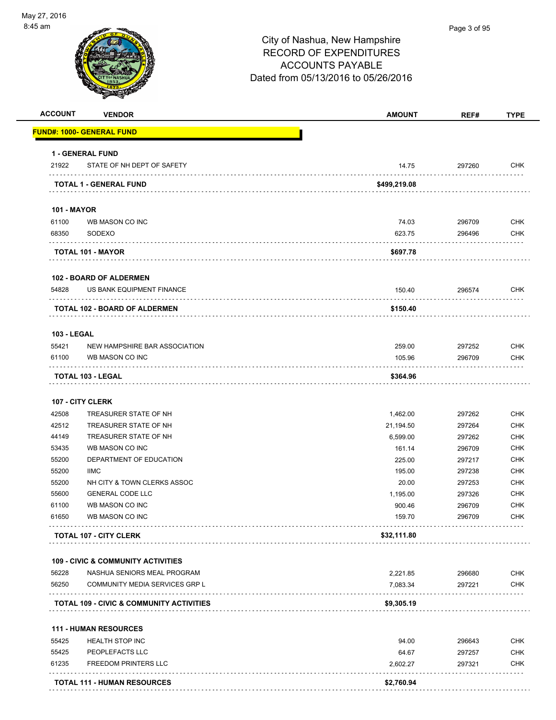

| <b>ACCOUNT</b>              | <b>VENDOR</b>                                 | <b>AMOUNT</b> | REF#             | <b>TYPE</b> |
|-----------------------------|-----------------------------------------------|---------------|------------------|-------------|
|                             | <b>FUND#: 1000- GENERAL FUND</b>              |               |                  |             |
|                             | 1 - GENERAL FUND                              |               |                  |             |
| 21922                       | STATE OF NH DEPT OF SAFETY                    | 14.75         | 297260           | <b>CHK</b>  |
|                             | TOTAL 1 - GENERAL FUND                        | \$499,219.08  |                  |             |
|                             |                                               |               |                  |             |
| <b>101 - MAYOR</b><br>61100 | WB MASON CO INC                               | 74.03         | 296709           | <b>CHK</b>  |
| 68350                       | SODEXO                                        | 623.75        | 296496           | <b>CHK</b>  |
|                             |                                               |               |                  |             |
|                             | <b>TOTAL 101 - MAYOR</b>                      | \$697.78      |                  |             |
|                             | 102 - BOARD OF ALDERMEN                       |               |                  |             |
| 54828                       | US BANK EQUIPMENT FINANCE                     | 150.40        | 296574           | <b>CHK</b>  |
|                             | <b>TOTAL 102 - BOARD OF ALDERMEN</b>          | \$150.40      |                  |             |
| <b>103 - LEGAL</b>          |                                               |               |                  |             |
| 55421                       | NEW HAMPSHIRE BAR ASSOCIATION                 | 259.00        | 297252           | <b>CHK</b>  |
| 61100                       | WB MASON CO INC                               | 105.96        | 296709           | <b>CHK</b>  |
|                             | TOTAL 103 - LEGAL                             | \$364.96      |                  |             |
|                             |                                               |               |                  |             |
|                             | 107 - CITY CLERK                              |               |                  |             |
| 42508                       | TREASURER STATE OF NH                         | 1,462.00      | 297262           | <b>CHK</b>  |
| 42512                       | TREASURER STATE OF NH                         | 21,194.50     | 297264           | <b>CHK</b>  |
| 44149                       | TREASURER STATE OF NH                         | 6,599.00      | 297262           | <b>CHK</b>  |
| 53435                       | WB MASON CO INC                               | 161.14        | 296709           | <b>CHK</b>  |
| 55200                       | DEPARTMENT OF EDUCATION                       | 225.00        | 297217           | <b>CHK</b>  |
| 55200                       | <b>IIMC</b>                                   | 195.00        | 297238           | <b>CHK</b>  |
| 55200                       | NH CITY & TOWN CLERKS ASSOC                   | 20.00         | 297253           | <b>CHK</b>  |
| 55600                       | <b>GENERAL CODE LLC</b>                       | 1,195.00      | 297326           | <b>CHK</b>  |
| 61100                       | WB MASON CO INC                               | 900.46        | 296709<br>296709 | <b>CHK</b>  |
| 61650                       | WB MASON CO INC                               | 159.70        |                  | <b>CHK</b>  |
|                             | <b>TOTAL 107 - CITY CLERK</b>                 | \$32,111.80   |                  |             |
|                             | <b>109 - CIVIC &amp; COMMUNITY ACTIVITIES</b> |               |                  |             |
| 56228                       | NASHUA SENIORS MEAL PROGRAM                   | 2,221.85      | 296680           | <b>CHK</b>  |
| 56250                       | COMMUNITY MEDIA SERVICES GRP L                | 7,083.34      | 297221           | <b>CHK</b>  |
|                             | TOTAL 109 - CIVIC & COMMUNITY ACTIVITIES      | \$9,305.19    |                  |             |
|                             | <b>111 - HUMAN RESOURCES</b>                  |               |                  |             |
| 55425                       | <b>HEALTH STOP INC</b>                        | 94.00         | 296643           | <b>CHK</b>  |
| 55425                       | PEOPLEFACTS LLC                               | 64.67         | 297257           | <b>CHK</b>  |
| 61235                       | <b>FREEDOM PRINTERS LLC</b>                   | 2,602.27      | 297321           | <b>CHK</b>  |
|                             |                                               |               |                  |             |
|                             | <b>TOTAL 111 - HUMAN RESOURCES</b>            | \$2,760.94    |                  |             |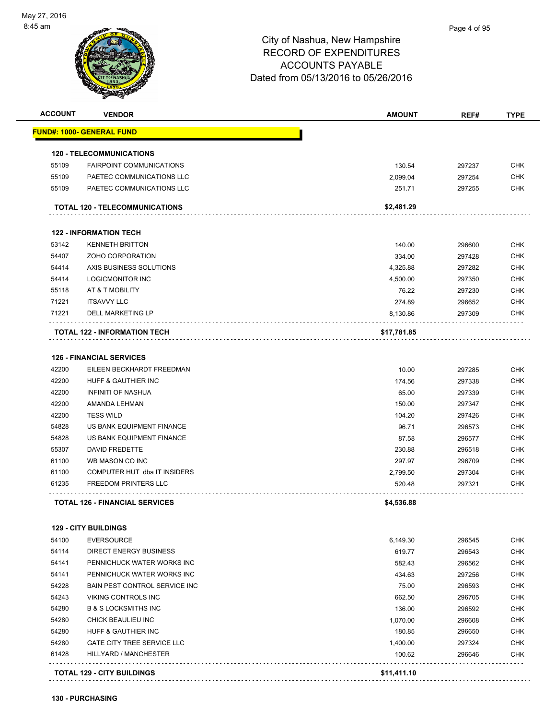| <b>ACCOUNT</b> | <b>VENDOR</b>                         | <b>AMOUNT</b> | REF#   | <b>TYPE</b> |
|----------------|---------------------------------------|---------------|--------|-------------|
|                | <u> FUND#: 1000- GENERAL FUND</u>     |               |        |             |
|                | <b>120 - TELECOMMUNICATIONS</b>       |               |        |             |
| 55109          | <b>FAIRPOINT COMMUNICATIONS</b>       | 130.54        | 297237 | <b>CHK</b>  |
| 55109          | PAETEC COMMUNICATIONS LLC             | 2,099.04      | 297254 | <b>CHK</b>  |
| 55109          | PAETEC COMMUNICATIONS LLC             | 251.71        | 297255 | <b>CHK</b>  |
|                | TOTAL 120 - TELECOMMUNICATIONS        | \$2,481.29    |        |             |
|                | <b>122 - INFORMATION TECH</b>         |               |        |             |
| 53142          | <b>KENNETH BRITTON</b>                | 140.00        | 296600 | <b>CHK</b>  |
| 54407          | ZOHO CORPORATION                      | 334.00        | 297428 | <b>CHK</b>  |
| 54414          | AXIS BUSINESS SOLUTIONS               | 4,325.88      | 297282 | <b>CHK</b>  |
| 54414          | <b>LOGICMONITOR INC</b>               | 4,500.00      | 297350 | <b>CHK</b>  |
| 55118          | AT & T MOBILITY                       | 76.22         | 297230 | <b>CHK</b>  |
| 71221          | <b>ITSAVVY LLC</b>                    | 274.89        | 296652 | <b>CHK</b>  |
| 71221          | DELL MARKETING LP                     | 8,130.86      | 297309 | <b>CHK</b>  |
|                | <b>TOTAL 122 - INFORMATION TECH</b>   | \$17,781.85   |        |             |
|                |                                       |               |        |             |
|                | <b>126 - FINANCIAL SERVICES</b>       |               |        |             |
| 42200          | EILEEN BECKHARDT FREEDMAN             | 10.00         | 297285 | <b>CHK</b>  |
| 42200          | HUFF & GAUTHIER INC                   | 174.56        | 297338 | <b>CHK</b>  |
| 42200          | <b>INFINITI OF NASHUA</b>             | 65.00         | 297339 | <b>CHK</b>  |
| 42200          | AMANDA LEHMAN                         | 150.00        | 297347 | <b>CHK</b>  |
| 42200          | <b>TESS WILD</b>                      | 104.20        | 297426 | <b>CHK</b>  |
| 54828          | US BANK EQUIPMENT FINANCE             | 96.71         | 296573 | <b>CHK</b>  |
| 54828          | US BANK EQUIPMENT FINANCE             | 87.58         | 296577 | <b>CHK</b>  |
| 55307          | <b>DAVID FREDETTE</b>                 | 230.88        | 296518 | <b>CHK</b>  |
| 61100          | WB MASON CO INC                       | 297.97        | 296709 | <b>CHK</b>  |
| 61100          | COMPUTER HUT dba IT INSIDERS          | 2,799.50      | 297304 | <b>CHK</b>  |
| 61235          | <b>FREEDOM PRINTERS LLC</b>           | 520.48        | 297321 | <b>CHK</b>  |
|                | <b>TOTAL 126 - FINANCIAL SERVICES</b> | \$4,536.88    |        |             |
|                | <b>129 - CITY BUILDINGS</b>           |               |        |             |
| 54100          | <b>EVERSOURCE</b>                     | 6,149.30      | 296545 | <b>CHK</b>  |
| 54114          | DIRECT ENERGY BUSINESS                | 619.77        | 296543 | <b>CHK</b>  |
| 54141          | PENNICHUCK WATER WORKS INC            | 582.43        | 296562 | <b>CHK</b>  |
| 54141          | PENNICHUCK WATER WORKS INC            | 434.63        | 297256 | <b>CHK</b>  |
| 54228          | BAIN PEST CONTROL SERVICE INC         | 75.00         | 296593 | <b>CHK</b>  |
| 54243          | VIKING CONTROLS INC                   | 662.50        | 296705 | <b>CHK</b>  |
| 54280          | <b>B &amp; S LOCKSMITHS INC</b>       | 136.00        | 296592 | <b>CHK</b>  |
| 54280          | CHICK BEAULIEU INC                    | 1,070.00      | 296608 | <b>CHK</b>  |
| 54280          | HUFF & GAUTHIER INC                   | 180.85        | 296650 | <b>CHK</b>  |
| 54280          | <b>GATE CITY TREE SERVICE LLC</b>     | 1,400.00      | 297324 | <b>CHK</b>  |
| 61428          | HILLYARD / MANCHESTER                 | 100.62        | 296646 | <b>CHK</b>  |
|                |                                       |               |        |             |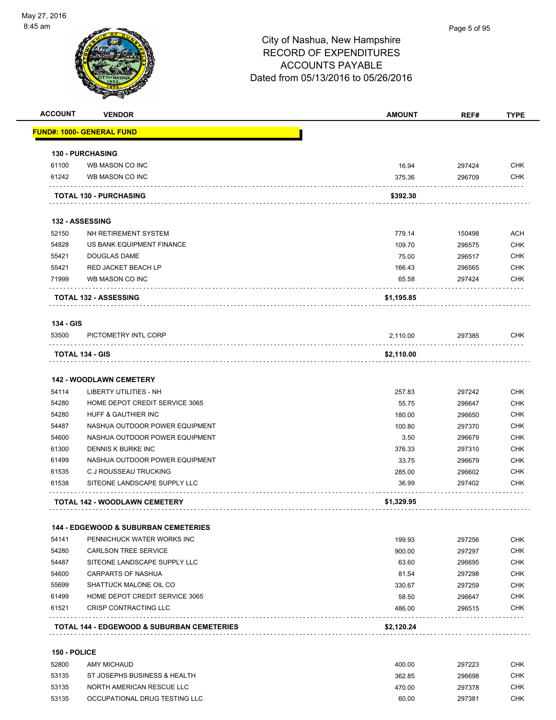| FUND#: 1000- GENERAL FUND<br><b>130 - PURCHASING</b><br>WB MASON CO INC<br>WB MASON CO INC<br><b>TOTAL 130 - PURCHASING</b><br><b>132 - ASSESSING</b><br>NH RETIREMENT SYSTEM<br>US BANK EQUIPMENT FINANCE<br><b>DOUGLAS DAME</b><br>RED JACKET BEACH LP<br>WB MASON CO INC<br><b>TOTAL 132 - ASSESSING</b><br>PICTOMETRY INTL CORP<br><b>TOTAL 134 - GIS</b> | 16.94<br>375.36<br>\$392.30<br>779.14<br>109.70<br>75.00<br>166.43<br>65.58<br>\$1,195.85<br>2,110.00 | 297424<br>296709<br>150498<br>296575<br>296517<br>296565<br>297424<br>297385 | <b>CHK</b><br><b>CHK</b><br><b>ACH</b><br><b>CHK</b><br><b>CHK</b><br><b>CHK</b><br><b>CHK</b> |
|---------------------------------------------------------------------------------------------------------------------------------------------------------------------------------------------------------------------------------------------------------------------------------------------------------------------------------------------------------------|-------------------------------------------------------------------------------------------------------|------------------------------------------------------------------------------|------------------------------------------------------------------------------------------------|
|                                                                                                                                                                                                                                                                                                                                                               |                                                                                                       |                                                                              |                                                                                                |
|                                                                                                                                                                                                                                                                                                                                                               |                                                                                                       |                                                                              |                                                                                                |
|                                                                                                                                                                                                                                                                                                                                                               |                                                                                                       |                                                                              |                                                                                                |
|                                                                                                                                                                                                                                                                                                                                                               |                                                                                                       |                                                                              |                                                                                                |
|                                                                                                                                                                                                                                                                                                                                                               |                                                                                                       |                                                                              |                                                                                                |
|                                                                                                                                                                                                                                                                                                                                                               |                                                                                                       |                                                                              |                                                                                                |
|                                                                                                                                                                                                                                                                                                                                                               |                                                                                                       |                                                                              |                                                                                                |
|                                                                                                                                                                                                                                                                                                                                                               |                                                                                                       |                                                                              |                                                                                                |
|                                                                                                                                                                                                                                                                                                                                                               |                                                                                                       |                                                                              |                                                                                                |
|                                                                                                                                                                                                                                                                                                                                                               |                                                                                                       |                                                                              |                                                                                                |
|                                                                                                                                                                                                                                                                                                                                                               |                                                                                                       |                                                                              |                                                                                                |
|                                                                                                                                                                                                                                                                                                                                                               |                                                                                                       |                                                                              |                                                                                                |
|                                                                                                                                                                                                                                                                                                                                                               |                                                                                                       |                                                                              |                                                                                                |
|                                                                                                                                                                                                                                                                                                                                                               |                                                                                                       |                                                                              | CHK                                                                                            |
|                                                                                                                                                                                                                                                                                                                                                               | \$2,110.00                                                                                            |                                                                              |                                                                                                |
|                                                                                                                                                                                                                                                                                                                                                               |                                                                                                       |                                                                              |                                                                                                |
| <b>142 - WOODLAWN CEMETERY</b>                                                                                                                                                                                                                                                                                                                                |                                                                                                       |                                                                              |                                                                                                |
| <b>LIBERTY UTILITIES - NH</b>                                                                                                                                                                                                                                                                                                                                 | 257.83                                                                                                | 297242                                                                       | <b>CHK</b>                                                                                     |
| HOME DEPOT CREDIT SERVICE 3065                                                                                                                                                                                                                                                                                                                                | 55.75                                                                                                 | 296647                                                                       | <b>CHK</b>                                                                                     |
| HUFF & GAUTHIER INC                                                                                                                                                                                                                                                                                                                                           | 180.00                                                                                                | 296650                                                                       | CHK                                                                                            |
| NASHUA OUTDOOR POWER EQUIPMENT                                                                                                                                                                                                                                                                                                                                | 100.80                                                                                                | 297370                                                                       | <b>CHK</b>                                                                                     |
| NASHUA OUTDOOR POWER EQUIPMENT                                                                                                                                                                                                                                                                                                                                | 3.50                                                                                                  | 296679                                                                       | <b>CHK</b>                                                                                     |
| DENNIS K BURKE INC                                                                                                                                                                                                                                                                                                                                            | 376.33                                                                                                | 297310                                                                       | <b>CHK</b>                                                                                     |
| NASHUA OUTDOOR POWER EQUIPMENT                                                                                                                                                                                                                                                                                                                                | 33.75                                                                                                 | 296679                                                                       | <b>CHK</b>                                                                                     |
| C J ROUSSEAU TRUCKING                                                                                                                                                                                                                                                                                                                                         | 285.00                                                                                                | 296602                                                                       | <b>CHK</b>                                                                                     |
| SITEONE LANDSCAPE SUPPLY LLC                                                                                                                                                                                                                                                                                                                                  | 36.99                                                                                                 | 297402                                                                       | CHK                                                                                            |
| <b>TOTAL 142 - WOODLAWN CEMETERY</b>                                                                                                                                                                                                                                                                                                                          | \$1,329.95                                                                                            |                                                                              |                                                                                                |
| <b>144 - EDGEWOOD &amp; SUBURBAN CEMETERIES</b>                                                                                                                                                                                                                                                                                                               |                                                                                                       |                                                                              |                                                                                                |
| PENNICHUCK WATER WORKS INC                                                                                                                                                                                                                                                                                                                                    | 199.93                                                                                                | 297256                                                                       | <b>CHK</b>                                                                                     |
| <b>CARLSON TREE SERVICE</b>                                                                                                                                                                                                                                                                                                                                   | 900.00                                                                                                | 297297                                                                       | <b>CHK</b>                                                                                     |
| SITEONE LANDSCAPE SUPPLY LLC                                                                                                                                                                                                                                                                                                                                  | 63.60                                                                                                 | 296695                                                                       | <b>CHK</b>                                                                                     |
| CARPARTS OF NASHUA                                                                                                                                                                                                                                                                                                                                            | 81.54                                                                                                 | 297298                                                                       | <b>CHK</b>                                                                                     |
| SHATTUCK MALONE OIL CO                                                                                                                                                                                                                                                                                                                                        | 330.67                                                                                                | 297259                                                                       | CHK                                                                                            |
| HOME DEPOT CREDIT SERVICE 3065                                                                                                                                                                                                                                                                                                                                | 58.50                                                                                                 | 296647                                                                       | CHK                                                                                            |
|                                                                                                                                                                                                                                                                                                                                                               | 486.00                                                                                                | 296515                                                                       | CHK                                                                                            |
| CRISP CONTRACTING LLC                                                                                                                                                                                                                                                                                                                                         |                                                                                                       |                                                                              |                                                                                                |
|                                                                                                                                                                                                                                                                                                                                                               |                                                                                                       | <b>TOTAL 144 - EDGEWOOD &amp; SUBURBAN CEMETERIES</b><br>\$2,120.24          |                                                                                                |

#### **150 - POLICE**

| 52800 | AMY MICHAUD                   | 400.00 | 297223 | СНК |
|-------|-------------------------------|--------|--------|-----|
| 53135 | ST JOSEPHS BUSINESS & HEALTH  | 362.85 | 296698 | снк |
| 53135 | NORTH AMERICAN RESCUE LLC     | 470.00 | 297378 | СНК |
| 53135 | OCCUPATIONAL DRUG TESTING LLC | 60.00  | 297381 | СНК |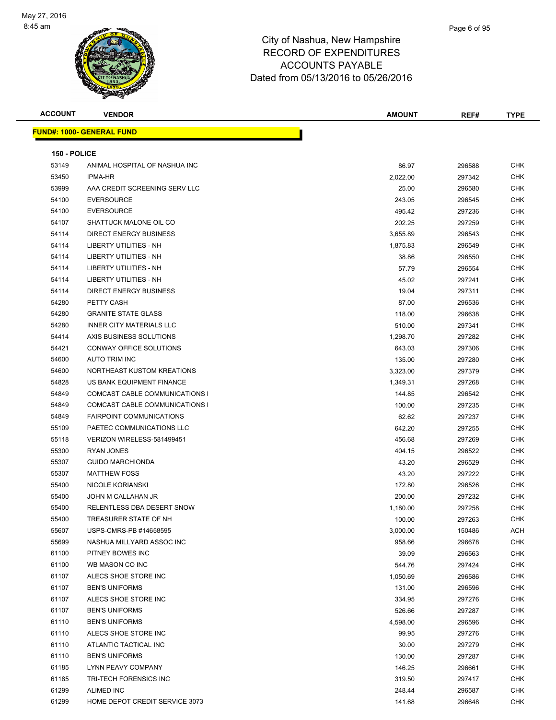

| <b>ACCOUNT</b> | <b>VENDOR</b>                     | <b>AMOUNT</b> | REF#             | <b>TYPE</b> |
|----------------|-----------------------------------|---------------|------------------|-------------|
|                | <u> FUND#: 1000- GENERAL FUND</u> |               |                  |             |
|                |                                   |               |                  |             |
| 150 - POLICE   |                                   |               |                  |             |
| 53149          | ANIMAL HOSPITAL OF NASHUA INC     | 86.97         | 296588           | CHK         |
| 53450          | <b>IPMA-HR</b>                    | 2,022.00      | 297342           | <b>CHK</b>  |
| 53999          | AAA CREDIT SCREENING SERV LLC     | 25.00         | 296580           | CHK         |
| 54100          | <b>EVERSOURCE</b>                 | 243.05        | 296545           | CHK         |
| 54100          | <b>EVERSOURCE</b>                 | 495.42        | 297236           | CHK         |
| 54107          | SHATTUCK MALONE OIL CO            | 202.25        | 297259           | CHK         |
| 54114          | <b>DIRECT ENERGY BUSINESS</b>     | 3,655.89      | 296543           | CHK         |
| 54114          | LIBERTY UTILITIES - NH            | 1,875.83      | 296549           | <b>CHK</b>  |
| 54114          | <b>LIBERTY UTILITIES - NH</b>     | 38.86         | 296550           | CHK         |
| 54114          | LIBERTY UTILITIES - NH            | 57.79         | 296554           | CHK         |
| 54114          | LIBERTY UTILITIES - NH            | 45.02         | 297241           | CHK         |
| 54114          | <b>DIRECT ENERGY BUSINESS</b>     | 19.04         | 297311           | CHK         |
| 54280          | PETTY CASH                        | 87.00         | 296536           | CHK         |
| 54280          | <b>GRANITE STATE GLASS</b>        | 118.00        | 296638           | CHK         |
| 54280          | INNER CITY MATERIALS LLC          |               |                  | CHK         |
| 54414          | AXIS BUSINESS SOLUTIONS           | 510.00        | 297341<br>297282 | CHK         |
| 54421          | CONWAY OFFICE SOLUTIONS           | 1,298.70      |                  | CHK         |
| 54600          | <b>AUTO TRIM INC</b>              | 643.03        | 297306           |             |
|                |                                   | 135.00        | 297280           | CHK         |
| 54600          | NORTHEAST KUSTOM KREATIONS        | 3,323.00      | 297379           | <b>CHK</b>  |
| 54828          | US BANK EQUIPMENT FINANCE         | 1,349.31      | 297268           | CHK         |
| 54849          | COMCAST CABLE COMMUNICATIONS I    | 144.85        | 296542           | <b>CHK</b>  |
| 54849          | COMCAST CABLE COMMUNICATIONS I    | 100.00        | 297235           | <b>CHK</b>  |
| 54849          | <b>FAIRPOINT COMMUNICATIONS</b>   | 62.62         | 297237           | CHK         |
| 55109          | PAETEC COMMUNICATIONS LLC         | 642.20        | 297255           | <b>CHK</b>  |
| 55118          | VERIZON WIRELESS-581499451        | 456.68        | 297269           | CHK         |
| 55300          | <b>RYAN JONES</b>                 | 404.15        | 296522           | CHK         |
| 55307          | <b>GUIDO MARCHIONDA</b>           | 43.20         | 296529           | CHK         |
| 55307          | <b>MATTHEW FOSS</b>               | 43.20         | 297222           | CHK         |
| 55400          | NICOLE KORIANSKI                  | 172.80        | 296526           | CHK         |
| 55400          | JOHN M CALLAHAN JR                | 200.00        | 297232           | <b>CHK</b>  |
| 55400          | RELENTLESS DBA DESERT SNOW        | 1,180.00      | 297258           | CHK         |
| 55400          | TREASURER STATE OF NH             | 100.00        | 297263           | CHK         |
| 55607          | USPS-CMRS-PB #14658595            | 3,000.00      | 150486           | ACH         |
| 55699          | NASHUA MILLYARD ASSOC INC         | 958.66        | 296678           | <b>CHK</b>  |
| 61100          | PITNEY BOWES INC                  | 39.09         | 296563           | <b>CHK</b>  |
| 61100          | WB MASON CO INC                   | 544.76        | 297424           | <b>CHK</b>  |
| 61107          | ALECS SHOE STORE INC              | 1,050.69      | 296586           | <b>CHK</b>  |
| 61107          | <b>BEN'S UNIFORMS</b>             | 131.00        | 296596           | <b>CHK</b>  |
| 61107          | ALECS SHOE STORE INC              | 334.95        | 297276           | CHK         |
| 61107          | <b>BEN'S UNIFORMS</b>             | 526.66        | 297287           | CHK         |
| 61110          | <b>BEN'S UNIFORMS</b>             | 4,598.00      | 296596           | <b>CHK</b>  |
| 61110          | ALECS SHOE STORE INC              | 99.95         | 297276           | <b>CHK</b>  |
| 61110          | ATLANTIC TACTICAL INC             | 30.00         | 297279           | <b>CHK</b>  |
| 61110          | <b>BEN'S UNIFORMS</b>             | 130.00        | 297287           | <b>CHK</b>  |
| 61185          | LYNN PEAVY COMPANY                | 146.25        | 296661           | <b>CHK</b>  |
| 61185          | TRI-TECH FORENSICS INC            | 319.50        | 297417           | <b>CHK</b>  |
| 61299          | <b>ALIMED INC</b>                 | 248.44        | 296587           | CHK         |
| 61299          | HOME DEPOT CREDIT SERVICE 3073    | 141.68        | 296648           | <b>CHK</b>  |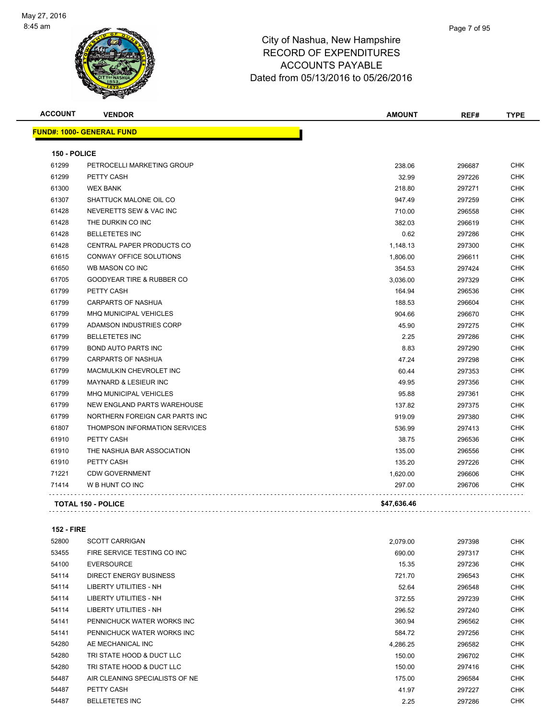

| <b>ACCOUNT</b> | <b>VENDOR</b>                        | <b>AMOUNT</b> | REF#   | <b>TYPE</b> |
|----------------|--------------------------------------|---------------|--------|-------------|
|                | <b>FUND#: 1000- GENERAL FUND</b>     |               |        |             |
| 150 - POLICE   |                                      |               |        |             |
| 61299          | PETROCELLI MARKETING GROUP           | 238.06        | 296687 | <b>CHK</b>  |
| 61299          | PETTY CASH                           | 32.99         | 297226 | <b>CHK</b>  |
| 61300          | <b>WEX BANK</b>                      | 218.80        | 297271 | <b>CHK</b>  |
| 61307          | SHATTUCK MALONE OIL CO               | 947.49        | 297259 | <b>CHK</b>  |
| 61428          | NEVERETTS SEW & VAC INC              | 710.00        | 296558 | <b>CHK</b>  |
| 61428          | THE DURKIN CO INC                    | 382.03        | 296619 | <b>CHK</b>  |
| 61428          | <b>BELLETETES INC</b>                | 0.62          | 297286 | CHK         |
| 61428          | CENTRAL PAPER PRODUCTS CO            | 1,148.13      | 297300 | <b>CHK</b>  |
| 61615          | CONWAY OFFICE SOLUTIONS              | 1,806.00      | 296611 | <b>CHK</b>  |
| 61650          | WB MASON CO INC                      | 354.53        | 297424 | <b>CHK</b>  |
| 61705          | <b>GOODYEAR TIRE &amp; RUBBER CO</b> | 3,036.00      | 297329 | <b>CHK</b>  |
| 61799          | PETTY CASH                           | 164.94        | 296536 | <b>CHK</b>  |
| 61799          | <b>CARPARTS OF NASHUA</b>            | 188.53        | 296604 | <b>CHK</b>  |
| 61799          | MHQ MUNICIPAL VEHICLES               | 904.66        | 296670 | <b>CHK</b>  |
| 61799          | ADAMSON INDUSTRIES CORP              | 45.90         | 297275 | <b>CHK</b>  |
| 61799          | <b>BELLETETES INC</b>                | 2.25          | 297286 | <b>CHK</b>  |
| 61799          | <b>BOND AUTO PARTS INC</b>           | 8.83          | 297290 | <b>CHK</b>  |
| 61799          | CARPARTS OF NASHUA                   | 47.24         | 297298 | CHK         |
| 61799          | MACMULKIN CHEVROLET INC              | 60.44         | 297353 | <b>CHK</b>  |
| 61799          | MAYNARD & LESIEUR INC                | 49.95         | 297356 | <b>CHK</b>  |
| 61799          | <b>MHQ MUNICIPAL VEHICLES</b>        | 95.88         | 297361 | <b>CHK</b>  |
| 61799          | <b>NEW ENGLAND PARTS WAREHOUSE</b>   | 137.82        | 297375 | <b>CHK</b>  |
| 61799          | NORTHERN FOREIGN CAR PARTS INC       | 919.09        | 297380 | <b>CHK</b>  |
| 61807          | THOMPSON INFORMATION SERVICES        | 536.99        | 297413 | <b>CHK</b>  |
| 61910          | PETTY CASH                           | 38.75         | 296536 | <b>CHK</b>  |
| 61910          | THE NASHUA BAR ASSOCIATION           | 135.00        | 296556 | <b>CHK</b>  |
| 61910          | PETTY CASH                           | 135.20        | 297226 | <b>CHK</b>  |
| 71221          | <b>CDW GOVERNMENT</b>                | 1,620.00      | 296606 | <b>CHK</b>  |
| 71414          | W B HUNT CO INC                      | 297.00        | 296706 | CHK         |
|                | <b>TOTAL 150 - POLICE</b>            | \$47,636.46   |        |             |
|                |                                      |               |        |             |

#### **152 - FIRE**

| 52800 | <b>SCOTT CARRIGAN</b>          | 2,079.00 | 297398 | <b>CHK</b> |
|-------|--------------------------------|----------|--------|------------|
| 53455 | FIRE SERVICE TESTING CO INC    | 690.00   | 297317 | <b>CHK</b> |
| 54100 | <b>EVERSOURCE</b>              | 15.35    | 297236 | <b>CHK</b> |
| 54114 | DIRECT ENERGY BUSINESS         | 721.70   | 296543 | <b>CHK</b> |
| 54114 | LIBERTY UTILITIES - NH         | 52.64    | 296548 | <b>CHK</b> |
| 54114 | LIBERTY UTILITIES - NH         | 372.55   | 297239 | <b>CHK</b> |
| 54114 | LIBERTY UTILITIES - NH         | 296.52   | 297240 | <b>CHK</b> |
| 54141 | PENNICHUCK WATER WORKS INC     | 360.94   | 296562 | <b>CHK</b> |
| 54141 | PENNICHUCK WATER WORKS INC     | 584.72   | 297256 | <b>CHK</b> |
| 54280 | AE MECHANICAL INC              | 4,286.25 | 296582 | <b>CHK</b> |
| 54280 | TRI STATE HOOD & DUCT LLC      | 150.00   | 296702 | <b>CHK</b> |
| 54280 | TRI STATE HOOD & DUCT LLC      | 150.00   | 297416 | <b>CHK</b> |
| 54487 | AIR CLEANING SPECIALISTS OF NE | 175.00   | 296584 | <b>CHK</b> |
| 54487 | PETTY CASH                     | 41.97    | 297227 | <b>CHK</b> |
| 54487 | <b>BELLETETES INC</b>          | 2.25     | 297286 | <b>CHK</b> |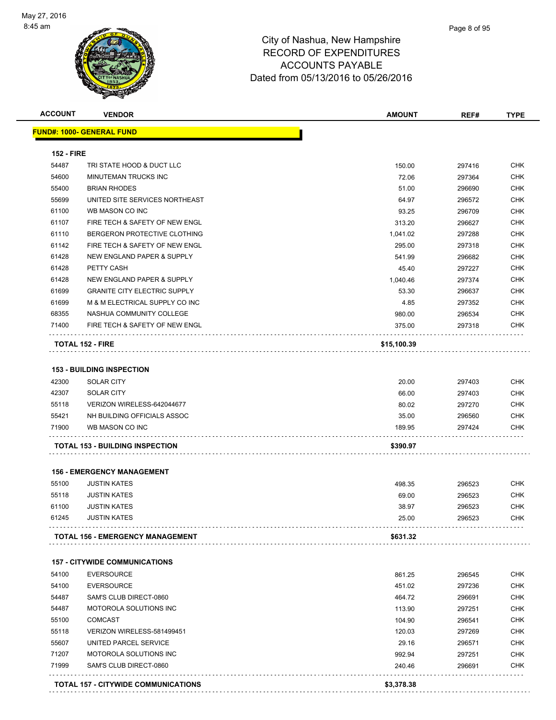

| <b>ACCOUNT</b>    | <b>VENDOR</b>                              | <b>AMOUNT</b> | REF#   | <b>TYPE</b> |
|-------------------|--------------------------------------------|---------------|--------|-------------|
|                   | <u> FUND#: 1000- GENERAL FUND</u>          |               |        |             |
| <b>152 - FIRE</b> |                                            |               |        |             |
| 54487             | TRI STATE HOOD & DUCT LLC                  | 150.00        | 297416 | <b>CHK</b>  |
| 54600             | MINUTEMAN TRUCKS INC                       | 72.06         | 297364 | <b>CHK</b>  |
| 55400             | <b>BRIAN RHODES</b>                        | 51.00         | 296690 | <b>CHK</b>  |
| 55699             | UNITED SITE SERVICES NORTHEAST             | 64.97         | 296572 | <b>CHK</b>  |
| 61100             | WB MASON CO INC                            | 93.25         | 296709 | <b>CHK</b>  |
| 61107             | FIRE TECH & SAFETY OF NEW ENGL             | 313.20        | 296627 | <b>CHK</b>  |
| 61110             | BERGERON PROTECTIVE CLOTHING               | 1,041.02      | 297288 | <b>CHK</b>  |
| 61142             | FIRE TECH & SAFETY OF NEW ENGL             | 295.00        | 297318 | <b>CHK</b>  |
| 61428             | NEW ENGLAND PAPER & SUPPLY                 | 541.99        | 296682 | <b>CHK</b>  |
| 61428             | PETTY CASH                                 | 45.40         | 297227 | <b>CHK</b>  |
| 61428             | NEW ENGLAND PAPER & SUPPLY                 | 1,040.46      | 297374 | <b>CHK</b>  |
| 61699             | <b>GRANITE CITY ELECTRIC SUPPLY</b>        | 53.30         | 296637 | <b>CHK</b>  |
| 61699             | M & M ELECTRICAL SUPPLY CO INC             | 4.85          | 297352 | <b>CHK</b>  |
| 68355             | NASHUA COMMUNITY COLLEGE                   | 980.00        | 296534 | <b>CHK</b>  |
| 71400             | FIRE TECH & SAFETY OF NEW ENGL             | 375.00        | 297318 | CHK         |
|                   | <b>TOTAL 152 - FIRE</b>                    | \$15,100.39   |        |             |
|                   | <b>153 - BUILDING INSPECTION</b>           |               |        |             |
| 42300             | <b>SOLAR CITY</b>                          | 20.00         | 297403 | CHK         |
| 42307             | <b>SOLAR CITY</b>                          | 66.00         | 297403 | <b>CHK</b>  |
| 55118             | VERIZON WIRELESS-642044677                 | 80.02         | 297270 | <b>CHK</b>  |
| 55421             | NH BUILDING OFFICIALS ASSOC                | 35.00         | 296560 | <b>CHK</b>  |
| 71900             | WB MASON CO INC                            | 189.95        | 297424 | <b>CHK</b>  |
|                   | <b>TOTAL 153 - BUILDING INSPECTION</b>     | \$390.97      |        |             |
|                   | <b>156 - EMERGENCY MANAGEMENT</b>          |               |        |             |
| 55100             | <b>JUSTIN KATES</b>                        | 498.35        | 296523 | <b>CHK</b>  |
| 55118             | <b>JUSTIN KATES</b>                        | 69.00         | 296523 | CHK         |
| 61100             | <b>JUSTIN KATES</b>                        | 38.97         | 296523 | CHK         |
| 61245             | <b>JUSTIN KATES</b>                        | 25.00         | 296523 | <b>CHK</b>  |
|                   | TOTAL 156 - EMERGENCY MANAGEMENT           | \$631.32      |        |             |
|                   | <b>157 - CITYWIDE COMMUNICATIONS</b>       |               |        |             |
| 54100             | <b>EVERSOURCE</b>                          | 861.25        | 296545 | <b>CHK</b>  |
| 54100             | <b>EVERSOURCE</b>                          | 451.02        | 297236 | <b>CHK</b>  |
| 54487             | SAM'S CLUB DIRECT-0860                     | 464.72        | 296691 | <b>CHK</b>  |
| 54487             | MOTOROLA SOLUTIONS INC                     | 113.90        | 297251 | <b>CHK</b>  |
| 55100             | <b>COMCAST</b>                             | 104.90        | 296541 | <b>CHK</b>  |
| 55118             | VERIZON WIRELESS-581499451                 | 120.03        | 297269 | CHK         |
| 55607             | UNITED PARCEL SERVICE                      | 29.16         | 296571 | <b>CHK</b>  |
| 71207             | MOTOROLA SOLUTIONS INC                     | 992.94        | 297251 | <b>CHK</b>  |
| 71999             | SAM'S CLUB DIRECT-0860                     | 240.46        | 296691 | <b>CHK</b>  |
|                   | <b>TOTAL 157 - CITYWIDE COMMUNICATIONS</b> | \$3,378.38    |        |             |
|                   |                                            |               |        |             |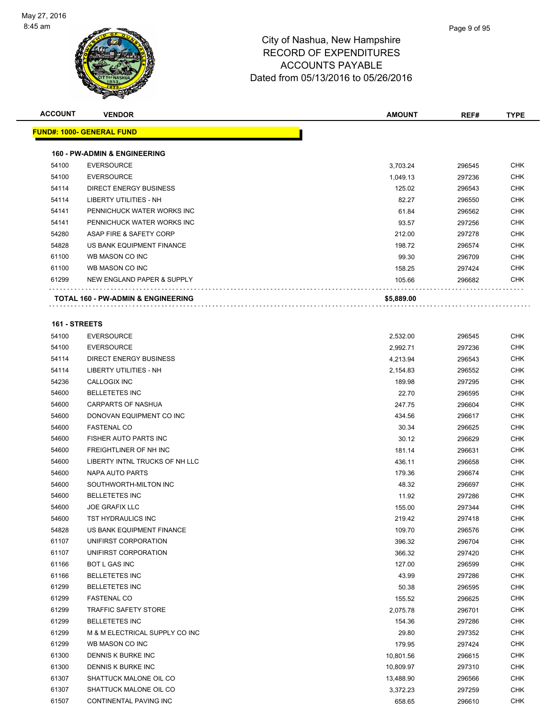

| <b>ACCOUNT</b> | <b>VENDOR</b>                           | <b>AMOUNT</b> | REF#   | <b>TYPE</b> |
|----------------|-----------------------------------------|---------------|--------|-------------|
|                | <u> FUND#: 1000- GENERAL FUND</u>       |               |        |             |
|                |                                         |               |        |             |
|                | <b>160 - PW-ADMIN &amp; ENGINEERING</b> |               |        |             |
| 54100          | <b>EVERSOURCE</b>                       | 3,703.24      | 296545 | CHK         |
| 54100          | <b>EVERSOURCE</b>                       | 1,049.13      | 297236 | CHK         |
| 54114          | <b>DIRECT ENERGY BUSINESS</b>           | 125.02        | 296543 | CHK         |
| 54114          | <b>LIBERTY UTILITIES - NH</b>           | 82.27         | 296550 | CHK         |
| 54141          | PENNICHUCK WATER WORKS INC              | 61.84         | 296562 | CHK         |
| 54141          | PENNICHUCK WATER WORKS INC              | 93.57         | 297256 | CHK         |
| 54280          | ASAP FIRE & SAFETY CORP                 | 212.00        | 297278 | CHK         |
| 54828          | US BANK EQUIPMENT FINANCE               | 198.72        | 296574 | CHK         |
| 61100          | WB MASON CO INC                         | 99.30         | 296709 | CHK         |
| 61100          | WB MASON CO INC                         | 158.25        | 297424 | CHK         |
| 61299          | NEW ENGLAND PAPER & SUPPLY              | 105.66        | 296682 | CHK         |
|                | .                                       |               |        |             |
|                | TOTAL 160 - PW-ADMIN & ENGINEERING      | \$5,889.00    |        |             |
| 161 - STREETS  |                                         |               |        |             |
| 54100          | <b>EVERSOURCE</b>                       | 2,532.00      | 296545 | CHK         |
| 54100          | <b>EVERSOURCE</b>                       | 2,992.71      | 297236 | CHK         |
| 54114          | DIRECT ENERGY BUSINESS                  | 4,213.94      | 296543 | CHK         |
| 54114          | <b>LIBERTY UTILITIES - NH</b>           | 2,154.83      | 296552 | CHK         |
| 54236          | CALLOGIX INC                            | 189.98        | 297295 | CHK         |
| 54600          | <b>BELLETETES INC</b>                   | 22.70         | 296595 | CHK         |
| 54600          | <b>CARPARTS OF NASHUA</b>               | 247.75        | 296604 | CHK         |
| 54600          | DONOVAN EQUIPMENT CO INC                | 434.56        | 296617 | CHK         |
| 54600          | <b>FASTENAL CO</b>                      | 30.34         | 296625 | CHK         |
| 54600          | FISHER AUTO PARTS INC                   | 30.12         | 296629 | CHK         |
| 54600          | FREIGHTLINER OF NH INC                  | 181.14        | 296631 | CHK         |
| 54600          | LIBERTY INTNL TRUCKS OF NH LLC          | 436.11        | 296658 | CHK         |
| 54600          | <b>NAPA AUTO PARTS</b>                  | 179.36        | 296674 | CHK         |
| 54600          | SOUTHWORTH-MILTON INC                   | 48.32         | 296697 | CHK         |
| 54600          | <b>BELLETETES INC</b>                   | 11.92         | 297286 | CHK         |
| 54600          | <b>JOE GRAFIX LLC</b>                   | 155.00        | 297344 | CHK         |
| 54600          | TST HYDRAULICS INC                      | 219.42        | 297418 | CHK         |
| 54828          | US BANK EQUIPMENT FINANCE               | 109.70        | 296576 | <b>CHK</b>  |
| 61107          | UNIFIRST CORPORATION                    | 396.32        | 296704 | <b>CHK</b>  |
| 61107          | UNIFIRST CORPORATION                    | 366.32        | 297420 | CHK         |
| 61166          | BOT L GAS INC                           | 127.00        | 296599 | <b>CHK</b>  |
| 61166          | <b>BELLETETES INC</b>                   | 43.99         | 297286 | <b>CHK</b>  |
| 61299          | <b>BELLETETES INC</b>                   | 50.38         | 296595 | <b>CHK</b>  |
| 61299          | <b>FASTENAL CO</b>                      | 155.52        | 296625 | <b>CHK</b>  |
| 61299          | <b>TRAFFIC SAFETY STORE</b>             | 2,075.78      | 296701 | <b>CHK</b>  |
| 61299          | <b>BELLETETES INC</b>                   | 154.36        | 297286 | CHK         |
| 61299          | M & M ELECTRICAL SUPPLY CO INC          | 29.80         | 297352 | CHK         |
| 61299          | WB MASON CO INC                         | 179.95        | 297424 | <b>CHK</b>  |
| 61300          | DENNIS K BURKE INC                      | 10,801.56     | 296615 | <b>CHK</b>  |
| 61300          | DENNIS K BURKE INC                      | 10,809.97     | 297310 | <b>CHK</b>  |
| 61307          | SHATTUCK MALONE OIL CO                  | 13,488.90     | 296566 | CHK         |
| 61307          | SHATTUCK MALONE OIL CO                  | 3,372.23      | 297259 | CHK         |
| 61507          | CONTINENTAL PAVING INC                  | 658.65        | 296610 | <b>CHK</b>  |
|                |                                         |               |        |             |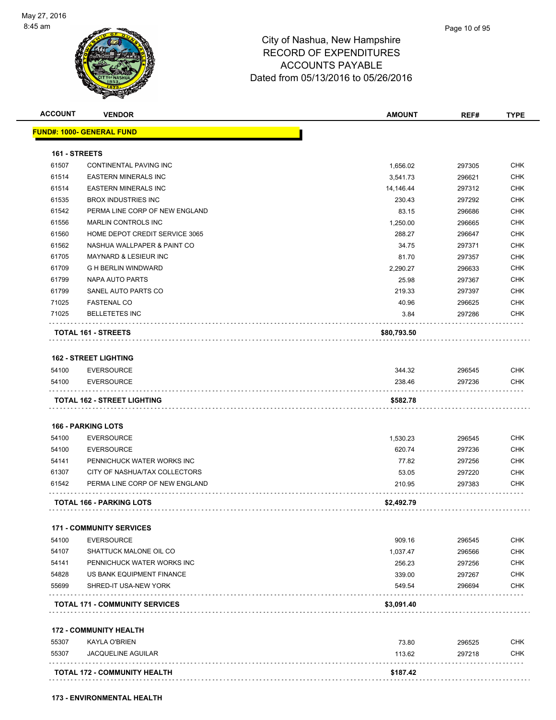

| <b>ACCOUNT</b> | <b>VENDOR</b>                         | <b>AMOUNT</b> | REF#   | <b>TYPE</b> |
|----------------|---------------------------------------|---------------|--------|-------------|
|                | <u> FUND#: 1000- GENERAL FUND</u>     |               |        |             |
| 161 - STREETS  |                                       |               |        |             |
| 61507          | CONTINENTAL PAVING INC                | 1,656.02      | 297305 | <b>CHK</b>  |
| 61514          | <b>EASTERN MINERALS INC</b>           | 3.541.73      | 296621 | <b>CHK</b>  |
| 61514          | <b>EASTERN MINERALS INC</b>           | 14,146.44     | 297312 | <b>CHK</b>  |
| 61535          | <b>BROX INDUSTRIES INC</b>            | 230.43        | 297292 | <b>CHK</b>  |
| 61542          | PERMA LINE CORP OF NEW ENGLAND        | 83.15         | 296686 | <b>CHK</b>  |
| 61556          | <b>MARLIN CONTROLS INC</b>            | 1,250.00      | 296665 | <b>CHK</b>  |
| 61560          | HOME DEPOT CREDIT SERVICE 3065        | 288.27        | 296647 | <b>CHK</b>  |
| 61562          | NASHUA WALLPAPER & PAINT CO           | 34.75         | 297371 | <b>CHK</b>  |
| 61705          | <b>MAYNARD &amp; LESIEUR INC</b>      | 81.70         | 297357 | <b>CHK</b>  |
| 61709          | <b>G H BERLIN WINDWARD</b>            | 2,290.27      | 296633 | CHK         |
| 61799          | <b>NAPA AUTO PARTS</b>                | 25.98         | 297367 | <b>CHK</b>  |
| 61799          | SANEL AUTO PARTS CO                   | 219.33        | 297397 | <b>CHK</b>  |
| 71025          | <b>FASTENAL CO</b>                    | 40.96         | 296625 | <b>CHK</b>  |
| 71025          | <b>BELLETETES INC</b>                 | 3.84          | 297286 | <b>CHK</b>  |
|                | TOTAL 161 - STREETS                   | \$80,793.50   |        |             |
|                |                                       |               |        |             |
|                | <b>162 - STREET LIGHTING</b>          |               |        |             |
| 54100          | <b>EVERSOURCE</b>                     | 344.32        | 296545 | <b>CHK</b>  |
| 54100          | <b>EVERSOURCE</b>                     | 238.46        | 297236 | <b>CHK</b>  |
|                | <b>166 - PARKING LOTS</b>             |               |        |             |
| 54100          | <b>EVERSOURCE</b>                     | 1,530.23      | 296545 | <b>CHK</b>  |
| 54100          | <b>EVERSOURCE</b>                     | 620.74        | 297236 | <b>CHK</b>  |
| 54141          | PENNICHUCK WATER WORKS INC            | 77.82         | 297256 | <b>CHK</b>  |
| 61307          | CITY OF NASHUA/TAX COLLECTORS         | 53.05         | 297220 | <b>CHK</b>  |
| 61542          | PERMA LINE CORP OF NEW ENGLAND        | 210.95        | 297383 | CHK         |
|                | <b>TOTAL 166 - PARKING LOTS</b>       | \$2,492.79    |        |             |
|                | <b>171 - COMMUNITY SERVICES</b>       |               |        |             |
| 54100          | <b>EVERSOURCE</b>                     | 909.16        | 296545 | <b>CHK</b>  |
| 54107          | SHATTUCK MALONE OIL CO                | 1,037.47      | 296566 | <b>CHK</b>  |
| 54141          | PENNICHUCK WATER WORKS INC            | 256.23        | 297256 | CHK         |
| 54828          | US BANK EQUIPMENT FINANCE             | 339.00        | 297267 | CHK         |
| 55699          | SHRED-IT USA-NEW YORK                 | 549.54        | 296694 | CHK         |
|                | <b>TOTAL 171 - COMMUNITY SERVICES</b> | \$3,091.40    |        |             |
|                | <b>172 - COMMUNITY HEALTH</b>         |               |        |             |
| 55307          | <b>KAYLA O'BRIEN</b>                  | 73.80         | 296525 | CHK         |
| 55307          | <b>JACQUELINE AGUILAR</b>             | 113.62        | 297218 | CHK         |
|                | <b>TOTAL 172 - COMMUNITY HEALTH</b>   | \$187.42      |        |             |
|                |                                       |               |        |             |
|                |                                       |               |        |             |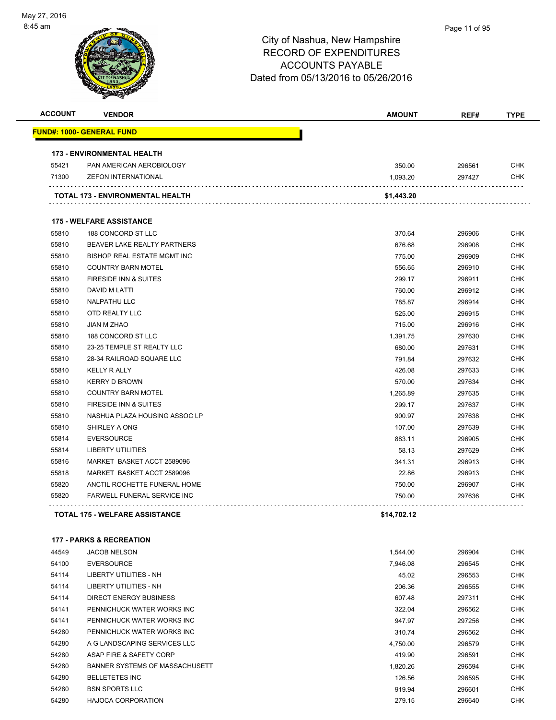| <b>ACCOUNT</b> | <b>VENDOR</b>                         | <b>AMOUNT</b> | REF#   | <b>TYPE</b> |
|----------------|---------------------------------------|---------------|--------|-------------|
|                | <u> FUND#: 1000- GENERAL FUND</u>     |               |        |             |
|                | <b>173 - ENVIRONMENTAL HEALTH</b>     |               |        |             |
| 55421          | PAN AMERICAN AEROBIOLOGY              | 350.00        | 296561 | <b>CHK</b>  |
| 71300          | <b>ZEFON INTERNATIONAL</b>            | 1,093.20      | 297427 | <b>CHK</b>  |
|                | TOTAL 173 - ENVIRONMENTAL HEALTH      | \$1,443.20    |        |             |
|                | <b>175 - WELFARE ASSISTANCE</b>       |               |        |             |
| 55810          | 188 CONCORD ST LLC                    | 370.64        | 296906 | <b>CHK</b>  |
| 55810          | BEAVER LAKE REALTY PARTNERS           | 676.68        | 296908 | <b>CHK</b>  |
| 55810          | BISHOP REAL ESTATE MGMT INC           | 775.00        | 296909 | <b>CHK</b>  |
| 55810          | <b>COUNTRY BARN MOTEL</b>             | 556.65        | 296910 | <b>CHK</b>  |
| 55810          | FIRESIDE INN & SUITES                 | 299.17        | 296911 | CHK         |
| 55810          | DAVID M LATTI                         | 760.00        | 296912 | <b>CHK</b>  |
| 55810          | <b>NALPATHU LLC</b>                   | 785.87        | 296914 | <b>CHK</b>  |
| 55810          | OTD REALTY LLC                        | 525.00        | 296915 | <b>CHK</b>  |
| 55810          | <b>JIAN M ZHAO</b>                    | 715.00        | 296916 | <b>CHK</b>  |
| 55810          | 188 CONCORD ST LLC                    | 1,391.75      | 297630 | <b>CHK</b>  |
| 55810          | 23-25 TEMPLE ST REALTY LLC            | 680.00        | 297631 | <b>CHK</b>  |
| 55810          | 28-34 RAILROAD SQUARE LLC             | 791.84        | 297632 | <b>CHK</b>  |
| 55810          | <b>KELLY R ALLY</b>                   | 426.08        | 297633 | <b>CHK</b>  |
| 55810          | <b>KERRY D BROWN</b>                  | 570.00        | 297634 | <b>CHK</b>  |
| 55810          | <b>COUNTRY BARN MOTEL</b>             | 1,265.89      | 297635 | <b>CHK</b>  |
| 55810          | FIRESIDE INN & SUITES                 | 299.17        | 297637 | CHK         |
| 55810          | NASHUA PLAZA HOUSING ASSOC LP         | 900.97        | 297638 | <b>CHK</b>  |
| 55810          | SHIRLEY A ONG                         | 107.00        | 297639 | <b>CHK</b>  |
| 55814          | <b>EVERSOURCE</b>                     | 883.11        | 296905 | CHK         |
| 55814          | <b>LIBERTY UTILITIES</b>              | 58.13         | 297629 | <b>CHK</b>  |
| 55816          | MARKET BASKET ACCT 2589096            | 341.31        | 296913 | <b>CHK</b>  |
| 55818          | MARKET BASKET ACCT 2589096            | 22.86         | 296913 | CHK         |
| 55820          | ANCTIL ROCHETTE FUNERAL HOME          | 750.00        | 296907 | <b>CHK</b>  |
| 55820          | FARWELL FUNERAL SERVICE INC           | 750.00        | 297636 | <b>CHK</b>  |
|                | <b>TOTAL 175 - WELFARE ASSISTANCE</b> | \$14,702.12   |        |             |
|                | <b>177 - PARKS &amp; RECREATION</b>   |               |        |             |
| 44549          | <b>JACOB NELSON</b>                   | 1,544.00      | 296904 | <b>CHK</b>  |
| 54100          | <b>EVERSOURCE</b>                     | 7,946.08      | 296545 | <b>CHK</b>  |
| 54114          | <b>LIBERTY UTILITIES - NH</b>         | 45.02         | 296553 | <b>CHK</b>  |
| 54114          | LIBERTY UTILITIES - NH                | 206.36        | 296555 | <b>CHK</b>  |
| 54114          | <b>DIRECT ENERGY BUSINESS</b>         | 607.48        | 297311 | <b>CHK</b>  |
| 54141          | PENNICHUCK WATER WORKS INC            | 322.04        | 296562 | <b>CHK</b>  |
| 54141          | PENNICHUCK WATER WORKS INC            | 947.97        | 297256 | <b>CHK</b>  |
| 54280          | PENNICHUCK WATER WORKS INC            | 310.74        | 296562 | <b>CHK</b>  |
| 54280          | A G LANDSCAPING SERVICES LLC          | 4,750.00      | 296579 | <b>CHK</b>  |
| 54280          | ASAP FIRE & SAFETY CORP               | 419.90        | 296591 | <b>CHK</b>  |
| 54280          | BANNER SYSTEMS OF MASSACHUSETT        | 1,820.26      | 296594 | <b>CHK</b>  |

 BELLETETES INC 126.56 296595 CHK BSN SPORTS LLC 919.94 296601 CHK HAJOCA CORPORATION 279.15 296640 CHK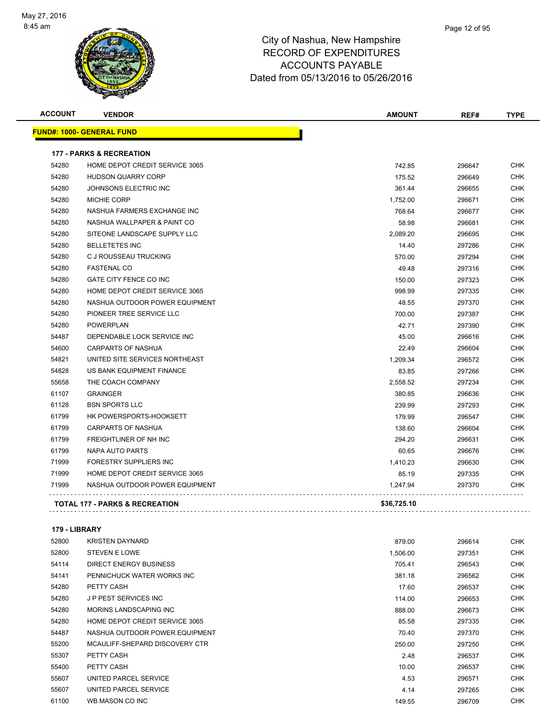

| <b>ACCOUNT</b> | <b>VENDOR</b>                             | <b>AMOUNT</b> | REF#   | <b>TYPE</b> |
|----------------|-------------------------------------------|---------------|--------|-------------|
|                | <u> FUND#: 1000- GENERAL FUND</u>         |               |        |             |
|                | <b>177 - PARKS &amp; RECREATION</b>       |               |        |             |
| 54280          | HOME DEPOT CREDIT SERVICE 3065            | 742.85        | 296647 | <b>CHK</b>  |
| 54280          | <b>HUDSON QUARRY CORP</b>                 | 175.52        | 296649 | <b>CHK</b>  |
| 54280          | JOHNSONS ELECTRIC INC                     | 361.44        | 296655 | <b>CHK</b>  |
| 54280          | <b>MICHIE CORP</b>                        | 1,752.00      | 296671 | <b>CHK</b>  |
| 54280          | NASHUA FARMERS EXCHANGE INC               | 768.64        | 296677 | <b>CHK</b>  |
| 54280          | NASHUA WALLPAPER & PAINT CO               | 58.98         | 296681 | <b>CHK</b>  |
| 54280          | SITEONE LANDSCAPE SUPPLY LLC              | 2,089.20      | 296695 | <b>CHK</b>  |
| 54280          | <b>BELLETETES INC</b>                     | 14.40         | 297286 | <b>CHK</b>  |
| 54280          | C J ROUSSEAU TRUCKING                     | 570.00        | 297294 | <b>CHK</b>  |
| 54280          | <b>FASTENAL CO</b>                        | 49.48         | 297316 | <b>CHK</b>  |
| 54280          | <b>GATE CITY FENCE CO INC</b>             | 150.00        | 297323 | <b>CHK</b>  |
| 54280          | HOME DEPOT CREDIT SERVICE 3065            | 998.99        | 297335 | <b>CHK</b>  |
| 54280          | NASHUA OUTDOOR POWER EQUIPMENT            | 48.55         | 297370 | <b>CHK</b>  |
| 54280          | PIONEER TREE SERVICE LLC                  | 700.00        | 297387 | <b>CHK</b>  |
| 54280          | <b>POWERPLAN</b>                          | 42.71         | 297390 | <b>CHK</b>  |
| 54487          | DEPENDABLE LOCK SERVICE INC               | 45.00         | 296616 | <b>CHK</b>  |
| 54600          | <b>CARPARTS OF NASHUA</b>                 | 22.49         | 296604 | <b>CHK</b>  |
| 54821          | UNITED SITE SERVICES NORTHEAST            | 1,209.34      | 296572 | <b>CHK</b>  |
| 54828          | US BANK EQUIPMENT FINANCE                 | 83.85         | 297266 | <b>CHK</b>  |
| 55658          | THE COACH COMPANY                         | 2,558.52      | 297234 | <b>CHK</b>  |
| 61107          | <b>GRAINGER</b>                           | 380.85        | 296636 | <b>CHK</b>  |
| 61128          | <b>BSN SPORTS LLC</b>                     | 239.99        | 297293 | <b>CHK</b>  |
| 61799          | HK POWERSPORTS-HOOKSETT                   | 179.99        | 296547 | <b>CHK</b>  |
| 61799          | <b>CARPARTS OF NASHUA</b>                 | 138.60        | 296604 | <b>CHK</b>  |
| 61799          | FREIGHTLINER OF NH INC                    | 294.20        | 296631 | <b>CHK</b>  |
| 61799          | <b>NAPA AUTO PARTS</b>                    | 60.65         | 296676 | <b>CHK</b>  |
| 71999          | <b>FORESTRY SUPPLIERS INC</b>             | 1,410.23      | 296630 | <b>CHK</b>  |
| 71999          | HOME DEPOT CREDIT SERVICE 3065            | 85.19         | 297335 | CHK         |
| 71999          | NASHUA OUTDOOR POWER EQUIPMENT            | 1,247.94      | 297370 | <b>CHK</b>  |
|                | <b>TOTAL 177 - PARKS &amp; RECREATION</b> | \$36,725.10   |        |             |
|                |                                           |               |        |             |

#### **179 - LIBRARY**

| 52800 | <b>KRISTEN DAYNARD</b>         | 879.00   | 296614 | <b>CHK</b> |
|-------|--------------------------------|----------|--------|------------|
| 52800 | <b>STEVEN E LOWE</b>           | 1,506.00 | 297351 | <b>CHK</b> |
| 54114 | <b>DIRECT ENERGY BUSINESS</b>  | 705.41   | 296543 | <b>CHK</b> |
| 54141 | PENNICHUCK WATER WORKS INC     | 381.18   | 296562 | <b>CHK</b> |
| 54280 | PETTY CASH                     | 17.60    | 296537 | <b>CHK</b> |
| 54280 | <b>JP PEST SERVICES INC</b>    | 114.00   | 296653 | <b>CHK</b> |
| 54280 | MORINS LANDSCAPING INC         | 888.00   | 296673 | <b>CHK</b> |
| 54280 | HOME DEPOT CREDIT SERVICE 3065 | 85.58    | 297335 | <b>CHK</b> |
| 54487 | NASHUA OUTDOOR POWER EQUIPMENT | 70.40    | 297370 | <b>CHK</b> |
| 55200 | MCAULIFF-SHEPARD DISCOVERY CTR | 250.00   | 297250 | <b>CHK</b> |
| 55307 | PETTY CASH                     | 2.48     | 296537 | <b>CHK</b> |
| 55400 | PETTY CASH                     | 10.00    | 296537 | <b>CHK</b> |
| 55607 | UNITED PARCEL SERVICE          | 4.53     | 296571 | <b>CHK</b> |
| 55607 | UNITED PARCEL SERVICE          | 4.14     | 297265 | <b>CHK</b> |
| 61100 | WB MASON CO INC                | 149.55   | 296709 | <b>CHK</b> |
|       |                                |          |        |            |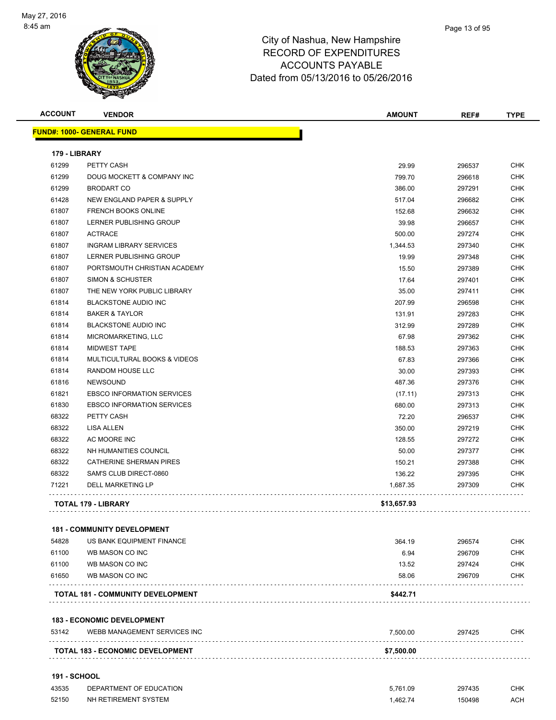

| <b>ACCOUNT</b>      | <b>VENDOR</b>                                                     | <b>AMOUNT</b>  | REF#   | <b>TYPE</b> |
|---------------------|-------------------------------------------------------------------|----------------|--------|-------------|
|                     | <b>FUND#: 1000- GENERAL FUND</b>                                  |                |        |             |
| 179 - LIBRARY       |                                                                   |                |        |             |
| 61299               | PETTY CASH                                                        | 29.99          | 296537 | <b>CHK</b>  |
| 61299               | DOUG MOCKETT & COMPANY INC                                        | 799.70         | 296618 | <b>CHK</b>  |
| 61299               | <b>BRODART CO</b>                                                 | 386.00         | 297291 | CHK         |
| 61428               | NEW ENGLAND PAPER & SUPPLY                                        | 517.04         | 296682 | <b>CHK</b>  |
| 61807               | FRENCH BOOKS ONLINE                                               | 152.68         | 296632 | <b>CHK</b>  |
| 61807               | LERNER PUBLISHING GROUP                                           | 39.98          | 296657 | <b>CHK</b>  |
| 61807               | <b>ACTRACE</b>                                                    | 500.00         | 297274 | <b>CHK</b>  |
| 61807               | <b>INGRAM LIBRARY SERVICES</b>                                    | 1,344.53       | 297340 | <b>CHK</b>  |
| 61807               | LERNER PUBLISHING GROUP                                           | 19.99          | 297348 | <b>CHK</b>  |
| 61807               | PORTSMOUTH CHRISTIAN ACADEMY                                      | 15.50          | 297389 | <b>CHK</b>  |
| 61807               | SIMON & SCHUSTER                                                  |                |        | <b>CHK</b>  |
| 61807               | THE NEW YORK PUBLIC LIBRARY                                       | 17.64<br>35.00 | 297401 | CHK         |
| 61814               |                                                                   |                | 297411 | <b>CHK</b>  |
|                     | <b>BLACKSTONE AUDIO INC</b>                                       | 207.99         | 296598 |             |
| 61814               | <b>BAKER &amp; TAYLOR</b>                                         | 131.91         | 297283 | <b>CHK</b>  |
| 61814               | <b>BLACKSTONE AUDIO INC</b>                                       | 312.99         | 297289 | <b>CHK</b>  |
| 61814               | MICROMARKETING, LLC                                               | 67.98          | 297362 | <b>CHK</b>  |
| 61814               | <b>MIDWEST TAPE</b>                                               | 188.53         | 297363 | <b>CHK</b>  |
| 61814               | MULTICULTURAL BOOKS & VIDEOS                                      | 67.83          | 297366 | <b>CHK</b>  |
| 61814               | RANDOM HOUSE LLC                                                  | 30.00          | 297393 | <b>CHK</b>  |
| 61816               | <b>NEWSOUND</b>                                                   | 487.36         | 297376 | <b>CHK</b>  |
| 61821               | <b>EBSCO INFORMATION SERVICES</b>                                 | (17.11)        | 297313 | <b>CHK</b>  |
| 61830               | <b>EBSCO INFORMATION SERVICES</b>                                 | 680.00         | 297313 | <b>CHK</b>  |
| 68322               | PETTY CASH                                                        | 72.20          | 296537 | <b>CHK</b>  |
| 68322               | <b>LISA ALLEN</b>                                                 | 350.00         | 297219 | <b>CHK</b>  |
| 68322               | AC MOORE INC                                                      | 128.55         | 297272 | <b>CHK</b>  |
| 68322               | NH HUMANITIES COUNCIL                                             | 50.00          | 297377 | <b>CHK</b>  |
| 68322               | <b>CATHERINE SHERMAN PIRES</b>                                    | 150.21         | 297388 | CHK         |
| 68322               | SAM'S CLUB DIRECT-0860                                            | 136.22         | 297395 | CHK         |
| 71221               | <b>DELL MARKETING LP</b>                                          | 1,687.35       | 297309 | <b>CHK</b>  |
|                     | <b>TOTAL 179 - LIBRARY</b>                                        | \$13,657.93    |        |             |
|                     | <b>181 - COMMUNITY DEVELOPMENT</b>                                |                |        |             |
| 54828               | US BANK EQUIPMENT FINANCE                                         | 364.19         | 296574 | CHK         |
| 61100               | WB MASON CO INC                                                   | 6.94           | 296709 | CHK         |
| 61100               | WB MASON CO INC                                                   | 13.52          | 297424 | CHK         |
| 61650               | WB MASON CO INC                                                   | 58.06          | 296709 | <b>CHK</b>  |
|                     | TOTAL 181 - COMMUNITY DEVELOPMENT                                 | \$442.71       |        |             |
|                     |                                                                   |                |        |             |
| 53142               | <b>183 - ECONOMIC DEVELOPMENT</b><br>WEBB MANAGEMENT SERVICES INC | 7,500.00       | 297425 | CHK         |
|                     |                                                                   |                |        |             |
|                     | TOTAL 183 - ECONOMIC DEVELOPMENT                                  | \$7,500.00     |        |             |
| <b>191 - SCHOOL</b> |                                                                   |                |        |             |
| 43535               | DEPARTMENT OF EDUCATION                                           | 5,761.09       | 297435 | <b>CHK</b>  |
| 52150               | NH RETIREMENT SYSTEM                                              | 1,462.74       | 150498 | ACH         |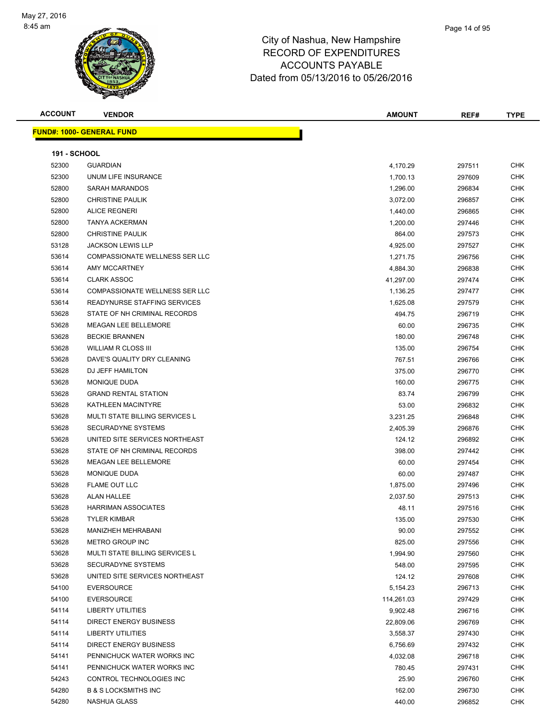

| <b>ACCOUNT</b>      | <b>VENDOR</b>                         | <b>AMOUNT</b> | REF#   | <b>TYPE</b> |
|---------------------|---------------------------------------|---------------|--------|-------------|
|                     | <u> FUND#: 1000- GENERAL FUND</u>     |               |        |             |
|                     |                                       |               |        |             |
| <b>191 - SCHOOL</b> |                                       |               |        |             |
| 52300               | <b>GUARDIAN</b>                       | 4,170.29      | 297511 | <b>CHK</b>  |
| 52300               | UNUM LIFE INSURANCE                   | 1,700.13      | 297609 | <b>CHK</b>  |
| 52800               | SARAH MARANDOS                        | 1,296.00      | 296834 | <b>CHK</b>  |
| 52800               | <b>CHRISTINE PAULIK</b>               | 3,072.00      | 296857 | <b>CHK</b>  |
| 52800               | <b>ALICE REGNERI</b>                  | 1,440.00      | 296865 | <b>CHK</b>  |
| 52800               | <b>TANYA ACKERMAN</b>                 | 1,200.00      | 297446 | <b>CHK</b>  |
| 52800               | <b>CHRISTINE PAULIK</b>               | 864.00        | 297573 | <b>CHK</b>  |
| 53128               | <b>JACKSON LEWIS LLP</b>              | 4,925.00      | 297527 | <b>CHK</b>  |
| 53614               | <b>COMPASSIONATE WELLNESS SER LLC</b> | 1,271.75      | 296756 | <b>CHK</b>  |
| 53614               | AMY MCCARTNEY                         | 4,884.30      | 296838 | <b>CHK</b>  |
| 53614               | <b>CLARK ASSOC</b>                    | 41,297.00     | 297474 | <b>CHK</b>  |
| 53614               | COMPASSIONATE WELLNESS SER LLC        | 1,136.25      | 297477 | <b>CHK</b>  |
| 53614               | READYNURSE STAFFING SERVICES          | 1,625.08      | 297579 | <b>CHK</b>  |
| 53628               | STATE OF NH CRIMINAL RECORDS          | 494.75        | 296719 | <b>CHK</b>  |
| 53628               | MEAGAN LEE BELLEMORE                  | 60.00         | 296735 | <b>CHK</b>  |
| 53628               | <b>BECKIE BRANNEN</b>                 | 180.00        | 296748 | <b>CHK</b>  |
| 53628               | <b>WILLIAM R CLOSS III</b>            | 135.00        | 296754 | <b>CHK</b>  |
| 53628               | DAVE'S QUALITY DRY CLEANING           | 767.51        | 296766 | <b>CHK</b>  |
| 53628               | DJ JEFF HAMILTON                      |               |        | CHK         |
|                     |                                       | 375.00        | 296770 |             |
| 53628               | MONIQUE DUDA                          | 160.00        | 296775 | <b>CHK</b>  |
| 53628               | <b>GRAND RENTAL STATION</b>           | 83.74         | 296799 | <b>CHK</b>  |
| 53628               | KATHLEEN MACINTYRE                    | 53.00         | 296832 | <b>CHK</b>  |
| 53628               | MULTI STATE BILLING SERVICES L        | 3,231.25      | 296848 | <b>CHK</b>  |
| 53628               | SECURADYNE SYSTEMS                    | 2,405.39      | 296876 | <b>CHK</b>  |
| 53628               | UNITED SITE SERVICES NORTHEAST        | 124.12        | 296892 | <b>CHK</b>  |
| 53628               | STATE OF NH CRIMINAL RECORDS          | 398.00        | 297442 | <b>CHK</b>  |
| 53628               | MEAGAN LEE BELLEMORE                  | 60.00         | 297454 | <b>CHK</b>  |
| 53628               | <b>MONIQUE DUDA</b>                   | 60.00         | 297487 | <b>CHK</b>  |
| 53628               | FLAME OUT LLC                         | 1,875.00      | 297496 | <b>CHK</b>  |
| 53628               | <b>ALAN HALLEE</b>                    | 2,037.50      | 297513 | <b>CHK</b>  |
| 53628               | HARRIMAN ASSOCIATES                   | 48.11         | 297516 | <b>CHK</b>  |
| 53628               | <b>TYLER KIMBAR</b>                   | 135.00        | 297530 | <b>CHK</b>  |
| 53628               | MANIZHEH MEHRABANI                    | 90.00         | 297552 | <b>CHK</b>  |
| 53628               | METRO GROUP INC                       | 825.00        | 297556 | <b>CHK</b>  |
| 53628               | MULTI STATE BILLING SERVICES L        | 1,994.90      | 297560 | <b>CHK</b>  |
| 53628               | SECURADYNE SYSTEMS                    | 548.00        | 297595 | <b>CHK</b>  |
| 53628               | UNITED SITE SERVICES NORTHEAST        | 124.12        | 297608 | <b>CHK</b>  |
| 54100               | <b>EVERSOURCE</b>                     | 5,154.23      | 296713 | <b>CHK</b>  |
| 54100               | <b>EVERSOURCE</b>                     | 114,261.03    | 297429 | <b>CHK</b>  |
| 54114               | LIBERTY UTILITIES                     | 9,902.48      | 296716 | <b>CHK</b>  |
| 54114               | DIRECT ENERGY BUSINESS                | 22,809.06     | 296769 | <b>CHK</b>  |
| 54114               | <b>LIBERTY UTILITIES</b>              | 3,558.37      | 297430 | <b>CHK</b>  |
| 54114               | DIRECT ENERGY BUSINESS                | 6,756.69      | 297432 | <b>CHK</b>  |
| 54141               | PENNICHUCK WATER WORKS INC            | 4,032.08      | 296718 | <b>CHK</b>  |
| 54141               | PENNICHUCK WATER WORKS INC            | 780.45        | 297431 | <b>CHK</b>  |
| 54243               | CONTROL TECHNOLOGIES INC              | 25.90         | 296760 | <b>CHK</b>  |
| 54280               | <b>B &amp; S LOCKSMITHS INC</b>       | 162.00        | 296730 | <b>CHK</b>  |
| 54280               | NASHUA GLASS                          | 440.00        | 296852 | <b>CHK</b>  |
|                     |                                       |               |        |             |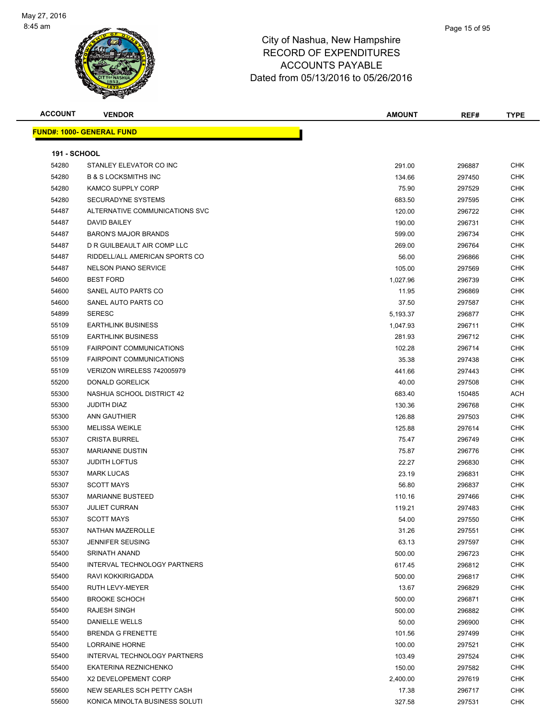

| <b>ACCOUNT</b>      | <b>VENDOR</b>                             | <b>AMOUNT</b>  | REF#             | <b>TYPE</b>              |
|---------------------|-------------------------------------------|----------------|------------------|--------------------------|
|                     | <b>FUND#: 1000- GENERAL FUND</b>          |                |                  |                          |
| <b>191 - SCHOOL</b> |                                           |                |                  |                          |
| 54280               | STANLEY ELEVATOR CO INC                   | 291.00         | 296887           | <b>CHK</b>               |
| 54280               | <b>B &amp; S LOCKSMITHS INC</b>           | 134.66         | 297450           | <b>CHK</b>               |
| 54280               | KAMCO SUPPLY CORP                         | 75.90          | 297529           | <b>CHK</b>               |
| 54280               | SECURADYNE SYSTEMS                        | 683.50         | 297595           | <b>CHK</b>               |
| 54487               | ALTERNATIVE COMMUNICATIONS SVC            | 120.00         | 296722           | <b>CHK</b>               |
| 54487               | DAVID BAILEY                              | 190.00         | 296731           | CHK                      |
| 54487               | <b>BARON'S MAJOR BRANDS</b>               | 599.00         | 296734           | <b>CHK</b>               |
| 54487               | D R GUILBEAULT AIR COMP LLC               | 269.00         | 296764           | <b>CHK</b>               |
| 54487               | RIDDELL/ALL AMERICAN SPORTS CO            | 56.00          | 296866           | <b>CHK</b>               |
| 54487               | <b>NELSON PIANO SERVICE</b>               | 105.00         | 297569           | <b>CHK</b>               |
| 54600               | <b>BEST FORD</b>                          | 1,027.96       | 296739           | <b>CHK</b>               |
| 54600               | SANEL AUTO PARTS CO                       | 11.95          | 296869           | <b>CHK</b>               |
| 54600               | SANEL AUTO PARTS CO                       | 37.50          | 297587           | <b>CHK</b>               |
| 54899               | <b>SERESC</b>                             | 5,193.37       | 296877           | <b>CHK</b>               |
| 55109               | <b>EARTHLINK BUSINESS</b>                 | 1,047.93       | 296711           | <b>CHK</b>               |
| 55109               | <b>EARTHLINK BUSINESS</b>                 | 281.93         | 296712           | <b>CHK</b>               |
| 55109               | <b>FAIRPOINT COMMUNICATIONS</b>           | 102.28         | 296714           | <b>CHK</b>               |
| 55109               | <b>FAIRPOINT COMMUNICATIONS</b>           | 35.38          | 297438           | <b>CHK</b>               |
| 55109               | VERIZON WIRELESS 742005979                | 441.66         | 297443           | CHK                      |
| 55200               | DONALD GORELICK                           | 40.00          | 297508           | <b>CHK</b>               |
| 55300               | NASHUA SCHOOL DISTRICT 42                 | 683.40         |                  | <b>ACH</b>               |
| 55300               | JUDITH DIAZ                               | 130.36         | 150485<br>296768 | <b>CHK</b>               |
| 55300               | ANN GAUTHIER                              | 126.88         | 297503           | <b>CHK</b>               |
| 55300               | <b>MELISSA WEIKLE</b>                     | 125.88         |                  | <b>CHK</b>               |
|                     | <b>CRISTA BURREL</b>                      |                | 297614           | <b>CHK</b>               |
| 55307<br>55307      | <b>MARIANNE DUSTIN</b>                    | 75.47<br>75.87 | 296749           | <b>CHK</b>               |
|                     | <b>JUDITH LOFTUS</b>                      | 22.27          | 296776           | <b>CHK</b>               |
| 55307<br>55307      | <b>MARK LUCAS</b>                         | 23.19          | 296830<br>296831 | <b>CHK</b>               |
| 55307               | <b>SCOTT MAYS</b>                         | 56.80          | 296837           | <b>CHK</b>               |
|                     | <b>MARIANNE BUSTEED</b>                   |                |                  |                          |
| 55307               |                                           | 110.16         | 297466           | <b>CHK</b><br><b>CHK</b> |
| 55307<br>55307      | <b>JULIET CURRAN</b><br><b>SCOTT MAYS</b> | 119.21         | 297483           | <b>CHK</b>               |
| 55307               | NATHAN MAZEROLLE                          | 54.00          | 297550           |                          |
|                     | <b>JENNIFER SEUSING</b>                   | 31.26          | 297551           | CHK<br><b>CHK</b>        |
| 55307<br>55400      | SRINATH ANAND                             | 63.13          | 297597           |                          |
|                     |                                           | 500.00         | 296723           | <b>CHK</b>               |
| 55400               | INTERVAL TECHNOLOGY PARTNERS              | 617.45         | 296812           | <b>CHK</b>               |
| 55400               | RAVI KOKKIRIGADDA                         | 500.00         | 296817           | <b>CHK</b>               |
| 55400               | RUTH LEVY-MEYER                           | 13.67          | 296829           | <b>CHK</b>               |
| 55400               | <b>BROOKE SCHOCH</b>                      | 500.00         | 296871           | <b>CHK</b>               |
| 55400               | <b>RAJESH SINGH</b>                       | 500.00         | 296882           | <b>CHK</b>               |
| 55400               | DANIELLE WELLS                            | 50.00          | 296900           | <b>CHK</b>               |
| 55400               | <b>BRENDA G FRENETTE</b>                  | 101.56         | 297499           | <b>CHK</b>               |
| 55400               | <b>LORRAINE HORNE</b>                     | 100.00         | 297521           | <b>CHK</b>               |
| 55400               | INTERVAL TECHNOLOGY PARTNERS              | 103.49         | 297524           | <b>CHK</b>               |
| 55400               | EKATERINA REZNICHENKO                     | 150.00         | 297582           | <b>CHK</b>               |
| 55400               | X2 DEVELOPEMENT CORP                      | 2,400.00       | 297619           | <b>CHK</b>               |
| 55600               | NEW SEARLES SCH PETTY CASH                | 17.38          | 296717           | <b>CHK</b>               |
| 55600               | KONICA MINOLTA BUSINESS SOLUTI            | 327.58         | 297531           | <b>CHK</b>               |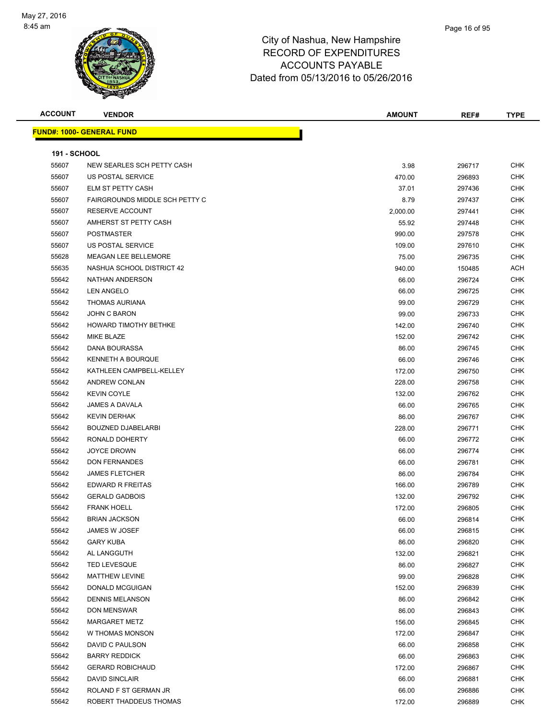

| <b>ACCOUNT</b>      | <b>VENDOR</b>                    | <b>AMOUNT</b> | REF#   | <b>TYPE</b> |
|---------------------|----------------------------------|---------------|--------|-------------|
|                     | <b>FUND#: 1000- GENERAL FUND</b> |               |        |             |
|                     |                                  |               |        |             |
| <b>191 - SCHOOL</b> |                                  |               |        |             |
| 55607               | NEW SEARLES SCH PETTY CASH       | 3.98          | 296717 | <b>CHK</b>  |
| 55607               | US POSTAL SERVICE                | 470.00        | 296893 | <b>CHK</b>  |
| 55607               | ELM ST PETTY CASH                | 37.01         | 297436 | <b>CHK</b>  |
| 55607               | FAIRGROUNDS MIDDLE SCH PETTY C   | 8.79          | 297437 | <b>CHK</b>  |
| 55607               | RESERVE ACCOUNT                  | 2,000.00      | 297441 | <b>CHK</b>  |
| 55607               | AMHERST ST PETTY CASH            | 55.92         | 297448 | <b>CHK</b>  |
| 55607               | <b>POSTMASTER</b>                | 990.00        | 297578 | <b>CHK</b>  |
| 55607               | US POSTAL SERVICE                | 109.00        | 297610 | <b>CHK</b>  |
| 55628               | <b>MEAGAN LEE BELLEMORE</b>      | 75.00         | 296735 | <b>CHK</b>  |
| 55635               | NASHUA SCHOOL DISTRICT 42        | 940.00        | 150485 | ACH         |
| 55642               | NATHAN ANDERSON                  | 66.00         | 296724 | <b>CHK</b>  |
| 55642               | LEN ANGELO                       | 66.00         | 296725 | <b>CHK</b>  |
| 55642               | <b>THOMAS AURIANA</b>            | 99.00         | 296729 | <b>CHK</b>  |
| 55642               | <b>JOHN C BARON</b>              | 99.00         | 296733 | <b>CHK</b>  |
| 55642               | HOWARD TIMOTHY BETHKE            | 142.00        | 296740 | <b>CHK</b>  |
| 55642               | MIKE BLAZE                       | 152.00        | 296742 | <b>CHK</b>  |
| 55642               | DANA BOURASSA                    | 86.00         | 296745 | <b>CHK</b>  |
| 55642               | <b>KENNETH A BOURQUE</b>         | 66.00         | 296746 | <b>CHK</b>  |
| 55642               | KATHLEEN CAMPBELL-KELLEY         | 172.00        | 296750 | <b>CHK</b>  |
| 55642               | ANDREW CONLAN                    | 228.00        | 296758 | <b>CHK</b>  |
| 55642               | <b>KEVIN COYLE</b>               | 132.00        | 296762 | <b>CHK</b>  |
| 55642               | JAMES A DAVALA                   | 66.00         | 296765 | <b>CHK</b>  |
| 55642               | <b>KEVIN DERHAK</b>              | 86.00         | 296767 | <b>CHK</b>  |
| 55642               | <b>BOUZNED DJABELARBI</b>        | 228.00        | 296771 | <b>CHK</b>  |
| 55642               | RONALD DOHERTY                   | 66.00         | 296772 | <b>CHK</b>  |
| 55642               | <b>JOYCE DROWN</b>               | 66.00         | 296774 | <b>CHK</b>  |
| 55642               | <b>DON FERNANDES</b>             | 66.00         | 296781 | <b>CHK</b>  |
| 55642               | <b>JAMES FLETCHER</b>            | 86.00         | 296784 | <b>CHK</b>  |
| 55642               | EDWARD R FREITAS                 | 166.00        | 296789 | <b>CHK</b>  |
| 55642               | <b>GERALD GADBOIS</b>            | 132.00        | 296792 | <b>CHK</b>  |
| 55642               | <b>FRANK HOELL</b>               | 172.00        | 296805 | <b>CHK</b>  |
| 55642               | <b>BRIAN JACKSON</b>             | 66.00         | 296814 | <b>CHK</b>  |
| 55642               | JAMES W JOSEF                    | 66.00         | 296815 | <b>CHK</b>  |
| 55642               | <b>GARY KUBA</b>                 | 86.00         | 296820 | <b>CHK</b>  |
| 55642               | AL LANGGUTH                      | 132.00        | 296821 | <b>CHK</b>  |
| 55642               | <b>TED LEVESQUE</b>              | 86.00         | 296827 | <b>CHK</b>  |
| 55642               | MATTHEW LEVINE                   | 99.00         | 296828 | <b>CHK</b>  |
| 55642               | DONALD MCGUIGAN                  | 152.00        | 296839 | <b>CHK</b>  |
| 55642               | <b>DENNIS MELANSON</b>           | 86.00         | 296842 | <b>CHK</b>  |
| 55642               | <b>DON MENSWAR</b>               | 86.00         | 296843 | <b>CHK</b>  |
| 55642               | <b>MARGARET METZ</b>             | 156.00        | 296845 | CHK         |
| 55642               | W THOMAS MONSON                  | 172.00        | 296847 | <b>CHK</b>  |
| 55642               | DAVID C PAULSON                  | 66.00         | 296858 | <b>CHK</b>  |
| 55642               | <b>BARRY REDDICK</b>             | 66.00         | 296863 | <b>CHK</b>  |
| 55642               | <b>GERARD ROBICHAUD</b>          | 172.00        | 296867 | <b>CHK</b>  |
| 55642               | <b>DAVID SINCLAIR</b>            | 66.00         | 296881 | <b>CHK</b>  |
| 55642               | ROLAND F ST GERMAN JR            | 66.00         | 296886 | <b>CHK</b>  |
| 55642               | ROBERT THADDEUS THOMAS           | 172.00        | 296889 | <b>CHK</b>  |
|                     |                                  |               |        |             |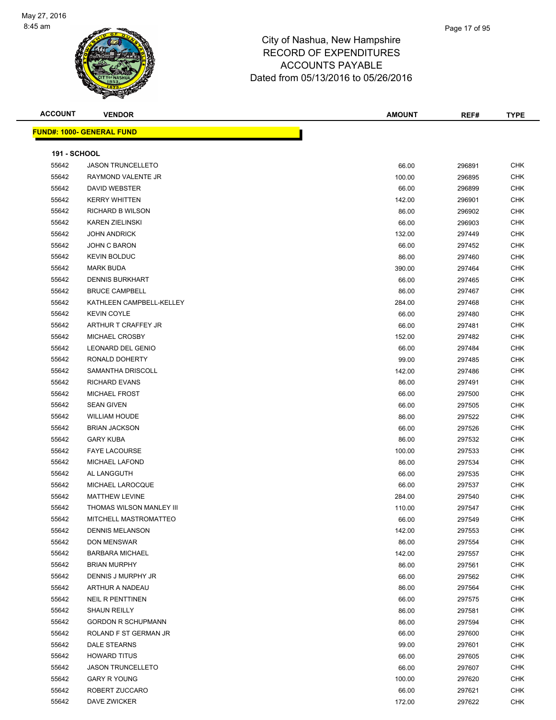

| <b>ACCOUNT</b>      | <b>VENDOR</b>                     | <b>AMOUNT</b> | REF#   | <b>TYPE</b> |
|---------------------|-----------------------------------|---------------|--------|-------------|
|                     | <u> FUND#: 1000- GENERAL FUND</u> |               |        |             |
|                     |                                   |               |        |             |
| <b>191 - SCHOOL</b> |                                   |               |        |             |
| 55642               | <b>JASON TRUNCELLETO</b>          | 66.00         | 296891 | <b>CHK</b>  |
| 55642               | RAYMOND VALENTE JR                | 100.00        | 296895 | <b>CHK</b>  |
| 55642               | DAVID WEBSTER                     | 66.00         | 296899 | <b>CHK</b>  |
| 55642               | <b>KERRY WHITTEN</b>              | 142.00        | 296901 | CHK         |
| 55642               | RICHARD B WILSON                  | 86.00         | 296902 | <b>CHK</b>  |
| 55642               | <b>KAREN ZIELINSKI</b>            | 66.00         | 296903 | <b>CHK</b>  |
| 55642               | <b>JOHN ANDRICK</b>               | 132.00        | 297449 | <b>CHK</b>  |
| 55642               | JOHN C BARON                      | 66.00         | 297452 | <b>CHK</b>  |
| 55642               | <b>KEVIN BOLDUC</b>               | 86.00         | 297460 | <b>CHK</b>  |
| 55642               | <b>MARK BUDA</b>                  | 390.00        | 297464 | <b>CHK</b>  |
| 55642               | <b>DENNIS BURKHART</b>            | 66.00         | 297465 | <b>CHK</b>  |
| 55642               | <b>BRUCE CAMPBELL</b>             | 86.00         | 297467 | <b>CHK</b>  |
| 55642               | KATHLEEN CAMPBELL-KELLEY          | 284.00        | 297468 | <b>CHK</b>  |
| 55642               | <b>KEVIN COYLE</b>                | 66.00         | 297480 | <b>CHK</b>  |
| 55642               | ARTHUR T CRAFFEY JR               | 66.00         | 297481 | <b>CHK</b>  |
| 55642               | MICHAEL CROSBY                    | 152.00        | 297482 | <b>CHK</b>  |
| 55642               | LEONARD DEL GENIO                 | 66.00         | 297484 | <b>CHK</b>  |
| 55642               | RONALD DOHERTY                    | 99.00         | 297485 | <b>CHK</b>  |
| 55642               | SAMANTHA DRISCOLL                 | 142.00        | 297486 | <b>CHK</b>  |
| 55642               | <b>RICHARD EVANS</b>              | 86.00         | 297491 | <b>CHK</b>  |
| 55642               | <b>MICHAEL FROST</b>              | 66.00         | 297500 | <b>CHK</b>  |
| 55642               | <b>SEAN GIVEN</b>                 | 66.00         | 297505 | <b>CHK</b>  |
| 55642               | <b>WILLIAM HOUDE</b>              | 86.00         | 297522 | <b>CHK</b>  |
| 55642               | <b>BRIAN JACKSON</b>              | 66.00         | 297526 | CHK         |
| 55642               | <b>GARY KUBA</b>                  | 86.00         | 297532 | <b>CHK</b>  |
| 55642               | <b>FAYE LACOURSE</b>              | 100.00        | 297533 | <b>CHK</b>  |
| 55642               | <b>MICHAEL LAFOND</b>             | 86.00         | 297534 | <b>CHK</b>  |
| 55642               | AL LANGGUTH                       | 66.00         | 297535 | <b>CHK</b>  |
| 55642               | MICHAEL LAROCQUE                  | 66.00         | 297537 | <b>CHK</b>  |
| 55642               | <b>MATTHEW LEVINE</b>             | 284.00        | 297540 | CHK         |
| 55642               | THOMAS WILSON MANLEY III          | 110.00        | 297547 | CHK         |
| 55642               | MITCHELL MASTROMATTEO             | 66.00         | 297549 | CHK         |
| 55642               | <b>DENNIS MELANSON</b>            | 142.00        | 297553 | <b>CHK</b>  |
| 55642               | DON MENSWAR                       | 86.00         | 297554 | <b>CHK</b>  |
| 55642               | <b>BARBARA MICHAEL</b>            | 142.00        | 297557 | CHK         |
| 55642               | <b>BRIAN MURPHY</b>               | 86.00         | 297561 | <b>CHK</b>  |
| 55642               | DENNIS J MURPHY JR                | 66.00         | 297562 | <b>CHK</b>  |
| 55642               | ARTHUR A NADEAU                   | 86.00         | 297564 | CHK         |
| 55642               | <b>NEIL R PENTTINEN</b>           | 66.00         | 297575 | CHK         |
| 55642               | <b>SHAUN REILLY</b>               | 86.00         | 297581 | CHK         |
| 55642               | <b>GORDON R SCHUPMANN</b>         | 86.00         | 297594 | CHK         |
| 55642               | ROLAND F ST GERMAN JR             | 66.00         | 297600 | CHK         |
| 55642               | DALE STEARNS                      | 99.00         | 297601 | CHK         |
| 55642               | <b>HOWARD TITUS</b>               | 66.00         | 297605 | CHK         |
| 55642               | <b>JASON TRUNCELLETO</b>          | 66.00         | 297607 | CHK         |
| 55642               | <b>GARY R YOUNG</b>               | 100.00        | 297620 | CHK         |
| 55642               | ROBERT ZUCCARO                    | 66.00         | 297621 | CHK         |
| 55642               | DAVE ZWICKER                      | 172.00        | 297622 | <b>CHK</b>  |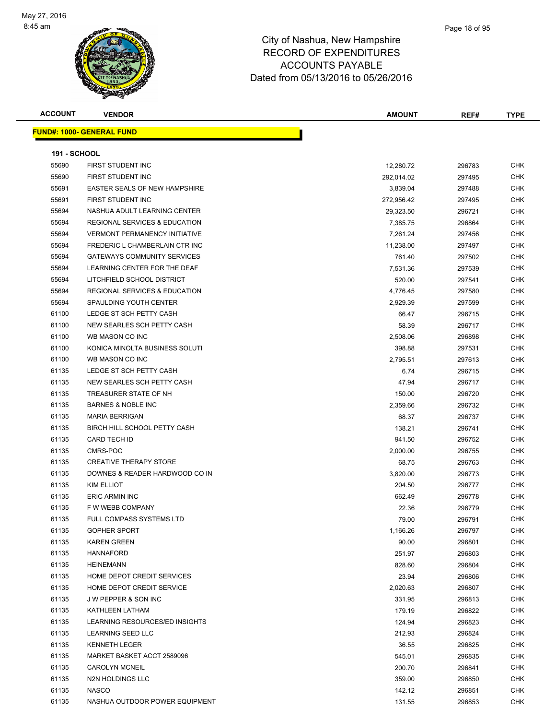

| <b>ACCOUNT</b>      | <b>VENDOR</b>                            | <b>AMOUNT</b> | REF#   | <b>TYPE</b> |
|---------------------|------------------------------------------|---------------|--------|-------------|
|                     | <b>FUND#: 1000- GENERAL FUND</b>         |               |        |             |
|                     |                                          |               |        |             |
| <b>191 - SCHOOL</b> |                                          |               |        |             |
| 55690               | FIRST STUDENT INC                        | 12,280.72     | 296783 | CHK         |
| 55690               | FIRST STUDENT INC                        | 292,014.02    | 297495 | CHK         |
| 55691               | EASTER SEALS OF NEW HAMPSHIRE            | 3,839.04      | 297488 | CHK         |
| 55691               | <b>FIRST STUDENT INC</b>                 | 272,956.42    | 297495 | CHK         |
| 55694               | NASHUA ADULT LEARNING CENTER             | 29,323.50     | 296721 | CHK         |
| 55694               | <b>REGIONAL SERVICES &amp; EDUCATION</b> | 7,385.75      | 296864 | CHK         |
| 55694               | <b>VERMONT PERMANENCY INITIATIVE</b>     | 7,261.24      | 297456 | CHK         |
| 55694               | FREDERIC L CHAMBERLAIN CTR INC           | 11,238.00     | 297497 | CHK         |
| 55694               | <b>GATEWAYS COMMUNITY SERVICES</b>       | 761.40        | 297502 | <b>CHK</b>  |
| 55694               | LEARNING CENTER FOR THE DEAF             | 7,531.36      | 297539 | <b>CHK</b>  |
| 55694               | LITCHFIELD SCHOOL DISTRICT               | 520.00        | 297541 | <b>CHK</b>  |
| 55694               | <b>REGIONAL SERVICES &amp; EDUCATION</b> | 4,776.45      | 297580 | CHK         |
| 55694               | SPAULDING YOUTH CENTER                   | 2,929.39      | 297599 | <b>CHK</b>  |
| 61100               | LEDGE ST SCH PETTY CASH                  | 66.47         | 296715 | CHK         |
| 61100               | NEW SEARLES SCH PETTY CASH               | 58.39         | 296717 | <b>CHK</b>  |
| 61100               | WB MASON CO INC                          | 2,508.06      | 296898 | <b>CHK</b>  |
| 61100               | KONICA MINOLTA BUSINESS SOLUTI           | 398.88        | 297531 | CHK         |
| 61100               | WB MASON CO INC                          | 2,795.51      | 297613 | CHK         |
| 61135               | LEDGE ST SCH PETTY CASH                  | 6.74          | 296715 | CHK         |
| 61135               | NEW SEARLES SCH PETTY CASH               | 47.94         | 296717 | CHK         |
| 61135               | TREASURER STATE OF NH                    | 150.00        | 296720 | <b>CHK</b>  |
| 61135               | <b>BARNES &amp; NOBLE INC</b>            | 2,359.66      | 296732 | CHK         |
| 61135               | <b>MARIA BERRIGAN</b>                    | 68.37         | 296737 | CHK         |
| 61135               | BIRCH HILL SCHOOL PETTY CASH             | 138.21        | 296741 | <b>CHK</b>  |
| 61135               | <b>CARD TECH ID</b>                      | 941.50        | 296752 | CHK         |
| 61135               | CMRS-POC                                 | 2,000.00      | 296755 | <b>CHK</b>  |
| 61135               | <b>CREATIVE THERAPY STORE</b>            | 68.75         | 296763 | <b>CHK</b>  |
| 61135               | DOWNES & READER HARDWOOD CO IN           | 3,820.00      | 296773 | <b>CHK</b>  |
| 61135               | <b>KIM ELLIOT</b>                        | 204.50        | 296777 | CHK         |
| 61135               | <b>ERIC ARMIN INC</b>                    | 662.49        | 296778 | CHK         |
| 61135               | F W WEBB COMPANY                         | 22.36         | 296779 | CHK         |
| 61135               | FULL COMPASS SYSTEMS LTD                 | 79.00         | 296791 | CHK         |
| 61135               | <b>GOPHER SPORT</b>                      | 1,166.26      | 296797 | CHK         |
| 61135               | <b>KAREN GREEN</b>                       | 90.00         | 296801 | CHK         |
| 61135               | <b>HANNAFORD</b>                         | 251.97        | 296803 | <b>CHK</b>  |
| 61135               | <b>HEINEMANN</b>                         | 828.60        | 296804 | CHK         |
| 61135               | HOME DEPOT CREDIT SERVICES               | 23.94         | 296806 | CHK         |
| 61135               | HOME DEPOT CREDIT SERVICE                | 2,020.63      | 296807 | CHK         |
| 61135               | <b>JW PEPPER &amp; SON INC</b>           | 331.95        | 296813 | CHK         |
| 61135               | KATHLEEN LATHAM                          | 179.19        | 296822 | CHK         |
| 61135               | LEARNING RESOURCES/ED INSIGHTS           | 124.94        | 296823 | CHK         |
| 61135               | LEARNING SEED LLC                        | 212.93        | 296824 | CHK         |
| 61135               | <b>KENNETH LEGER</b>                     | 36.55         | 296825 | CHK         |
| 61135               | MARKET BASKET ACCT 2589096               | 545.01        | 296835 | CHK         |
| 61135               | <b>CAROLYN MCNEIL</b>                    | 200.70        | 296841 | CHK         |
| 61135               | N2N HOLDINGS LLC                         | 359.00        | 296850 | CHK         |
| 61135               | <b>NASCO</b>                             | 142.12        | 296851 | CHK         |
| 61135               | NASHUA OUTDOOR POWER EQUIPMENT           | 131.55        | 296853 | <b>CHK</b>  |
|                     |                                          |               |        |             |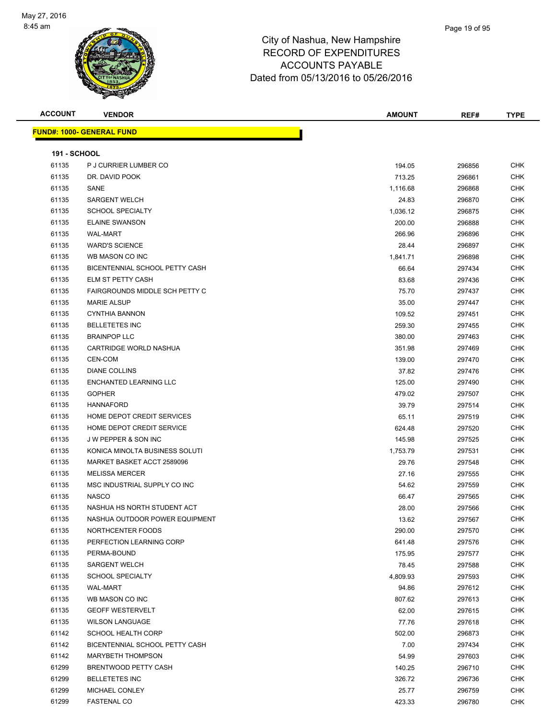

| <b>ACCOUNT</b>      | <b>VENDOR</b>                         | <b>AMOUNT</b>   | REF#             | <b>TYPE</b> |
|---------------------|---------------------------------------|-----------------|------------------|-------------|
|                     | <b>FUND#: 1000- GENERAL FUND</b>      |                 |                  |             |
| <b>191 - SCHOOL</b> |                                       |                 |                  |             |
| 61135               | P J CURRIER LUMBER CO                 | 194.05          | 296856           | <b>CHK</b>  |
| 61135               | DR. DAVID POOK                        | 713.25          | 296861           | <b>CHK</b>  |
| 61135               | SANE                                  | 1,116.68        | 296868           | <b>CHK</b>  |
| 61135               | <b>SARGENT WELCH</b>                  | 24.83           | 296870           | <b>CHK</b>  |
| 61135               | <b>SCHOOL SPECIALTY</b>               | 1,036.12        | 296875           | <b>CHK</b>  |
| 61135               | <b>ELAINE SWANSON</b>                 | 200.00          | 296888           | <b>CHK</b>  |
| 61135               | <b>WAL-MART</b>                       | 266.96          | 296896           | <b>CHK</b>  |
| 61135               | <b>WARD'S SCIENCE</b>                 | 28.44           | 296897           | <b>CHK</b>  |
| 61135               | WB MASON CO INC                       | 1,841.71        | 296898           | <b>CHK</b>  |
| 61135               | BICENTENNIAL SCHOOL PETTY CASH        | 66.64           | 297434           | <b>CHK</b>  |
| 61135               | <b>ELM ST PETTY CASH</b>              | 83.68           | 297436           | <b>CHK</b>  |
| 61135               | <b>FAIRGROUNDS MIDDLE SCH PETTY C</b> | 75.70           | 297437           | <b>CHK</b>  |
| 61135               | <b>MARIE ALSUP</b>                    | 35.00           | 297447           | <b>CHK</b>  |
| 61135               | <b>CYNTHIA BANNON</b>                 | 109.52          | 297451           | <b>CHK</b>  |
| 61135               | <b>BELLETETES INC</b>                 | 259.30          | 297455           | <b>CHK</b>  |
| 61135               | <b>BRAINPOP LLC</b>                   | 380.00          | 297463           | <b>CHK</b>  |
| 61135               | CARTRIDGE WORLD NASHUA                | 351.98          | 297469           | <b>CHK</b>  |
| 61135               | <b>CEN-COM</b>                        | 139.00          | 297470           | <b>CHK</b>  |
| 61135               | <b>DIANE COLLINS</b>                  | 37.82           | 297476           | <b>CHK</b>  |
| 61135               | ENCHANTED LEARNING LLC                | 125.00          | 297490           | <b>CHK</b>  |
| 61135               | <b>GOPHER</b>                         | 479.02          | 297507           | <b>CHK</b>  |
| 61135               | <b>HANNAFORD</b>                      | 39.79           | 297514           | CHK         |
| 61135               | HOME DEPOT CREDIT SERVICES            | 65.11           | 297519           | <b>CHK</b>  |
| 61135               | HOME DEPOT CREDIT SERVICE             | 624.48          | 297520           | <b>CHK</b>  |
| 61135               | <b>JW PEPPER &amp; SON INC</b>        | 145.98          | 297525           | <b>CHK</b>  |
| 61135               | KONICA MINOLTA BUSINESS SOLUTI        | 1,753.79        | 297531           | <b>CHK</b>  |
| 61135               | MARKET BASKET ACCT 2589096            | 29.76           | 297548           | <b>CHK</b>  |
| 61135               | <b>MELISSA MERCER</b>                 | 27.16           | 297555           | CHK         |
| 61135               | MSC INDUSTRIAL SUPPLY CO INC          | 54.62           | 297559           | <b>CHK</b>  |
| 61135               | <b>NASCO</b>                          | 66.47           | 297565           | <b>CHK</b>  |
| 61135               | NASHUA HS NORTH STUDENT ACT           | 28.00           | 297566           | <b>CHK</b>  |
| 61135               | NASHUA OUTDOOR POWER EQUIPMENT        | 13.62           | 297567           | <b>CHK</b>  |
| 61135               | NORTHCENTER FOODS                     | 290.00          | 297570           | <b>CHK</b>  |
| 61135               | PERFECTION LEARNING CORP              | 641.48          | 297576           | <b>CHK</b>  |
| 61135               | PERMA-BOUND                           | 175.95          | 297577           | <b>CHK</b>  |
| 61135               | SARGENT WELCH                         | 78.45           | 297588           | <b>CHK</b>  |
| 61135               | <b>SCHOOL SPECIALTY</b>               | 4,809.93        | 297593           | <b>CHK</b>  |
| 61135               | WAL-MART                              | 94.86           | 297612           | <b>CHK</b>  |
| 61135               | WB MASON CO INC                       | 807.62          | 297613           | <b>CHK</b>  |
| 61135               | <b>GEOFF WESTERVELT</b>               | 62.00           | 297615           | <b>CHK</b>  |
| 61135               | <b>WILSON LANGUAGE</b>                | 77.76           | 297618           | <b>CHK</b>  |
| 61142               | <b>SCHOOL HEALTH CORP</b>             | 502.00          | 296873           | <b>CHK</b>  |
| 61142               | BICENTENNIAL SCHOOL PETTY CASH        | 7.00            | 297434           | <b>CHK</b>  |
|                     | <b>MARYBETH THOMPSON</b>              |                 | 297603           | <b>CHK</b>  |
| 61142<br>61299      | BRENTWOOD PETTY CASH                  | 54.99<br>140.25 | 296710           | <b>CHK</b>  |
| 61299               | <b>BELLETETES INC</b>                 | 326.72          | 296736           | <b>CHK</b>  |
| 61299               | MICHAEL CONLEY                        | 25.77           |                  | <b>CHK</b>  |
| 61299               | <b>FASTENAL CO</b>                    | 423.33          | 296759<br>296780 | <b>CHK</b>  |
|                     |                                       |                 |                  |             |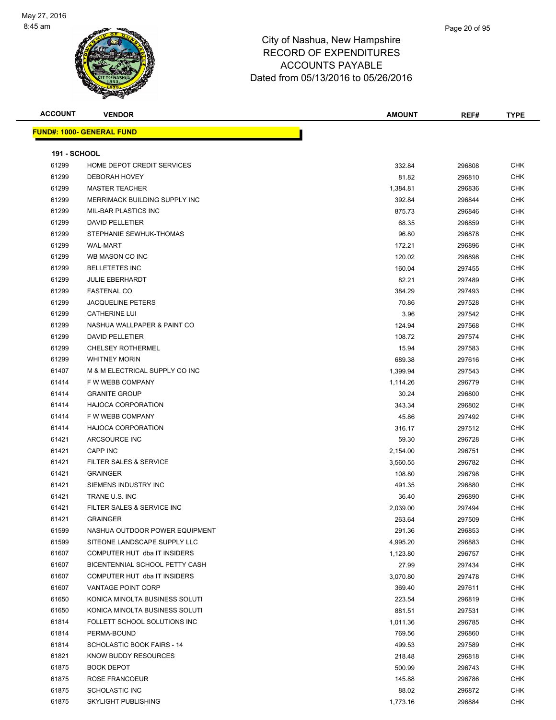

| <b>ACCOUNT</b>      | <b>VENDOR</b>                     | <b>AMOUNT</b> | REF#   | <b>TYPE</b> |
|---------------------|-----------------------------------|---------------|--------|-------------|
|                     | <u> FUND#: 1000- GENERAL FUND</u> |               |        |             |
|                     |                                   |               |        |             |
| <b>191 - SCHOOL</b> |                                   |               |        |             |
| 61299               | HOME DEPOT CREDIT SERVICES        | 332.84        | 296808 | <b>CHK</b>  |
| 61299               | <b>DEBORAH HOVEY</b>              | 81.82         | 296810 | <b>CHK</b>  |
| 61299               | <b>MASTER TEACHER</b>             | 1,384.81      | 296836 | <b>CHK</b>  |
| 61299               | MERRIMACK BUILDING SUPPLY INC     | 392.84        | 296844 | <b>CHK</b>  |
| 61299               | <b>MIL-BAR PLASTICS INC</b>       | 875.73        | 296846 | <b>CHK</b>  |
| 61299               | <b>DAVID PELLETIER</b>            | 68.35         | 296859 | <b>CHK</b>  |
| 61299               | STEPHANIE SEWHUK-THOMAS           | 96.80         | 296878 | <b>CHK</b>  |
| 61299               | <b>WAL-MART</b>                   | 172.21        | 296896 | <b>CHK</b>  |
| 61299               | WB MASON CO INC                   | 120.02        | 296898 | <b>CHK</b>  |
| 61299               | <b>BELLETETES INC</b>             | 160.04        | 297455 | <b>CHK</b>  |
| 61299               | <b>JULIE EBERHARDT</b>            | 82.21         | 297489 | <b>CHK</b>  |
| 61299               | <b>FASTENAL CO</b>                | 384.29        | 297493 | <b>CHK</b>  |
| 61299               | <b>JACQUELINE PETERS</b>          | 70.86         | 297528 | <b>CHK</b>  |
| 61299               | <b>CATHERINE LUI</b>              | 3.96          | 297542 | <b>CHK</b>  |
| 61299               | NASHUA WALLPAPER & PAINT CO       | 124.94        | 297568 | <b>CHK</b>  |
| 61299               | <b>DAVID PELLETIER</b>            | 108.72        | 297574 | <b>CHK</b>  |
| 61299               | <b>CHELSEY ROTHERMEL</b>          | 15.94         | 297583 | <b>CHK</b>  |
| 61299               | <b>WHITNEY MORIN</b>              | 689.38        | 297616 | <b>CHK</b>  |
| 61407               | M & M ELECTRICAL SUPPLY CO INC    | 1,399.94      | 297543 | <b>CHK</b>  |
| 61414               | F W WEBB COMPANY                  | 1,114.26      | 296779 | <b>CHK</b>  |
| 61414               | <b>GRANITE GROUP</b>              | 30.24         | 296800 | <b>CHK</b>  |
| 61414               | <b>HAJOCA CORPORATION</b>         | 343.34        | 296802 | <b>CHK</b>  |
| 61414               | F W WEBB COMPANY                  | 45.86         | 297492 | <b>CHK</b>  |
| 61414               | <b>HAJOCA CORPORATION</b>         | 316.17        | 297512 | <b>CHK</b>  |
| 61421               | ARCSOURCE INC                     | 59.30         | 296728 | <b>CHK</b>  |
| 61421               | CAPP INC                          | 2,154.00      | 296751 | <b>CHK</b>  |
| 61421               | FILTER SALES & SERVICE            | 3,560.55      | 296782 | <b>CHK</b>  |
| 61421               | <b>GRAINGER</b>                   | 108.80        | 296798 | <b>CHK</b>  |
| 61421               | SIEMENS INDUSTRY INC              | 491.35        | 296880 | <b>CHK</b>  |
| 61421               | TRANE U.S. INC                    | 36.40         | 296890 | <b>CHK</b>  |
| 61421               | FILTER SALES & SERVICE INC        | 2,039.00      | 297494 | <b>CHK</b>  |
| 61421               | GRAINGER                          | 263.64        | 297509 | <b>CHK</b>  |
| 61599               | NASHUA OUTDOOR POWER EQUIPMENT    | 291.36        | 296853 | <b>CHK</b>  |
| 61599               | SITEONE LANDSCAPE SUPPLY LLC      | 4,995.20      | 296883 | <b>CHK</b>  |
| 61607               | COMPUTER HUT dba IT INSIDERS      | 1,123.80      | 296757 | <b>CHK</b>  |
| 61607               | BICENTENNIAL SCHOOL PETTY CASH    | 27.99         | 297434 | <b>CHK</b>  |
| 61607               | COMPUTER HUT dba IT INSIDERS      | 3,070.80      | 297478 | <b>CHK</b>  |
| 61607               | VANTAGE POINT CORP                | 369.40        | 297611 | <b>CHK</b>  |
| 61650               | KONICA MINOLTA BUSINESS SOLUTI    | 223.54        | 296819 | <b>CHK</b>  |
| 61650               | KONICA MINOLTA BUSINESS SOLUTI    | 881.51        | 297531 | <b>CHK</b>  |
| 61814               | FOLLETT SCHOOL SOLUTIONS INC      | 1,011.36      | 296785 | <b>CHK</b>  |
| 61814               | PERMA-BOUND                       | 769.56        | 296860 | <b>CHK</b>  |
| 61814               | SCHOLASTIC BOOK FAIRS - 14        | 499.53        | 297589 | <b>CHK</b>  |
| 61821               | KNOW BUDDY RESOURCES              | 218.48        | 296818 | <b>CHK</b>  |
| 61875               | <b>BOOK DEPOT</b>                 | 500.99        | 296743 | <b>CHK</b>  |
| 61875               | ROSE FRANCOEUR                    | 145.88        | 296786 | <b>CHK</b>  |
| 61875               | <b>SCHOLASTIC INC</b>             | 88.02         | 296872 | <b>CHK</b>  |
| 61875               | <b>SKYLIGHT PUBLISHING</b>        | 1,773.16      | 296884 | <b>CHK</b>  |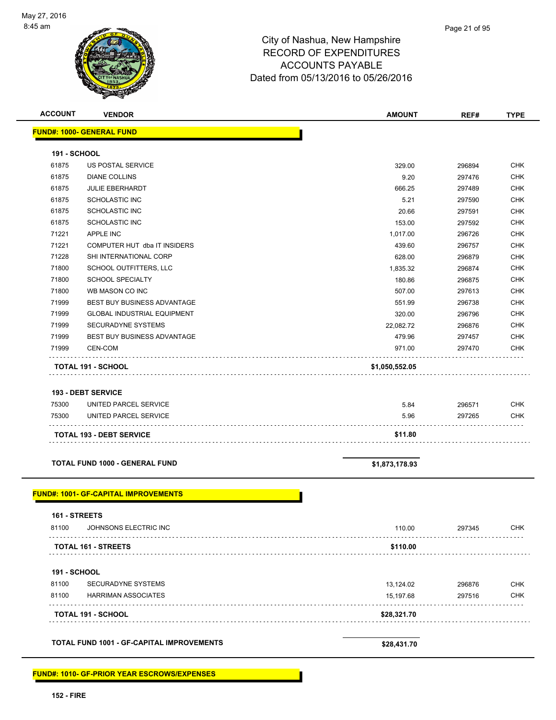| <b>ACCOUNT</b> | <b>VENDOR</b>                                   | <b>AMOUNT</b>  | REF#             | <b>TYPE</b>              |
|----------------|-------------------------------------------------|----------------|------------------|--------------------------|
|                | <b>FUND#: 1000- GENERAL FUND</b>                |                |                  |                          |
| 191 - SCHOOL   |                                                 |                |                  |                          |
| 61875          | <b>US POSTAL SERVICE</b>                        | 329.00         | 296894           | <b>CHK</b>               |
| 61875          | <b>DIANE COLLINS</b>                            | 9.20           | 297476           | CHK                      |
| 61875          | <b>JULIE EBERHARDT</b>                          | 666.25         | 297489           | <b>CHK</b>               |
| 61875          | <b>SCHOLASTIC INC</b>                           | 5.21           | 297590           | <b>CHK</b>               |
| 61875          | <b>SCHOLASTIC INC</b>                           | 20.66          | 297591           | <b>CHK</b>               |
| 61875          | <b>SCHOLASTIC INC</b>                           | 153.00         | 297592           | <b>CHK</b>               |
| 71221          | <b>APPLE INC</b>                                | 1,017.00       | 296726           | <b>CHK</b>               |
| 71221          | COMPUTER HUT dba IT INSIDERS                    | 439.60         | 296757           | <b>CHK</b>               |
| 71228          | SHI INTERNATIONAL CORP                          | 628.00         | 296879           | <b>CHK</b>               |
| 71800          | SCHOOL OUTFITTERS, LLC                          | 1,835.32       | 296874           | <b>CHK</b>               |
| 71800          | <b>SCHOOL SPECIALTY</b>                         | 180.86         | 296875           | <b>CHK</b>               |
| 71800          | WB MASON CO INC                                 | 507.00         | 297613           | <b>CHK</b>               |
| 71999          | <b>BEST BUY BUSINESS ADVANTAGE</b>              | 551.99         | 296738           | <b>CHK</b>               |
| 71999          | <b>GLOBAL INDUSTRIAL EQUIPMENT</b>              | 320.00         | 296796           | <b>CHK</b>               |
|                | SECURADYNE SYSTEMS                              | 22,082.72      | 296876           | <b>CHK</b>               |
| 71999          |                                                 | 479.96         | 297457           | <b>CHK</b>               |
| 71999          | BEST BUY BUSINESS ADVANTAGE                     |                |                  |                          |
| 71999          | <b>CEN-COM</b>                                  | 971.00         | 297470           | <b>CHK</b>               |
|                | TOTAL 191 - SCHOOL<br><b>193 - DEBT SERVICE</b> | \$1,050,552.05 |                  |                          |
| 75300<br>75300 | UNITED PARCEL SERVICE<br>UNITED PARCEL SERVICE  | 5.84<br>5.96   | 296571<br>297265 | <b>CHK</b><br><b>CHK</b> |
|                | <b>TOTAL 193 - DEBT SERVICE</b>                 | \$11.80        |                  |                          |
|                | <b>TOTAL FUND 1000 - GENERAL FUND</b>           | \$1,873,178.93 |                  |                          |
|                | <b>FUND#: 1001- GF-CAPITAL IMPROVEMENTS</b>     |                |                  |                          |
| 161 - STREETS  |                                                 |                |                  |                          |
| 81100          | JOHNSONS ELECTRIC INC                           | 110.00         | 297345           | CHK                      |
|                | TOTAL 161 - STREETS                             | \$110.00       |                  |                          |
| 191 - SCHOOL   |                                                 |                |                  |                          |
| 81100          | SECURADYNE SYSTEMS                              | 13,124.02      | 296876           | <b>CHK</b>               |
| 81100          | HARRIMAN ASSOCIATES                             | 15,197.68      | 297516           | <b>CHK</b>               |
|                | <b>TOTAL 191 - SCHOOL</b>                       | \$28,321.70    |                  |                          |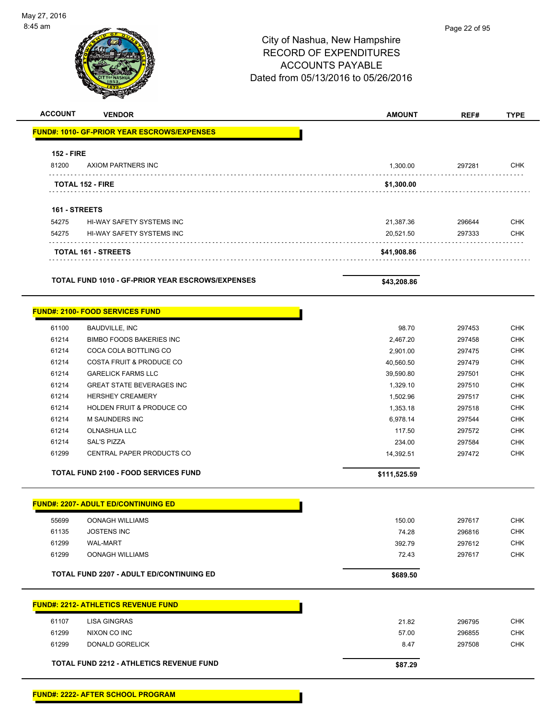# Page 22 of 95City of Nashua, New Hampshire RECORD OF EXPENDITURES ACCOUNTS PAYABLE Dated from 05/13/2016 to 05/26/2016 **ACCOUNT VENDOR AMOUNT REF# TYPE FUND#: 1010- GF-PRIOR YEAR ESCROWS/EXPENSES 152 - FIRE** 81200 AXIOM PARTNERS INC 1,300.00 297281 CHK **TOTAL 152 - FIRE \$1,300.00 161 - STREETS** 54275 HI-WAY SAFETY SYSTEMS INC 21,387.36 296644 CHK 54275 HI-WAY SAFETY SYSTEMS INC 20,521.50 297333 CHK **TOTAL 161 - STREETS \$41,908.86 TOTAL FUND 1010 - GF-PRIOR YEAR ESCROWS/EXPENSES \$43,208.86 FUND#: 2100- FOOD SERVICES FUND** 61100 BAUDVILLE, INC 98.70 297453 CHK

|       | <b>TOTAL FUND 2100 - FOOD SERVICES FUND</b> | \$111,525.59  |        |            |
|-------|---------------------------------------------|---------------|--------|------------|
| 61299 | CENTRAL PAPER PRODUCTS CO                   | 14.392.51     | 297472 | <b>CHK</b> |
| 61214 | SAL'S PIZZA                                 | 234.00        | 297584 | <b>CHK</b> |
| 61214 | OLNASHUA LLC                                | 117.50        | 297572 | <b>CHK</b> |
| 61214 | <b>M SAUNDERS INC</b>                       | 6.978.14      | 297544 | <b>CHK</b> |
| 61214 | <b>HOLDEN FRUIT &amp; PRODUCE CO.</b>       | 1,353.18      | 297518 | <b>CHK</b> |
| 61214 | <b>HERSHEY CREAMERY</b>                     | 1,502.96      | 297517 | <b>CHK</b> |
| 61214 | <b>GREAT STATE BEVERAGES INC</b>            | 1,329.10      | 297510 | <b>CHK</b> |
| 61214 | <b>GARELICK FARMS LLC</b>                   | 39.590.80     | 297501 | <b>CHK</b> |
| 61214 | COSTA FRUIT & PRODUCE CO                    | 40,560.50     | 297479 | <b>CHK</b> |
| 61214 | COCA COLA BOTTLING CO                       | 2.901.00      | 297475 | <b>CHK</b> |
| 61214 | <b>BIMBO FOODS BAKERIES INC</b>             | 2,467.20      | 297458 | <b>CHK</b> |
| .     |                                             | <u> JU.IU</u> | ⊷…⊸    | .          |

|       | <b>FUND#: 2207- ADULT ED/CONTINUING ED</b> |        |        |
|-------|--------------------------------------------|--------|--------|
| 55699 | <b>OONAGH WILLIAMS</b>                     | 150.00 | 297617 |
| 61135 | <b>JOSTENS INC</b>                         | 74.28  | 296816 |
| 61299 | <b>WAL-MART</b>                            | 392.79 | 297612 |
| 61299 | <b>OONAGH WILLIAMS</b>                     | 72.43  | 297617 |

# **FUND#: 2212- ATHLETICS REVENUE FUND** 61107 LISA GINGRAS 21.82 296795 CHK 61299 NIXON CO INC 57.00 296855 CHK 61299 DONALD GORELICK 8.47 297508 CHK TOTAL FUND 2212 - ATHLETICS REVENUE FUND<br>
\$87.29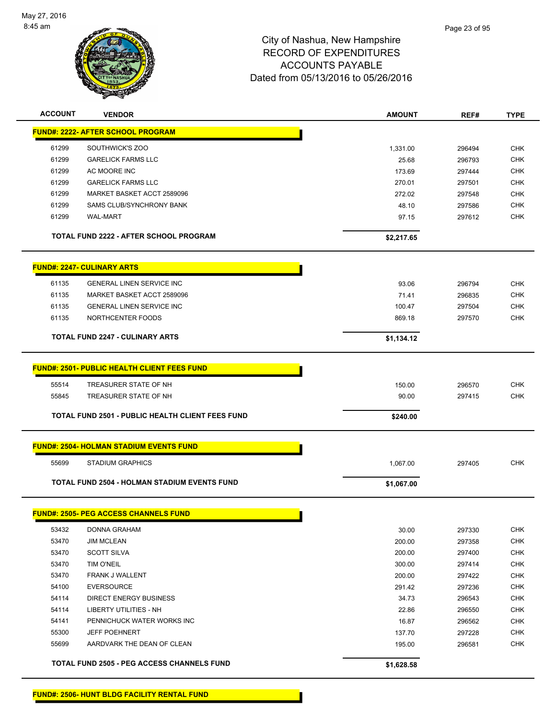

| <b>ACCOUNT</b> | <b>VENDOR</b>                                           | <b>AMOUNT</b>    | REF#             | <b>TYPE</b>              |
|----------------|---------------------------------------------------------|------------------|------------------|--------------------------|
|                | <b>FUND#: 2222- AFTER SCHOOL PROGRAM</b>                |                  |                  |                          |
| 61299          | SOUTHWICK'S ZOO                                         | 1,331.00         | 296494           | <b>CHK</b>               |
| 61299          | <b>GARELICK FARMS LLC</b>                               | 25.68            | 296793           | <b>CHK</b>               |
| 61299          | AC MOORE INC                                            | 173.69           | 297444           | <b>CHK</b>               |
| 61299          | <b>GARELICK FARMS LLC</b>                               | 270.01           | 297501           | <b>CHK</b>               |
| 61299          | MARKET BASKET ACCT 2589096                              | 272.02           | 297548           | <b>CHK</b>               |
| 61299          | SAMS CLUB/SYNCHRONY BANK                                | 48.10            | 297586           | <b>CHK</b>               |
| 61299          | <b>WAL-MART</b>                                         | 97.15            | 297612           | <b>CHK</b>               |
|                | <b>TOTAL FUND 2222 - AFTER SCHOOL PROGRAM</b>           | \$2,217.65       |                  |                          |
|                | <b>FUND#: 2247- CULINARY ARTS</b>                       |                  |                  |                          |
|                |                                                         |                  |                  |                          |
| 61135          | <b>GENERAL LINEN SERVICE INC</b>                        | 93.06            | 296794           | <b>CHK</b>               |
| 61135          | MARKET BASKET ACCT 2589096                              | 71.41            | 296835           | <b>CHK</b>               |
| 61135          | <b>GENERAL LINEN SERVICE INC</b>                        | 100.47           | 297504           | <b>CHK</b>               |
| 61135          | NORTHCENTER FOODS                                       | 869.18           | 297570           | <b>CHK</b>               |
|                | <b>TOTAL FUND 2247 - CULINARY ARTS</b>                  | \$1,134.12       |                  |                          |
|                | <b>FUND#: 2501- PUBLIC HEALTH CLIENT FEES FUND</b>      |                  |                  |                          |
| 55514          |                                                         |                  |                  |                          |
| 55845          | TREASURER STATE OF NH<br>TREASURER STATE OF NH          | 150.00<br>90.00  | 296570<br>297415 | <b>CHK</b><br><b>CHK</b> |
|                |                                                         |                  |                  |                          |
|                | <b>TOTAL FUND 2501 - PUBLIC HEALTH CLIENT FEES FUND</b> | \$240.00         |                  |                          |
|                | <b>FUND#: 2504- HOLMAN STADIUM EVENTS FUND</b>          |                  |                  |                          |
| 55699          | <b>STADIUM GRAPHICS</b>                                 | 1,067.00         | 297405           | <b>CHK</b>               |
|                | <b>TOTAL FUND 2504 - HOLMAN STADIUM EVENTS FUND</b>     | \$1,067.00       |                  |                          |
|                | <b>FUND#: 2505- PEG ACCESS CHANNELS FUND</b>            |                  |                  |                          |
|                |                                                         |                  |                  |                          |
| 53432          | DONNA GRAHAM                                            | 30.00            | 297330           | CHK                      |
| 53470<br>53470 | <b>JIM MCLEAN</b><br><b>SCOTT SILVA</b>                 | 200.00<br>200.00 | 297358           | <b>CHK</b><br><b>CHK</b> |
| 53470          | TIM O'NEIL                                              | 300.00           | 297400           | <b>CHK</b>               |
| 53470          | FRANK J WALLENT                                         |                  | 297414           | <b>CHK</b>               |
| 54100          | <b>EVERSOURCE</b>                                       | 200.00           | 297422           | <b>CHK</b>               |
|                |                                                         | 291.42           | 297236           |                          |
| 54114          | DIRECT ENERGY BUSINESS                                  | 34.73            | 296543           | <b>CHK</b>               |
| 54114          | <b>LIBERTY UTILITIES - NH</b>                           | 22.86            | 296550           | <b>CHK</b>               |
| 54141          | PENNICHUCK WATER WORKS INC                              | 16.87            | 296562           | <b>CHK</b>               |
| 55300          | <b>JEFF POEHNERT</b>                                    | 137.70           | 297228           | <b>CHK</b>               |
| 55699          | AARDVARK THE DEAN OF CLEAN                              | 195.00           | 296581           | <b>CHK</b>               |
|                | <b>TOTAL FUND 2505 - PEG ACCESS CHANNELS FUND</b>       | \$1,628.58       |                  |                          |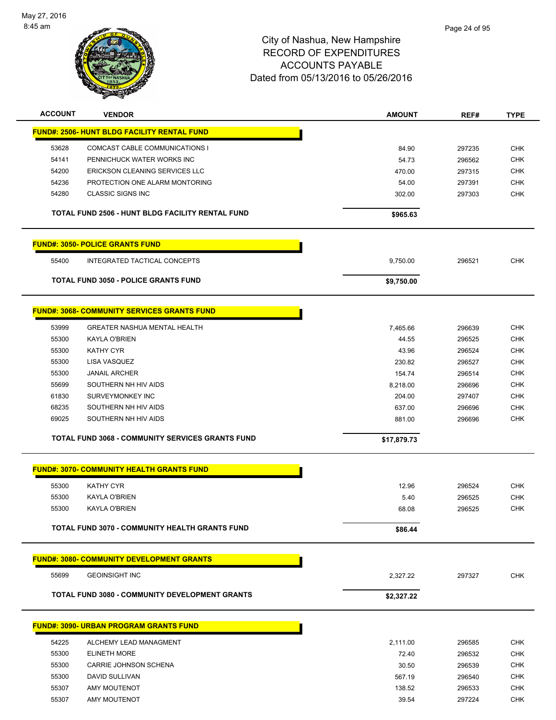

| <b>ACCOUNT</b> | <b>VENDOR</b>                                      | <b>AMOUNT</b>   | REF#   | <b>TYPE</b>              |
|----------------|----------------------------------------------------|-----------------|--------|--------------------------|
|                | <b>FUND#: 2506- HUNT BLDG FACILITY RENTAL FUND</b> |                 |        |                          |
| 53628          | COMCAST CABLE COMMUNICATIONS I                     | 84.90           | 297235 | <b>CHK</b>               |
| 54141          | PENNICHUCK WATER WORKS INC                         | 54.73           | 296562 | <b>CHK</b>               |
| 54200          | <b>ERICKSON CLEANING SERVICES LLC</b>              | 470.00          | 297315 | <b>CHK</b>               |
| 54236          | PROTECTION ONE ALARM MONTORING                     | 54.00           | 297391 | <b>CHK</b>               |
| 54280          | <b>CLASSIC SIGNS INC</b>                           | 302.00          | 297303 | <b>CHK</b>               |
|                | TOTAL FUND 2506 - HUNT BLDG FACILITY RENTAL FUND   | \$965.63        |        |                          |
|                |                                                    |                 |        |                          |
|                | <b>FUND#: 3050- POLICE GRANTS FUND</b>             |                 |        |                          |
| 55400          | <b>INTEGRATED TACTICAL CONCEPTS</b>                | 9,750.00        | 296521 | <b>CHK</b>               |
|                | <b>TOTAL FUND 3050 - POLICE GRANTS FUND</b>        | \$9,750.00      |        |                          |
|                | <b>FUND#: 3068- COMMUNITY SERVICES GRANTS FUND</b> |                 |        |                          |
|                |                                                    |                 |        |                          |
| 53999          | <b>GREATER NASHUA MENTAL HEALTH</b>                | 7,465.66        | 296639 | <b>CHK</b>               |
| 55300<br>55300 | KAYLA O'BRIEN<br><b>KATHY CYR</b>                  | 44.55           | 296525 | <b>CHK</b><br><b>CHK</b> |
|                |                                                    | 43.96<br>230.82 | 296524 | <b>CHK</b>               |
| 55300<br>55300 | LISA VASQUEZ<br><b>JANAIL ARCHER</b>               |                 | 296527 | <b>CHK</b>               |
| 55699          | SOUTHERN NH HIV AIDS                               | 154.74          | 296514 | <b>CHK</b>               |
| 61830          | SURVEYMONKEY INC                                   | 8,218.00        | 296696 | <b>CHK</b>               |
| 68235          | SOUTHERN NH HIV AIDS                               | 204.00          | 297407 | <b>CHK</b>               |
| 69025          | SOUTHERN NH HIV AIDS                               | 637.00          | 296696 | <b>CHK</b>               |
|                |                                                    | 881.00          | 296696 |                          |
|                | TOTAL FUND 3068 - COMMUNITY SERVICES GRANTS FUND   | \$17,879.73     |        |                          |
|                | <b>FUND#: 3070- COMMUNITY HEALTH GRANTS FUND</b>   |                 |        |                          |
|                |                                                    |                 |        |                          |
| 55300          | <b>KATHY CYR</b>                                   | 12.96           | 296524 | <b>CHK</b>               |
| 55300          | KAYLA O'BRIEN                                      | 5.40            | 296525 | <b>CHK</b>               |
| 55300          | KAYLA O'BRIEN                                      | 68.08           | 296525 | <b>CHK</b>               |
|                | TOTAL FUND 3070 - COMMUNITY HEALTH GRANTS FUND     | \$86.44         |        |                          |
|                | <b>FUND#: 3080- COMMUNITY DEVELOPMENT GRANTS</b>   |                 |        |                          |
| 55699          | <b>GEOINSIGHT INC</b>                              | 2,327.22        | 297327 | <b>CHK</b>               |
|                | TOTAL FUND 3080 - COMMUNITY DEVELOPMENT GRANTS     | \$2,327.22      |        |                          |
|                |                                                    |                 |        |                          |
|                | <b>FUND#: 3090- URBAN PROGRAM GRANTS FUND</b>      |                 |        |                          |
| 54225          | ALCHEMY LEAD MANAGMENT                             | 2,111.00        | 296585 | <b>CHK</b>               |
| 55300          | <b>ELINETH MORE</b>                                | 72.40           | 296532 | <b>CHK</b>               |
| 55300          | CARRIE JOHNSON SCHENA                              | 30.50           | 296539 | <b>CHK</b>               |
| 55300          | DAVID SULLIVAN                                     | 567.19          | 296540 | <b>CHK</b>               |
| 55307          | <b>AMY MOUTENOT</b>                                | 138.52          | 296533 | <b>CHK</b>               |
| 55307          | <b>AMY MOUTENOT</b>                                | 39.54           | 297224 | <b>CHK</b>               |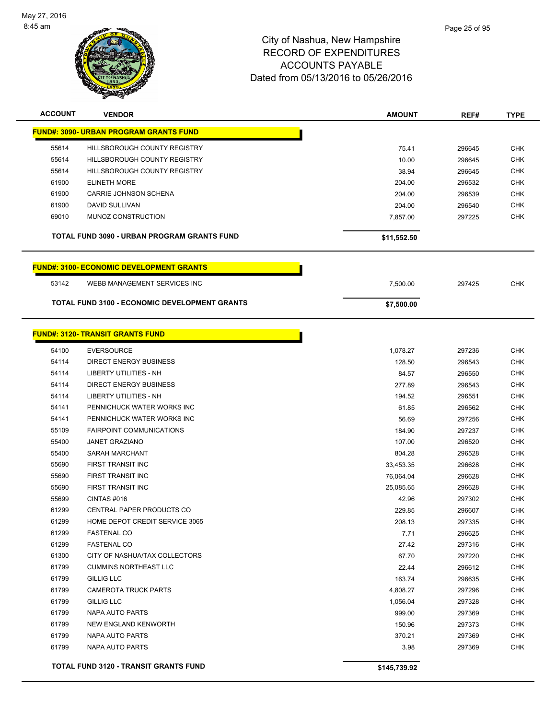

| <b>ACCOUNT</b> | <b>VENDOR</b>                                        | <b>AMOUNT</b> | REF#   | <b>TYPE</b> |
|----------------|------------------------------------------------------|---------------|--------|-------------|
|                | <b>FUND#: 3090- URBAN PROGRAM GRANTS FUND</b>        |               |        |             |
| 55614          | <b>HILLSBOROUGH COUNTY REGISTRY</b>                  | 75.41         | 296645 | <b>CHK</b>  |
| 55614          | <b>HILLSBOROUGH COUNTY REGISTRY</b>                  | 10.00         | 296645 | <b>CHK</b>  |
| 55614          | HILLSBOROUGH COUNTY REGISTRY                         | 38.94         | 296645 | <b>CHK</b>  |
| 61900          | <b>ELINETH MORE</b>                                  | 204.00        | 296532 | <b>CHK</b>  |
| 61900          | CARRIE JOHNSON SCHENA                                | 204.00        | 296539 | <b>CHK</b>  |
| 61900          | DAVID SULLIVAN                                       | 204.00        | 296540 | <b>CHK</b>  |
| 69010          | MUNOZ CONSTRUCTION                                   | 7,857.00      | 297225 | <b>CHK</b>  |
|                | TOTAL FUND 3090 - URBAN PROGRAM GRANTS FUND          | \$11,552.50   |        |             |
|                | <b>FUND#: 3100- ECONOMIC DEVELOPMENT GRANTS</b>      |               |        |             |
| 53142          | WEBB MANAGEMENT SERVICES INC                         | 7,500.00      | 297425 | <b>CHK</b>  |
|                | <b>TOTAL FUND 3100 - ECONOMIC DEVELOPMENT GRANTS</b> | \$7,500.00    |        |             |
|                |                                                      |               |        |             |
|                | <b>FUND#: 3120- TRANSIT GRANTS FUND</b>              |               |        |             |
| 54100          | <b>EVERSOURCE</b>                                    | 1,078.27      | 297236 | <b>CHK</b>  |
| 54114          | <b>DIRECT ENERGY BUSINESS</b>                        | 128.50        | 296543 | <b>CHK</b>  |
| 54114          | <b>LIBERTY UTILITIES - NH</b>                        | 84.57         | 296550 | <b>CHK</b>  |
| 54114          | <b>DIRECT ENERGY BUSINESS</b>                        | 277.89        | 296543 | <b>CHK</b>  |
| 54114          | LIBERTY UTILITIES - NH                               | 194.52        | 296551 | <b>CHK</b>  |
| 54141          | PENNICHUCK WATER WORKS INC                           | 61.85         | 296562 | <b>CHK</b>  |
| 54141          | PENNICHUCK WATER WORKS INC                           | 56.69         | 297256 | <b>CHK</b>  |
| 55109          | <b>FAIRPOINT COMMUNICATIONS</b>                      | 184.90        | 297237 | <b>CHK</b>  |
| 55400          | <b>JANET GRAZIANO</b>                                | 107.00        | 296520 | <b>CHK</b>  |
| 55400          | SARAH MARCHANT                                       | 804.28        | 296528 | <b>CHK</b>  |
| 55690          | <b>FIRST TRANSIT INC</b>                             | 33,453.35     | 296628 | <b>CHK</b>  |
| 55690          | FIRST TRANSIT INC                                    | 76,064.04     | 296628 | <b>CHK</b>  |
| 55690          | FIRST TRANSIT INC                                    | 25,085.65     | 296628 | <b>CHK</b>  |
| 55699          | CINTAS#016                                           | 42.96         | 297302 | <b>CHK</b>  |
| 61299          | CENTRAL PAPER PRODUCTS CO                            | 229.85        | 296607 | <b>CHK</b>  |
| 61299          | HOME DEPOT CREDIT SERVICE 3065                       | 208.13        | 297335 | <b>CHK</b>  |
| 61299          | <b>FASTENAL CO</b>                                   | 7.71          | 296625 | <b>CHK</b>  |
| 61299          | <b>FASTENAL CO</b>                                   | 27.42         | 297316 | <b>CHK</b>  |
| 61300          | CITY OF NASHUA/TAX COLLECTORS                        | 67.70         | 297220 | <b>CHK</b>  |
| 61799          | <b>CUMMINS NORTHEAST LLC</b>                         | 22.44         | 296612 | <b>CHK</b>  |
| 61799          | <b>GILLIG LLC</b>                                    | 163.74        | 296635 | <b>CHK</b>  |
| 61799          | <b>CAMEROTA TRUCK PARTS</b>                          | 4,808.27      | 297296 | <b>CHK</b>  |
| 61799          | GILLIG LLC                                           | 1,056.04      | 297328 | <b>CHK</b>  |
| 61799          | NAPA AUTO PARTS                                      | 999.00        | 297369 | <b>CHK</b>  |
| 61799          | <b>NEW ENGLAND KENWORTH</b>                          | 150.96        | 297373 | <b>CHK</b>  |
| 61799          | NAPA AUTO PARTS                                      | 370.21        | 297369 | <b>CHK</b>  |
| 61799          | NAPA AUTO PARTS                                      | 3.98          | 297369 | <b>CHK</b>  |
|                | <b>TOTAL FUND 3120 - TRANSIT GRANTS FUND</b>         | \$145,739.92  |        |             |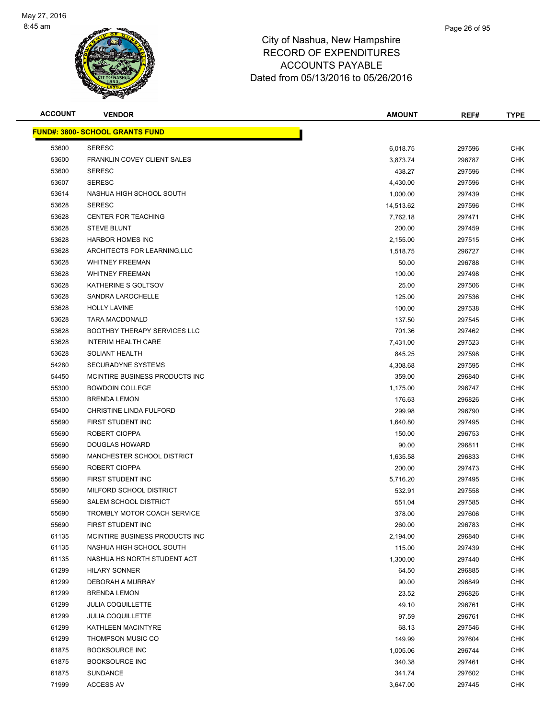

| <b>ACCOUNT</b> | <b>VENDOR</b>                          | <b>AMOUNT</b> | REF#   | <b>TYPE</b> |
|----------------|----------------------------------------|---------------|--------|-------------|
|                | <b>FUND#: 3800- SCHOOL GRANTS FUND</b> |               |        |             |
| 53600          | <b>SERESC</b>                          | 6,018.75      | 297596 | <b>CHK</b>  |
| 53600          | <b>FRANKLIN COVEY CLIENT SALES</b>     | 3,873.74      | 296787 | <b>CHK</b>  |
| 53600          | <b>SERESC</b>                          | 438.27        | 297596 | <b>CHK</b>  |
| 53607          | <b>SERESC</b>                          | 4,430.00      | 297596 | <b>CHK</b>  |
| 53614          | NASHUA HIGH SCHOOL SOUTH               | 1,000.00      | 297439 | <b>CHK</b>  |
| 53628          | <b>SERESC</b>                          | 14,513.62     | 297596 | <b>CHK</b>  |
| 53628          | <b>CENTER FOR TEACHING</b>             | 7,762.18      | 297471 | <b>CHK</b>  |
| 53628          | <b>STEVE BLUNT</b>                     | 200.00        | 297459 | <b>CHK</b>  |
| 53628          | <b>HARBOR HOMES INC</b>                | 2,155.00      | 297515 | CHK         |
| 53628          | ARCHITECTS FOR LEARNING, LLC           | 1,518.75      | 296727 | <b>CHK</b>  |
| 53628          | <b>WHITNEY FREEMAN</b>                 | 50.00         | 296788 | <b>CHK</b>  |
| 53628          | <b>WHITNEY FREEMAN</b>                 | 100.00        | 297498 | CHK         |
| 53628          | KATHERINE S GOLTSOV                    | 25.00         | 297506 | <b>CHK</b>  |
| 53628          | <b>SANDRA LAROCHELLE</b>               | 125.00        | 297536 | <b>CHK</b>  |
| 53628          | <b>HOLLY LAVINE</b>                    | 100.00        | 297538 | <b>CHK</b>  |
| 53628          | <b>TARA MACDONALD</b>                  | 137.50        | 297545 | <b>CHK</b>  |
| 53628          | <b>BOOTHBY THERAPY SERVICES LLC</b>    | 701.36        | 297462 | <b>CHK</b>  |
| 53628          | <b>INTERIM HEALTH CARE</b>             | 7,431.00      | 297523 | <b>CHK</b>  |
| 53628          | SOLIANT HEALTH                         | 845.25        | 297598 | <b>CHK</b>  |
| 54280          | <b>SECURADYNE SYSTEMS</b>              | 4,308.68      | 297595 | <b>CHK</b>  |
| 54450          | MCINTIRE BUSINESS PRODUCTS INC.        | 359.00        | 296840 | <b>CHK</b>  |
| 55300          | <b>BOWDOIN COLLEGE</b>                 | 1,175.00      | 296747 | <b>CHK</b>  |
| 55300          | <b>BRENDA LEMON</b>                    | 176.63        | 296826 | <b>CHK</b>  |
| 55400          | CHRISTINE LINDA FULFORD                | 299.98        | 296790 | <b>CHK</b>  |
| 55690          | FIRST STUDENT INC                      | 1,640.80      | 297495 | <b>CHK</b>  |
| 55690          | ROBERT CIOPPA                          | 150.00        | 296753 | <b>CHK</b>  |
| 55690          | DOUGLAS HOWARD                         | 90.00         | 296811 | <b>CHK</b>  |
| 55690          | MANCHESTER SCHOOL DISTRICT             | 1,635.58      | 296833 | <b>CHK</b>  |
| 55690          | ROBERT CIOPPA                          | 200.00        | 297473 | <b>CHK</b>  |
| 55690          | FIRST STUDENT INC                      | 5,716.20      | 297495 | CHK         |
| 55690          | MILFORD SCHOOL DISTRICT                | 532.91        | 297558 | CHK         |
| 55690          | <b>SALEM SCHOOL DISTRICT</b>           | 551.04        | 297585 | <b>CHK</b>  |
| 55690          | <b>TROMBLY MOTOR COACH SERVICE</b>     | 378.00        | 297606 | <b>CHK</b>  |
| 55690          | FIRST STUDENT INC                      | 260.00        | 296783 | <b>CHK</b>  |
| 61135          | MCINTIRE BUSINESS PRODUCTS INC.        | 2,194.00      | 296840 | <b>CHK</b>  |
| 61135          | NASHUA HIGH SCHOOL SOUTH               | 115.00        | 297439 | <b>CHK</b>  |
| 61135          | NASHUA HS NORTH STUDENT ACT            | 1,300.00      | 297440 | <b>CHK</b>  |
| 61299          | <b>HILARY SONNER</b>                   | 64.50         | 296885 | <b>CHK</b>  |
| 61299          | DEBORAH A MURRAY                       | 90.00         | 296849 | <b>CHK</b>  |
| 61299          | <b>BRENDA LEMON</b>                    | 23.52         | 296826 | <b>CHK</b>  |
| 61299          | <b>JULIA COQUILLETTE</b>               | 49.10         | 296761 | <b>CHK</b>  |
| 61299          | <b>JULIA COQUILLETTE</b>               | 97.59         | 296761 | CHK         |
| 61299          | KATHLEEN MACINTYRE                     | 68.13         | 297546 | <b>CHK</b>  |
| 61299          | THOMPSON MUSIC CO                      | 149.99        | 297604 | CHK         |
| 61875          | <b>BOOKSOURCE INC</b>                  | 1,005.06      | 296744 | CHK         |
| 61875          | <b>BOOKSOURCE INC</b>                  | 340.38        | 297461 | <b>CHK</b>  |
| 61875          | <b>SUNDANCE</b>                        | 341.74        | 297602 | <b>CHK</b>  |
| 71999          | <b>ACCESS AV</b>                       | 3,647.00      | 297445 | <b>CHK</b>  |
|                |                                        |               |        |             |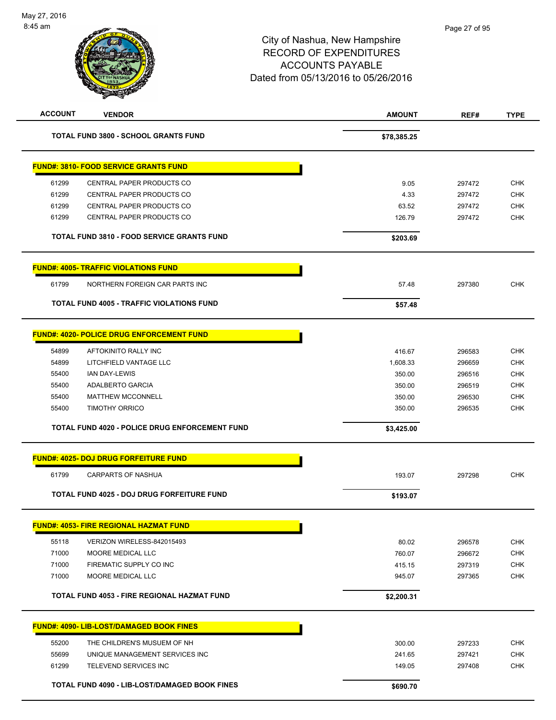| <b>ACCOUNT</b> | <b>VENDOR</b>                                         | <b>AMOUNT</b> | REF#   | <b>TYPE</b> |
|----------------|-------------------------------------------------------|---------------|--------|-------------|
|                | <b>TOTAL FUND 3800 - SCHOOL GRANTS FUND</b>           | \$78,385.25   |        |             |
|                | <b>FUND#: 3810- FOOD SERVICE GRANTS FUND</b>          |               |        |             |
| 61299          | CENTRAL PAPER PRODUCTS CO                             | 9.05          | 297472 | <b>CHK</b>  |
| 61299          | CENTRAL PAPER PRODUCTS CO                             | 4.33          | 297472 | <b>CHK</b>  |
| 61299          | CENTRAL PAPER PRODUCTS CO                             | 63.52         | 297472 | <b>CHK</b>  |
| 61299          | CENTRAL PAPER PRODUCTS CO                             | 126.79        | 297472 | <b>CHK</b>  |
|                | <b>TOTAL FUND 3810 - FOOD SERVICE GRANTS FUND</b>     | \$203.69      |        |             |
|                | <b>FUND#: 4005- TRAFFIC VIOLATIONS FUND</b>           |               |        |             |
| 61799          | NORTHERN FOREIGN CAR PARTS INC                        | 57.48         | 297380 | <b>CHK</b>  |
|                | <b>TOTAL FUND 4005 - TRAFFIC VIOLATIONS FUND</b>      | \$57.48       |        |             |
|                | <b>FUND#: 4020- POLICE DRUG ENFORCEMENT FUND</b>      |               |        |             |
| 54899          | AFTOKINITO RALLY INC                                  | 416.67        | 296583 | <b>CHK</b>  |
| 54899          | LITCHFIELD VANTAGE LLC                                | 1,608.33      | 296659 | <b>CHK</b>  |
| 55400          | <b>IAN DAY-LEWIS</b>                                  | 350.00        | 296516 | <b>CHK</b>  |
| 55400          | ADALBERTO GARCIA                                      | 350.00        | 296519 | <b>CHK</b>  |
| 55400          | <b>MATTHEW MCCONNELL</b>                              | 350.00        | 296530 | <b>CHK</b>  |
| 55400          | <b>TIMOTHY ORRICO</b>                                 | 350.00        | 296535 | <b>CHK</b>  |
|                | <b>TOTAL FUND 4020 - POLICE DRUG ENFORCEMENT FUND</b> | \$3,425.00    |        |             |
|                | <b>FUND#: 4025- DOJ DRUG FORFEITURE FUND</b>          |               |        |             |
| 61799          | CARPARTS OF NASHUA                                    | 193.07        | 297298 | <b>CHK</b>  |
|                | <b>TOTAL FUND 4025 - DOJ DRUG FORFEITURE FUND</b>     | \$193.07      |        |             |
|                | <b>FUND#: 4053- FIRE REGIONAL HAZMAT FUND</b>         |               |        |             |
| 55118          | VERIZON WIRELESS-842015493                            | 80.02         | 296578 | <b>CHK</b>  |
| 71000          | MOORE MEDICAL LLC                                     | 760.07        | 296672 | <b>CHK</b>  |
| 71000          | FIREMATIC SUPPLY CO INC                               | 415.15        | 297319 | <b>CHK</b>  |
| 71000          | MOORE MEDICAL LLC                                     | 945.07        | 297365 | <b>CHK</b>  |
|                | TOTAL FUND 4053 - FIRE REGIONAL HAZMAT FUND           | \$2,200.31    |        |             |
|                | <b>FUND#: 4090- LIB-LOST/DAMAGED BOOK FINES</b>       |               |        |             |
| 55200          | THE CHILDREN'S MUSUEM OF NH                           | 300.00        | 297233 | <b>CHK</b>  |
| 55699          | UNIQUE MANAGEMENT SERVICES INC                        | 241.65        | 297421 | <b>CHK</b>  |
| 61299          | TELEVEND SERVICES INC                                 | 149.05        | 297408 | <b>CHK</b>  |
|                | TOTAL FUND 4090 - LIB-LOST/DAMAGED BOOK FINES         | \$690.70      |        |             |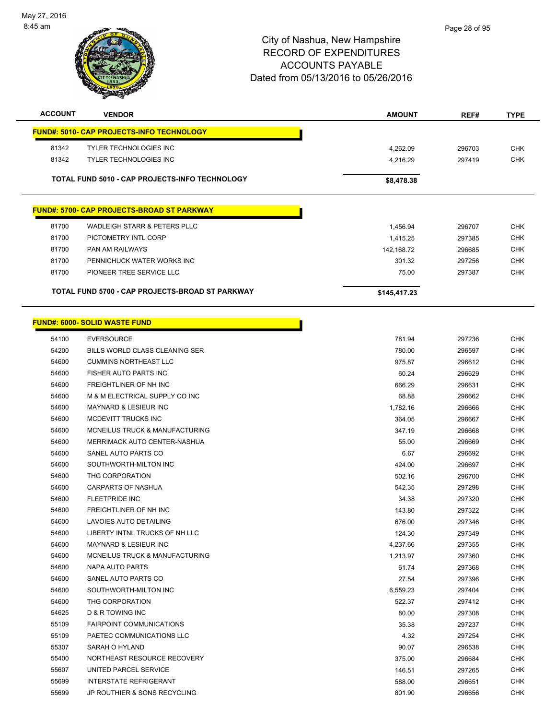

| <b>ACCOUNT</b> | <b>VENDOR</b>                                      | <b>AMOUNT</b> | REF#   | <b>TYPE</b> |
|----------------|----------------------------------------------------|---------------|--------|-------------|
|                | <u> FUND#: 5010- CAP PROJECTS-INFO TECHNOLOGY</u>  |               |        |             |
| 81342          | <b>TYLER TECHNOLOGIES INC</b>                      | 4,262.09      | 296703 | <b>CHK</b>  |
| 81342          | <b>TYLER TECHNOLOGIES INC</b>                      | 4,216.29      | 297419 | <b>CHK</b>  |
|                |                                                    |               |        |             |
|                | TOTAL FUND 5010 - CAP PROJECTS-INFO TECHNOLOGY     | \$8,478.38    |        |             |
|                | <u> FUND#: 5700- CAP PROJECTS-BROAD ST PARKWAY</u> |               |        |             |
|                |                                                    |               |        |             |
| 81700          | <b>WADLEIGH STARR &amp; PETERS PLLC</b>            | 1,456.94      | 296707 | <b>CHK</b>  |
| 81700          | PICTOMETRY INTL CORP                               | 1,415.25      | 297385 | <b>CHK</b>  |
| 81700          | PAN AM RAILWAYS                                    | 142,168.72    | 296685 | <b>CHK</b>  |
| 81700          | PENNICHUCK WATER WORKS INC                         | 301.32        | 297256 | <b>CHK</b>  |
| 81700          | PIONEER TREE SERVICE LLC                           | 75.00         | 297387 | <b>CHK</b>  |
|                | TOTAL FUND 5700 - CAP PROJECTS-BROAD ST PARKWAY    | \$145,417.23  |        |             |
|                |                                                    |               |        |             |
|                | <u> FUND#: 6000- SOLID WASTE FUND</u>              |               |        |             |
| 54100          | <b>EVERSOURCE</b>                                  | 781.94        | 297236 | <b>CHK</b>  |
| 54200          | BILLS WORLD CLASS CLEANING SER                     | 780.00        | 296597 | <b>CHK</b>  |
| 54600          | <b>CUMMINS NORTHEAST LLC</b>                       | 975.87        | 296612 | <b>CHK</b>  |
| 54600          | FISHER AUTO PARTS INC                              | 60.24         | 296629 | <b>CHK</b>  |
| 54600          | FREIGHTLINER OF NH INC                             | 666.29        | 296631 | <b>CHK</b>  |
| 54600          | M & M ELECTRICAL SUPPLY CO INC                     | 68.88         | 296662 | <b>CHK</b>  |
| 54600          | <b>MAYNARD &amp; LESIEUR INC</b>                   | 1,782.16      | 296666 | <b>CHK</b>  |
| 54600          | MCDEVITT TRUCKS INC                                | 364.05        | 296667 | <b>CHK</b>  |
| 54600          | MCNEILUS TRUCK & MANUFACTURING                     | 347.19        | 296668 | <b>CHK</b>  |
| 54600          | MERRIMACK AUTO CENTER-NASHUA                       | 55.00         | 296669 | <b>CHK</b>  |
| 54600          | SANEL AUTO PARTS CO                                | 6.67          | 296692 | <b>CHK</b>  |
| 54600          | SOUTHWORTH-MILTON INC                              | 424.00        | 296697 | <b>CHK</b>  |
| 54600          | THG CORPORATION                                    | 502.16        | 296700 | <b>CHK</b>  |
| 54600          | <b>CARPARTS OF NASHUA</b>                          | 542.35        | 297298 | <b>CHK</b>  |
| 54600          | <b>FLEETPRIDE INC</b>                              | 34.38         | 297320 | <b>CHK</b>  |
| 54600          | FREIGHTLINER OF NH INC                             | 143.80        | 297322 | <b>CHK</b>  |
| 54600          | LAVOIES AUTO DETAILING                             | 676.00        | 297346 | <b>CHK</b>  |
| 54600          | LIBERTY INTNL TRUCKS OF NH LLC                     | 124.30        | 297349 | <b>CHK</b>  |
| 54600          | <b>MAYNARD &amp; LESIEUR INC</b>                   | 4,237.66      | 297355 | <b>CHK</b>  |
| 54600          | MCNEILUS TRUCK & MANUFACTURING                     | 1,213.97      | 297360 | <b>CHK</b>  |
| 54600          | NAPA AUTO PARTS                                    | 61.74         | 297368 | <b>CHK</b>  |
| 54600          | SANEL AUTO PARTS CO                                | 27.54         | 297396 | <b>CHK</b>  |
| 54600          | SOUTHWORTH-MILTON INC                              | 6,559.23      | 297404 | <b>CHK</b>  |
| 54600          | THG CORPORATION                                    | 522.37        | 297412 | <b>CHK</b>  |
| 54625          | D & R TOWING INC                                   | 80.00         | 297308 | <b>CHK</b>  |
| 55109          | <b>FAIRPOINT COMMUNICATIONS</b>                    | 35.38         | 297237 | <b>CHK</b>  |
| 55109          | PAETEC COMMUNICATIONS LLC                          | 4.32          | 297254 | <b>CHK</b>  |
| 55307          | SARAH O HYLAND                                     | 90.07         | 296538 | <b>CHK</b>  |
| 55400          | NORTHEAST RESOURCE RECOVERY                        | 375.00        | 296684 | <b>CHK</b>  |
| 55607          | UNITED PARCEL SERVICE                              | 146.51        | 297265 | <b>CHK</b>  |
| 55699          | <b>INTERSTATE REFRIGERANT</b>                      | 588.00        | 296651 | <b>CHK</b>  |
| 55699          | JP ROUTHIER & SONS RECYCLING                       | 801.90        | 296656 | <b>CHK</b>  |
|                |                                                    |               |        |             |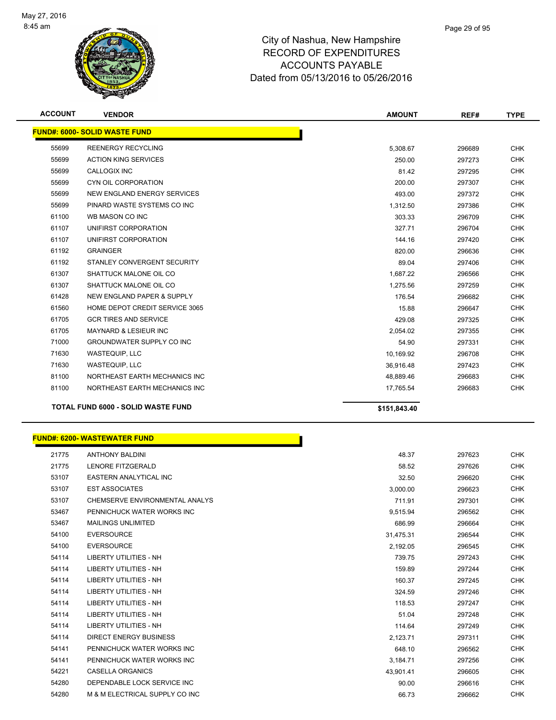

| <b>ACCOUNT</b> | <b>VENDOR</b>                             | <b>AMOUNT</b> | REF#   | <b>TYPE</b> |
|----------------|-------------------------------------------|---------------|--------|-------------|
|                | <b>FUND#: 6000- SOLID WASTE FUND</b>      |               |        |             |
| 55699          | <b>REENERGY RECYCLING</b>                 | 5,308.67      | 296689 | <b>CHK</b>  |
| 55699          | <b>ACTION KING SERVICES</b>               | 250.00        | 297273 | <b>CHK</b>  |
| 55699          | <b>CALLOGIX INC</b>                       | 81.42         | 297295 | <b>CHK</b>  |
| 55699          | CYN OIL CORPORATION                       | 200.00        | 297307 | <b>CHK</b>  |
| 55699          | NEW ENGLAND ENERGY SERVICES               | 493.00        | 297372 | <b>CHK</b>  |
| 55699          | PINARD WASTE SYSTEMS CO INC               | 1,312.50      | 297386 | <b>CHK</b>  |
| 61100          | WB MASON CO INC                           | 303.33        | 296709 | <b>CHK</b>  |
| 61107          | UNIFIRST CORPORATION                      | 327.71        | 296704 | <b>CHK</b>  |
| 61107          | UNIFIRST CORPORATION                      | 144.16        | 297420 | <b>CHK</b>  |
| 61192          | <b>GRAINGER</b>                           | 820.00        | 296636 | <b>CHK</b>  |
| 61192          | STANLEY CONVERGENT SECURITY               | 89.04         | 297406 | <b>CHK</b>  |
| 61307          | SHATTUCK MALONE OIL CO                    | 1,687.22      | 296566 | <b>CHK</b>  |
| 61307          | SHATTUCK MALONE OIL CO                    | 1,275.56      | 297259 | <b>CHK</b>  |
| 61428          | <b>NEW ENGLAND PAPER &amp; SUPPLY</b>     | 176.54        | 296682 | <b>CHK</b>  |
| 61560          | HOME DEPOT CREDIT SERVICE 3065            | 15.88         | 296647 | <b>CHK</b>  |
| 61705          | <b>GCR TIRES AND SERVICE</b>              | 429.08        | 297325 | <b>CHK</b>  |
| 61705          | <b>MAYNARD &amp; LESIEUR INC</b>          | 2,054.02      | 297355 | <b>CHK</b>  |
| 71000          | <b>GROUNDWATER SUPPLY CO INC</b>          | 54.90         | 297331 | <b>CHK</b>  |
| 71630          | <b>WASTEQUIP, LLC</b>                     | 10.169.92     | 296708 | <b>CHK</b>  |
| 71630          | WASTEQUIP, LLC                            | 36,916.48     | 297423 | <b>CHK</b>  |
| 81100          | NORTHEAST EARTH MECHANICS INC             | 48,889.46     | 296683 | <b>CHK</b>  |
| 81100          | NORTHEAST EARTH MECHANICS INC             | 17,765.54     | 296683 | <b>CHK</b>  |
|                | <b>TOTAL FUND 6000 - SOLID WASTE FUND</b> | \$151,843.40  |        |             |

|       | <b>JND#: 6200- WASTEWATER FUND</b> |           |
|-------|------------------------------------|-----------|
| 21775 | <b>ANTHONY BALDINI</b>             |           |
| 21775 | LENORE FITZGERALD                  |           |
| 53107 | EASTERN ANALYTICAL INC             |           |
| 53107 | <b>EST ASSOCIATES</b>              |           |
| 53107 | CHEMSERVE ENVIRONMENTAL ANALYS     |           |
| 53467 | PENNICHUCK WATER WORKS INC         |           |
| 53467 | <b>MAILINGS UNLIMITED</b>          |           |
| 54100 | <b>EVERSOURCE</b>                  | 31,475.31 |
| 54100 | <b>EVERSOURCE</b>                  | 2,192.05  |
| 54114 | <b>LIBERTY UTILITIES - NH</b>      | 739.75    |
| 54114 | <b>LIBERTY UTILITIES - NH</b>      | 159.89    |
| 54114 | <b>LIBERTY UTILITIES - NH</b>      | 160.37    |
| 54114 | <b>LIBERTY UTILITIES - NH</b>      | 324.59    |
| 54114 | <b>LIBERTY UTILITIES - NH</b>      | 118.53    |
| 54114 | <b>LIBERTY UTILITIES - NH</b>      | 51.04     |
| 54114 | <b>LIBERTY UTILITIES - NH</b>      | 114.64    |
| 54114 | <b>DIRECT ENERGY BUSINESS</b>      | 2,123.71  |
| 54141 | PENNICHUCK WATER WORKS INC         | 648.10    |
| 54141 | PENNICHUCK WATER WORKS INC         | 3,184.71  |
| 54221 | <b>CASELLA ORGANICS</b>            | 43,901.41 |
| 54280 | DEPENDABLE LOCK SERVICE INC        | 90.00     |
| 54280 | M & M ELECTRICAL SUPPLY CO INC     | 66.73     |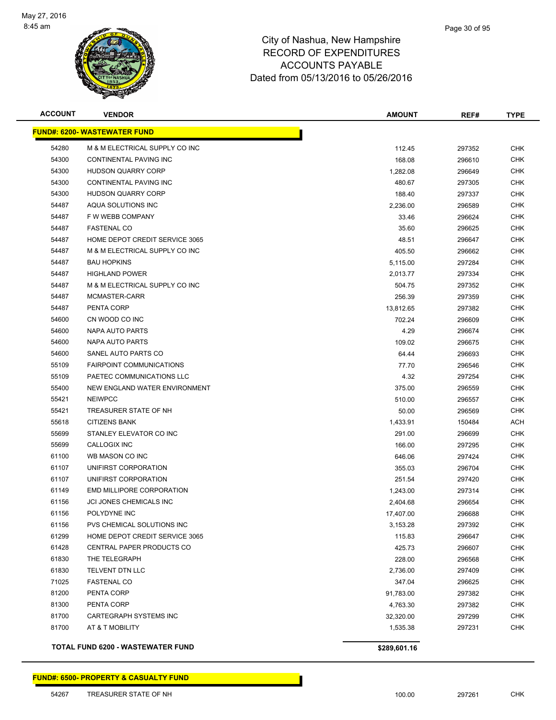

| <b>ACCOUNT</b> | <b>VENDOR</b>                       | AMOUNT       | REF#   | <b>TYPE</b> |
|----------------|-------------------------------------|--------------|--------|-------------|
|                | <b>FUND#: 6200- WASTEWATER FUND</b> |              |        |             |
| 54280          | M & M ELECTRICAL SUPPLY CO INC      | 112.45       | 297352 | <b>CHK</b>  |
| 54300          | CONTINENTAL PAVING INC              | 168.08       | 296610 | <b>CHK</b>  |
| 54300          | <b>HUDSON QUARRY CORP</b>           | 1,282.08     | 296649 | <b>CHK</b>  |
| 54300          | CONTINENTAL PAVING INC              | 480.67       | 297305 | <b>CHK</b>  |
| 54300          | <b>HUDSON QUARRY CORP</b>           | 188.40       | 297337 | <b>CHK</b>  |
| 54487          | AQUA SOLUTIONS INC                  | 2,236.00     | 296589 | <b>CHK</b>  |
| 54487          | F W WEBB COMPANY                    | 33.46        | 296624 | <b>CHK</b>  |
| 54487          | <b>FASTENAL CO</b>                  | 35.60        | 296625 | <b>CHK</b>  |
| 54487          | HOME DEPOT CREDIT SERVICE 3065      | 48.51        | 296647 | <b>CHK</b>  |
| 54487          | M & M ELECTRICAL SUPPLY CO INC      | 405.50       | 296662 | <b>CHK</b>  |
| 54487          | <b>BAU HOPKINS</b>                  | 5,115.00     | 297284 | CHK         |
| 54487          | <b>HIGHLAND POWER</b>               | 2,013.77     | 297334 | CHK         |
| 54487          | M & M ELECTRICAL SUPPLY CO INC      | 504.75       | 297352 | CHK         |
| 54487          | MCMASTER-CARR                       | 256.39       | 297359 | CHK         |
| 54487          | PENTA CORP                          | 13,812.65    | 297382 | <b>CHK</b>  |
| 54600          | CN WOOD CO INC                      | 702.24       | 296609 | <b>CHK</b>  |
| 54600          | NAPA AUTO PARTS                     | 4.29         | 296674 | <b>CHK</b>  |
| 54600          | NAPA AUTO PARTS                     | 109.02       | 296675 | <b>CHK</b>  |
| 54600          | SANEL AUTO PARTS CO                 | 64.44        | 296693 | <b>CHK</b>  |
| 55109          | <b>FAIRPOINT COMMUNICATIONS</b>     | 77.70        | 296546 | <b>CHK</b>  |
| 55109          | PAETEC COMMUNICATIONS LLC           | 4.32         | 297254 | CHK         |
| 55400          | NEW ENGLAND WATER ENVIRONMENT       | 375.00       | 296559 | CHK         |
| 55421          | <b>NEIWPCC</b>                      | 510.00       | 296557 | <b>CHK</b>  |
| 55421          | TREASURER STATE OF NH               | 50.00        | 296569 | <b>CHK</b>  |
| 55618          | <b>CITIZENS BANK</b>                | 1,433.91     | 150484 | ACH         |
| 55699          | STANLEY ELEVATOR CO INC             | 291.00       | 296699 | <b>CHK</b>  |
| 55699          | CALLOGIX INC                        | 166.00       | 297295 | <b>CHK</b>  |
| 61100          | WB MASON CO INC                     | 646.06       | 297424 | <b>CHK</b>  |
| 61107          | UNIFIRST CORPORATION                | 355.03       | 296704 | CHK         |
| 61107          | UNIFIRST CORPORATION                | 251.54       | 297420 | CHK         |
| 61149          | EMD MILLIPORE CORPORATION           | 1,243.00     | 297314 | CHK         |
| 61156          | <b>JCI JONES CHEMICALS INC</b>      | 2,404.68     | 296654 | CHK         |
| 61156          | POLYDYNE INC                        | 17,407.00    | 296688 | <b>CHK</b>  |
| 61156          | PVS CHEMICAL SOLUTIONS INC          | 3,153.28     | 297392 | <b>CHK</b>  |
| 61299          | HOME DEPOT CREDIT SERVICE 3065      | 115.83       | 296647 | <b>CHK</b>  |
| 61428          | CENTRAL PAPER PRODUCTS CO           | 425.73       | 296607 | <b>CHK</b>  |
| 61830          | THE TELEGRAPH                       | 228.00       | 296568 | <b>CHK</b>  |
| 61830          | TELVENT DTN LLC                     | 2,736.00     | 297409 | <b>CHK</b>  |
| 71025          | <b>FASTENAL CO</b>                  | 347.04       | 296625 | <b>CHK</b>  |
| 81200          | PENTA CORP                          | 91,783.00    | 297382 | <b>CHK</b>  |
| 81300          | PENTA CORP                          | 4,763.30     | 297382 | <b>CHK</b>  |
| 81700          | CARTEGRAPH SYSTEMS INC              | 32,320.00    | 297299 | <b>CHK</b>  |
| 81700          | AT & T MOBILITY                     | 1,535.38     | 297231 | <b>CHK</b>  |
|                | TOTAL FUND 6200 - WASTEWATER FUND   | \$289,601.16 |        |             |

Т

**FUND#: 6500- PROPERTY & CASUALTY FUND**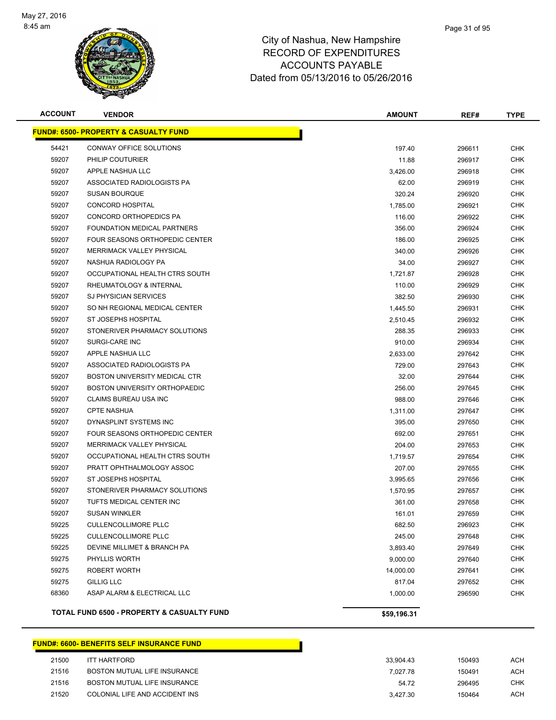

| <b>ACCOUNT</b> | <b>VENDOR</b>                                    | <b>AMOUNT</b> | REF#   | <b>TYPE</b> |
|----------------|--------------------------------------------------|---------------|--------|-------------|
|                | <b>FUND#: 6500- PROPERTY &amp; CASUALTY FUND</b> |               |        |             |
| 54421          | CONWAY OFFICE SOLUTIONS                          | 197.40        | 296611 | <b>CHK</b>  |
| 59207          | PHILIP COUTURIER                                 | 11.88         | 296917 | CHK         |
| 59207          | APPLE NASHUA LLC                                 | 3,426.00      | 296918 | CHK         |
| 59207          | ASSOCIATED RADIOLOGISTS PA                       | 62.00         | 296919 | <b>CHK</b>  |
| 59207          | <b>SUSAN BOURQUE</b>                             | 320.24        | 296920 | CHK         |
| 59207          | <b>CONCORD HOSPITAL</b>                          | 1,785.00      | 296921 | <b>CHK</b>  |
| 59207          | CONCORD ORTHOPEDICS PA                           | 116.00        | 296922 | CHK         |
| 59207          | FOUNDATION MEDICAL PARTNERS                      | 356.00        | 296924 | CHK         |
| 59207          | FOUR SEASONS ORTHOPEDIC CENTER                   | 186.00        | 296925 | <b>CHK</b>  |
| 59207          | <b>MERRIMACK VALLEY PHYSICAL</b>                 | 340.00        | 296926 | CHK         |
| 59207          | NASHUA RADIOLOGY PA                              | 34.00         | 296927 | CHK         |
| 59207          | OCCUPATIONAL HEALTH CTRS SOUTH                   | 1,721.87      | 296928 | CHK         |
| 59207          | RHEUMATOLOGY & INTERNAL                          | 110.00        | 296929 | CHK         |
| 59207          | <b>SJ PHYSICIAN SERVICES</b>                     | 382.50        | 296930 | <b>CHK</b>  |
| 59207          | SO NH REGIONAL MEDICAL CENTER                    | 1,445.50      | 296931 | <b>CHK</b>  |
| 59207          | <b>ST JOSEPHS HOSPITAL</b>                       | 2,510.45      | 296932 | <b>CHK</b>  |
| 59207          | STONERIVER PHARMACY SOLUTIONS                    | 288.35        | 296933 | <b>CHK</b>  |
| 59207          | <b>SURGI-CARE INC</b>                            | 910.00        | 296934 | <b>CHK</b>  |
| 59207          | APPLE NASHUA LLC                                 | 2,633.00      | 297642 | <b>CHK</b>  |
| 59207          | ASSOCIATED RADIOLOGISTS PA                       | 729.00        | 297643 | <b>CHK</b>  |
| 59207          | BOSTON UNIVERSITY MEDICAL CTR                    | 32.00         | 297644 | <b>CHK</b>  |
| 59207          | BOSTON UNIVERSITY ORTHOPAEDIC                    | 256.00        | 297645 | <b>CHK</b>  |
| 59207          | CLAIMS BUREAU USA INC                            | 988.00        | 297646 | <b>CHK</b>  |
| 59207          | <b>CPTE NASHUA</b>                               | 1,311.00      | 297647 | <b>CHK</b>  |
| 59207          | DYNASPLINT SYSTEMS INC                           | 395.00        | 297650 | <b>CHK</b>  |
| 59207          | FOUR SEASONS ORTHOPEDIC CENTER                   | 692.00        | 297651 | <b>CHK</b>  |
| 59207          | MERRIMACK VALLEY PHYSICAL                        | 204.00        | 297653 | <b>CHK</b>  |
| 59207          | OCCUPATIONAL HEALTH CTRS SOUTH                   | 1,719.57      | 297654 | <b>CHK</b>  |
| 59207          | PRATT OPHTHALMOLOGY ASSOC                        | 207.00        | 297655 | <b>CHK</b>  |
| 59207          | ST JOSEPHS HOSPITAL                              | 3,995.65      | 297656 | <b>CHK</b>  |
| 59207          | STONERIVER PHARMACY SOLUTIONS                    | 1,570.95      | 297657 | <b>CHK</b>  |
| 59207          | TUFTS MEDICAL CENTER INC                         | 361.00        | 297658 | <b>CHK</b>  |
| 59207          | <b>SUSAN WINKLER</b>                             | 161.01        | 297659 | <b>CHK</b>  |
| 59225          | <b>CULLENCOLLIMORE PLLC</b>                      | 682.50        | 296923 | <b>CHK</b>  |
| 59225          | <b>CULLENCOLLIMORE PLLC</b>                      | 245.00        | 297648 | <b>CHK</b>  |
| 59225          | DEVINE MILLIMET & BRANCH PA                      | 3,893.40      | 297649 | <b>CHK</b>  |
| 59275          | PHYLLIS WORTH                                    | 9,000.00      | 297640 | <b>CHK</b>  |
| 59275          | ROBERT WORTH                                     | 14,000.00     | 297641 | <b>CHK</b>  |
| 59275          | <b>GILLIG LLC</b>                                | 817.04        | 297652 | <b>CHK</b>  |
| 68360          | ASAP ALARM & ELECTRICAL LLC                      | 1,000.00      | 296590 | <b>CHK</b>  |
|                | TOTAL FUND 6500 - PROPERTY & CASUALTY FUND       | \$59,196.31   |        |             |

#### **FUND#: 6600- BENEFITS SELF INSURANCE FUND**

| 21500 | <b>ITT HARTFORD</b>            | 33.904.43 | 150493 | ACH        |
|-------|--------------------------------|-----------|--------|------------|
| 21516 | BOSTON MUTUAL LIFE INSURANCE   | 7.027.78  | 150491 | <b>ACH</b> |
| 21516 | BOSTON MUTUAL LIFE INSURANCE   | 54.72     | 296495 | снк        |
| 21520 | COLONIAL LIFE AND ACCIDENT INS | 3.427.30  | 150464 | ACH        |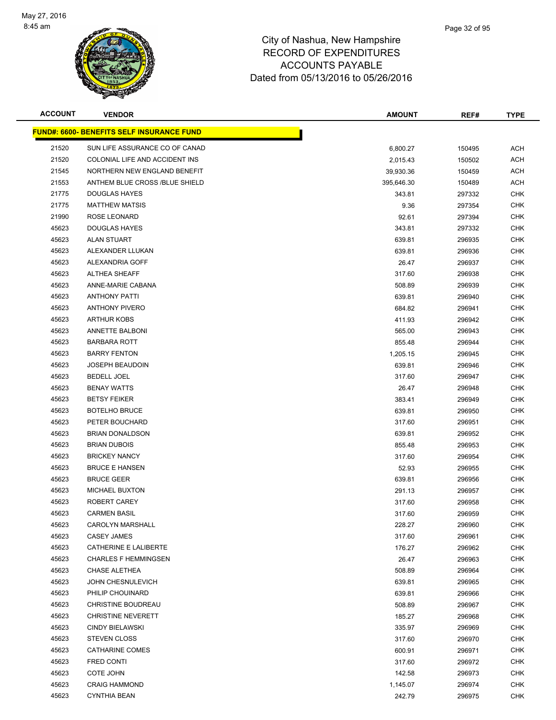

| <b>ACCOUNT</b> | <b>VENDOR</b>                                    | <b>AMOUNT</b> | REF#   | <b>TYPE</b> |
|----------------|--------------------------------------------------|---------------|--------|-------------|
|                | <u>FUND#: 6600- BENEFITS SELF INSURANCE FUND</u> |               |        |             |
| 21520          | SUN LIFE ASSURANCE CO OF CANAD                   | 6,800.27      | 150495 | ACH         |
| 21520          | COLONIAL LIFE AND ACCIDENT INS                   | 2,015.43      | 150502 | <b>ACH</b>  |
| 21545          | NORTHERN NEW ENGLAND BENEFIT                     | 39,930.36     | 150459 | <b>ACH</b>  |
| 21553          | ANTHEM BLUE CROSS /BLUE SHIELD                   | 395,646.30    | 150489 | <b>ACH</b>  |
| 21775          | <b>DOUGLAS HAYES</b>                             | 343.81        | 297332 | <b>CHK</b>  |
| 21775          | <b>MATTHEW MATSIS</b>                            | 9.36          | 297354 | <b>CHK</b>  |
| 21990          | ROSE LEONARD                                     | 92.61         | 297394 | <b>CHK</b>  |
| 45623          | <b>DOUGLAS HAYES</b>                             | 343.81        | 297332 | <b>CHK</b>  |
| 45623          | ALAN STUART                                      | 639.81        | 296935 | <b>CHK</b>  |
| 45623          | ALEXANDER LLUKAN                                 | 639.81        | 296936 | <b>CHK</b>  |
| 45623          | ALEXANDRIA GOFF                                  | 26.47         | 296937 | CHK         |
| 45623          | <b>ALTHEA SHEAFF</b>                             | 317.60        | 296938 | <b>CHK</b>  |
| 45623          | ANNE-MARIE CABANA                                | 508.89        | 296939 | <b>CHK</b>  |
| 45623          | <b>ANTHONY PATTI</b>                             | 639.81        | 296940 | <b>CHK</b>  |
| 45623          | <b>ANTHONY PIVERO</b>                            | 684.82        | 296941 | <b>CHK</b>  |
| 45623          | <b>ARTHUR KOBS</b>                               | 411.93        | 296942 | <b>CHK</b>  |
| 45623          | <b>ANNETTE BALBONI</b>                           | 565.00        | 296943 | <b>CHK</b>  |
| 45623          | <b>BARBARA ROTT</b>                              | 855.48        | 296944 | <b>CHK</b>  |
| 45623          | <b>BARRY FENTON</b>                              | 1,205.15      | 296945 | <b>CHK</b>  |
| 45623          | <b>JOSEPH BEAUDOIN</b>                           | 639.81        | 296946 | <b>CHK</b>  |
| 45623          | <b>BEDELL JOEL</b>                               | 317.60        | 296947 | <b>CHK</b>  |
| 45623          | <b>BENAY WATTS</b>                               | 26.47         | 296948 | CHK         |
| 45623          | <b>BETSY FEIKER</b>                              | 383.41        | 296949 | <b>CHK</b>  |
| 45623          | <b>BOTELHO BRUCE</b>                             | 639.81        | 296950 | <b>CHK</b>  |
| 45623          | PETER BOUCHARD                                   | 317.60        | 296951 | <b>CHK</b>  |
| 45623          | <b>BRIAN DONALDSON</b>                           | 639.81        | 296952 | <b>CHK</b>  |
| 45623          | <b>BRIAN DUBOIS</b>                              | 855.48        | 296953 | <b>CHK</b>  |
| 45623          | <b>BRICKEY NANCY</b>                             | 317.60        | 296954 | <b>CHK</b>  |
| 45623          | <b>BRUCE E HANSEN</b>                            | 52.93         | 296955 | <b>CHK</b>  |
| 45623          | <b>BRUCE GEER</b>                                | 639.81        | 296956 | CHK         |
| 45623          | <b>MICHAEL BUXTON</b>                            | 291.13        | 296957 | <b>CHK</b>  |
| 45623          | ROBERT CAREY                                     | 317.60        | 296958 | <b>CHK</b>  |
| 45623          | <b>CARMEN BASIL</b>                              | 317.60        | 296959 | <b>CHK</b>  |
| 45623          | <b>CAROLYN MARSHALL</b>                          | 228.27        | 296960 | <b>CHK</b>  |
| 45623          | CASEY JAMES                                      | 317.60        | 296961 | CHK         |
| 45623          | CATHERINE E LALIBERTE                            | 176.27        | 296962 | <b>CHK</b>  |
| 45623          | <b>CHARLES F HEMMINGSEN</b>                      | 26.47         | 296963 | <b>CHK</b>  |
| 45623          | <b>CHASE ALETHEA</b>                             | 508.89        | 296964 | <b>CHK</b>  |
| 45623          | JOHN CHESNULEVICH                                | 639.81        | 296965 | <b>CHK</b>  |
| 45623          | PHILIP CHOUINARD                                 | 639.81        | 296966 | CHK         |
| 45623          | <b>CHRISTINE BOUDREAU</b>                        | 508.89        | 296967 | <b>CHK</b>  |
| 45623          | <b>CHRISTINE NEVERETT</b>                        | 185.27        | 296968 | <b>CHK</b>  |
| 45623          | <b>CINDY BIELAWSKI</b>                           | 335.97        | 296969 | <b>CHK</b>  |
| 45623          | <b>STEVEN CLOSS</b>                              | 317.60        | 296970 | <b>CHK</b>  |
| 45623          | CATHARINE COMES                                  | 600.91        | 296971 | CHK         |
| 45623          | FRED CONTI                                       | 317.60        | 296972 | CHK         |
| 45623          | COTE JOHN                                        | 142.58        | 296973 | CHK         |
| 45623          | <b>CRAIG HAMMOND</b>                             | 1,145.07      | 296974 | <b>CHK</b>  |
| 45623          | <b>CYNTHIA BEAN</b>                              | 242.79        | 296975 | <b>CHK</b>  |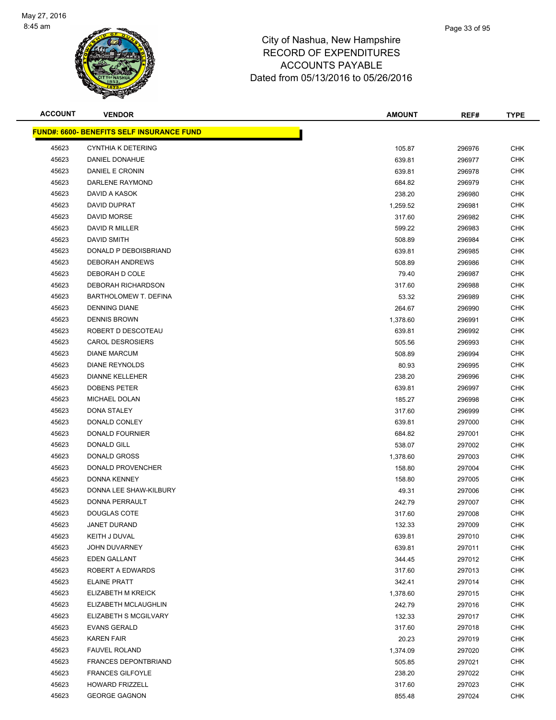

| <b>ACCOUNT</b> | <b>VENDOR</b>                                    | <b>AMOUNT</b> | REF#   | <b>TYPE</b> |
|----------------|--------------------------------------------------|---------------|--------|-------------|
|                | <b>FUND#: 6600- BENEFITS SELF INSURANCE FUND</b> |               |        |             |
| 45623          | <b>CYNTHIA K DETERING</b>                        | 105.87        | 296976 | <b>CHK</b>  |
| 45623          | DANIEL DONAHUE                                   | 639.81        | 296977 | <b>CHK</b>  |
| 45623          | <b>DANIEL E CRONIN</b>                           | 639.81        | 296978 | <b>CHK</b>  |
| 45623          | DARLENE RAYMOND                                  | 684.82        | 296979 | <b>CHK</b>  |
| 45623          | DAVID A KASOK                                    | 238.20        | 296980 | <b>CHK</b>  |
| 45623          | DAVID DUPRAT                                     | 1,259.52      | 296981 | <b>CHK</b>  |
| 45623          | DAVID MORSE                                      | 317.60        | 296982 | <b>CHK</b>  |
| 45623          | DAVID R MILLER                                   | 599.22        | 296983 | <b>CHK</b>  |
| 45623          | <b>DAVID SMITH</b>                               | 508.89        | 296984 | <b>CHK</b>  |
| 45623          | DONALD P DEBOISBRIAND                            | 639.81        | 296985 | CHK         |
| 45623          | DEBORAH ANDREWS                                  | 508.89        | 296986 | CHK         |
| 45623          | DEBORAH D COLE                                   | 79.40         | 296987 | <b>CHK</b>  |
| 45623          | DEBORAH RICHARDSON                               | 317.60        | 296988 | <b>CHK</b>  |
| 45623          | BARTHOLOMEW T. DEFINA                            | 53.32         | 296989 | <b>CHK</b>  |
| 45623          | <b>DENNING DIANE</b>                             | 264.67        | 296990 | <b>CHK</b>  |
| 45623          | <b>DENNIS BROWN</b>                              | 1,378.60      | 296991 | <b>CHK</b>  |
| 45623          | ROBERT D DESCOTEAU                               | 639.81        | 296992 | <b>CHK</b>  |
| 45623          | <b>CAROL DESROSIERS</b>                          | 505.56        | 296993 | <b>CHK</b>  |
| 45623          | <b>DIANE MARCUM</b>                              | 508.89        | 296994 | <b>CHK</b>  |
| 45623          | <b>DIANE REYNOLDS</b>                            | 80.93         | 296995 | <b>CHK</b>  |
| 45623          | <b>DIANNE KELLEHER</b>                           | 238.20        | 296996 | <b>CHK</b>  |
| 45623          | <b>DOBENS PETER</b>                              | 639.81        | 296997 | <b>CHK</b>  |
| 45623          | MICHAEL DOLAN                                    | 185.27        | 296998 | <b>CHK</b>  |
| 45623          | DONA STALEY                                      | 317.60        | 296999 | <b>CHK</b>  |
| 45623          | DONALD CONLEY                                    | 639.81        | 297000 | <b>CHK</b>  |
| 45623          | DONALD FOURNIER                                  | 684.82        | 297001 | <b>CHK</b>  |
| 45623          | DONALD GILL                                      | 538.07        | 297002 | <b>CHK</b>  |
| 45623          | <b>DONALD GROSS</b>                              | 1,378.60      | 297003 | <b>CHK</b>  |
| 45623          | DONALD PROVENCHER                                | 158.80        | 297004 | <b>CHK</b>  |
| 45623          | <b>DONNA KENNEY</b>                              | 158.80        | 297005 | <b>CHK</b>  |
| 45623          | DONNA LEE SHAW-KILBURY                           | 49.31         | 297006 | <b>CHK</b>  |
| 45623          | DONNA PERRAULT                                   | 242.79        | 297007 | <b>CHK</b>  |
| 45623          | DOUGLAS COTE                                     | 317.60        | 297008 | <b>CHK</b>  |
| 45623          | <b>JANET DURAND</b>                              | 132.33        | 297009 | <b>CHK</b>  |
| 45623          | <b>KEITH J DUVAL</b>                             | 639.81        | 297010 | <b>CHK</b>  |
| 45623          | JOHN DUVARNEY                                    | 639.81        | 297011 | <b>CHK</b>  |
| 45623          | EDEN GALLANT                                     | 344.45        | 297012 | <b>CHK</b>  |
| 45623          | ROBERT A EDWARDS                                 | 317.60        | 297013 | <b>CHK</b>  |
| 45623          | <b>ELAINE PRATT</b>                              | 342.41        | 297014 | <b>CHK</b>  |
| 45623          | ELIZABETH M KREICK                               | 1,378.60      | 297015 | <b>CHK</b>  |
| 45623          | ELIZABETH MCLAUGHLIN                             | 242.79        | 297016 | <b>CHK</b>  |
| 45623          | ELIZABETH S MCGILVARY                            | 132.33        | 297017 | <b>CHK</b>  |
| 45623          | <b>EVANS GERALD</b>                              | 317.60        | 297018 | <b>CHK</b>  |
| 45623          | <b>KAREN FAIR</b>                                | 20.23         | 297019 | <b>CHK</b>  |
| 45623          | <b>FAUVEL ROLAND</b>                             | 1,374.09      | 297020 | CHK         |
| 45623          | <b>FRANCES DEPONTBRIAND</b>                      | 505.85        | 297021 | CHK         |
| 45623          | <b>FRANCES GILFOYLE</b>                          | 238.20        | 297022 | <b>CHK</b>  |
| 45623          | <b>HOWARD FRIZZELL</b>                           | 317.60        | 297023 | <b>CHK</b>  |
| 45623          | <b>GEORGE GAGNON</b>                             | 855.48        | 297024 | <b>CHK</b>  |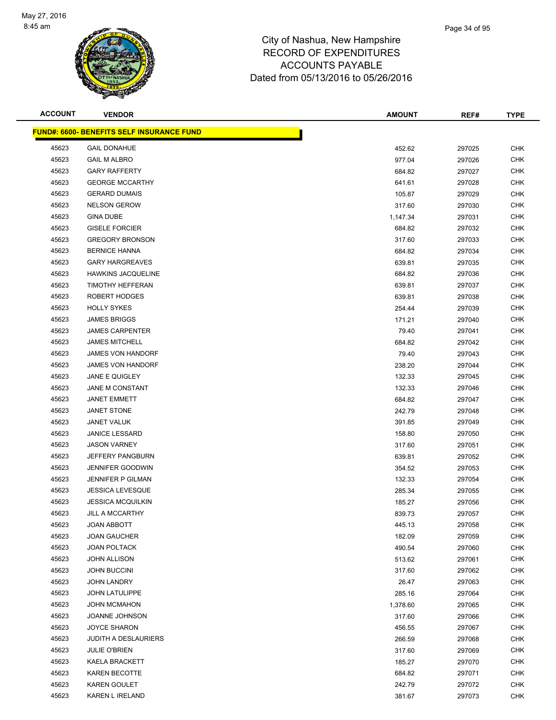

| <b>ACCOUNT</b> | <b>VENDOR</b>                                    | <b>AMOUNT</b> | REF#   | <b>TYPE</b> |
|----------------|--------------------------------------------------|---------------|--------|-------------|
|                | <b>FUND#: 6600- BENEFITS SELF INSURANCE FUND</b> |               |        |             |
| 45623          | <b>GAIL DONAHUE</b>                              | 452.62        | 297025 | <b>CHK</b>  |
| 45623          | <b>GAIL M ALBRO</b>                              | 977.04        | 297026 | <b>CHK</b>  |
| 45623          | <b>GARY RAFFERTY</b>                             | 684.82        | 297027 | <b>CHK</b>  |
| 45623          | <b>GEORGE MCCARTHY</b>                           | 641.61        | 297028 | <b>CHK</b>  |
| 45623          | <b>GERARD DUMAIS</b>                             | 105.87        | 297029 | <b>CHK</b>  |
| 45623          | <b>NELSON GEROW</b>                              | 317.60        | 297030 | <b>CHK</b>  |
| 45623          | <b>GINA DUBE</b>                                 | 1,147.34      | 297031 | <b>CHK</b>  |
| 45623          | <b>GISELE FORCIER</b>                            | 684.82        | 297032 | <b>CHK</b>  |
| 45623          | <b>GREGORY BRONSON</b>                           | 317.60        | 297033 | <b>CHK</b>  |
| 45623          | <b>BERNICE HANNA</b>                             | 684.82        | 297034 | <b>CHK</b>  |
| 45623          | <b>GARY HARGREAVES</b>                           | 639.81        | 297035 | <b>CHK</b>  |
| 45623          | <b>HAWKINS JACQUELINE</b>                        | 684.82        | 297036 | <b>CHK</b>  |
| 45623          | TIMOTHY HEFFERAN                                 | 639.81        | 297037 | <b>CHK</b>  |
| 45623          | ROBERT HODGES                                    | 639.81        | 297038 | <b>CHK</b>  |
| 45623          | <b>HOLLY SYKES</b>                               | 254.44        | 297039 | <b>CHK</b>  |
| 45623          | <b>JAMES BRIGGS</b>                              | 171.21        | 297040 | <b>CHK</b>  |
| 45623          | <b>JAMES CARPENTER</b>                           | 79.40         | 297041 | <b>CHK</b>  |
| 45623          | <b>JAMES MITCHELL</b>                            | 684.82        | 297042 | <b>CHK</b>  |
| 45623          | <b>JAMES VON HANDORF</b>                         | 79.40         | 297043 | <b>CHK</b>  |
| 45623          | <b>JAMES VON HANDORF</b>                         | 238.20        | 297044 | <b>CHK</b>  |
| 45623          | JANE E QUIGLEY                                   | 132.33        | 297045 | <b>CHK</b>  |
| 45623          | JANE M CONSTANT                                  | 132.33        | 297046 | <b>CHK</b>  |
| 45623          | <b>JANET EMMETT</b>                              | 684.82        | 297047 | <b>CHK</b>  |
| 45623          | <b>JANET STONE</b>                               | 242.79        | 297048 | <b>CHK</b>  |
| 45623          | <b>JANET VALUK</b>                               | 391.85        | 297049 | <b>CHK</b>  |
| 45623          | <b>JANICE LESSARD</b>                            | 158.80        | 297050 | <b>CHK</b>  |
| 45623          | <b>JASON VARNEY</b>                              | 317.60        | 297051 | <b>CHK</b>  |
| 45623          | <b>JEFFERY PANGBURN</b>                          | 639.81        | 297052 | <b>CHK</b>  |
| 45623          | <b>JENNIFER GOODWIN</b>                          | 354.52        | 297053 | <b>CHK</b>  |
| 45623          | <b>JENNIFER P GILMAN</b>                         | 132.33        | 297054 | <b>CHK</b>  |
| 45623          | <b>JESSICA LEVESQUE</b>                          | 285.34        | 297055 | <b>CHK</b>  |
| 45623          | <b>JESSICA MCQUILKIN</b>                         | 185.27        | 297056 | <b>CHK</b>  |
| 45623          | <b>JILL A MCCARTHY</b>                           | 839.73        | 297057 | <b>CHK</b>  |
| 45623          | <b>JOAN ABBOTT</b>                               | 445.13        | 297058 | <b>CHK</b>  |
| 45623          | <b>JOAN GAUCHER</b>                              | 182.09        | 297059 | CHK         |
| 45623          | <b>JOAN POLTACK</b>                              | 490.54        | 297060 | <b>CHK</b>  |
| 45623          | <b>JOHN ALLISON</b>                              | 513.62        | 297061 | <b>CHK</b>  |
| 45623          | JOHN BUCCINI                                     | 317.60        | 297062 | <b>CHK</b>  |
| 45623          | <b>JOHN LANDRY</b>                               | 26.47         | 297063 | <b>CHK</b>  |
| 45623          | <b>JOHN LATULIPPE</b>                            | 285.16        | 297064 | CHK         |
| 45623          | <b>JOHN MCMAHON</b>                              | 1,378.60      | 297065 | <b>CHK</b>  |
| 45623          | <b>JOANNE JOHNSON</b>                            | 317.60        | 297066 | <b>CHK</b>  |
| 45623          | <b>JOYCE SHARON</b>                              | 456.55        | 297067 | <b>CHK</b>  |
| 45623          | <b>JUDITH A DESLAURIERS</b>                      | 266.59        | 297068 | <b>CHK</b>  |
| 45623          | <b>JULIE O'BRIEN</b>                             | 317.60        | 297069 | CHK         |
| 45623          | <b>KAELA BRACKETT</b>                            | 185.27        | 297070 | CHK         |
| 45623          | KAREN BECOTTE                                    | 684.82        | 297071 | <b>CHK</b>  |
| 45623          | <b>KAREN GOULET</b>                              | 242.79        | 297072 | <b>CHK</b>  |
| 45623          | KAREN L IRELAND                                  | 381.67        | 297073 | <b>CHK</b>  |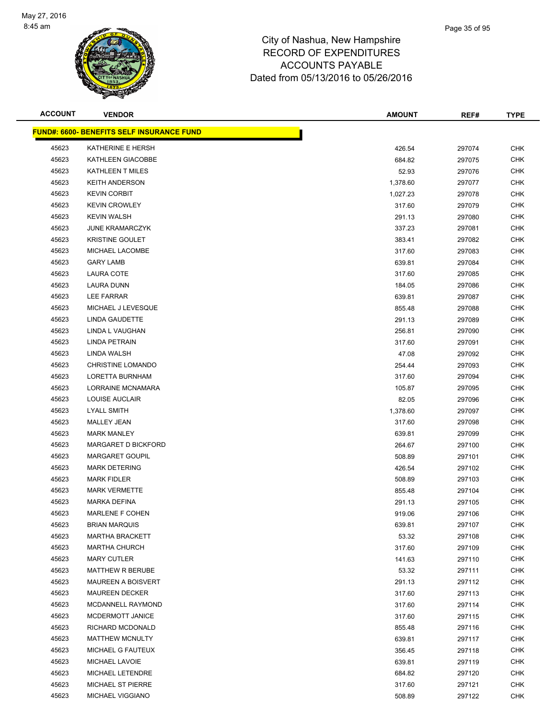

| <b>ACCOUNT</b> | <b>VENDOR</b>                             | <b>AMOUNT</b> | REF#   | <b>TYPE</b> |
|----------------|-------------------------------------------|---------------|--------|-------------|
|                | FUND#: 6600- BENEFITS SELF INSURANCE FUND |               |        |             |
| 45623          | KATHERINE E HERSH                         | 426.54        | 297074 | <b>CHK</b>  |
| 45623          | KATHLEEN GIACOBBE                         | 684.82        | 297075 | <b>CHK</b>  |
| 45623          | KATHLEEN T MILES                          | 52.93         | 297076 | <b>CHK</b>  |
| 45623          | <b>KEITH ANDERSON</b>                     | 1,378.60      | 297077 | <b>CHK</b>  |
| 45623          | <b>KEVIN CORBIT</b>                       | 1,027.23      | 297078 | <b>CHK</b>  |
| 45623          | <b>KEVIN CROWLEY</b>                      | 317.60        | 297079 | <b>CHK</b>  |
| 45623          | <b>KEVIN WALSH</b>                        | 291.13        | 297080 | <b>CHK</b>  |
| 45623          | <b>JUNE KRAMARCZYK</b>                    | 337.23        | 297081 | <b>CHK</b>  |
| 45623          | <b>KRISTINE GOULET</b>                    | 383.41        | 297082 | <b>CHK</b>  |
| 45623          | MICHAEL LACOMBE                           | 317.60        | 297083 | <b>CHK</b>  |
| 45623          | <b>GARY LAMB</b>                          | 639.81        | 297084 | <b>CHK</b>  |
| 45623          | LAURA COTE                                | 317.60        | 297085 | <b>CHK</b>  |
| 45623          | LAURA DUNN                                | 184.05        | 297086 | <b>CHK</b>  |
| 45623          | LEE FARRAR                                | 639.81        | 297087 | <b>CHK</b>  |
| 45623          | MICHAEL J LEVESQUE                        | 855.48        | 297088 | <b>CHK</b>  |
| 45623          | <b>LINDA GAUDETTE</b>                     | 291.13        | 297089 | <b>CHK</b>  |
| 45623          | LINDA L VAUGHAN                           | 256.81        | 297090 | <b>CHK</b>  |
| 45623          | LINDA PETRAIN                             | 317.60        | 297091 | <b>CHK</b>  |
| 45623          | LINDA WALSH                               | 47.08         | 297092 | <b>CHK</b>  |
| 45623          | <b>CHRISTINE LOMANDO</b>                  | 254.44        | 297093 | <b>CHK</b>  |
| 45623          | LORETTA BURNHAM                           | 317.60        | 297094 | <b>CHK</b>  |
| 45623          | LORRAINE MCNAMARA                         | 105.87        | 297095 | <b>CHK</b>  |
| 45623          | LOUISE AUCLAIR                            | 82.05         | 297096 | <b>CHK</b>  |
| 45623          | <b>LYALL SMITH</b>                        | 1,378.60      | 297097 | <b>CHK</b>  |
| 45623          | <b>MALLEY JEAN</b>                        | 317.60        | 297098 | <b>CHK</b>  |
| 45623          | <b>MARK MANLEY</b>                        | 639.81        | 297099 | <b>CHK</b>  |
| 45623          | MARGARET D BICKFORD                       | 264.67        | 297100 | <b>CHK</b>  |
| 45623          | <b>MARGARET GOUPIL</b>                    | 508.89        | 297101 | <b>CHK</b>  |
| 45623          | <b>MARK DETERING</b>                      | 426.54        | 297102 | <b>CHK</b>  |
| 45623          | <b>MARK FIDLER</b>                        | 508.89        | 297103 | CHK         |
| 45623          | <b>MARK VERMETTE</b>                      | 855.48        | 297104 | <b>CHK</b>  |
| 45623          | <b>MARKA DEFINA</b>                       | 291.13        | 297105 | <b>CHK</b>  |
| 45623          | MARLENE F COHEN                           | 919.06        | 297106 | <b>CHK</b>  |
| 45623          | <b>BRIAN MARQUIS</b>                      | 639.81        | 297107 | <b>CHK</b>  |
| 45623          | <b>MARTHA BRACKETT</b>                    | 53.32         | 297108 | CHK         |
| 45623          | <b>MARTHA CHURCH</b>                      | 317.60        | 297109 | <b>CHK</b>  |
| 45623          | <b>MARY CUTLER</b>                        | 141.63        | 297110 | <b>CHK</b>  |
| 45623          | <b>MATTHEW R BERUBE</b>                   | 53.32         | 297111 | <b>CHK</b>  |
| 45623          | <b>MAUREEN A BOISVERT</b>                 | 291.13        | 297112 | <b>CHK</b>  |
| 45623          | <b>MAUREEN DECKER</b>                     | 317.60        | 297113 | CHK         |
| 45623          | MCDANNELL RAYMOND                         | 317.60        | 297114 | <b>CHK</b>  |
| 45623          | MCDERMOTT JANICE                          | 317.60        | 297115 | <b>CHK</b>  |
| 45623          | RICHARD MCDONALD                          | 855.48        | 297116 | <b>CHK</b>  |
| 45623          | MATTHEW MCNULTY                           | 639.81        | 297117 | <b>CHK</b>  |
| 45623          | MICHAEL G FAUTEUX                         | 356.45        | 297118 | <b>CHK</b>  |
| 45623          | MICHAEL LAVOIE                            | 639.81        | 297119 | CHK         |
| 45623          | MICHAEL LETENDRE                          | 684.82        | 297120 | <b>CHK</b>  |
| 45623          | MICHAEL ST PIERRE                         | 317.60        | 297121 | <b>CHK</b>  |
| 45623          | MICHAEL VIGGIANO                          | 508.89        | 297122 | <b>CHK</b>  |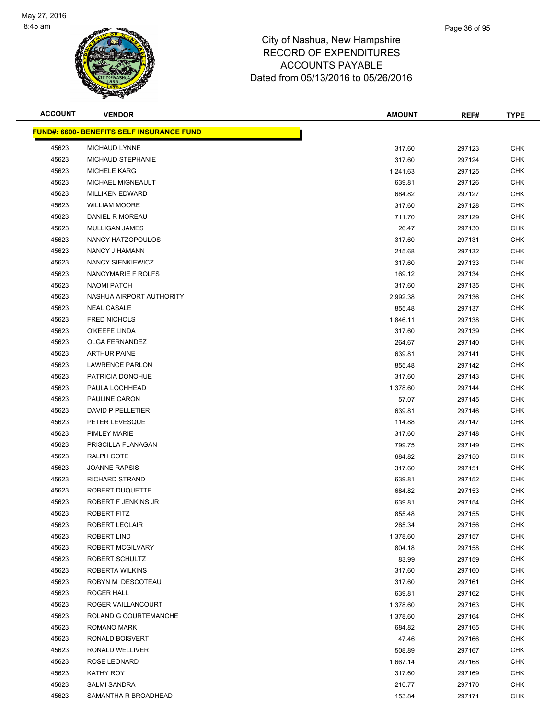

| <b>ACCOUNT</b> | <b>VENDOR</b>                                     | <b>AMOUNT</b> | REF#   | <b>TYPE</b> |
|----------------|---------------------------------------------------|---------------|--------|-------------|
|                | <u> FUND#: 6600- BENEFITS SELF INSURANCE FUND</u> |               |        |             |
| 45623          | <b>MICHAUD LYNNE</b>                              | 317.60        | 297123 | <b>CHK</b>  |
| 45623          | MICHAUD STEPHANIE                                 | 317.60        | 297124 | <b>CHK</b>  |
| 45623          | <b>MICHELE KARG</b>                               | 1,241.63      | 297125 | <b>CHK</b>  |
| 45623          | MICHAEL MIGNEAULT                                 | 639.81        | 297126 | <b>CHK</b>  |
| 45623          | <b>MILLIKEN EDWARD</b>                            | 684.82        | 297127 | <b>CHK</b>  |
| 45623          | <b>WILLIAM MOORE</b>                              | 317.60        | 297128 | <b>CHK</b>  |
| 45623          | DANIEL R MOREAU                                   | 711.70        | 297129 | <b>CHK</b>  |
| 45623          | MULLIGAN JAMES                                    | 26.47         | 297130 | <b>CHK</b>  |
| 45623          | NANCY HATZOPOULOS                                 | 317.60        | 297131 | <b>CHK</b>  |
| 45623          | NANCY J HAMANN                                    | 215.68        | 297132 | CHK         |
| 45623          | NANCY SIENKIEWICZ                                 | 317.60        | 297133 | <b>CHK</b>  |
| 45623          | NANCYMARIE F ROLFS                                | 169.12        | 297134 | <b>CHK</b>  |
| 45623          | <b>NAOMI PATCH</b>                                | 317.60        | 297135 | CHK         |
| 45623          | NASHUA AIRPORT AUTHORITY                          | 2,992.38      | 297136 | <b>CHK</b>  |
| 45623          | <b>NEAL CASALE</b>                                | 855.48        | 297137 | CHK         |
| 45623          | <b>FRED NICHOLS</b>                               | 1,846.11      | 297138 | CHK         |
| 45623          | O'KEEFE LINDA                                     | 317.60        | 297139 | <b>CHK</b>  |
| 45623          | OLGA FERNANDEZ                                    | 264.67        | 297140 | <b>CHK</b>  |
| 45623          | <b>ARTHUR PAINE</b>                               | 639.81        | 297141 | <b>CHK</b>  |
| 45623          | <b>LAWRENCE PARLON</b>                            | 855.48        | 297142 | <b>CHK</b>  |
| 45623          | PATRICIA DONOHUE                                  | 317.60        | 297143 | <b>CHK</b>  |
| 45623          | PAULA LOCHHEAD                                    | 1,378.60      | 297144 | CHK         |
| 45623          | PAULINE CARON                                     | 57.07         | 297145 | CHK         |
| 45623          | DAVID P PELLETIER                                 | 639.81        | 297146 | <b>CHK</b>  |
| 45623          | PETER LEVESQUE                                    | 114.88        | 297147 | <b>CHK</b>  |
| 45623          | <b>PIMLEY MARIE</b>                               | 317.60        | 297148 | <b>CHK</b>  |
| 45623          | PRISCILLA FLANAGAN                                | 799.75        | 297149 | <b>CHK</b>  |
| 45623          | RALPH COTE                                        | 684.82        | 297150 | <b>CHK</b>  |
| 45623          | <b>JOANNE RAPSIS</b>                              | 317.60        | 297151 | CHK         |
| 45623          | <b>RICHARD STRAND</b>                             | 639.81        | 297152 | CHK         |
| 45623          | ROBERT DUQUETTE                                   | 684.82        | 297153 | CHK         |
| 45623          | ROBERT F JENKINS JR                               | 639.81        | 297154 | CHK         |
| 45623          | ROBERT FITZ                                       | 855.48        | 297155 | <b>CHK</b>  |
| 45623          | <b>ROBERT LECLAIR</b>                             | 285.34        | 297156 | <b>CHK</b>  |
| 45623          | ROBERT LIND                                       | 1,378.60      | 297157 | <b>CHK</b>  |
| 45623          | ROBERT MCGILVARY                                  | 804.18        | 297158 | <b>CHK</b>  |
| 45623          | ROBERT SCHULTZ                                    | 83.99         | 297159 | <b>CHK</b>  |
| 45623          | ROBERTA WILKINS                                   | 317.60        | 297160 | <b>CHK</b>  |
| 45623          | ROBYN M DESCOTEAU                                 | 317.60        | 297161 | <b>CHK</b>  |
| 45623          | ROGER HALL                                        | 639.81        | 297162 | <b>CHK</b>  |
| 45623          | ROGER VAILLANCOURT                                | 1,378.60      | 297163 | <b>CHK</b>  |
| 45623          | ROLAND G COURTEMANCHE                             | 1,378.60      | 297164 | <b>CHK</b>  |
| 45623          | ROMANO MARK                                       | 684.82        | 297165 | <b>CHK</b>  |
| 45623          | RONALD BOISVERT                                   | 47.46         | 297166 | <b>CHK</b>  |
| 45623          | RONALD WELLIVER                                   | 508.89        | 297167 | CHK         |
| 45623          | ROSE LEONARD                                      | 1,667.14      | 297168 | <b>CHK</b>  |
| 45623          | KATHY ROY                                         | 317.60        | 297169 | <b>CHK</b>  |
| 45623          | <b>SALMI SANDRA</b>                               | 210.77        | 297170 | <b>CHK</b>  |
| 45623          | SAMANTHA R BROADHEAD                              | 153.84        | 297171 | <b>CHK</b>  |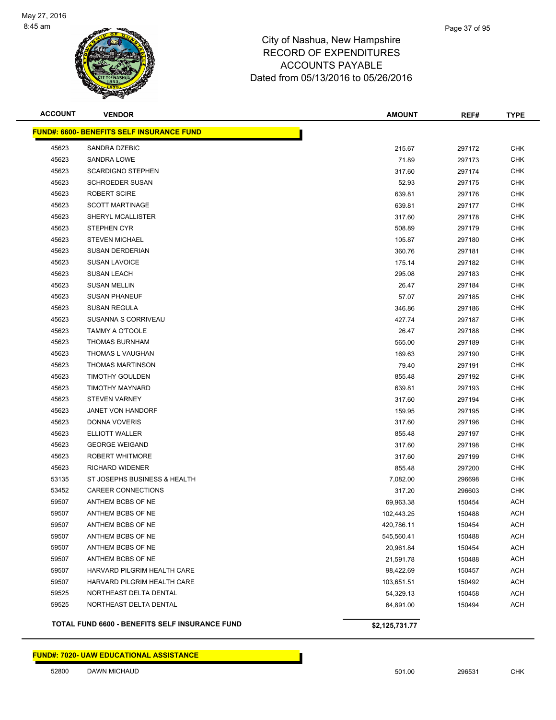

| <b>ACCOUNT</b> | <b>VENDOR</b>                                         | <b>AMOUNT</b>  | REF#   | <b>TYPE</b> |
|----------------|-------------------------------------------------------|----------------|--------|-------------|
|                | <b>FUND#: 6600- BENEFITS SELF INSURANCE FUND</b>      |                |        |             |
| 45623          | SANDRA DZEBIC                                         | 215.67         | 297172 | <b>CHK</b>  |
| 45623          | SANDRA LOWE                                           | 71.89          | 297173 | <b>CHK</b>  |
| 45623          | <b>SCARDIGNO STEPHEN</b>                              | 317.60         | 297174 | <b>CHK</b>  |
| 45623          | <b>SCHROEDER SUSAN</b>                                | 52.93          | 297175 | <b>CHK</b>  |
| 45623          | ROBERT SCIRE                                          | 639.81         | 297176 | <b>CHK</b>  |
| 45623          | <b>SCOTT MARTINAGE</b>                                | 639.81         | 297177 | <b>CHK</b>  |
| 45623          | SHERYL MCALLISTER                                     | 317.60         | 297178 | <b>CHK</b>  |
| 45623          | <b>STEPHEN CYR</b>                                    | 508.89         | 297179 | CHK         |
| 45623          | <b>STEVEN MICHAEL</b>                                 | 105.87         | 297180 | CHK         |
| 45623          | <b>SUSAN DERDERIAN</b>                                | 360.76         | 297181 | CHK         |
| 45623          | <b>SUSAN LAVOICE</b>                                  | 175.14         | 297182 | CHK         |
| 45623          | <b>SUSAN LEACH</b>                                    | 295.08         | 297183 | CHK         |
| 45623          | <b>SUSAN MELLIN</b>                                   | 26.47          | 297184 | <b>CHK</b>  |
| 45623          | <b>SUSAN PHANEUF</b>                                  | 57.07          | 297185 | <b>CHK</b>  |
| 45623          | <b>SUSAN REGULA</b>                                   | 346.86         | 297186 | <b>CHK</b>  |
| 45623          | SUSANNA S CORRIVEAU                                   | 427.74         | 297187 | <b>CHK</b>  |
| 45623          | <b>TAMMY A O'TOOLE</b>                                | 26.47          | 297188 | <b>CHK</b>  |
| 45623          | <b>THOMAS BURNHAM</b>                                 | 565.00         | 297189 | CHK         |
| 45623          | THOMAS L VAUGHAN                                      | 169.63         | 297190 | CHK         |
| 45623          | <b>THOMAS MARTINSON</b>                               | 79.40          | 297191 | <b>CHK</b>  |
| 45623          | <b>TIMOTHY GOULDEN</b>                                | 855.48         | 297192 | <b>CHK</b>  |
| 45623          | TIMOTHY MAYNARD                                       | 639.81         | 297193 | <b>CHK</b>  |
| 45623          | <b>STEVEN VARNEY</b>                                  | 317.60         | 297194 | <b>CHK</b>  |
| 45623          | JANET VON HANDORF                                     | 159.95         | 297195 | <b>CHK</b>  |
| 45623          | DONNA VOVERIS                                         | 317.60         | 297196 | <b>CHK</b>  |
| 45623          | <b>ELLIOTT WALLER</b>                                 | 855.48         | 297197 | <b>CHK</b>  |
| 45623          | <b>GEORGE WEIGAND</b>                                 | 317.60         | 297198 | <b>CHK</b>  |
| 45623          | ROBERT WHITMORE                                       | 317.60         | 297199 | <b>CHK</b>  |
| 45623          | RICHARD WIDENER                                       | 855.48         | 297200 | <b>CHK</b>  |
| 53135          | ST JOSEPHS BUSINESS & HEALTH                          | 7,082.00       | 296698 | CHK         |
| 53452          | <b>CAREER CONNECTIONS</b>                             | 317.20         | 296603 | <b>CHK</b>  |
| 59507          | ANTHEM BCBS OF NE                                     | 69,963.38      | 150454 | ACH         |
| 59507          | ANTHEM BCBS OF NE                                     | 102,443.25     | 150488 | ACH         |
| 59507          | ANTHEM BCBS OF NE                                     | 420,786.11     | 150454 | <b>ACH</b>  |
| 59507          | ANTHEM BCBS OF NE                                     | 545,560.41     | 150488 | ACH         |
| 59507          | ANTHEM BCBS OF NE                                     | 20,961.84      | 150454 | <b>ACH</b>  |
| 59507          | ANTHEM BCBS OF NE                                     | 21,591.78      | 150488 | <b>ACH</b>  |
| 59507          | HARVARD PILGRIM HEALTH CARE                           | 98,422.69      | 150457 | <b>ACH</b>  |
| 59507          | HARVARD PILGRIM HEALTH CARE                           | 103,651.51     | 150492 | <b>ACH</b>  |
| 59525          | NORTHEAST DELTA DENTAL                                | 54,329.13      | 150458 | ACH         |
| 59525          | NORTHEAST DELTA DENTAL                                | 64,891.00      | 150494 | <b>ACH</b>  |
|                | <b>TOTAL FUND 6600 - BENEFITS SELF INSURANCE FUND</b> | \$2,125,731.77 |        |             |

### **FUND#: 7020- UAW EDUCATIONAL ASSISTANCE**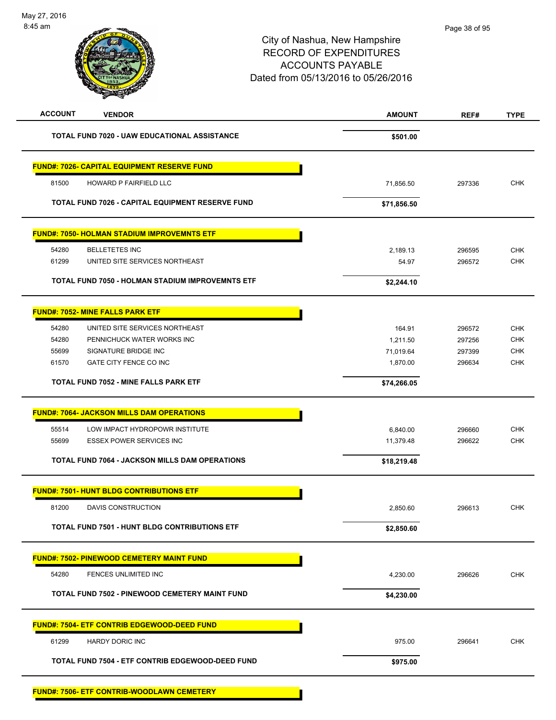| <b>ACCOUNT</b><br><b>VENDOR</b>                       | <b>AMOUNT</b> | REF#   | <b>TYPE</b> |
|-------------------------------------------------------|---------------|--------|-------------|
| <b>TOTAL FUND 7020 - UAW EDUCATIONAL ASSISTANCE</b>   | \$501.00      |        |             |
| <b>FUND#: 7026- CAPITAL EQUIPMENT RESERVE FUND</b>    |               |        |             |
| 81500<br>HOWARD P FAIRFIELD LLC                       | 71,856.50     | 297336 | <b>CHK</b>  |
| TOTAL FUND 7026 - CAPITAL EQUIPMENT RESERVE FUND      | \$71,856.50   |        |             |
| <b>FUND#: 7050- HOLMAN STADIUM IMPROVEMNTS ETF</b>    |               |        |             |
| 54280<br><b>BELLETETES INC</b>                        | 2,189.13      | 296595 | <b>CHK</b>  |
| UNITED SITE SERVICES NORTHEAST<br>61299               | 54.97         | 296572 | CHK         |
| TOTAL FUND 7050 - HOLMAN STADIUM IMPROVEMNTS ETF      | \$2,244.10    |        |             |
| <b>FUND#: 7052- MINE FALLS PARK ETF</b>               |               |        |             |
| 54280<br>UNITED SITE SERVICES NORTHEAST               | 164.91        | 296572 | <b>CHK</b>  |
| 54280<br>PENNICHUCK WATER WORKS INC                   | 1,211.50      | 297256 | <b>CHK</b>  |
| 55699<br>SIGNATURE BRIDGE INC                         | 71,019.64     | 297399 | <b>CHK</b>  |
| <b>GATE CITY FENCE CO INC</b><br>61570                | 1,870.00      | 296634 | <b>CHK</b>  |
| TOTAL FUND 7052 - MINE FALLS PARK ETF                 | \$74,266.05   |        |             |
| <b>FUND#: 7064- JACKSON MILLS DAM OPERATIONS</b>      |               |        |             |
| 55514<br>LOW IMPACT HYDROPOWR INSTITUTE               | 6,840.00      | 296660 | <b>CHK</b>  |
| <b>ESSEX POWER SERVICES INC</b><br>55699              | 11,379.48     | 296622 | <b>CHK</b>  |
| <b>TOTAL FUND 7064 - JACKSON MILLS DAM OPERATIONS</b> | \$18,219.48   |        |             |
| <b>FUND#: 7501- HUNT BLDG CONTRIBUTIONS ETF</b>       |               |        |             |
| 81200<br>DAVIS CONSTRUCTION                           | 2,850.60      | 296613 | <b>CHK</b>  |
|                                                       |               |        |             |
| <b>TOTAL FUND 7501 - HUNT BLDG CONTRIBUTIONS ETF</b>  | \$2,850.60    |        |             |
| <b>FUND#: 7502- PINEWOOD CEMETERY MAINT FUND</b>      |               |        |             |
| 54280<br>FENCES UNLIMITED INC                         | 4,230.00      | 296626 | <b>CHK</b>  |
| TOTAL FUND 7502 - PINEWOOD CEMETERY MAINT FUND        | \$4,230.00    |        |             |
| <u> FUND#: 7504- ETF CONTRIB EDGEWOOD-DEED FUND</u>   |               |        |             |
| 61299<br>HARDY DORIC INC                              | 975.00        | 296641 | <b>CHK</b>  |
| TOTAL FUND 7504 - ETF CONTRIB EDGEWOOD-DEED FUND      | \$975.00      |        |             |
|                                                       |               |        |             |

**FUND#: 7506- ETF CONTRIB-WOODLAWN CEMETERY**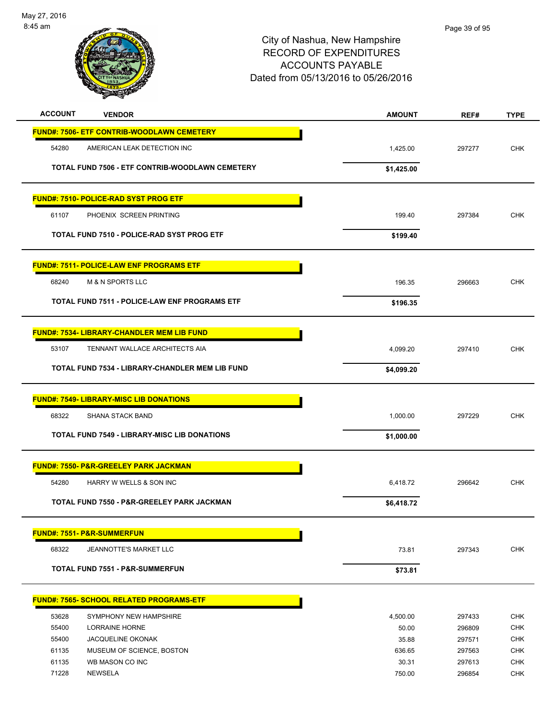

| <b>ACCOUNT</b><br><b>VENDOR</b>                     | <b>AMOUNT</b> | REF#   | <b>TYPE</b>              |
|-----------------------------------------------------|---------------|--------|--------------------------|
| <b>FUND#: 7506- ETF CONTRIB-WOODLAWN CEMETERY</b>   |               |        |                          |
| 54280<br>AMERICAN LEAK DETECTION INC                | 1,425.00      | 297277 | <b>CHK</b>               |
| TOTAL FUND 7506 - ETF CONTRIB-WOODLAWN CEMETERY     |               |        |                          |
|                                                     | \$1,425.00    |        |                          |
| <b>FUND#: 7510- POLICE-RAD SYST PROG ETF</b>        |               |        |                          |
| PHOENIX SCREEN PRINTING<br>61107                    | 199.40        | 297384 | <b>CHK</b>               |
| TOTAL FUND 7510 - POLICE-RAD SYST PROG ETF          | \$199.40      |        |                          |
|                                                     |               |        |                          |
| <b>FUND#: 7511- POLICE-LAW ENF PROGRAMS ETF</b>     |               |        |                          |
| 68240<br><b>M &amp; N SPORTS LLC</b>                | 196.35        | 296663 | <b>CHK</b>               |
| TOTAL FUND 7511 - POLICE-LAW ENF PROGRAMS ETF       | \$196.35      |        |                          |
|                                                     |               |        |                          |
| <b>FUND#: 7534- LIBRARY-CHANDLER MEM LIB FUND</b>   |               |        |                          |
| 53107<br>TENNANT WALLACE ARCHITECTS AIA             | 4,099.20      | 297410 | <b>CHK</b>               |
| TOTAL FUND 7534 - LIBRARY-CHANDLER MEM LIB FUND     | \$4,099.20    |        |                          |
|                                                     |               |        |                          |
| <b>FUND#: 7549- LIBRARY-MISC LIB DONATIONS</b>      |               |        |                          |
| 68322<br><b>SHANA STACK BAND</b>                    | 1,000.00      | 297229 | <b>CHK</b>               |
| <b>TOTAL FUND 7549 - LIBRARY-MISC LIB DONATIONS</b> | \$1,000.00    |        |                          |
| <b>FUND#: 7550- P&amp;R-GREELEY PARK JACKMAN</b>    |               |        |                          |
| 54280<br>HARRY W WELLS & SON INC                    | 6,418.72      | 296642 | <b>CHK</b>               |
| TOTAL FUND 7550 - P&R-GREELEY PARK JACKMAN          | \$6,418.72    |        |                          |
|                                                     |               |        |                          |
| <b>FUND#: 7551- P&amp;R-SUMMERFUN</b>               |               |        |                          |
| 68322<br>JEANNOTTE'S MARKET LLC                     | 73.81         | 297343 | <b>CHK</b>               |
| <b>TOTAL FUND 7551 - P&amp;R-SUMMERFUN</b>          | \$73.81       |        |                          |
|                                                     |               |        |                          |
| <b>FUND#: 7565- SCHOOL RELATED PROGRAMS-ETF</b>     |               |        |                          |
| 53628<br>SYMPHONY NEW HAMPSHIRE                     | 4,500.00      | 297433 | <b>CHK</b>               |
| 55400<br>LORRAINE HORNE                             | 50.00         | 296809 | <b>CHK</b>               |
| 55400<br><b>JACQUELINE OKONAK</b>                   | 35.88         | 297571 | <b>CHK</b>               |
| 61135<br>MUSEUM OF SCIENCE, BOSTON                  | 636.65        | 297563 | <b>CHK</b>               |
| 61135<br>WB MASON CO INC<br>71228<br><b>NEWSELA</b> | 30.31         | 297613 | <b>CHK</b><br><b>CHK</b> |
|                                                     | 750.00        | 296854 |                          |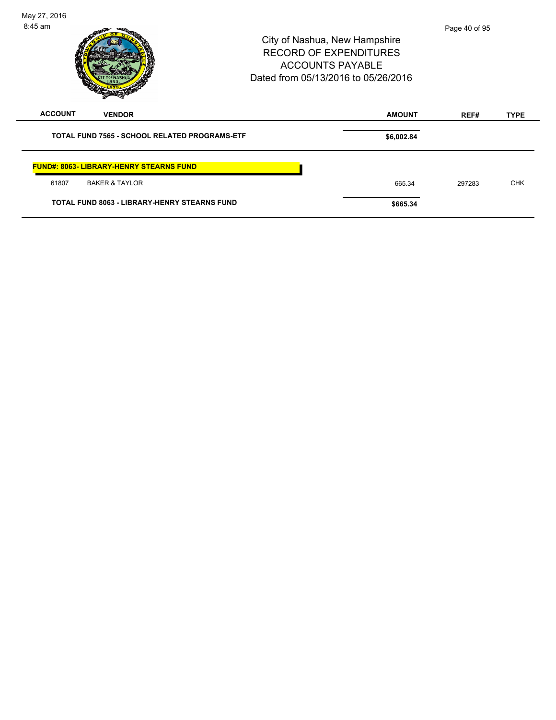| May 27, 2016<br>$8:45$ am |                                                      | City of Nashua, New Hampshire<br><b>RECORD OF EXPENDITURES</b><br><b>ACCOUNTS PAYABLE</b><br>Dated from 05/13/2016 to 05/26/2016 |               | Page 40 of 95 |             |
|---------------------------|------------------------------------------------------|----------------------------------------------------------------------------------------------------------------------------------|---------------|---------------|-------------|
| <b>ACCOUNT</b>            | <b>VENDOR</b>                                        |                                                                                                                                  | <b>AMOUNT</b> | REF#          | <b>TYPE</b> |
|                           | <b>TOTAL FUND 7565 - SCHOOL RELATED PROGRAMS-ETF</b> |                                                                                                                                  | \$6,002.84    |               |             |
|                           | <b>FUND#: 8063- LIBRARY-HENRY STEARNS FUND</b>       |                                                                                                                                  |               |               |             |
| 61807                     | <b>BAKER &amp; TAYLOR</b>                            |                                                                                                                                  | 665.34        | 297283        | <b>CHK</b>  |
|                           | <b>TOTAL FUND 8063 - LIBRARY-HENRY STEARNS FUND</b>  |                                                                                                                                  | \$665.34      |               |             |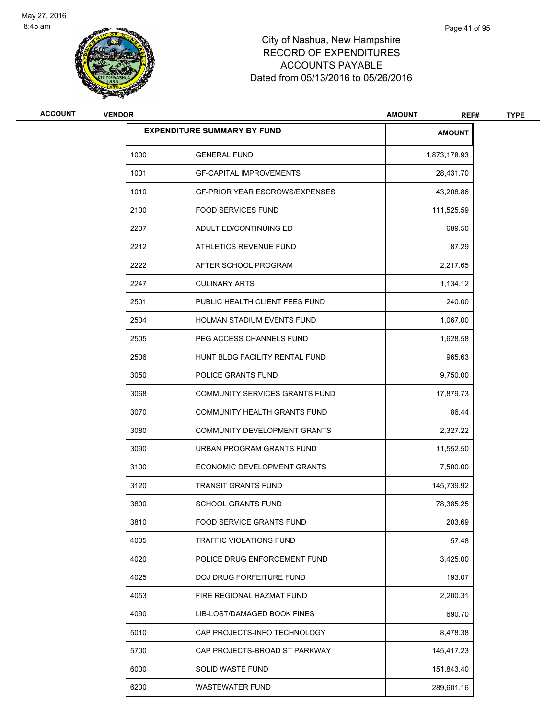

| <b>ACCOUNT</b> | <b>VENDOR</b> |                                       | <b>AMOUNT</b><br>REF# | <b>TYPE</b> |
|----------------|---------------|---------------------------------------|-----------------------|-------------|
|                |               | <b>EXPENDITURE SUMMARY BY FUND</b>    | <b>AMOUNT</b>         |             |
|                | 1000          | <b>GENERAL FUND</b>                   | 1,873,178.93          |             |
|                | 1001          | <b>GF-CAPITAL IMPROVEMENTS</b>        | 28,431.70             |             |
|                | 1010          | <b>GF-PRIOR YEAR ESCROWS/EXPENSES</b> | 43,208.86             |             |
|                | 2100          | <b>FOOD SERVICES FUND</b>             | 111,525.59            |             |
|                | 2207          | ADULT ED/CONTINUING ED                | 689.50                |             |
|                | 2212          | ATHLETICS REVENUE FUND                | 87.29                 |             |
|                | 2222          | AFTER SCHOOL PROGRAM                  | 2,217.65              |             |
|                | 2247          | <b>CULINARY ARTS</b>                  | 1,134.12              |             |
|                | 2501          | PUBLIC HEALTH CLIENT FEES FUND        | 240.00                |             |
|                | 2504          | <b>HOLMAN STADIUM EVENTS FUND</b>     | 1,067.00              |             |
|                | 2505          | PEG ACCESS CHANNELS FUND              | 1,628.58              |             |
|                | 2506          | HUNT BLDG FACILITY RENTAL FUND        | 965.63                |             |
|                | 3050          | POLICE GRANTS FUND                    | 9,750.00              |             |
|                | 3068          | COMMUNITY SERVICES GRANTS FUND        | 17,879.73             |             |
|                | 3070          | COMMUNITY HEALTH GRANTS FUND          | 86.44                 |             |
|                | 3080          | COMMUNITY DEVELOPMENT GRANTS          | 2,327.22              |             |
|                | 3090          | URBAN PROGRAM GRANTS FUND             | 11,552.50             |             |
|                | 3100          | ECONOMIC DEVELOPMENT GRANTS           | 7,500.00              |             |
|                | 3120          | <b>TRANSIT GRANTS FUND</b>            | 145,739.92            |             |
|                | 3800          | <b>SCHOOL GRANTS FUND</b>             | 78,385.25             |             |
|                | 3810          | FOOD SERVICE GRANTS FUND              | 203.69                |             |
|                | 4005          | <b>TRAFFIC VIOLATIONS FUND</b>        | 57.48                 |             |
|                | 4020          | POLICE DRUG ENFORCEMENT FUND          | 3,425.00              |             |
|                | 4025          | DOJ DRUG FORFEITURE FUND              | 193.07                |             |
|                | 4053          | FIRE REGIONAL HAZMAT FUND             | 2,200.31              |             |
|                | 4090          | LIB-LOST/DAMAGED BOOK FINES           | 690.70                |             |
|                | 5010          | CAP PROJECTS-INFO TECHNOLOGY          | 8,478.38              |             |
|                | 5700          | CAP PROJECTS-BROAD ST PARKWAY         | 145,417.23            |             |
|                | 6000          | SOLID WASTE FUND                      | 151,843.40            |             |
|                | 6200          | <b>WASTEWATER FUND</b>                | 289,601.16            |             |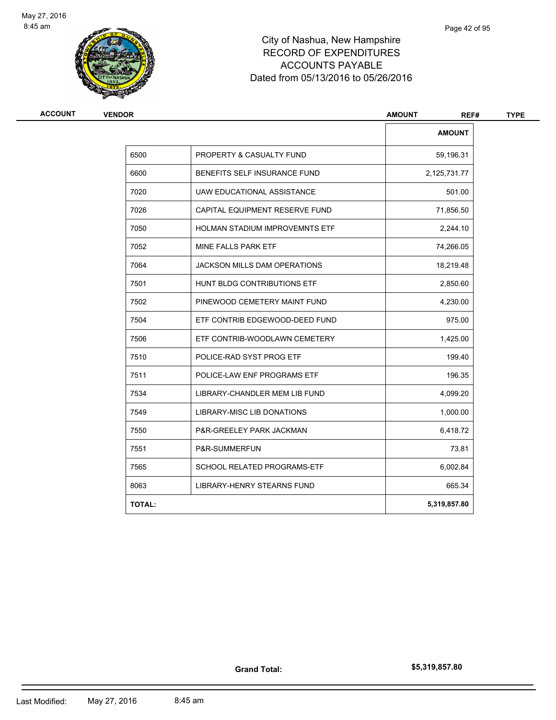

| <b>ACCOUNT</b> | <b>VENDOR</b> |                                       | <b>AMOUNT</b><br>REF# | <b>TYPE</b> |
|----------------|---------------|---------------------------------------|-----------------------|-------------|
|                |               |                                       | <b>AMOUNT</b>         |             |
|                | 6500          | PROPERTY & CASUALTY FUND              | 59,196.31             |             |
|                | 6600          | BENEFITS SELF INSURANCE FUND          | 2,125,731.77          |             |
|                | 7020          | UAW EDUCATIONAL ASSISTANCE            | 501.00                |             |
|                | 7026          | CAPITAL EQUIPMENT RESERVE FUND        | 71,856.50             |             |
|                | 7050          | <b>HOLMAN STADIUM IMPROVEMNTS ETF</b> | 2,244.10              |             |
|                | 7052          | MINE FALLS PARK ETF                   | 74,266.05             |             |
|                | 7064          | JACKSON MILLS DAM OPERATIONS          | 18,219.48             |             |
|                | 7501          | HUNT BLDG CONTRIBUTIONS ETF           | 2,850.60              |             |
|                | 7502          | PINEWOOD CEMETERY MAINT FUND          | 4,230.00              |             |
|                | 7504          | ETF CONTRIB EDGEWOOD-DEED FUND        | 975.00                |             |
|                | 7506          | ETF CONTRIB-WOODLAWN CEMETERY         | 1,425.00              |             |
|                | 7510          | POLICE-RAD SYST PROG ETF              | 199.40                |             |
|                | 7511          | POLICE-LAW ENF PROGRAMS ETF           | 196.35                |             |
|                | 7534          | LIBRARY-CHANDLER MEM LIB FUND         | 4,099.20              |             |
|                | 7549          | <b>LIBRARY-MISC LIB DONATIONS</b>     | 1,000.00              |             |
|                | 7550          | P&R-GREELEY PARK JACKMAN              | 6,418.72              |             |
|                | 7551          | P&R-SUMMERFUN                         | 73.81                 |             |
|                | 7565          | SCHOOL RELATED PROGRAMS-ETF           | 6,002.84              |             |
|                | 8063          | LIBRARY-HENRY STEARNS FUND            | 665.34                |             |
|                | <b>TOTAL:</b> |                                       | 5,319,857.80          |             |

**Grand Total:**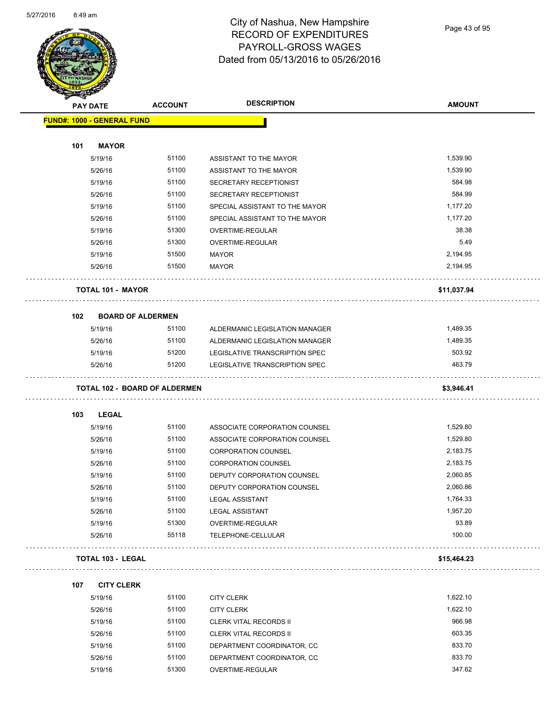

Page 43 of 95

| <b>PAY DATE</b> |                                      | <b>ACCOUNT</b> | <b>DESCRIPTION</b>             | <b>AMOUNT</b> |
|-----------------|--------------------------------------|----------------|--------------------------------|---------------|
|                 | <b>FUND#: 1000 - GENERAL FUND</b>    |                |                                |               |
|                 |                                      |                |                                |               |
| 101             | <b>MAYOR</b>                         |                |                                |               |
|                 | 5/19/16                              | 51100          | ASSISTANT TO THE MAYOR         | 1,539.90      |
|                 | 5/26/16                              | 51100          | ASSISTANT TO THE MAYOR         | 1,539.90      |
|                 | 5/19/16                              | 51100          | SECRETARY RECEPTIONIST         | 584.98        |
|                 | 5/26/16                              | 51100          | SECRETARY RECEPTIONIST         | 584.99        |
|                 | 5/19/16                              | 51100          | SPECIAL ASSISTANT TO THE MAYOR | 1,177.20      |
|                 | 5/26/16                              | 51100          | SPECIAL ASSISTANT TO THE MAYOR | 1,177.20      |
|                 | 5/19/16                              | 51300          | OVERTIME-REGULAR               | 38.38         |
|                 | 5/26/16                              | 51300          | OVERTIME-REGULAR               | 5.49          |
|                 | 5/19/16                              | 51500          | <b>MAYOR</b>                   | 2,194.95      |
|                 | 5/26/16                              | 51500          | <b>MAYOR</b>                   | 2,194.95      |
|                 | <b>TOTAL 101 - MAYOR</b>             |                |                                | \$11,037.94   |
| 102             | <b>BOARD OF ALDERMEN</b>             |                |                                |               |
|                 | 5/19/16                              | 51100          | ALDERMANIC LEGISLATION MANAGER | 1,489.35      |
|                 | 5/26/16                              | 51100          | ALDERMANIC LEGISLATION MANAGER | 1,489.35      |
|                 | 5/19/16                              | 51200          | LEGISLATIVE TRANSCRIPTION SPEC | 503.92        |
|                 | 5/26/16                              | 51200          | LEGISLATIVE TRANSCRIPTION SPEC | 463.79        |
|                 | <b>TOTAL 102 - BOARD OF ALDERMEN</b> |                |                                | \$3,946.41    |
| 103             | <b>LEGAL</b>                         |                |                                |               |
|                 | 5/19/16                              | 51100          | ASSOCIATE CORPORATION COUNSEL  | 1,529.80      |
|                 | 5/26/16                              | 51100          | ASSOCIATE CORPORATION COUNSEL  | 1,529.80      |
|                 | 5/19/16                              | 51100          | <b>CORPORATION COUNSEL</b>     | 2,183.75      |
|                 | 5/26/16                              | 51100          | <b>CORPORATION COUNSEL</b>     | 2,183.75      |
|                 | 5/19/16                              | 51100          | DEPUTY CORPORATION COUNSEL     | 2,060.85      |
|                 | 5/26/16                              | 51100          | DEPUTY CORPORATION COUNSEL     | 2,060.86      |
|                 | 5/19/16                              | 51100          | LEGAL ASSISTANT                | 1,764.33      |
|                 | 5/26/16                              | 51100          | <b>LEGAL ASSISTANT</b>         | 1,957.20      |
|                 | 5/19/16                              | 51300          | OVERTIME-REGULAR               | 93.89         |
|                 | 5/26/16                              | 55118          | TELEPHONE-CELLULAR             | 100.00        |
|                 | <b>TOTAL 103 - LEGAL</b>             |                |                                | \$15,464.23   |
| 107             | <b>CITY CLERK</b>                    |                |                                |               |
|                 | 5/19/16                              | 51100          | <b>CITY CLERK</b>              | 1,622.10      |
|                 | 5/26/16                              | 51100          | <b>CITY CLERK</b>              | 1,622.10      |
|                 | 5/19/16                              | 51100          | <b>CLERK VITAL RECORDS II</b>  | 966.98        |
|                 | 5/26/16                              | 51100          | CLERK VITAL RECORDS II         | 603.35        |
|                 | 5/19/16                              | 51100          | DEPARTMENT COORDINATOR, CC     | 833.70        |
|                 | 5/26/16                              | 51100          | DEPARTMENT COORDINATOR, CC     | 833.70        |
|                 |                                      |                |                                |               |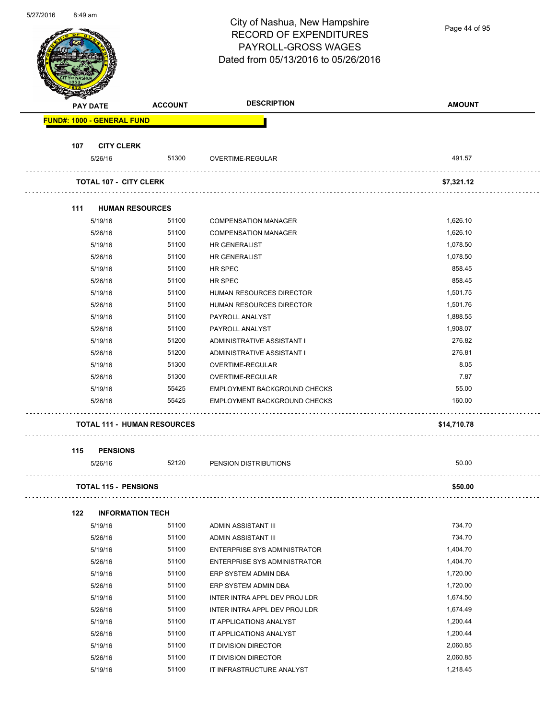| <b><i><u>UILIILUTU</u></i></b> | 0. <del>4</del> 9 dili |                                    |                | City of Nashua, New Hampshire       | Page 44 of 95 |
|--------------------------------|------------------------|------------------------------------|----------------|-------------------------------------|---------------|
|                                |                        |                                    |                | <b>RECORD OF EXPENDITURES</b>       |               |
|                                |                        |                                    |                | PAYROLL-GROSS WAGES                 |               |
|                                |                        |                                    |                | Dated from 05/13/2016 to 05/26/2016 |               |
|                                |                        |                                    |                |                                     |               |
|                                |                        |                                    |                |                                     |               |
|                                |                        | <b>PAY DATE</b>                    | <b>ACCOUNT</b> | <b>DESCRIPTION</b>                  | <b>AMOUNT</b> |
|                                |                        | <b>FUND#: 1000 - GENERAL FUND</b>  |                |                                     |               |
|                                |                        |                                    |                |                                     |               |
|                                | 107                    | <b>CITY CLERK</b>                  |                |                                     |               |
|                                |                        | 5/26/16                            | 51300          | OVERTIME-REGULAR                    | 491.57        |
|                                |                        | <b>TOTAL 107 - CITY CLERK</b>      |                |                                     | \$7,321.12    |
|                                |                        |                                    |                |                                     |               |
|                                | 111                    | <b>HUMAN RESOURCES</b>             |                |                                     |               |
|                                |                        | 5/19/16                            | 51100          | <b>COMPENSATION MANAGER</b>         | 1,626.10      |
|                                |                        | 5/26/16                            | 51100          | <b>COMPENSATION MANAGER</b>         | 1,626.10      |
|                                |                        | 5/19/16                            | 51100          | HR GENERALIST                       | 1,078.50      |
|                                |                        | 5/26/16                            | 51100          | HR GENERALIST                       | 1,078.50      |
|                                |                        | 5/19/16                            | 51100          | HR SPEC                             | 858.45        |
|                                |                        | 5/26/16                            | 51100          | HR SPEC                             | 858.45        |
|                                |                        | 5/19/16                            | 51100          | HUMAN RESOURCES DIRECTOR            | 1,501.75      |
|                                |                        | 5/26/16                            | 51100          | HUMAN RESOURCES DIRECTOR            | 1,501.76      |
|                                |                        | 5/19/16                            | 51100          | PAYROLL ANALYST                     | 1,888.55      |
|                                |                        | 5/26/16                            | 51100          | PAYROLL ANALYST                     | 1,908.07      |
|                                |                        | 5/19/16                            | 51200          | ADMINISTRATIVE ASSISTANT I          | 276.82        |
|                                |                        | 5/26/16                            | 51200          | ADMINISTRATIVE ASSISTANT I          | 276.81        |
|                                |                        | 5/19/16                            | 51300          | OVERTIME-REGULAR                    | 8.05          |
|                                |                        | 5/26/16                            | 51300          | <b>OVERTIME-REGULAR</b>             | 7.87          |
|                                |                        | 5/19/16                            | 55425          | EMPLOYMENT BACKGROUND CHECKS        | 55.00         |
|                                |                        | 5/26/16                            | 55425          | <b>EMPLOYMENT BACKGROUND CHECKS</b> | 160.00        |
|                                |                        | <b>TOTAL 111 - HUMAN RESOURCES</b> |                |                                     | \$14,710.78   |
|                                | 115                    | <b>PENSIONS</b>                    |                |                                     |               |
|                                |                        | 5/26/16                            | 52120          | PENSION DISTRIBUTIONS               | 50.00         |
|                                |                        | <b>TOTAL 115 - PENSIONS</b>        |                |                                     | \$50.00       |
|                                | 122                    | <b>INFORMATION TECH</b>            |                |                                     |               |
|                                |                        | 5/19/16                            | 51100          | ADMIN ASSISTANT III                 | 734.70        |
|                                |                        | 5/26/16                            | 51100          | ADMIN ASSISTANT III                 | 734.70        |
|                                |                        | 5/19/16                            | 51100          | ENTERPRISE SYS ADMINISTRATOR        | 1,404.70      |
|                                |                        | 5/26/16                            | 51100          | ENTERPRISE SYS ADMINISTRATOR        | 1,404.70      |
|                                |                        | 5/19/16                            | 51100          | ERP SYSTEM ADMIN DBA                | 1,720.00      |
|                                |                        | 5/26/16                            | 51100          | ERP SYSTEM ADMIN DBA                | 1,720.00      |
|                                |                        | 5/19/16                            | 51100          | INTER INTRA APPL DEV PROJ LDR       | 1,674.50      |
|                                |                        | 5/26/16                            | 51100          | INTER INTRA APPL DEV PROJ LDR       | 1,674.49      |
|                                |                        | 5/19/16                            | 51100          | IT APPLICATIONS ANALYST             | 1,200.44      |
|                                |                        | 5/26/16                            | 51100          | IT APPLICATIONS ANALYST             | 1,200.44      |
|                                |                        | 5/19/16                            | 51100          | IT DIVISION DIRECTOR                | 2,060.85      |
|                                |                        | 5/26/16                            | 51100          | IT DIVISION DIRECTOR                | 2,060.85      |
|                                |                        | 5/19/16                            | 51100          | IT INFRASTRUCTURE ANALYST           | 1,218.45      |

5/27/2016 8:49 am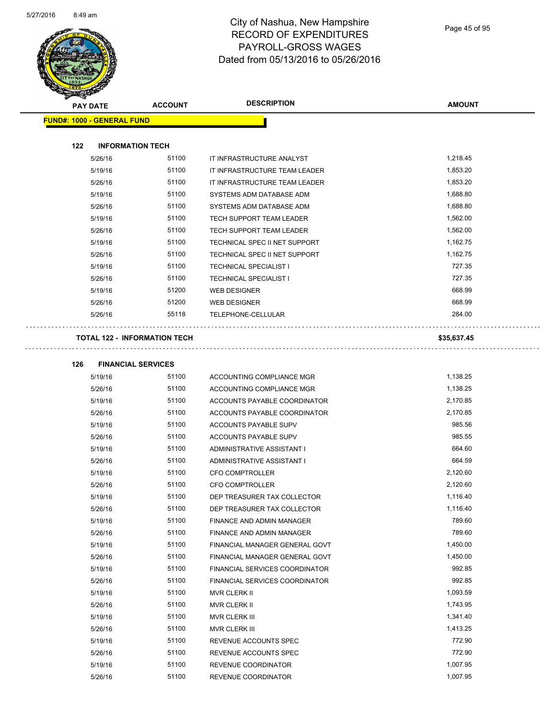$\overline{a}$ 



## City of Nashua, New Hampshire RECORD OF EXPENDITURES PAYROLL-GROSS WAGES Dated from 05/13/2016 to 05/26/2016

Ξ.

| <b>Allen</b> | <b>PAY DATE</b>                   | <b>ACCOUNT</b>                      | <b>DESCRIPTION</b>              | <b>AMOUNT</b> |
|--------------|-----------------------------------|-------------------------------------|---------------------------------|---------------|
|              | <b>FUND#: 1000 - GENERAL FUND</b> |                                     |                                 |               |
| 122          | <b>INFORMATION TECH</b>           |                                     |                                 |               |
|              | 5/26/16                           | 51100                               | IT INFRASTRUCTURE ANALYST       | 1,218.45      |
|              | 5/19/16                           | 51100                               | IT INFRASTRUCTURE TEAM LEADER   | 1,853.20      |
|              | 5/26/16                           | 51100                               | IT INFRASTRUCTURE TEAM LEADER   | 1,853.20      |
|              | 5/19/16                           | 51100                               | SYSTEMS ADM DATABASE ADM        | 1,688.80      |
|              | 5/26/16                           | 51100                               | SYSTEMS ADM DATABASE ADM        | 1,688.80      |
|              | 5/19/16                           | 51100                               | <b>TECH SUPPORT TEAM LEADER</b> | 1,562.00      |
|              | 5/26/16                           | 51100                               | <b>TECH SUPPORT TEAM LEADER</b> | 1,562.00      |
|              | 5/19/16                           | 51100                               | TECHNICAL SPEC II NET SUPPORT   | 1,162.75      |
|              | 5/26/16                           | 51100                               | TECHNICAL SPEC II NET SUPPORT   | 1,162.75      |
|              | 5/19/16                           | 51100                               | <b>TECHNICAL SPECIALIST I</b>   | 727.35        |
|              | 5/26/16                           | 51100                               | <b>TECHNICAL SPECIALIST I</b>   | 727.35        |
|              | 5/19/16                           | 51200                               | <b>WEB DESIGNER</b>             | 668.99        |
|              | 5/26/16                           | 51200                               | <b>WEB DESIGNER</b>             | 668.99        |
|              | 5/26/16                           | 55118                               | TELEPHONE-CELLULAR              | 284.00        |
|              |                                   | <b>TOTAL 122 - INFORMATION TECH</b> |                                 | \$35,637.45   |

| 126 | <b>FINANCIAL SERVICES</b> |       |                                       |          |  |
|-----|---------------------------|-------|---------------------------------------|----------|--|
|     | 5/19/16                   | 51100 | ACCOUNTING COMPLIANCE MGR             | 1,138.25 |  |
|     | 5/26/16                   | 51100 | ACCOUNTING COMPLIANCE MGR             | 1,138.25 |  |
|     | 5/19/16                   | 51100 | ACCOUNTS PAYABLE COORDINATOR          | 2,170.85 |  |
|     | 5/26/16                   | 51100 | ACCOUNTS PAYABLE COORDINATOR          | 2,170.85 |  |
|     | 5/19/16                   | 51100 | ACCOUNTS PAYABLE SUPV                 | 985.56   |  |
|     | 5/26/16                   | 51100 | <b>ACCOUNTS PAYABLE SUPV</b>          | 985.55   |  |
|     | 5/19/16                   | 51100 | ADMINISTRATIVE ASSISTANT I            | 664.60   |  |
|     | 5/26/16                   | 51100 | ADMINISTRATIVE ASSISTANT I            | 664.59   |  |
|     | 5/19/16                   | 51100 | <b>CFO COMPTROLLER</b>                | 2,120.60 |  |
|     | 5/26/16                   | 51100 | <b>CFO COMPTROLLER</b>                | 2,120.60 |  |
|     | 5/19/16                   | 51100 | DEP TREASURER TAX COLLECTOR           | 1,116.40 |  |
|     | 5/26/16                   | 51100 | DEP TREASURER TAX COLLECTOR           | 1,116.40 |  |
|     | 5/19/16                   | 51100 | <b>FINANCE AND ADMIN MANAGER</b>      | 789.60   |  |
|     | 5/26/16                   | 51100 | <b>FINANCE AND ADMIN MANAGER</b>      | 789.60   |  |
|     | 5/19/16                   | 51100 | FINANCIAL MANAGER GENERAL GOVT        | 1,450.00 |  |
|     | 5/26/16                   | 51100 | FINANCIAL MANAGER GENERAL GOVT        | 1,450.00 |  |
|     | 5/19/16                   | 51100 | <b>FINANCIAL SERVICES COORDINATOR</b> | 992.85   |  |
|     | 5/26/16                   | 51100 | <b>FINANCIAL SERVICES COORDINATOR</b> | 992.85   |  |
|     | 5/19/16                   | 51100 | <b>MVR CLERK II</b>                   | 1,093.59 |  |
|     | 5/26/16                   | 51100 | <b>MVR CLERK II</b>                   | 1,743.95 |  |
|     | 5/19/16                   | 51100 | <b>MVR CLERK III</b>                  | 1,341.40 |  |
|     | 5/26/16                   | 51100 | <b>MVR CLERK III</b>                  | 1,413.25 |  |
|     | 5/19/16                   | 51100 | REVENUE ACCOUNTS SPEC                 | 772.90   |  |
|     | 5/26/16                   | 51100 | REVENUE ACCOUNTS SPEC                 | 772.90   |  |
|     | 5/19/16                   | 51100 | REVENUE COORDINATOR                   | 1,007.95 |  |
|     | 5/26/16                   | 51100 | REVENUE COORDINATOR                   | 1,007.95 |  |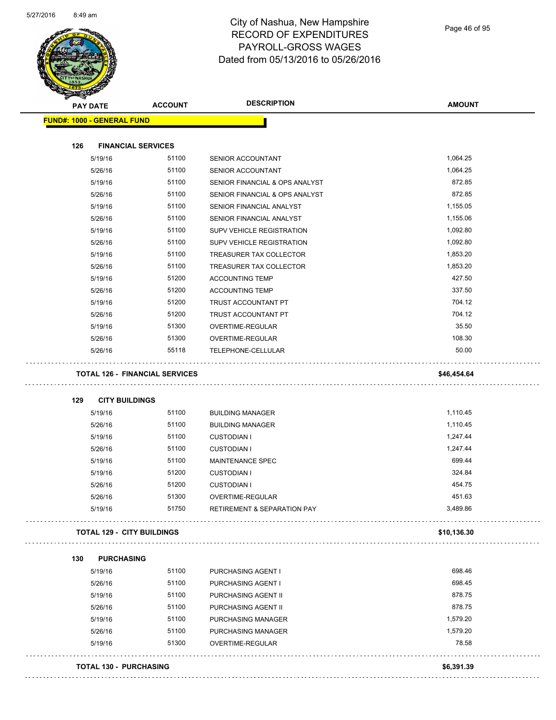

| <b>PAY DATE</b>                   | <b>ACCOUNT</b>                        | <b>DESCRIPTION</b>                     | <b>AMOUNT</b> |
|-----------------------------------|---------------------------------------|----------------------------------------|---------------|
| <b>FUND#: 1000 - GENERAL FUND</b> |                                       |                                        |               |
| 126                               | <b>FINANCIAL SERVICES</b>             |                                        |               |
| 5/19/16                           | 51100                                 |                                        | 1,064.25      |
|                                   | 51100                                 | SENIOR ACCOUNTANT                      | 1,064.25      |
| 5/26/16                           |                                       | SENIOR ACCOUNTANT                      | 872.85        |
| 5/19/16                           | 51100                                 | SENIOR FINANCIAL & OPS ANALYST         | 872.85        |
| 5/26/16                           | 51100                                 | SENIOR FINANCIAL & OPS ANALYST         |               |
| 5/19/16                           | 51100                                 | SENIOR FINANCIAL ANALYST               | 1,155.05      |
| 5/26/16                           | 51100                                 | SENIOR FINANCIAL ANALYST               | 1,155.06      |
| 5/19/16                           | 51100                                 | SUPV VEHICLE REGISTRATION              | 1,092.80      |
| 5/26/16                           | 51100                                 | SUPV VEHICLE REGISTRATION              | 1,092.80      |
| 5/19/16                           | 51100                                 | TREASURER TAX COLLECTOR                | 1,853.20      |
| 5/26/16                           | 51100                                 | TREASURER TAX COLLECTOR                | 1,853.20      |
| 5/19/16                           | 51200                                 | <b>ACCOUNTING TEMP</b>                 | 427.50        |
| 5/26/16                           | 51200                                 | <b>ACCOUNTING TEMP</b>                 | 337.50        |
| 5/19/16                           | 51200                                 | TRUST ACCOUNTANT PT                    | 704.12        |
| 5/26/16                           | 51200                                 | TRUST ACCOUNTANT PT                    | 704.12        |
| 5/19/16                           | 51300                                 | OVERTIME-REGULAR                       | 35.50         |
| 5/26/16                           | 51300                                 | <b>OVERTIME-REGULAR</b>                | 108.30        |
| 5/26/16                           | 55118                                 | TELEPHONE-CELLULAR                     | 50.00         |
|                                   | <b>TOTAL 126 - FINANCIAL SERVICES</b> |                                        | \$46,454.64   |
| 129                               | <b>CITY BUILDINGS</b>                 |                                        |               |
| 5/19/16                           | 51100                                 | <b>BUILDING MANAGER</b>                | 1,110.45      |
| 5/26/16                           | 51100                                 | <b>BUILDING MANAGER</b>                | 1,110.45      |
| 5/19/16                           | 51100                                 | <b>CUSTODIAN I</b>                     | 1,247.44      |
| 5/26/16                           | 51100                                 | <b>CUSTODIAN I</b>                     | 1,247.44      |
| 5/19/16                           | 51100                                 | <b>MAINTENANCE SPEC</b>                | 699.44        |
| 5/19/16                           | 51200                                 | <b>CUSTODIAN I</b>                     | 324.84        |
| 5/26/16                           | 51200                                 | <b>CUSTODIAN I</b>                     | 454.75        |
| 5/26/16                           | 51300                                 | OVERTIME-REGULAR                       | 451.63        |
| 5/19/16                           | 51750                                 | <b>RETIREMENT &amp; SEPARATION PAY</b> | 3,489.86      |
|                                   | <b>TOTAL 129 - CITY BUILDINGS</b>     |                                        | \$10,136.30   |
| 130<br><b>PURCHASING</b>          |                                       |                                        |               |
| 5/19/16                           | 51100                                 | PURCHASING AGENT I                     | 698.46        |
| 5/26/16                           | 51100                                 | PURCHASING AGENT I                     | 698.45        |
| 5/19/16                           | 51100                                 | PURCHASING AGENT II                    | 878.75        |
| 5/26/16                           | 51100                                 | PURCHASING AGENT II                    | 878.75        |
| 5/19/16                           | 51100                                 | PURCHASING MANAGER                     | 1,579.20      |
|                                   | 51100                                 | PURCHASING MANAGER                     | 1,579.20      |
|                                   |                                       |                                        | 78.58         |
| 5/26/16<br>5/19/16                | 51300                                 | OVERTIME-REGULAR                       |               |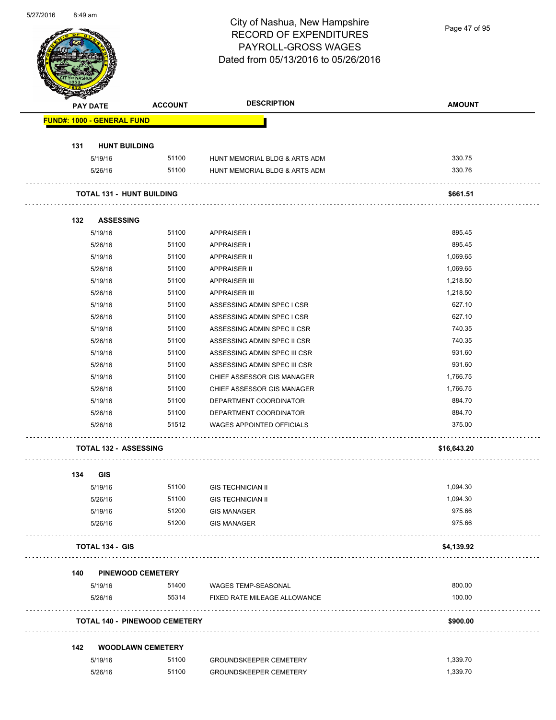| 5/27/2016 | 8:49 am  |                                   |                                      | City of Nashua, New Hampshire<br><b>RECORD OF EXPENDITURES</b><br>PAYROLL-GROSS WAGES<br>Dated from 05/13/2016 to 05/26/2016 | Page 47 of 95    |
|-----------|----------|-----------------------------------|--------------------------------------|------------------------------------------------------------------------------------------------------------------------------|------------------|
|           | PAY DATE |                                   | <b>ACCOUNT</b>                       | <b>DESCRIPTION</b>                                                                                                           | <b>AMOUNT</b>    |
|           |          | <b>FUND#: 1000 - GENERAL FUND</b> |                                      |                                                                                                                              |                  |
|           |          |                                   |                                      |                                                                                                                              |                  |
|           | 131      | <b>HUNT BUILDING</b>              |                                      |                                                                                                                              |                  |
|           |          | 5/19/16<br>5/26/16                | 51100<br>51100                       | HUNT MEMORIAL BLDG & ARTS ADM<br>HUNT MEMORIAL BLDG & ARTS ADM                                                               | 330.75<br>330.76 |
|           |          |                                   |                                      |                                                                                                                              |                  |
|           |          | <b>TOTAL 131 - HUNT BUILDING</b>  |                                      |                                                                                                                              | \$661.51         |
|           | 132      | <b>ASSESSING</b>                  |                                      |                                                                                                                              |                  |
|           |          | 5/19/16                           | 51100                                | APPRAISER I                                                                                                                  | 895.45           |
|           |          | 5/26/16                           | 51100                                | <b>APPRAISER I</b>                                                                                                           | 895.45           |
|           |          | 5/19/16                           | 51100                                | <b>APPRAISER II</b>                                                                                                          | 1,069.65         |
|           |          | 5/26/16                           | 51100                                | <b>APPRAISER II</b>                                                                                                          | 1,069.65         |
|           |          | 5/19/16                           | 51100                                | <b>APPRAISER III</b>                                                                                                         | 1,218.50         |
|           |          | 5/26/16                           | 51100                                | <b>APPRAISER III</b>                                                                                                         | 1,218.50         |
|           |          | 5/19/16                           | 51100                                | ASSESSING ADMIN SPEC I CSR                                                                                                   | 627.10           |
|           |          | 5/26/16                           | 51100                                | ASSESSING ADMIN SPEC I CSR                                                                                                   | 627.10           |
|           |          | 5/19/16                           | 51100                                | ASSESSING ADMIN SPEC II CSR                                                                                                  | 740.35           |
|           |          | 5/26/16                           | 51100                                | ASSESSING ADMIN SPEC II CSR                                                                                                  | 740.35           |
|           |          | 5/19/16                           | 51100                                | ASSESSING ADMIN SPEC III CSR                                                                                                 | 931.60           |
|           |          | 5/26/16                           | 51100                                | ASSESSING ADMIN SPEC III CSR                                                                                                 | 931.60           |
|           |          | 5/19/16                           | 51100                                | CHIEF ASSESSOR GIS MANAGER                                                                                                   | 1,766.75         |
|           |          | 5/26/16                           | 51100                                | CHIEF ASSESSOR GIS MANAGER                                                                                                   | 1,766.75         |
|           |          | 5/19/16                           | 51100                                | DEPARTMENT COORDINATOR                                                                                                       | 884.70           |
|           |          | 5/26/16                           | 51100                                | DEPARTMENT COORDINATOR                                                                                                       | 884.70           |
|           |          | 5/26/16                           | 51512                                | <b>WAGES APPOINTED OFFICIALS</b>                                                                                             | 375.00           |
|           |          | <b>TOTAL 132 - ASSESSING</b>      |                                      |                                                                                                                              |                  |
|           |          |                                   |                                      |                                                                                                                              | \$16,643.20      |
|           | 134      | GIS                               |                                      |                                                                                                                              |                  |
|           |          | 5/19/16                           | 51100                                | <b>GIS TECHNICIAN II</b>                                                                                                     | 1,094.30         |
|           |          | 5/26/16                           | 51100                                | <b>GIS TECHNICIAN II</b>                                                                                                     | 1,094.30         |
|           |          | 5/19/16                           | 51200                                | <b>GIS MANAGER</b>                                                                                                           | 975.66           |
|           |          | 5/26/16                           | 51200                                | <b>GIS MANAGER</b>                                                                                                           | 975.66           |
|           |          | <b>TOTAL 134 - GIS</b>            |                                      |                                                                                                                              | \$4,139.92       |
|           | 140      | <b>PINEWOOD CEMETERY</b>          |                                      |                                                                                                                              |                  |
|           |          | 5/19/16                           | 51400                                | WAGES TEMP-SEASONAL                                                                                                          | 800.00           |
|           |          | 5/26/16                           | 55314                                | FIXED RATE MILEAGE ALLOWANCE                                                                                                 | 100.00           |
|           |          |                                   | <b>TOTAL 140 - PINEWOOD CEMETERY</b> |                                                                                                                              | \$900.00         |
|           | 142      | <b>WOODLAWN CEMETERY</b>          |                                      |                                                                                                                              |                  |
|           |          | 5/19/16                           | 51100                                | <b>GROUNDSKEEPER CEMETERY</b>                                                                                                | 1,339.70         |
|           |          | 5/26/16                           | 51100                                | <b>GROUNDSKEEPER CEMETERY</b>                                                                                                | 1,339.70         |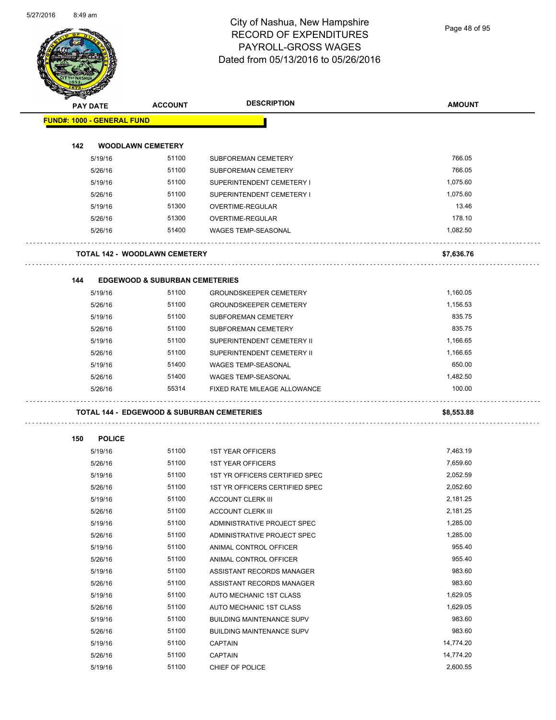Page 48 of 95

| <b>PAY DATE</b>                   | <b>ACCOUNT</b>                             | <b>DESCRIPTION</b>               | <b>AMOUNT</b> |
|-----------------------------------|--------------------------------------------|----------------------------------|---------------|
| <b>FUND#: 1000 - GENERAL FUND</b> |                                            |                                  |               |
|                                   |                                            |                                  |               |
| 142                               | <b>WOODLAWN CEMETERY</b>                   |                                  |               |
| 5/19/16                           | 51100                                      | SUBFOREMAN CEMETERY              | 766.05        |
| 5/26/16                           | 51100                                      | SUBFOREMAN CEMETERY              | 766.05        |
| 5/19/16                           | 51100                                      | SUPERINTENDENT CEMETERY I        | 1,075.60      |
| 5/26/16                           | 51100                                      | SUPERINTENDENT CEMETERY I        | 1,075.60      |
| 5/19/16                           | 51300                                      | OVERTIME-REGULAR                 | 13.46         |
| 5/26/16                           | 51300                                      | OVERTIME-REGULAR                 | 178.10        |
| 5/26/16                           | 51400                                      | <b>WAGES TEMP-SEASONAL</b>       | 1,082.50      |
|                                   | <b>TOTAL 142 - WOODLAWN CEMETERY</b>       |                                  | \$7,636.76    |
| 144                               | <b>EDGEWOOD &amp; SUBURBAN CEMETERIES</b>  |                                  |               |
| 5/19/16                           | 51100                                      | <b>GROUNDSKEEPER CEMETERY</b>    | 1,160.05      |
| 5/26/16                           | 51100                                      | <b>GROUNDSKEEPER CEMETERY</b>    | 1,156.53      |
| 5/19/16                           | 51100                                      | <b>SUBFOREMAN CEMETERY</b>       | 835.75        |
| 5/26/16                           | 51100                                      | SUBFOREMAN CEMETERY              | 835.75        |
| 5/19/16                           | 51100                                      | SUPERINTENDENT CEMETERY II       | 1,166.65      |
| 5/26/16                           | 51100                                      | SUPERINTENDENT CEMETERY II       | 1,166.65      |
| 5/19/16                           | 51400                                      | WAGES TEMP-SEASONAL              | 650.00        |
| 5/26/16                           | 51400                                      | <b>WAGES TEMP-SEASONAL</b>       | 1,482.50      |
| 5/26/16                           | 55314                                      | FIXED RATE MILEAGE ALLOWANCE     | 100.00        |
|                                   | TOTAL 144 - EDGEWOOD & SUBURBAN CEMETERIES |                                  | \$8,553.88    |
| 150<br><b>POLICE</b>              |                                            |                                  |               |
| 5/19/16                           | 51100                                      | <b>1ST YEAR OFFICERS</b>         | 7,463.19      |
| 5/26/16                           | 51100                                      | <b>1ST YEAR OFFICERS</b>         | 7,659.60      |
| 5/19/16                           | 51100                                      | 1ST YR OFFICERS CERTIFIED SPEC   | 2,052.59      |
| 5/26/16                           | 51100                                      | 1ST YR OFFICERS CERTIFIED SPEC   | 2,052.60      |
| 5/19/16                           | 51100                                      | <b>ACCOUNT CLERK III</b>         | 2,181.25      |
| 5/26/16                           | 51100                                      | <b>ACCOUNT CLERK III</b>         | 2,181.25      |
| 5/19/16                           | 51100                                      | ADMINISTRATIVE PROJECT SPEC      | 1,285.00      |
| 5/26/16                           | 51100                                      | ADMINISTRATIVE PROJECT SPEC      | 1,285.00      |
| 5/19/16                           | 51100                                      | ANIMAL CONTROL OFFICER           | 955.40        |
| 5/26/16                           | 51100                                      | ANIMAL CONTROL OFFICER           | 955.40        |
| 5/19/16                           | 51100                                      | ASSISTANT RECORDS MANAGER        | 983.60        |
| 5/26/16                           | 51100                                      | ASSISTANT RECORDS MANAGER        | 983.60        |
| 5/19/16                           | 51100                                      | AUTO MECHANIC 1ST CLASS          | 1,629.05      |
| 5/26/16                           | 51100                                      | AUTO MECHANIC 1ST CLASS          | 1,629.05      |
| 5/19/16                           | 51100                                      | <b>BUILDING MAINTENANCE SUPV</b> | 983.60        |
| 5/26/16                           | 51100                                      | <b>BUILDING MAINTENANCE SUPV</b> | 983.60        |
| 5/19/16                           | 51100                                      | <b>CAPTAIN</b>                   | 14,774.20     |
|                                   |                                            |                                  |               |
| 5/26/16                           | 51100                                      | <b>CAPTAIN</b>                   | 14,774.20     |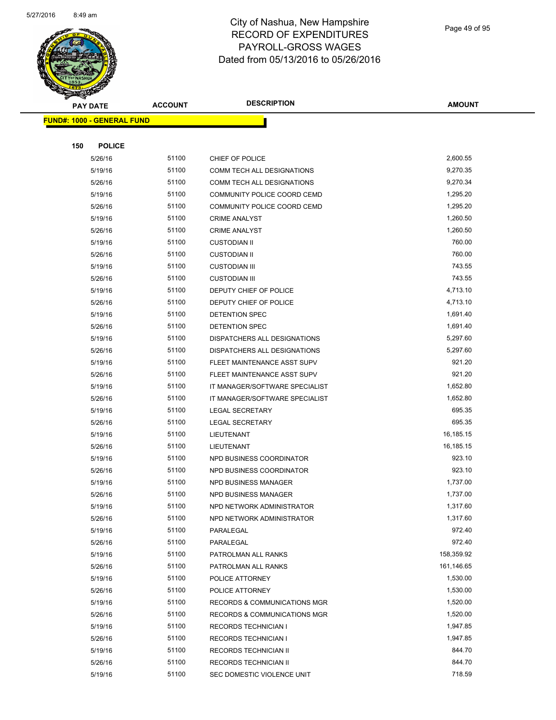

|     | <b>PAY DATE</b>                   | <b>ACCOUNT</b> | <b>DESCRIPTION</b>                            | <b>AMOUNT</b>        |
|-----|-----------------------------------|----------------|-----------------------------------------------|----------------------|
|     | <b>FUND#: 1000 - GENERAL FUND</b> |                |                                               |                      |
|     |                                   |                |                                               |                      |
| 150 | <b>POLICE</b>                     |                |                                               |                      |
|     | 5/26/16                           | 51100          | CHIEF OF POLICE                               | 2,600.55             |
|     | 5/19/16                           | 51100          | COMM TECH ALL DESIGNATIONS                    | 9,270.35             |
|     | 5/26/16                           | 51100          | COMM TECH ALL DESIGNATIONS                    | 9,270.34             |
|     | 5/19/16                           | 51100          | COMMUNITY POLICE COORD CEMD                   | 1,295.20             |
|     | 5/26/16                           | 51100          | COMMUNITY POLICE COORD CEMD                   | 1,295.20             |
|     | 5/19/16                           | 51100          | <b>CRIME ANALYST</b>                          | 1,260.50             |
|     | 5/26/16                           | 51100          | <b>CRIME ANALYST</b>                          | 1,260.50             |
|     | 5/19/16                           | 51100          | <b>CUSTODIAN II</b>                           | 760.00               |
|     | 5/26/16                           | 51100          | <b>CUSTODIAN II</b>                           | 760.00               |
|     | 5/19/16                           | 51100          | <b>CUSTODIAN III</b>                          | 743.55               |
|     | 5/26/16                           | 51100          | <b>CUSTODIAN III</b>                          | 743.55               |
|     | 5/19/16                           | 51100          | DEPUTY CHIEF OF POLICE                        | 4,713.10             |
|     | 5/26/16                           | 51100          | DEPUTY CHIEF OF POLICE                        | 4,713.10             |
|     | 5/19/16                           | 51100          | <b>DETENTION SPEC</b>                         | 1,691.40             |
|     | 5/26/16                           | 51100          | <b>DETENTION SPEC</b>                         | 1,691.40             |
|     | 5/19/16                           | 51100          | DISPATCHERS ALL DESIGNATIONS                  | 5,297.60             |
|     | 5/26/16                           | 51100          | DISPATCHERS ALL DESIGNATIONS                  | 5,297.60             |
|     | 5/19/16                           | 51100          | FLEET MAINTENANCE ASST SUPV                   | 921.20               |
|     | 5/26/16                           | 51100          | FLEET MAINTENANCE ASST SUPV                   | 921.20               |
|     | 5/19/16                           | 51100          | IT MANAGER/SOFTWARE SPECIALIST                | 1,652.80             |
|     | 5/26/16                           | 51100          | IT MANAGER/SOFTWARE SPECIALIST                | 1,652.80             |
|     | 5/19/16                           | 51100          | <b>LEGAL SECRETARY</b>                        | 695.35               |
|     | 5/26/16                           | 51100          | <b>LEGAL SECRETARY</b>                        | 695.35               |
|     | 5/19/16                           | 51100          | LIEUTENANT                                    | 16,185.15            |
|     | 5/26/16                           | 51100          | LIEUTENANT                                    | 16,185.15            |
|     | 5/19/16                           | 51100          | NPD BUSINESS COORDINATOR                      | 923.10               |
|     | 5/26/16                           | 51100          | NPD BUSINESS COORDINATOR                      | 923.10               |
|     | 5/19/16                           | 51100          | NPD BUSINESS MANAGER                          | 1,737.00             |
|     | 5/26/16                           | 51100          | <b>NPD BUSINESS MANAGER</b>                   | 1,737.00             |
|     | 5/19/16                           | 51100          | NPD NETWORK ADMINISTRATOR                     | 1,317.60             |
|     | 5/26/16                           | 51100          | NPD NETWORK ADMINISTRATOR                     | 1,317.60             |
|     | 5/19/16                           | 51100          | PARALEGAL                                     | 972.40               |
|     | 5/26/16                           | 51100          | PARALEGAL                                     | 972.40               |
|     | 5/19/16                           | 51100          | PATROLMAN ALL RANKS                           | 158,359.92           |
|     | 5/26/16                           | 51100          | PATROLMAN ALL RANKS                           | 161,146.65           |
|     | 5/19/16                           | 51100          | POLICE ATTORNEY                               | 1,530.00             |
|     | 5/26/16                           | 51100          | POLICE ATTORNEY                               | 1,530.00             |
|     | 5/19/16                           | 51100<br>51100 | RECORDS & COMMUNICATIONS MGR                  | 1,520.00<br>1,520.00 |
|     | 5/26/16                           |                | RECORDS & COMMUNICATIONS MGR                  |                      |
|     | 5/19/16                           | 51100<br>51100 | <b>RECORDS TECHNICIAN I</b>                   | 1,947.85<br>1,947.85 |
|     | 5/26/16<br>5/19/16                | 51100          | RECORDS TECHNICIAN I<br>RECORDS TECHNICIAN II | 844.70               |
|     | 5/26/16                           | 51100          | RECORDS TECHNICIAN II                         | 844.70               |
|     | 5/19/16                           | 51100          | SEC DOMESTIC VIOLENCE UNIT                    | 718.59               |
|     |                                   |                |                                               |                      |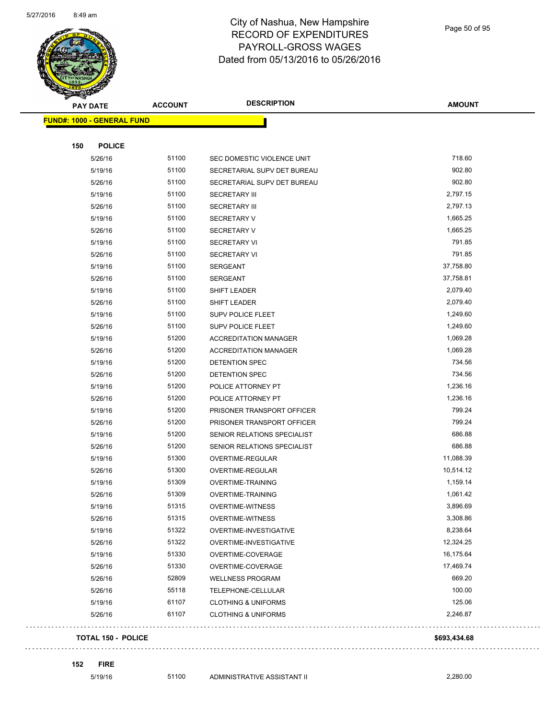

Page 50 of 95

| <b>PAY DATE</b>                   | <b>ACCOUNT</b> | <b>DESCRIPTION</b>             | <b>AMOUNT</b> |
|-----------------------------------|----------------|--------------------------------|---------------|
| <b>FUND#: 1000 - GENERAL FUND</b> |                |                                |               |
|                                   |                |                                |               |
| 150<br><b>POLICE</b>              |                |                                |               |
| 5/26/16                           | 51100          | SEC DOMESTIC VIOLENCE UNIT     | 718.60        |
| 5/19/16                           | 51100          | SECRETARIAL SUPV DET BUREAU    | 902.80        |
| 5/26/16                           | 51100          | SECRETARIAL SUPV DET BUREAU    | 902.80        |
| 5/19/16                           | 51100          | <b>SECRETARY III</b>           | 2,797.15      |
| 5/26/16                           | 51100          | <b>SECRETARY III</b>           | 2,797.13      |
| 5/19/16                           | 51100          | <b>SECRETARY V</b>             | 1,665.25      |
| 5/26/16                           | 51100          | <b>SECRETARY V</b>             | 1,665.25      |
| 5/19/16                           | 51100          | <b>SECRETARY VI</b>            | 791.85        |
| 5/26/16                           | 51100          | <b>SECRETARY VI</b>            | 791.85        |
| 5/19/16                           | 51100          | <b>SERGEANT</b>                | 37,758.80     |
| 5/26/16                           | 51100          | <b>SERGEANT</b>                | 37,758.81     |
| 5/19/16                           | 51100          | SHIFT LEADER                   | 2,079.40      |
| 5/26/16                           | 51100          | SHIFT LEADER                   | 2,079.40      |
| 5/19/16                           | 51100          | <b>SUPV POLICE FLEET</b>       | 1,249.60      |
| 5/26/16                           | 51100          | <b>SUPV POLICE FLEET</b>       | 1,249.60      |
| 5/19/16                           | 51200          | <b>ACCREDITATION MANAGER</b>   | 1,069.28      |
| 5/26/16                           | 51200          | <b>ACCREDITATION MANAGER</b>   | 1,069.28      |
| 5/19/16                           | 51200          | DETENTION SPEC                 | 734.56        |
| 5/26/16                           | 51200          | DETENTION SPEC                 | 734.56        |
| 5/19/16                           | 51200          | POLICE ATTORNEY PT             | 1,236.16      |
| 5/26/16                           | 51200          | POLICE ATTORNEY PT             | 1,236.16      |
| 5/19/16                           | 51200          | PRISONER TRANSPORT OFFICER     | 799.24        |
| 5/26/16                           | 51200          | PRISONER TRANSPORT OFFICER     | 799.24        |
| 5/19/16                           | 51200          | SENIOR RELATIONS SPECIALIST    | 686.88        |
| 5/26/16                           | 51200          | SENIOR RELATIONS SPECIALIST    | 686.88        |
| 5/19/16                           | 51300          | OVERTIME-REGULAR               | 11,088.39     |
| 5/26/16                           | 51300          | OVERTIME-REGULAR               | 10,514.12     |
| 5/19/16                           | 51309          | <b>OVERTIME-TRAINING</b>       | 1,159.14      |
| 5/26/16                           | 51309          | <b>OVERTIME-TRAINING</b>       | 1,061.42      |
| 5/19/16                           | 51315          | <b>OVERTIME-WITNESS</b>        | 3,896.69      |
| 5/26/16                           | 51315          | <b>OVERTIME-WITNESS</b>        | 3,308.86      |
| 5/19/16                           | 51322          | OVERTIME-INVESTIGATIVE         | 8,238.64      |
| 5/26/16                           | 51322          | OVERTIME-INVESTIGATIVE         | 12,324.25     |
| 5/19/16                           | 51330          | OVERTIME-COVERAGE              | 16,175.64     |
| 5/26/16                           | 51330          | OVERTIME-COVERAGE              | 17,469.74     |
| 5/26/16                           | 52809          | <b>WELLNESS PROGRAM</b>        | 669.20        |
| 5/26/16                           | 55118          | TELEPHONE-CELLULAR             | 100.00        |
| 5/19/16                           | 61107          | <b>CLOTHING &amp; UNIFORMS</b> | 125.06        |
| 5/26/16                           | 61107          | <b>CLOTHING &amp; UNIFORMS</b> | 2,246.87      |
| <b>TOTAL 150 - POLICE</b>         |                |                                | \$693,434.68  |

**152 FIRE**

 $\Box$  .

. . . . . . . . . . . . . . . . . . . .

 $\sim 1.1$  .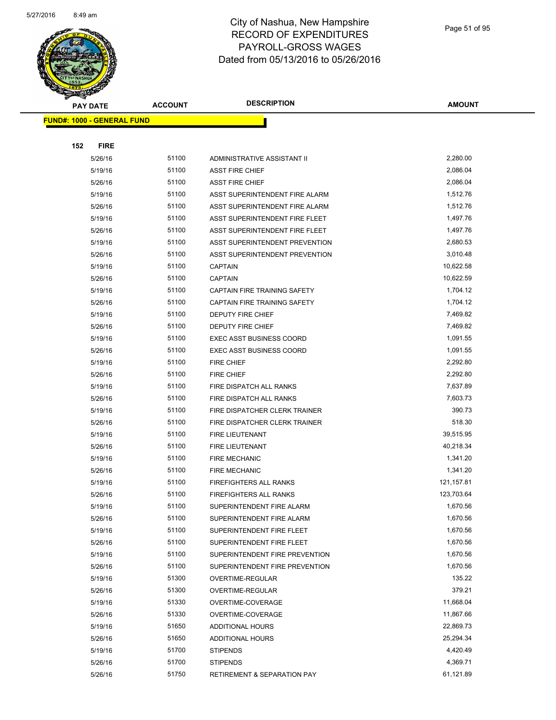

Page 51 of 95

| <b>PAY DATE</b>                   | <b>ACCOUNT</b> | <b>DESCRIPTION</b>                  | <b>AMOUNT</b> |
|-----------------------------------|----------------|-------------------------------------|---------------|
| <b>FUND#: 1000 - GENERAL FUND</b> |                |                                     |               |
|                                   |                |                                     |               |
| 152<br><b>FIRE</b>                |                |                                     |               |
| 5/26/16                           | 51100          | ADMINISTRATIVE ASSISTANT II         | 2,280.00      |
| 5/19/16                           | 51100          | <b>ASST FIRE CHIEF</b>              | 2,086.04      |
| 5/26/16                           | 51100          | <b>ASST FIRE CHIEF</b>              | 2,086.04      |
| 5/19/16                           | 51100          | ASST SUPERINTENDENT FIRE ALARM      | 1,512.76      |
| 5/26/16                           | 51100          | ASST SUPERINTENDENT FIRE ALARM      | 1,512.76      |
| 5/19/16                           | 51100          | ASST SUPERINTENDENT FIRE FLEET      | 1,497.76      |
| 5/26/16                           | 51100          | ASST SUPERINTENDENT FIRE FLEET      | 1,497.76      |
| 5/19/16                           | 51100          | ASST SUPERINTENDENT PREVENTION      | 2,680.53      |
| 5/26/16                           | 51100          | ASST SUPERINTENDENT PREVENTION      | 3,010.48      |
| 5/19/16                           | 51100          | <b>CAPTAIN</b>                      | 10,622.58     |
| 5/26/16                           | 51100          | <b>CAPTAIN</b>                      | 10,622.59     |
| 5/19/16                           | 51100          | CAPTAIN FIRE TRAINING SAFETY        | 1,704.12      |
| 5/26/16                           | 51100          | <b>CAPTAIN FIRE TRAINING SAFETY</b> | 1,704.12      |
| 5/19/16                           | 51100          | <b>DEPUTY FIRE CHIEF</b>            | 7,469.82      |
| 5/26/16                           | 51100          | <b>DEPUTY FIRE CHIEF</b>            | 7,469.82      |
| 5/19/16                           | 51100          | <b>EXEC ASST BUSINESS COORD</b>     | 1,091.55      |
| 5/26/16                           | 51100          | <b>EXEC ASST BUSINESS COORD</b>     | 1,091.55      |
| 5/19/16                           | 51100          | <b>FIRE CHIEF</b>                   | 2,292.80      |
| 5/26/16                           | 51100          | <b>FIRE CHIEF</b>                   | 2,292.80      |
| 5/19/16                           | 51100          | FIRE DISPATCH ALL RANKS             | 7,637.89      |
| 5/26/16                           | 51100          | FIRE DISPATCH ALL RANKS             | 7,603.73      |
| 5/19/16                           | 51100          | FIRE DISPATCHER CLERK TRAINER       | 390.73        |
| 5/26/16                           | 51100          | FIRE DISPATCHER CLERK TRAINER       | 518.30        |
| 5/19/16                           | 51100          | FIRE LIEUTENANT                     | 39,515.95     |
| 5/26/16                           | 51100          | <b>FIRE LIEUTENANT</b>              | 40,218.34     |
| 5/19/16                           | 51100          | <b>FIRE MECHANIC</b>                | 1,341.20      |
| 5/26/16                           | 51100          | <b>FIRE MECHANIC</b>                | 1,341.20      |
| 5/19/16                           | 51100          | <b>FIREFIGHTERS ALL RANKS</b>       | 121, 157.81   |
| 5/26/16                           | 51100          | <b>FIREFIGHTERS ALL RANKS</b>       | 123,703.64    |
| 5/19/16                           | 51100          | SUPERINTENDENT FIRE ALARM           | 1,670.56      |
| 5/26/16                           | 51100          | SUPERINTENDENT FIRE ALARM           | 1,670.56      |
| 5/19/16                           | 51100          | SUPERINTENDENT FIRE FLEET           | 1,670.56      |
| 5/26/16                           | 51100          | SUPERINTENDENT FIRE FLEET           | 1,670.56      |
| 5/19/16                           | 51100          | SUPERINTENDENT FIRE PREVENTION      | 1,670.56      |
| 5/26/16                           | 51100          | SUPERINTENDENT FIRE PREVENTION      | 1,670.56      |
| 5/19/16                           | 51300          | OVERTIME-REGULAR                    | 135.22        |
| 5/26/16                           | 51300          | OVERTIME-REGULAR                    | 379.21        |
| 5/19/16                           | 51330          | OVERTIME-COVERAGE                   | 11,668.04     |
| 5/26/16                           | 51330          | OVERTIME-COVERAGE                   | 11,867.66     |
| 5/19/16                           | 51650          | <b>ADDITIONAL HOURS</b>             | 22,869.73     |
| 5/26/16                           | 51650          | ADDITIONAL HOURS                    | 25,294.34     |
| 5/19/16                           | 51700          | <b>STIPENDS</b>                     | 4,420.49      |
| 5/26/16                           | 51700          | <b>STIPENDS</b>                     | 4,369.71      |
| 5/26/16                           | 51750          | RETIREMENT & SEPARATION PAY         | 61,121.89     |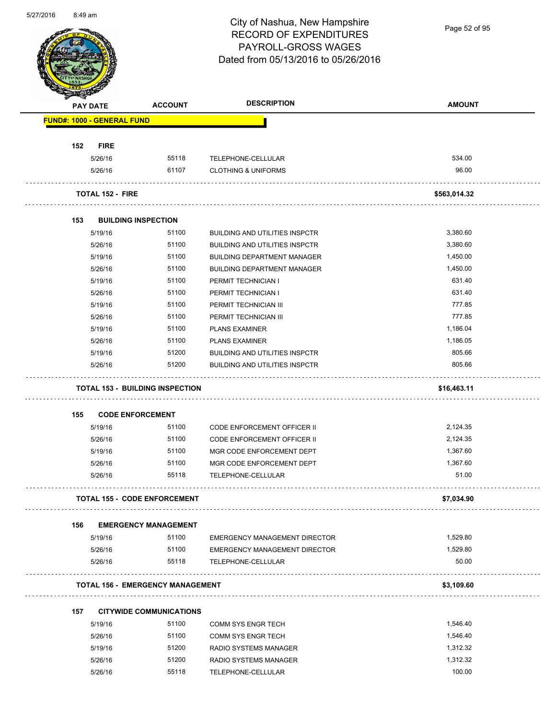

Page 52 of 95

|                            | <b>PAY DATE</b>         | <b>ACCOUNT</b>                          | <b>DESCRIPTION</b>                    | <b>AMOUNT</b> |
|----------------------------|-------------------------|-----------------------------------------|---------------------------------------|---------------|
| FUND#: 1000 - GENERAL FUND |                         |                                         |                                       |               |
| 152                        | <b>FIRE</b>             |                                         |                                       |               |
|                            | 5/26/16                 | 55118                                   | TELEPHONE-CELLULAR                    | 534.00        |
|                            | 5/26/16                 | 61107                                   | <b>CLOTHING &amp; UNIFORMS</b>        | 96.00         |
|                            | <b>TOTAL 152 - FIRE</b> |                                         |                                       | \$563,014.32  |
| 153                        |                         | <b>BUILDING INSPECTION</b>              |                                       |               |
|                            | 5/19/16                 | 51100                                   | <b>BUILDING AND UTILITIES INSPCTR</b> | 3,380.60      |
|                            | 5/26/16                 | 51100                                   | <b>BUILDING AND UTILITIES INSPCTR</b> | 3,380.60      |
|                            | 5/19/16                 | 51100                                   | <b>BUILDING DEPARTMENT MANAGER</b>    | 1,450.00      |
|                            | 5/26/16                 | 51100                                   | <b>BUILDING DEPARTMENT MANAGER</b>    | 1,450.00      |
|                            | 5/19/16                 | 51100                                   | PERMIT TECHNICIAN I                   | 631.40        |
|                            | 5/26/16                 | 51100                                   | PERMIT TECHNICIAN I                   | 631.40        |
|                            | 5/19/16                 | 51100                                   | PERMIT TECHNICIAN III                 | 777.85        |
|                            | 5/26/16                 | 51100                                   | PERMIT TECHNICIAN III                 | 777.85        |
|                            | 5/19/16                 | 51100                                   | <b>PLANS EXAMINER</b>                 | 1,186.04      |
|                            | 5/26/16                 | 51100                                   | <b>PLANS EXAMINER</b>                 | 1,186.05      |
|                            | 5/19/16                 | 51200                                   | <b>BUILDING AND UTILITIES INSPCTR</b> | 805.66        |
|                            | 5/26/16                 | 51200                                   | <b>BUILDING AND UTILITIES INSPCTR</b> | 805.66        |
|                            |                         | <b>TOTAL 153 - BUILDING INSPECTION</b>  |                                       | \$16,463.11   |
|                            |                         |                                         |                                       |               |
| 155                        |                         | <b>CODE ENFORCEMENT</b>                 |                                       |               |
|                            | 5/19/16                 | 51100                                   | <b>CODE ENFORCEMENT OFFICER II</b>    | 2,124.35      |
|                            | 5/26/16                 | 51100                                   | <b>CODE ENFORCEMENT OFFICER II</b>    | 2,124.35      |
|                            | 5/19/16                 | 51100                                   | MGR CODE ENFORCEMENT DEPT             | 1,367.60      |
|                            | 5/26/16                 | 51100                                   | MGR CODE ENFORCEMENT DEPT             | 1,367.60      |
|                            | 5/26/16                 | 55118                                   | TELEPHONE-CELLULAR                    | 51.00         |
|                            |                         | <b>TOTAL 155 - CODE ENFORCEMENT</b>     |                                       | \$7,034.90    |
| 156                        |                         | <b>EMERGENCY MANAGEMENT</b>             |                                       |               |
|                            | 5/19/16                 | 51100                                   | EMERGENCY MANAGEMENT DIRECTOR         | 1,529.80      |
|                            | 5/26/16                 | 51100                                   | EMERGENCY MANAGEMENT DIRECTOR         | 1,529.80      |
|                            | 5/26/16                 | 55118                                   | TELEPHONE-CELLULAR                    | 50.00         |
|                            |                         | <b>TOTAL 156 - EMERGENCY MANAGEMENT</b> |                                       | \$3,109.60    |
| 157                        |                         | <b>CITYWIDE COMMUNICATIONS</b>          |                                       |               |
|                            | 5/19/16                 | 51100                                   | <b>COMM SYS ENGR TECH</b>             | 1,546.40      |
|                            | 5/26/16                 | 51100                                   | <b>COMM SYS ENGR TECH</b>             | 1,546.40      |
|                            | 5/19/16                 | 51200                                   | RADIO SYSTEMS MANAGER                 | 1,312.32      |
|                            | 5/26/16                 | 51200                                   | RADIO SYSTEMS MANAGER                 | 1,312.32      |
|                            | 5/26/16                 | 55118                                   | TELEPHONE-CELLULAR                    | 100.00        |
|                            |                         |                                         |                                       |               |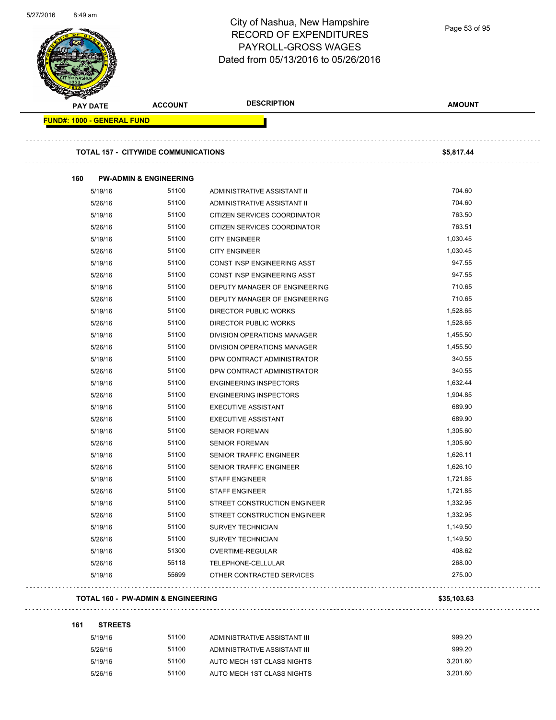|                                   |                                            | <b>RECORD OF EXPENDITURES</b><br>PAYROLL-GROSS WAGES<br>Dated from 05/13/2016 to 05/26/2016 | Page 53 of 95 |
|-----------------------------------|--------------------------------------------|---------------------------------------------------------------------------------------------|---------------|
| <b>PAY DATE</b>                   | <b>ACCOUNT</b>                             | <b>DESCRIPTION</b>                                                                          | <b>AMOUNT</b> |
| <b>FUND#: 1000 - GENERAL FUND</b> |                                            |                                                                                             |               |
|                                   | <b>TOTAL 157 - CITYWIDE COMMUNICATIONS</b> |                                                                                             | \$5,817.44    |
| 160                               | <b>PW-ADMIN &amp; ENGINEERING</b>          |                                                                                             |               |
| 5/19/16                           | 51100                                      | ADMINISTRATIVE ASSISTANT II                                                                 | 704.60        |
| 5/26/16                           | 51100                                      | ADMINISTRATIVE ASSISTANT II                                                                 | 704.60        |
| 5/19/16                           | 51100                                      | CITIZEN SERVICES COORDINATOR                                                                | 763.50        |
| 5/26/16                           | 51100                                      | CITIZEN SERVICES COORDINATOR                                                                | 763.51        |
| 5/19/16                           | 51100                                      | <b>CITY ENGINEER</b>                                                                        | 1,030.45      |
| 5/26/16                           | 51100                                      | <b>CITY ENGINEER</b>                                                                        | 1,030.45      |
| 5/19/16                           | 51100                                      | CONST INSP ENGINEERING ASST                                                                 | 947.55        |
| 5/26/16                           | 51100                                      | CONST INSP ENGINEERING ASST                                                                 | 947.55        |
| 5/19/16                           | 51100                                      | DEPUTY MANAGER OF ENGINEERING                                                               | 710.65        |
| 5/26/16                           | 51100                                      | DEPUTY MANAGER OF ENGINEERING                                                               | 710.65        |
| 5/19/16                           | 51100                                      | DIRECTOR PUBLIC WORKS                                                                       | 1,528.65      |
| 5/26/16                           | 51100                                      | <b>DIRECTOR PUBLIC WORKS</b>                                                                | 1,528.65      |
| 5/19/16                           | 51100                                      | DIVISION OPERATIONS MANAGER                                                                 | 1,455.50      |
| 5/26/16                           | 51100                                      | DIVISION OPERATIONS MANAGER                                                                 | 1,455.50      |
| 5/19/16                           | 51100                                      | DPW CONTRACT ADMINISTRATOR                                                                  | 340.55        |
| 5/26/16                           | 51100                                      | DPW CONTRACT ADMINISTRATOR                                                                  | 340.55        |
| 5/19/16                           | 51100                                      | <b>ENGINEERING INSPECTORS</b>                                                               | 1,632.44      |
| 5/26/16                           | 51100                                      | <b>ENGINEERING INSPECTORS</b>                                                               | 1,904.85      |
| 5/19/16                           | 51100                                      | <b>EXECUTIVE ASSISTANT</b>                                                                  | 689.90        |
| 5/26/16                           | 51100                                      | <b>EXECUTIVE ASSISTANT</b>                                                                  | 689.90        |
| 5/19/16                           | 51100                                      | <b>SENIOR FOREMAN</b>                                                                       | 1,305.60      |
| 5/26/16                           | 51100                                      | <b>SENIOR FOREMAN</b>                                                                       | 1,305.60      |
| 5/19/16                           | 51100                                      | SENIOR TRAFFIC ENGINEER                                                                     | 1,626.11      |
| 5/26/16                           | 51100                                      | SENIOR TRAFFIC ENGINEER                                                                     | 1,626.10      |
| 5/19/16                           | 51100                                      | <b>STAFF ENGINEER</b>                                                                       | 1,721.85      |
| 5/26/16                           | 51100                                      | STAFF ENGINEER                                                                              | 1,721.85      |
| 5/19/16                           | 51100                                      | STREET CONSTRUCTION ENGINEER                                                                | 1,332.95      |
| 5/26/16                           | 51100                                      | STREET CONSTRUCTION ENGINEER                                                                | 1,332.95      |
| 5/19/16                           | 51100                                      | <b>SURVEY TECHNICIAN</b>                                                                    | 1,149.50      |
| 5/26/16                           | 51100                                      | <b>SURVEY TECHNICIAN</b>                                                                    | 1,149.50      |
| 5/19/16                           | 51300                                      | OVERTIME-REGULAR                                                                            | 408.62        |
| 5/26/16                           | 55118                                      | TELEPHONE-CELLULAR                                                                          | 268.00        |
| 5/19/16                           | 55699                                      | OTHER CONTRACTED SERVICES                                                                   | 275.00        |

### **161 STREETS**

5/27/2016 8:49 am

| 5/19/16 | 51100 | ADMINISTRATIVE ASSISTANT III | 999.20   |
|---------|-------|------------------------------|----------|
| 5/26/16 | 51100 | ADMINISTRATIVE ASSISTANT III | 999.20   |
| 5/19/16 | 51100 | AUTO MECH 1ST CLASS NIGHTS   | 3.201.60 |
| 5/26/16 | 51100 | AUTO MECH 1ST CLASS NIGHTS   | 3.201.60 |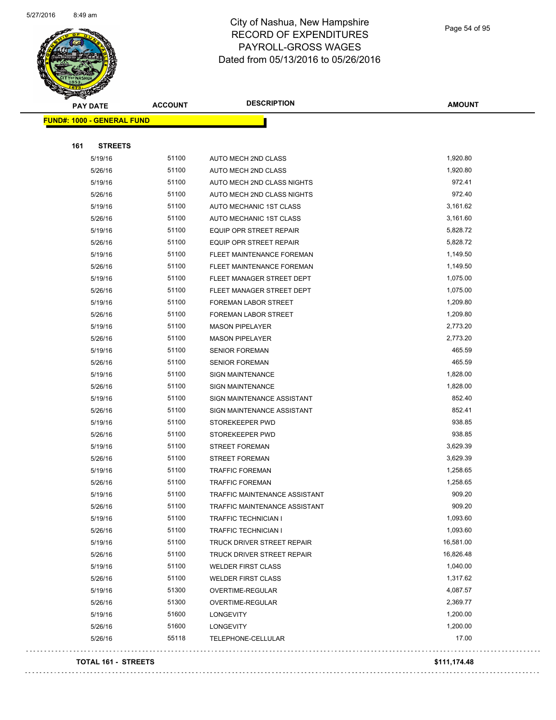

Page 54 of 95

| <b>PAY DATE</b>                   | <b>ACCOUNT</b> | <b>DESCRIPTION</b>             | <b>AMOUNT</b> |
|-----------------------------------|----------------|--------------------------------|---------------|
| <b>FUND#: 1000 - GENERAL FUND</b> |                |                                |               |
|                                   |                |                                |               |
| 161<br><b>STREETS</b>             |                |                                |               |
| 5/19/16                           | 51100          | AUTO MECH 2ND CLASS            | 1,920.80      |
| 5/26/16                           | 51100          | AUTO MECH 2ND CLASS            | 1,920.80      |
| 5/19/16                           | 51100          | AUTO MECH 2ND CLASS NIGHTS     | 972.41        |
| 5/26/16                           | 51100          | AUTO MECH 2ND CLASS NIGHTS     | 972.40        |
| 5/19/16                           | 51100          | AUTO MECHANIC 1ST CLASS        | 3,161.62      |
| 5/26/16                           | 51100          | AUTO MECHANIC 1ST CLASS        | 3,161.60      |
| 5/19/16                           | 51100          | <b>EQUIP OPR STREET REPAIR</b> | 5,828.72      |
| 5/26/16                           | 51100          | <b>EQUIP OPR STREET REPAIR</b> | 5,828.72      |
| 5/19/16                           | 51100          | FLEET MAINTENANCE FOREMAN      | 1,149.50      |
| 5/26/16                           | 51100          | FLEET MAINTENANCE FOREMAN      | 1,149.50      |
| 5/19/16                           | 51100          | FLEET MANAGER STREET DEPT      | 1,075.00      |
| 5/26/16                           | 51100          | FLEET MANAGER STREET DEPT      | 1,075.00      |
| 5/19/16                           | 51100          | FOREMAN LABOR STREET           | 1,209.80      |
| 5/26/16                           | 51100          | FOREMAN LABOR STREET           | 1,209.80      |
| 5/19/16                           | 51100          | <b>MASON PIPELAYER</b>         | 2,773.20      |
| 5/26/16                           | 51100          | <b>MASON PIPELAYER</b>         | 2,773.20      |
| 5/19/16                           | 51100          | <b>SENIOR FOREMAN</b>          | 465.59        |
| 5/26/16                           | 51100          | <b>SENIOR FOREMAN</b>          | 465.59        |
| 5/19/16                           | 51100          | <b>SIGN MAINTENANCE</b>        | 1,828.00      |
| 5/26/16                           | 51100          | <b>SIGN MAINTENANCE</b>        | 1,828.00      |
| 5/19/16                           | 51100          | SIGN MAINTENANCE ASSISTANT     | 852.40        |
| 5/26/16                           | 51100          | SIGN MAINTENANCE ASSISTANT     | 852.41        |
| 5/19/16                           | 51100          | STOREKEEPER PWD                | 938.85        |
| 5/26/16                           | 51100          | STOREKEEPER PWD                | 938.85        |
| 5/19/16                           | 51100          | <b>STREET FOREMAN</b>          | 3,629.39      |
| 5/26/16                           | 51100          | <b>STREET FOREMAN</b>          | 3,629.39      |
| 5/19/16                           | 51100          | <b>TRAFFIC FOREMAN</b>         | 1,258.65      |
| 5/26/16                           | 51100          | <b>TRAFFIC FOREMAN</b>         | 1,258.65      |
| 5/19/16                           | 51100          | TRAFFIC MAINTENANCE ASSISTANT  | 909.20        |
| 5/26/16                           | 51100          | TRAFFIC MAINTENANCE ASSISTANT  | 909.20        |
| 5/19/16                           | 51100          | TRAFFIC TECHNICIAN I           | 1,093.60      |
| 5/26/16                           | 51100          | TRAFFIC TECHNICIAN I           | 1,093.60      |
| 5/19/16                           | 51100          | TRUCK DRIVER STREET REPAIR     | 16,581.00     |
| 5/26/16                           | 51100          | TRUCK DRIVER STREET REPAIR     | 16,826.48     |
| 5/19/16                           | 51100          | <b>WELDER FIRST CLASS</b>      | 1,040.00      |
| 5/26/16                           | 51100          | <b>WELDER FIRST CLASS</b>      | 1,317.62      |
| 5/19/16                           | 51300          | OVERTIME-REGULAR               | 4,087.57      |
| 5/26/16                           | 51300          | OVERTIME-REGULAR               | 2,369.77      |
| 5/19/16                           | 51600          | LONGEVITY                      | 1,200.00      |
| 5/26/16                           | 51600          | LONGEVITY                      | 1,200.00      |
| 5/26/16                           | 55118          | TELEPHONE-CELLULAR             | 17.00         |
|                                   |                |                                |               |

#### **TOTAL 161 - STREETS \$111,174.48**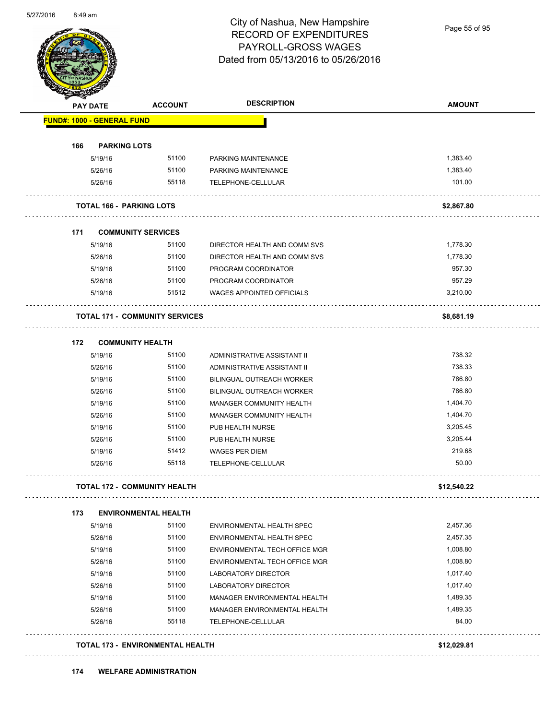

Page 55 of 95

| <b>SANGALL</b><br><b>PAY DATE</b>     | <b>ACCOUNT</b>                          | <b>DESCRIPTION</b>               | <b>AMOUNT</b> |
|---------------------------------------|-----------------------------------------|----------------------------------|---------------|
| <b>FUND#: 1000 - GENERAL FUND</b>     |                                         |                                  |               |
| <b>PARKING LOTS</b><br>166            |                                         |                                  |               |
| 5/19/16                               | 51100                                   | PARKING MAINTENANCE              | 1,383.40      |
| 5/26/16                               | 51100                                   | PARKING MAINTENANCE              | 1,383.40      |
| 5/26/16                               | 55118                                   | TELEPHONE-CELLULAR               | 101.00        |
| <b>TOTAL 166 - PARKING LOTS</b>       |                                         |                                  | \$2,867.80    |
| 171                                   | <b>COMMUNITY SERVICES</b>               |                                  |               |
| 5/19/16                               | 51100                                   | DIRECTOR HEALTH AND COMM SVS     | 1,778.30      |
| 5/26/16                               | 51100                                   | DIRECTOR HEALTH AND COMM SVS     | 1,778.30      |
| 5/19/16                               | 51100                                   | PROGRAM COORDINATOR              | 957.30        |
| 5/26/16                               | 51100                                   | PROGRAM COORDINATOR              | 957.29        |
| 5/19/16                               | 51512                                   | <b>WAGES APPOINTED OFFICIALS</b> | 3,210.00      |
| <b>TOTAL 171 - COMMUNITY SERVICES</b> |                                         |                                  | \$8,681.19    |
| 172<br><b>COMMUNITY HEALTH</b>        |                                         |                                  |               |
| 5/19/16                               | 51100                                   | ADMINISTRATIVE ASSISTANT II      | 738.32        |
| 5/26/16                               | 51100                                   | ADMINISTRATIVE ASSISTANT II      | 738.33        |
| 5/19/16                               | 51100                                   | BILINGUAL OUTREACH WORKER        | 786.80        |
| 5/26/16                               | 51100                                   | BILINGUAL OUTREACH WORKER        | 786.80        |
| 5/19/16                               | 51100                                   | MANAGER COMMUNITY HEALTH         | 1,404.70      |
| 5/26/16                               | 51100                                   | MANAGER COMMUNITY HEALTH         | 1,404.70      |
| 5/19/16                               | 51100                                   | PUB HEALTH NURSE                 | 3,205.45      |
| 5/26/16                               | 51100                                   | PUB HEALTH NURSE                 | 3,205.44      |
| 5/19/16                               | 51412                                   | WAGES PER DIEM                   | 219.68        |
| 5/26/16                               | 55118                                   | TELEPHONE-CELLULAR               | 50.00         |
| <b>TOTAL 172 - COMMUNITY HEALTH</b>   |                                         |                                  | \$12,540.22   |
| 173                                   | <b>ENVIRONMENTAL HEALTH</b>             |                                  |               |
| 5/19/16                               | 51100                                   | ENVIRONMENTAL HEALTH SPEC        | 2,457.36      |
| 5/26/16                               | 51100                                   | <b>ENVIRONMENTAL HEALTH SPEC</b> | 2,457.35      |
| 5/19/16                               | 51100                                   | ENVIRONMENTAL TECH OFFICE MGR    | 1,008.80      |
| 5/26/16                               | 51100                                   | ENVIRONMENTAL TECH OFFICE MGR    | 1,008.80      |
| 5/19/16                               | 51100                                   | <b>LABORATORY DIRECTOR</b>       | 1,017.40      |
| 5/26/16                               | 51100                                   | LABORATORY DIRECTOR              | 1,017.40      |
| 5/19/16                               | 51100                                   | MANAGER ENVIRONMENTAL HEALTH     | 1,489.35      |
| 5/26/16                               | 51100                                   | MANAGER ENVIRONMENTAL HEALTH     | 1,489.35      |
| 5/26/16                               | 55118                                   | TELEPHONE-CELLULAR               | 84.00         |
|                                       | <b>TOTAL 173 - ENVIRONMENTAL HEALTH</b> |                                  | \$12,029.81   |

**174 WELFARE ADMINISTRATION**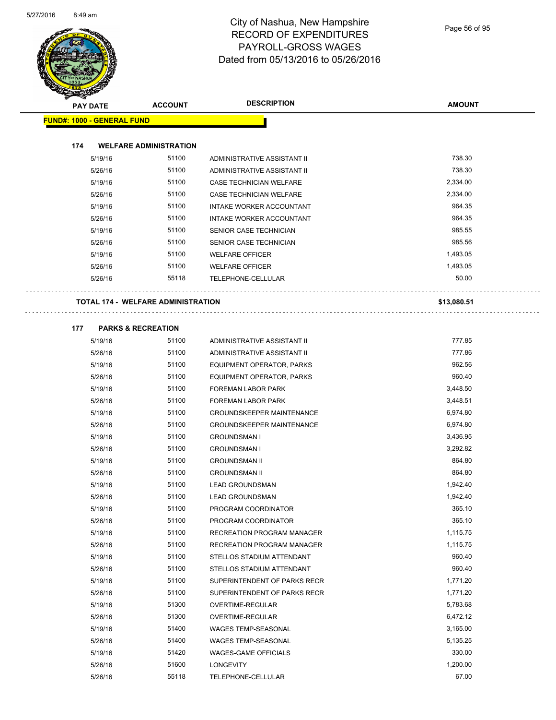

| <b>Andal</b>                      |                    |                                           |                                                                 |                    |
|-----------------------------------|--------------------|-------------------------------------------|-----------------------------------------------------------------|--------------------|
|                                   | <b>PAY DATE</b>    | <b>ACCOUNT</b>                            | <b>DESCRIPTION</b>                                              | <b>AMOUNT</b>      |
| <b>FUND#: 1000 - GENERAL FUND</b> |                    |                                           |                                                                 |                    |
|                                   |                    |                                           |                                                                 |                    |
| 174                               |                    | <b>WELFARE ADMINISTRATION</b>             |                                                                 |                    |
|                                   | 5/19/16            | 51100                                     | ADMINISTRATIVE ASSISTANT II                                     | 738.30             |
|                                   | 5/26/16            | 51100                                     | ADMINISTRATIVE ASSISTANT II                                     | 738.30             |
|                                   | 5/19/16            | 51100                                     | CASE TECHNICIAN WELFARE                                         | 2,334.00           |
|                                   | 5/26/16            | 51100                                     | <b>CASE TECHNICIAN WELFARE</b>                                  | 2,334.00           |
|                                   | 5/19/16            | 51100                                     | INTAKE WORKER ACCOUNTANT                                        | 964.35             |
|                                   | 5/26/16            | 51100                                     | INTAKE WORKER ACCOUNTANT                                        | 964.35             |
|                                   | 5/19/16            | 51100                                     | SENIOR CASE TECHNICIAN                                          | 985.55             |
|                                   | 5/26/16            | 51100                                     | SENIOR CASE TECHNICIAN                                          | 985.56             |
|                                   | 5/19/16            | 51100                                     | <b>WELFARE OFFICER</b>                                          | 1,493.05           |
|                                   | 5/26/16            | 51100                                     | <b>WELFARE OFFICER</b>                                          | 1,493.05           |
|                                   | 5/26/16            | 55118                                     | TELEPHONE-CELLULAR                                              | 50.00              |
|                                   |                    | <b>TOTAL 174 - WELFARE ADMINISTRATION</b> |                                                                 | \$13,080.51        |
|                                   |                    |                                           |                                                                 |                    |
| 177                               |                    | <b>PARKS &amp; RECREATION</b>             |                                                                 |                    |
|                                   | 5/19/16            | 51100                                     | ADMINISTRATIVE ASSISTANT II                                     | 777.85             |
|                                   | 5/26/16            | 51100                                     | ADMINISTRATIVE ASSISTANT II                                     | 777.86             |
|                                   | 5/19/16            | 51100                                     | EQUIPMENT OPERATOR, PARKS                                       | 962.56             |
|                                   | 5/26/16            | 51100                                     | EQUIPMENT OPERATOR, PARKS                                       | 960.40             |
|                                   | 5/19/16            | 51100                                     | FOREMAN LABOR PARK                                              | 3,448.50           |
|                                   | 5/26/16            | 51100                                     | FOREMAN LABOR PARK                                              | 3,448.51           |
|                                   | 5/19/16            | 51100                                     | <b>GROUNDSKEEPER MAINTENANCE</b>                                | 6,974.80           |
|                                   | 5/26/16            | 51100                                     | <b>GROUNDSKEEPER MAINTENANCE</b>                                | 6,974.80           |
|                                   | 5/19/16            | 51100                                     | <b>GROUNDSMAN I</b>                                             | 3,436.95           |
|                                   | 5/26/16            | 51100                                     | <b>GROUNDSMAN I</b>                                             | 3,292.82           |
|                                   | 5/19/16            | 51100                                     | <b>GROUNDSMAN II</b>                                            | 864.80             |
|                                   | 5/26/16            | 51100                                     | <b>GROUNDSMAN II</b>                                            | 864.80             |
|                                   | 5/19/16            | 51100                                     | <b>LEAD GROUNDSMAN</b>                                          | 1,942.40           |
|                                   | 5/26/16            | 51100<br>51100                            | <b>LEAD GROUNDSMAN</b>                                          | 1,942.40<br>365.10 |
|                                   | 5/19/16            | 51100                                     | PROGRAM COORDINATOR                                             | 365.10             |
|                                   | 5/26/16            | 51100                                     | PROGRAM COORDINATOR                                             | 1,115.75           |
|                                   | 5/19/16<br>5/26/16 | 51100                                     | RECREATION PROGRAM MANAGER<br><b>RECREATION PROGRAM MANAGER</b> | 1,115.75           |
|                                   |                    | 51100                                     |                                                                 | 960.40             |
|                                   | 5/19/16            | 51100                                     | STELLOS STADIUM ATTENDANT                                       | 960.40             |
|                                   | 5/26/16            | 51100                                     | STELLOS STADIUM ATTENDANT                                       | 1,771.20           |
|                                   | 5/19/16            | 51100                                     | SUPERINTENDENT OF PARKS RECR                                    | 1,771.20           |
|                                   | 5/26/16<br>5/19/16 | 51300                                     | SUPERINTENDENT OF PARKS RECR<br>OVERTIME-REGULAR                | 5,783.68           |
|                                   | 5/26/16            | 51300                                     | OVERTIME-REGULAR                                                | 6,472.12           |
|                                   | 5/19/16            | 51400                                     | <b>WAGES TEMP-SEASONAL</b>                                      | 3,165.00           |
|                                   |                    |                                           |                                                                 |                    |

5/26/16 51400 WAGES TEMP-SEASONAL 5,135.25 5/19/16 51420 WAGES-GAME OFFICIALS 330.00 5/26/16 51600 LONGEVITY 1,200.00 5/26/16 55118 TELEPHONE-CELLULAR 67.00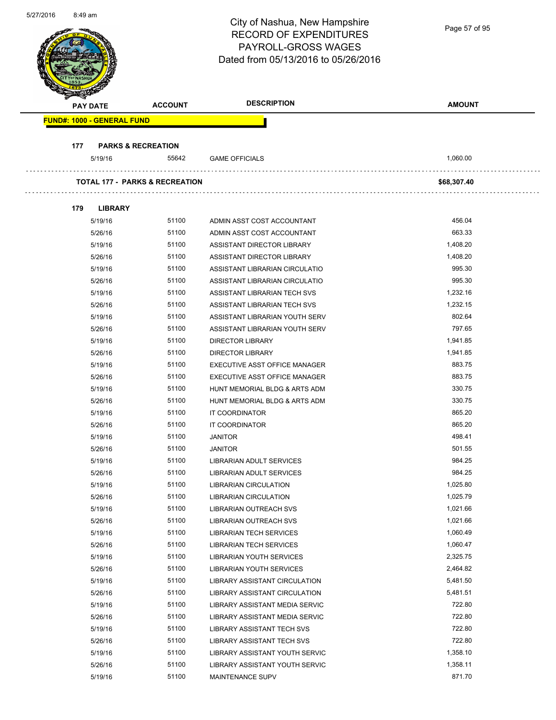| 5/27/2016<br>8:49 am |                                   |                                           | City of Nashua, New Hampshire<br><b>RECORD OF EXPENDITURES</b><br>PAYROLL-GROSS WAGES<br>Dated from 05/13/2016 to 05/26/2016 | Page 57 of 95    |
|----------------------|-----------------------------------|-------------------------------------------|------------------------------------------------------------------------------------------------------------------------------|------------------|
|                      | <b>PAY DATE</b>                   | <b>ACCOUNT</b>                            | <b>DESCRIPTION</b>                                                                                                           | <b>AMOUNT</b>    |
|                      | <b>FUND#: 1000 - GENERAL FUND</b> |                                           |                                                                                                                              |                  |
|                      |                                   |                                           |                                                                                                                              |                  |
| 177                  | <b>PARKS &amp; RECREATION</b>     |                                           |                                                                                                                              |                  |
|                      | 5/19/16                           | 55642                                     | <b>GAME OFFICIALS</b>                                                                                                        | 1,060.00         |
|                      |                                   | <b>TOTAL 177 - PARKS &amp; RECREATION</b> |                                                                                                                              | \$68,307.40      |
|                      |                                   |                                           |                                                                                                                              |                  |
| 179                  | <b>LIBRARY</b>                    |                                           |                                                                                                                              |                  |
|                      | 5/19/16                           | 51100                                     | ADMIN ASST COST ACCOUNTANT                                                                                                   | 456.04           |
|                      | 5/26/16                           | 51100                                     | ADMIN ASST COST ACCOUNTANT                                                                                                   | 663.33           |
|                      | 5/19/16                           | 51100                                     | ASSISTANT DIRECTOR LIBRARY                                                                                                   | 1,408.20         |
|                      | 5/26/16                           | 51100                                     | ASSISTANT DIRECTOR LIBRARY                                                                                                   | 1,408.20         |
|                      | 5/19/16                           | 51100                                     | ASSISTANT LIBRARIAN CIRCULATIO                                                                                               | 995.30           |
|                      | 5/26/16                           | 51100                                     | ASSISTANT LIBRARIAN CIRCULATIO                                                                                               | 995.30           |
|                      | 5/19/16                           | 51100                                     | ASSISTANT LIBRARIAN TECH SVS                                                                                                 | 1,232.16         |
|                      | 5/26/16                           | 51100                                     | ASSISTANT LIBRARIAN TECH SVS                                                                                                 | 1,232.15         |
|                      | 5/19/16                           | 51100                                     | ASSISTANT LIBRARIAN YOUTH SERV                                                                                               | 802.64           |
|                      | 5/26/16                           | 51100                                     | ASSISTANT LIBRARIAN YOUTH SERV                                                                                               | 797.65           |
|                      | 5/19/16                           | 51100                                     | <b>DIRECTOR LIBRARY</b>                                                                                                      | 1,941.85         |
|                      | 5/26/16                           | 51100                                     | <b>DIRECTOR LIBRARY</b>                                                                                                      | 1,941.85         |
|                      | 5/19/16                           | 51100                                     | EXECUTIVE ASST OFFICE MANAGER                                                                                                | 883.75           |
|                      | 5/26/16                           | 51100                                     | EXECUTIVE ASST OFFICE MANAGER                                                                                                | 883.75           |
|                      | 5/19/16                           | 51100                                     | HUNT MEMORIAL BLDG & ARTS ADM                                                                                                | 330.75           |
|                      | 5/26/16                           | 51100                                     | HUNT MEMORIAL BLDG & ARTS ADM                                                                                                | 330.75           |
|                      | 5/19/16                           | 51100                                     | <b>IT COORDINATOR</b>                                                                                                        | 865.20           |
|                      | 5/26/16                           | 51100<br>51100                            | IT COORDINATOR                                                                                                               | 865.20<br>498.41 |
|                      | 5/19/16                           | 51100                                     | <b>JANITOR</b>                                                                                                               | 501.55           |
|                      | 5/26/16                           | 51100                                     | <b>JANITOR</b>                                                                                                               | 984.25           |
|                      | 5/19/16<br>5/26/16                | 51100                                     | LIBRARIAN ADULT SERVICES<br>LIBRARIAN ADULT SERVICES                                                                         | 984.25           |
|                      | 5/19/16                           | 51100                                     | <b>LIBRARIAN CIRCULATION</b>                                                                                                 | 1,025.80         |
|                      | 5/26/16                           | 51100                                     | <b>LIBRARIAN CIRCULATION</b>                                                                                                 | 1,025.79         |
|                      | 5/19/16                           | 51100                                     | LIBRARIAN OUTREACH SVS                                                                                                       | 1,021.66         |
|                      | 5/26/16                           | 51100                                     | LIBRARIAN OUTREACH SVS                                                                                                       | 1,021.66         |
|                      | 5/19/16                           | 51100                                     | <b>LIBRARIAN TECH SERVICES</b>                                                                                               | 1,060.49         |
|                      | 5/26/16                           | 51100                                     | LIBRARIAN TECH SERVICES                                                                                                      | 1,060.47         |
|                      | 5/19/16                           | 51100                                     | LIBRARIAN YOUTH SERVICES                                                                                                     | 2,325.75         |
|                      | 5/26/16                           | 51100                                     | LIBRARIAN YOUTH SERVICES                                                                                                     | 2,464.82         |
|                      | 5/19/16                           | 51100                                     | LIBRARY ASSISTANT CIRCULATION                                                                                                | 5,481.50         |
|                      | 5/26/16                           | 51100                                     | LIBRARY ASSISTANT CIRCULATION                                                                                                | 5,481.51         |
|                      | 5/19/16                           | 51100                                     | LIBRARY ASSISTANT MEDIA SERVIC                                                                                               | 722.80           |
|                      | 5/26/16                           | 51100                                     | LIBRARY ASSISTANT MEDIA SERVIC                                                                                               | 722.80           |
|                      | 5/19/16                           | 51100                                     | LIBRARY ASSISTANT TECH SVS                                                                                                   | 722.80           |
|                      | 5/26/16                           | 51100                                     | <b>LIBRARY ASSISTANT TECH SVS</b>                                                                                            | 722.80           |
|                      | 5/19/16                           | 51100                                     | LIBRARY ASSISTANT YOUTH SERVIC                                                                                               | 1,358.10         |
|                      | 5/26/16                           | 51100                                     | LIBRARY ASSISTANT YOUTH SERVIC                                                                                               | 1,358.11         |
|                      | 5/19/16                           | 51100                                     | MAINTENANCE SUPV                                                                                                             | 871.70           |

5/27/2016 8:49 am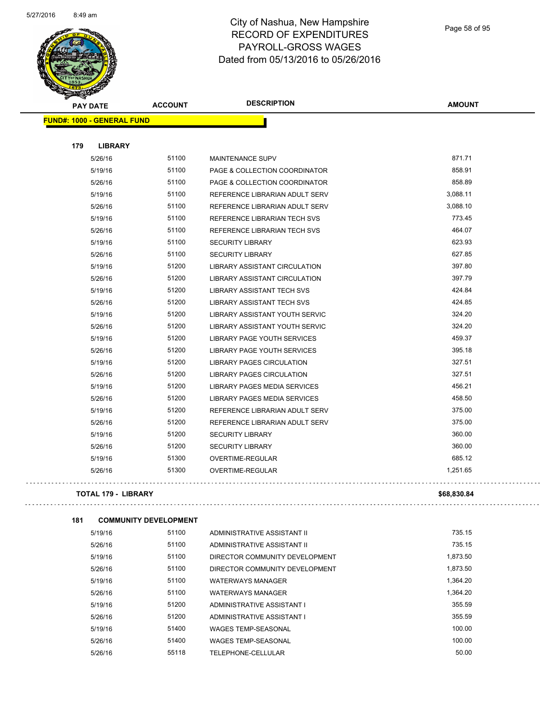

Page 58 of 95

Lis.

| <b>PAY DATE</b>                   | <b>ACCOUNT</b> | <b>DESCRIPTION</b>                   | <b>AMOUNT</b> |
|-----------------------------------|----------------|--------------------------------------|---------------|
| <b>FUND#: 1000 - GENERAL FUND</b> |                |                                      |               |
| 179<br><b>LIBRARY</b>             |                |                                      |               |
| 5/26/16                           | 51100          | MAINTENANCE SUPV                     | 871.71        |
| 5/19/16                           | 51100          | PAGE & COLLECTION COORDINATOR        | 858.91        |
| 5/26/16                           | 51100          | PAGE & COLLECTION COORDINATOR        | 858.89        |
| 5/19/16                           | 51100          | REFERENCE LIBRARIAN ADULT SERV       | 3,088.11      |
| 5/26/16                           | 51100          | REFERENCE LIBRARIAN ADULT SERV       | 3,088.10      |
| 5/19/16                           | 51100          | REFERENCE LIBRARIAN TECH SVS         | 773.45        |
| 5/26/16                           | 51100          | REFERENCE LIBRARIAN TECH SVS         | 464.07        |
| 5/19/16                           | 51100          | <b>SECURITY LIBRARY</b>              | 623.93        |
| 5/26/16                           | 51100          | <b>SECURITY LIBRARY</b>              | 627.85        |
| 5/19/16                           | 51200          | <b>LIBRARY ASSISTANT CIRCULATION</b> | 397.80        |
| 5/26/16                           | 51200          | <b>LIBRARY ASSISTANT CIRCULATION</b> | 397.79        |
| 5/19/16                           | 51200          | <b>LIBRARY ASSISTANT TECH SVS</b>    | 424.84        |
| 5/26/16                           | 51200          | <b>LIBRARY ASSISTANT TECH SVS</b>    | 424.85        |
| 5/19/16                           | 51200          | LIBRARY ASSISTANT YOUTH SERVIC       | 324.20        |
| 5/26/16                           | 51200          | LIBRARY ASSISTANT YOUTH SERVIC       | 324.20        |
| 5/19/16                           | 51200          | LIBRARY PAGE YOUTH SERVICES          | 459.37        |
| 5/26/16                           | 51200          | LIBRARY PAGE YOUTH SERVICES          | 395.18        |
| 5/19/16                           | 51200          | <b>LIBRARY PAGES CIRCULATION</b>     | 327.51        |
| 5/26/16                           | 51200          | <b>LIBRARY PAGES CIRCULATION</b>     | 327.51        |
| 5/19/16                           | 51200          | LIBRARY PAGES MEDIA SERVICES         | 456.21        |
| 5/26/16                           | 51200          | LIBRARY PAGES MEDIA SERVICES         | 458.50        |
| 5/19/16                           | 51200          | REFERENCE LIBRARIAN ADULT SERV       | 375.00        |
| 5/26/16                           | 51200          | REFERENCE LIBRARIAN ADULT SERV       | 375.00        |
| 5/19/16                           | 51200          | <b>SECURITY LIBRARY</b>              | 360.00        |
| 5/26/16                           | 51200          | <b>SECURITY LIBRARY</b>              | 360.00        |
| 5/19/16                           | 51300          | OVERTIME-REGULAR                     | 685.12        |
| 5/26/16                           | 51300          | OVERTIME-REGULAR                     | 1,251.65      |
| <b>TOTAL 179 - LIBRARY</b>        |                |                                      | \$68,830.84   |

| 181 | <b>COMMUNITY DEVELOPMENT</b> |       |                                |          |
|-----|------------------------------|-------|--------------------------------|----------|
|     | 5/19/16                      | 51100 | ADMINISTRATIVE ASSISTANT II    | 735.15   |
|     | 5/26/16                      | 51100 | ADMINISTRATIVE ASSISTANT II    | 735.15   |
|     | 5/19/16                      | 51100 | DIRECTOR COMMUNITY DEVELOPMENT | 1,873.50 |
|     | 5/26/16                      | 51100 | DIRECTOR COMMUNITY DEVELOPMENT | 1,873.50 |
|     | 5/19/16                      | 51100 | <b>WATERWAYS MANAGER</b>       | 1.364.20 |
|     | 5/26/16                      | 51100 | <b>WATERWAYS MANAGER</b>       | 1.364.20 |
|     | 5/19/16                      | 51200 | ADMINISTRATIVE ASSISTANT I     | 355.59   |
|     | 5/26/16                      | 51200 | ADMINISTRATIVE ASSISTANT I     | 355.59   |
|     | 5/19/16                      | 51400 | <b>WAGES TEMP-SEASONAL</b>     | 100.00   |
|     | 5/26/16                      | 51400 | <b>WAGES TEMP-SEASONAL</b>     | 100.00   |
|     | 5/26/16                      | 55118 | TELEPHONE-CELLULAR             | 50.00    |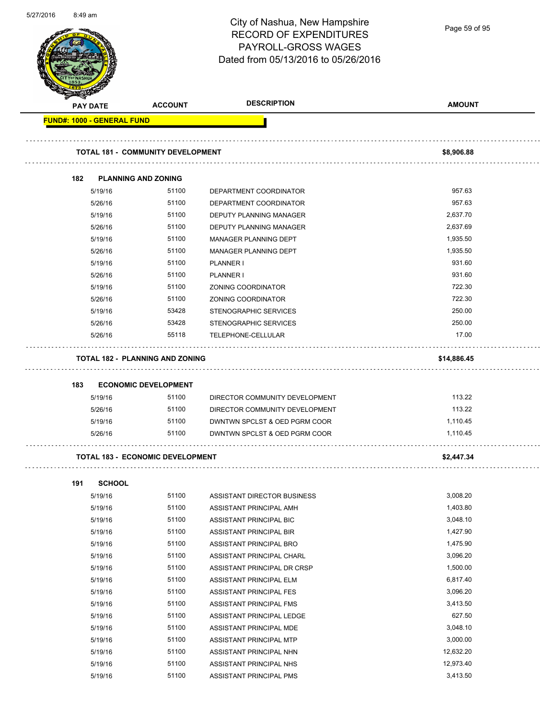| 5/27/2010 | 8:49 am                           |                                          | City of Nashua, New Hampshire<br><b>RECORD OF EXPENDITURES</b><br>PAYROLL-GROSS WAGES<br>Dated from 05/13/2016 to 05/26/2016 | Page 59 of 95 |
|-----------|-----------------------------------|------------------------------------------|------------------------------------------------------------------------------------------------------------------------------|---------------|
|           | <b>PAY DATE</b>                   | <b>ACCOUNT</b>                           | <b>DESCRIPTION</b>                                                                                                           | <b>AMOUNT</b> |
|           | <b>FUND#: 1000 - GENERAL FUND</b> |                                          |                                                                                                                              |               |
|           |                                   |                                          |                                                                                                                              |               |
|           |                                   | <b>TOTAL 181 - COMMUNITY DEVELOPMENT</b> |                                                                                                                              | \$8,906.88    |
|           | 182                               | <b>PLANNING AND ZONING</b>               |                                                                                                                              |               |
|           | 5/19/16                           | 51100                                    | DEPARTMENT COORDINATOR                                                                                                       | 957.63        |
|           | 5/26/16                           | 51100                                    | DEPARTMENT COORDINATOR                                                                                                       | 957.63        |
|           | 5/19/16                           | 51100                                    | DEPUTY PLANNING MANAGER                                                                                                      | 2,637.70      |
|           | 5/26/16                           | 51100                                    | DEPUTY PLANNING MANAGER                                                                                                      | 2,637.69      |
|           | 5/19/16                           | 51100                                    | MANAGER PLANNING DEPT                                                                                                        | 1,935.50      |
|           | 5/26/16                           | 51100                                    | MANAGER PLANNING DEPT                                                                                                        | 1,935.50      |
|           | 5/19/16                           | 51100                                    | PLANNER I                                                                                                                    | 931.60        |
|           | 5/26/16                           | 51100                                    | PLANNER I                                                                                                                    | 931.60        |
|           | 5/19/16                           | 51100                                    | ZONING COORDINATOR                                                                                                           | 722.30        |
|           | 5/26/16                           | 51100                                    | ZONING COORDINATOR                                                                                                           | 722.30        |
|           | 5/19/16                           | 53428                                    | STENOGRAPHIC SERVICES                                                                                                        | 250.00        |
|           | 5/26/16                           | 53428                                    | <b>STENOGRAPHIC SERVICES</b>                                                                                                 | 250.00        |
|           | 5/26/16                           | 55118                                    | TELEPHONE-CELLULAR                                                                                                           | 17.00         |
|           |                                   | <b>TOTAL 182 - PLANNING AND ZONING</b>   |                                                                                                                              | \$14,886.45   |
|           |                                   |                                          |                                                                                                                              |               |
|           | 183                               | <b>ECONOMIC DEVELOPMENT</b>              |                                                                                                                              |               |
|           | 5/19/16                           | 51100                                    | DIRECTOR COMMUNITY DEVELOPMENT                                                                                               | 113.22        |
|           | 5/26/16                           | 51100                                    | DIRECTOR COMMUNITY DEVELOPMENT                                                                                               | 113.22        |
|           | 5/19/16                           | 51100                                    | DWNTWN SPCLST & OED PGRM COOR                                                                                                | 1,110.45      |
|           | 5/26/16                           | 51100                                    | DWNTWN SPCLST & OED PGRM COOR                                                                                                | 1,110.45      |
|           |                                   | <b>TOTAL 183 - ECONOMIC DEVELOPMENT</b>  |                                                                                                                              | \$2,447.34    |
|           | <b>SCHOOL</b><br>191              |                                          |                                                                                                                              |               |
|           | 5/19/16                           | 51100                                    | ASSISTANT DIRECTOR BUSINESS                                                                                                  | 3,008.20      |
|           | 5/19/16                           | 51100                                    | ASSISTANT PRINCIPAL AMH                                                                                                      | 1,403.80      |
|           | 5/19/16                           | 51100                                    | ASSISTANT PRINCIPAL BIC                                                                                                      | 3,048.10      |
|           | 5/19/16                           | 51100                                    | ASSISTANT PRINCIPAL BIR                                                                                                      | 1,427.90      |
|           | 5/19/16                           | 51100                                    | ASSISTANT PRINCIPAL BRO                                                                                                      | 1,475.90      |
|           | 5/19/16                           | 51100                                    | ASSISTANT PRINCIPAL CHARL                                                                                                    | 3,096.20      |
|           | 5/19/16                           | 51100                                    | ASSISTANT PRINCIPAL DR CRSP                                                                                                  | 1,500.00      |
|           | 5/19/16                           | 51100                                    | ASSISTANT PRINCIPAL ELM                                                                                                      | 6,817.40      |
|           |                                   | 51100                                    |                                                                                                                              | 3,096.20      |
|           | 5/19/16                           |                                          | ASSISTANT PRINCIPAL FES                                                                                                      |               |
|           | 5/19/16                           | 51100                                    | ASSISTANT PRINCIPAL FMS                                                                                                      | 3,413.50      |
|           | 5/19/16                           | 51100                                    | ASSISTANT PRINCIPAL LEDGE                                                                                                    | 627.50        |
|           | 5/19/16                           | 51100                                    | ASSISTANT PRINCIPAL MDE                                                                                                      | 3,048.10      |
|           | 5/19/16                           | 51100                                    | ASSISTANT PRINCIPAL MTP                                                                                                      | 3,000.00      |
|           | 5/19/16                           | 51100                                    | ASSISTANT PRINCIPAL NHN                                                                                                      | 12,632.20     |
|           | 5/19/16                           | 51100                                    | ASSISTANT PRINCIPAL NHS                                                                                                      | 12,973.40     |
|           | 5/19/16                           | 51100                                    | ASSISTANT PRINCIPAL PMS                                                                                                      | 3,413.50      |

5/27/2016 8:49 am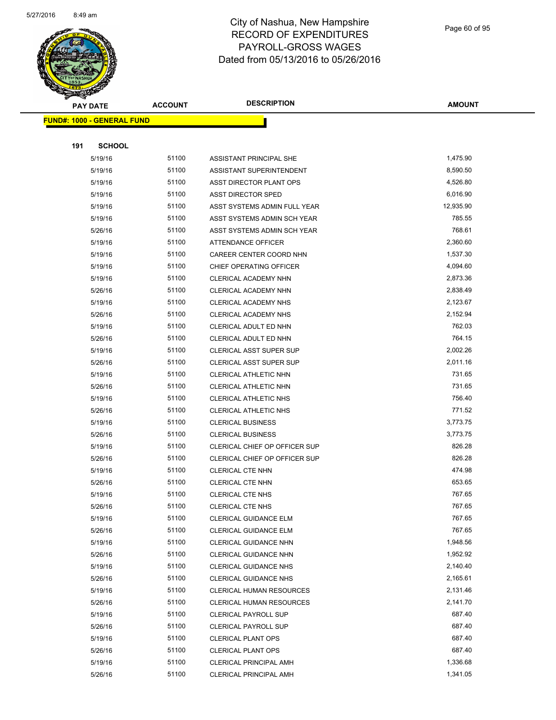

Page 60 of 95

| <b>PAY DATE</b>                   | <b>ACCOUNT</b> | <b>DESCRIPTION</b>              | <b>AMOUNT</b> |
|-----------------------------------|----------------|---------------------------------|---------------|
| <b>FUND#: 1000 - GENERAL FUND</b> |                |                                 |               |
|                                   |                |                                 |               |
| 191<br><b>SCHOOL</b>              |                |                                 |               |
| 5/19/16                           | 51100          | ASSISTANT PRINCIPAL SHE         | 1,475.90      |
| 5/19/16                           | 51100          | ASSISTANT SUPERINTENDENT        | 8,590.50      |
| 5/19/16                           | 51100          | ASST DIRECTOR PLANT OPS         | 4,526.80      |
| 5/19/16                           | 51100          | <b>ASST DIRECTOR SPED</b>       | 6,016.90      |
| 5/19/16                           | 51100          | ASST SYSTEMS ADMIN FULL YEAR    | 12,935.90     |
| 5/19/16                           | 51100          | ASST SYSTEMS ADMIN SCH YEAR     | 785.55        |
| 5/26/16                           | 51100          | ASST SYSTEMS ADMIN SCH YEAR     | 768.61        |
| 5/19/16                           | 51100          | ATTENDANCE OFFICER              | 2,360.60      |
| 5/19/16                           | 51100          | CAREER CENTER COORD NHN         | 1,537.30      |
| 5/19/16                           | 51100          | <b>CHIEF OPERATING OFFICER</b>  | 4,094.60      |
| 5/19/16                           | 51100          | CLERICAL ACADEMY NHN            | 2,873.36      |
| 5/26/16                           | 51100          | CLERICAL ACADEMY NHN            | 2,838.49      |
| 5/19/16                           | 51100          | CLERICAL ACADEMY NHS            | 2,123.67      |
| 5/26/16                           | 51100          | CLERICAL ACADEMY NHS            | 2,152.94      |
| 5/19/16                           | 51100          | CLERICAL ADULT ED NHN           | 762.03        |
| 5/26/16                           | 51100          | CLERICAL ADULT ED NHN           | 764.15        |
| 5/19/16                           | 51100          | <b>CLERICAL ASST SUPER SUP</b>  | 2,002.26      |
| 5/26/16                           | 51100          | <b>CLERICAL ASST SUPER SUP</b>  | 2,011.16      |
| 5/19/16                           | 51100          | CLERICAL ATHLETIC NHN           | 731.65        |
| 5/26/16                           | 51100          | CLERICAL ATHLETIC NHN           | 731.65        |
| 5/19/16                           | 51100          | CLERICAL ATHLETIC NHS           | 756.40        |
| 5/26/16                           | 51100          | CLERICAL ATHLETIC NHS           | 771.52        |
| 5/19/16                           | 51100          | <b>CLERICAL BUSINESS</b>        | 3,773.75      |
| 5/26/16                           | 51100          | <b>CLERICAL BUSINESS</b>        | 3,773.75      |
| 5/19/16                           | 51100          | CLERICAL CHIEF OP OFFICER SUP   | 826.28        |
| 5/26/16                           | 51100          | CLERICAL CHIEF OP OFFICER SUP   | 826.28        |
| 5/19/16                           | 51100          | <b>CLERICAL CTE NHN</b>         | 474.98        |
| 5/26/16                           | 51100          | <b>CLERICAL CTE NHN</b>         | 653.65        |
| 5/19/16                           | 51100          | <b>CLERICAL CTE NHS</b>         | 767.65        |
| 5/26/16                           | 51100          | CLERICAL CTE NHS                | 767.65        |
| 5/19/16                           | 51100          | CLERICAL GUIDANCE ELM           | 767.65        |
| 5/26/16                           | 51100          | <b>CLERICAL GUIDANCE ELM</b>    | 767.65        |
| 5/19/16                           | 51100          | CLERICAL GUIDANCE NHN           | 1,948.56      |
| 5/26/16                           | 51100          | CLERICAL GUIDANCE NHN           | 1,952.92      |
| 5/19/16                           | 51100          | CLERICAL GUIDANCE NHS           | 2,140.40      |
| 5/26/16                           | 51100          | CLERICAL GUIDANCE NHS           | 2,165.61      |
| 5/19/16                           | 51100          | <b>CLERICAL HUMAN RESOURCES</b> | 2,131.46      |
| 5/26/16                           | 51100          | CLERICAL HUMAN RESOURCES        | 2,141.70      |
| 5/19/16                           | 51100          | CLERICAL PAYROLL SUP            | 687.40        |
| 5/26/16                           | 51100          | <b>CLERICAL PAYROLL SUP</b>     | 687.40        |
| 5/19/16                           | 51100          | <b>CLERICAL PLANT OPS</b>       | 687.40        |
| 5/26/16                           | 51100          | <b>CLERICAL PLANT OPS</b>       | 687.40        |
| 5/19/16                           | 51100          | <b>CLERICAL PRINCIPAL AMH</b>   | 1,336.68      |
| 5/26/16                           | 51100          | CLERICAL PRINCIPAL AMH          | 1,341.05      |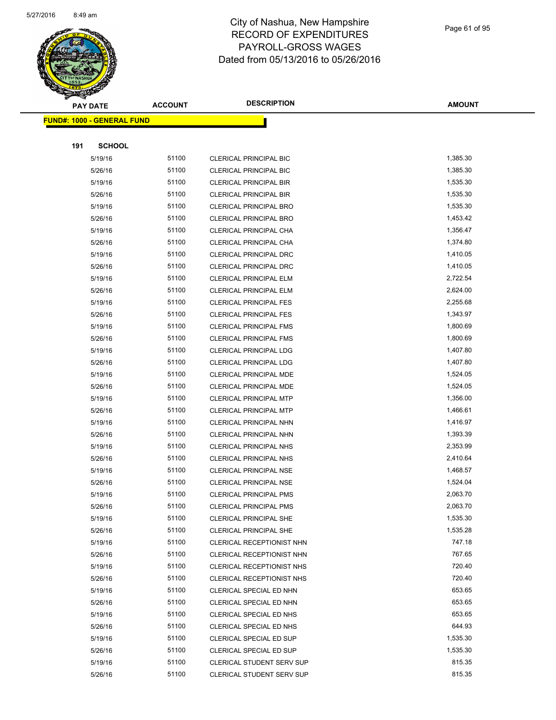

Page 61 of 95

| $\tilde{\phantom{a}}$<br><b>PAY DATE</b> | <b>ACCOUNT</b> | <b>DESCRIPTION</b>               | AMOUNT   |
|------------------------------------------|----------------|----------------------------------|----------|
| <u> FUND#: 1000 - GENERAL FUND</u>       |                |                                  |          |
|                                          |                |                                  |          |
| 191<br><b>SCHOOL</b>                     |                |                                  |          |
| 5/19/16                                  | 51100          | <b>CLERICAL PRINCIPAL BIC</b>    | 1,385.30 |
| 5/26/16                                  | 51100          | CLERICAL PRINCIPAL BIC           | 1,385.30 |
| 5/19/16                                  | 51100          | <b>CLERICAL PRINCIPAL BIR</b>    | 1,535.30 |
| 5/26/16                                  | 51100          | <b>CLERICAL PRINCIPAL BIR</b>    | 1,535.30 |
| 5/19/16                                  | 51100          | <b>CLERICAL PRINCIPAL BRO</b>    | 1,535.30 |
| 5/26/16                                  | 51100          | <b>CLERICAL PRINCIPAL BRO</b>    | 1,453.42 |
| 5/19/16                                  | 51100          | CLERICAL PRINCIPAL CHA           | 1,356.47 |
| 5/26/16                                  | 51100          | CLERICAL PRINCIPAL CHA           | 1,374.80 |
| 5/19/16                                  | 51100          | <b>CLERICAL PRINCIPAL DRC</b>    | 1,410.05 |
| 5/26/16                                  | 51100          | <b>CLERICAL PRINCIPAL DRC</b>    | 1,410.05 |
| 5/19/16                                  | 51100          | CLERICAL PRINCIPAL ELM           | 2,722.54 |
| 5/26/16                                  | 51100          | CLERICAL PRINCIPAL ELM           | 2,624.00 |
| 5/19/16                                  | 51100          | <b>CLERICAL PRINCIPAL FES</b>    | 2,255.68 |
| 5/26/16                                  | 51100          | <b>CLERICAL PRINCIPAL FES</b>    | 1,343.97 |
| 5/19/16                                  | 51100          | <b>CLERICAL PRINCIPAL FMS</b>    | 1,800.69 |
| 5/26/16                                  | 51100          | <b>CLERICAL PRINCIPAL FMS</b>    | 1,800.69 |
| 5/19/16                                  | 51100          | CLERICAL PRINCIPAL LDG           | 1,407.80 |
| 5/26/16                                  | 51100          | <b>CLERICAL PRINCIPAL LDG</b>    | 1,407.80 |
| 5/19/16                                  | 51100          | CLERICAL PRINCIPAL MDE           | 1,524.05 |
| 5/26/16                                  | 51100          | CLERICAL PRINCIPAL MDE           | 1,524.05 |
| 5/19/16                                  | 51100          | <b>CLERICAL PRINCIPAL MTP</b>    | 1,356.00 |
| 5/26/16                                  | 51100          | <b>CLERICAL PRINCIPAL MTP</b>    | 1,466.61 |
| 5/19/16                                  | 51100          | CLERICAL PRINCIPAL NHN           | 1,416.97 |
| 5/26/16                                  | 51100          | CLERICAL PRINCIPAL NHN           | 1,393.39 |
| 5/19/16                                  | 51100          | CLERICAL PRINCIPAL NHS           | 2,353.99 |
| 5/26/16                                  | 51100          | <b>CLERICAL PRINCIPAL NHS</b>    | 2,410.64 |
| 5/19/16                                  | 51100          | CLERICAL PRINCIPAL NSE           | 1,468.57 |
| 5/26/16                                  | 51100          | <b>CLERICAL PRINCIPAL NSE</b>    | 1,524.04 |
| 5/19/16                                  | 51100          | <b>CLERICAL PRINCIPAL PMS</b>    | 2,063.70 |
| 5/26/16                                  | 51100          | <b>CLERICAL PRINCIPAL PMS</b>    | 2,063.70 |
| 5/19/16                                  | 51100          | <b>CLERICAL PRINCIPAL SHE</b>    | 1,535.30 |
| 5/26/16                                  | 51100          | <b>CLERICAL PRINCIPAL SHE</b>    | 1,535.28 |
| 5/19/16                                  | 51100          | CLERICAL RECEPTIONIST NHN        | 747.18   |
| 5/26/16                                  | 51100          | CLERICAL RECEPTIONIST NHN        | 767.65   |
| 5/19/16                                  | 51100          | CLERICAL RECEPTIONIST NHS        | 720.40   |
| 5/26/16                                  | 51100          | CLERICAL RECEPTIONIST NHS        | 720.40   |
| 5/19/16                                  | 51100          | CLERICAL SPECIAL ED NHN          | 653.65   |
| 5/26/16                                  | 51100          | CLERICAL SPECIAL ED NHN          | 653.65   |
| 5/19/16                                  | 51100          | CLERICAL SPECIAL ED NHS          | 653.65   |
| 5/26/16                                  | 51100          | CLERICAL SPECIAL ED NHS          | 644.93   |
| 5/19/16                                  | 51100          | CLERICAL SPECIAL ED SUP          | 1,535.30 |
| 5/26/16                                  | 51100          | CLERICAL SPECIAL ED SUP          | 1,535.30 |
| 5/19/16                                  | 51100          | <b>CLERICAL STUDENT SERV SUP</b> | 815.35   |
| 5/26/16                                  | 51100          | <b>CLERICAL STUDENT SERV SUP</b> | 815.35   |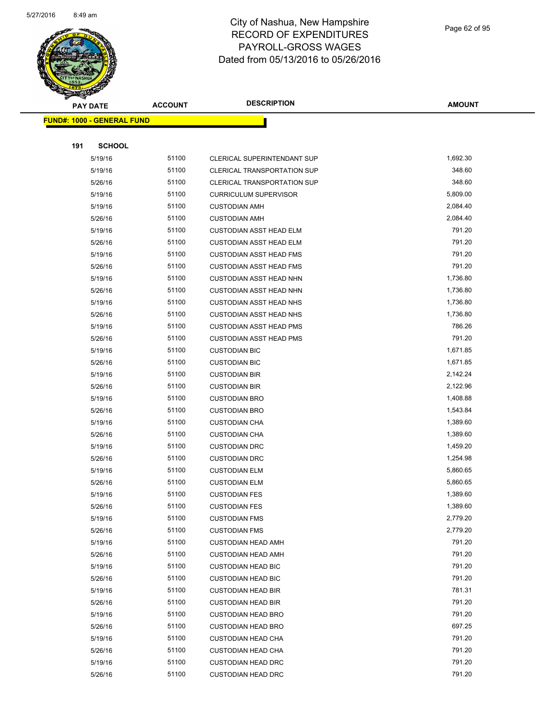

|     | <b>PAY DATE</b>                   | <b>ACCOUNT</b> | <b>DESCRIPTION</b>                                     | <b>AMOUNT</b>    |
|-----|-----------------------------------|----------------|--------------------------------------------------------|------------------|
|     | <b>FUND#: 1000 - GENERAL FUND</b> |                |                                                        |                  |
|     |                                   |                |                                                        |                  |
| 191 | <b>SCHOOL</b>                     |                |                                                        |                  |
|     | 5/19/16                           | 51100          | <b>CLERICAL SUPERINTENDANT SUP</b>                     | 1,692.30         |
|     | 5/19/16                           | 51100          | <b>CLERICAL TRANSPORTATION SUP</b>                     | 348.60           |
|     | 5/26/16                           | 51100          | <b>CLERICAL TRANSPORTATION SUP</b>                     | 348.60           |
|     | 5/19/16                           | 51100          | <b>CURRICULUM SUPERVISOR</b>                           | 5,809.00         |
|     | 5/19/16                           | 51100          | <b>CUSTODIAN AMH</b>                                   | 2,084.40         |
|     | 5/26/16                           | 51100          | <b>CUSTODIAN AMH</b>                                   | 2,084.40         |
|     | 5/19/16                           | 51100          | <b>CUSTODIAN ASST HEAD ELM</b>                         | 791.20           |
|     | 5/26/16                           | 51100          | <b>CUSTODIAN ASST HEAD ELM</b>                         | 791.20           |
|     | 5/19/16                           | 51100          | <b>CUSTODIAN ASST HEAD FMS</b>                         | 791.20           |
|     | 5/26/16                           | 51100          | <b>CUSTODIAN ASST HEAD FMS</b>                         | 791.20           |
|     | 5/19/16                           | 51100          | CUSTODIAN ASST HEAD NHN                                | 1,736.80         |
|     | 5/26/16                           | 51100          | <b>CUSTODIAN ASST HEAD NHN</b>                         | 1,736.80         |
|     | 5/19/16                           | 51100          | <b>CUSTODIAN ASST HEAD NHS</b>                         | 1,736.80         |
|     | 5/26/16                           | 51100          | <b>CUSTODIAN ASST HEAD NHS</b>                         | 1,736.80         |
|     | 5/19/16                           | 51100          | <b>CUSTODIAN ASST HEAD PMS</b>                         | 786.26           |
|     | 5/26/16                           | 51100          | <b>CUSTODIAN ASST HEAD PMS</b>                         | 791.20           |
|     | 5/19/16                           | 51100          | <b>CUSTODIAN BIC</b>                                   | 1,671.85         |
|     | 5/26/16                           | 51100          | <b>CUSTODIAN BIC</b>                                   | 1,671.85         |
|     | 5/19/16                           | 51100          | <b>CUSTODIAN BIR</b>                                   | 2,142.24         |
|     | 5/26/16                           | 51100          | <b>CUSTODIAN BIR</b>                                   | 2,122.96         |
|     | 5/19/16                           | 51100          | <b>CUSTODIAN BRO</b>                                   | 1,408.88         |
|     | 5/26/16                           | 51100          | <b>CUSTODIAN BRO</b>                                   | 1,543.84         |
|     | 5/19/16                           | 51100          | <b>CUSTODIAN CHA</b>                                   | 1,389.60         |
|     | 5/26/16                           | 51100          | <b>CUSTODIAN CHA</b>                                   | 1,389.60         |
|     | 5/19/16                           | 51100          | <b>CUSTODIAN DRC</b>                                   | 1,459.20         |
|     | 5/26/16                           | 51100          | <b>CUSTODIAN DRC</b>                                   | 1,254.98         |
|     | 5/19/16                           | 51100          | <b>CUSTODIAN ELM</b>                                   | 5,860.65         |
|     | 5/26/16                           | 51100          | <b>CUSTODIAN ELM</b>                                   | 5,860.65         |
|     | 5/19/16                           | 51100          | <b>CUSTODIAN FES</b>                                   | 1,389.60         |
|     | 5/26/16                           | 51100          | <b>CUSTODIAN FES</b>                                   | 1,389.60         |
|     | 5/19/16                           | 51100          | <b>CUSTODIAN FMS</b>                                   | 2,779.20         |
|     | 5/26/16                           | 51100          | <b>CUSTODIAN FMS</b>                                   | 2,779.20         |
|     | 5/19/16                           | 51100          | <b>CUSTODIAN HEAD AMH</b>                              | 791.20           |
|     | 5/26/16                           | 51100          | <b>CUSTODIAN HEAD AMH</b>                              | 791.20           |
|     | 5/19/16                           | 51100          | <b>CUSTODIAN HEAD BIC</b>                              | 791.20<br>791.20 |
|     | 5/26/16                           | 51100<br>51100 | <b>CUSTODIAN HEAD BIC</b>                              | 781.31           |
|     | 5/19/16                           |                | <b>CUSTODIAN HEAD BIR</b>                              | 791.20           |
|     | 5/26/16                           | 51100          | <b>CUSTODIAN HEAD BIR</b><br><b>CUSTODIAN HEAD BRO</b> | 791.20           |
|     | 5/19/16                           | 51100<br>51100 |                                                        | 697.25           |
|     | 5/26/16                           | 51100          | <b>CUSTODIAN HEAD BRO</b>                              | 791.20           |
|     | 5/19/16<br>5/26/16                | 51100          | <b>CUSTODIAN HEAD CHA</b><br><b>CUSTODIAN HEAD CHA</b> | 791.20           |
|     | 5/19/16                           | 51100          | <b>CUSTODIAN HEAD DRC</b>                              | 791.20           |
|     | 5/26/16                           | 51100          | <b>CUSTODIAN HEAD DRC</b>                              | 791.20           |
|     |                                   |                |                                                        |                  |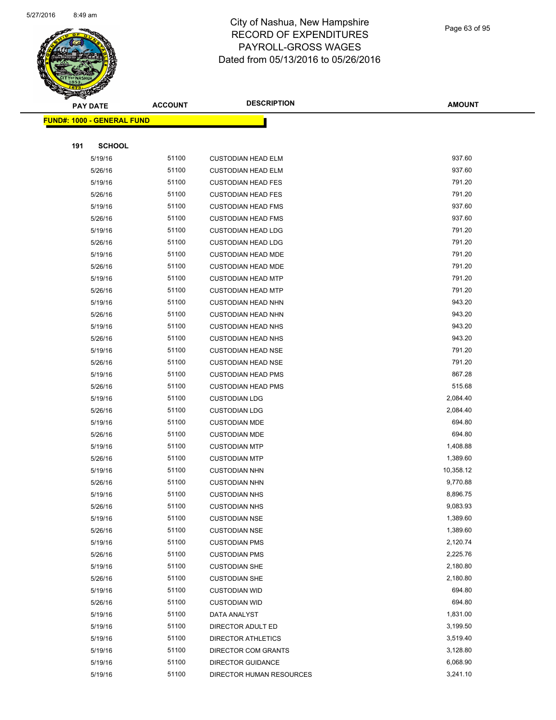

#### Page 63 of 95

|     | <b>PAY DATE</b>                    | <b>ACCOUNT</b> | <b>DESCRIPTION</b>        | <b>AMOUNT</b> |
|-----|------------------------------------|----------------|---------------------------|---------------|
|     | <u> FUND#: 1000 - GENERAL FUND</u> |                |                           |               |
|     |                                    |                |                           |               |
| 191 | <b>SCHOOL</b>                      |                |                           |               |
|     | 5/19/16                            | 51100          | <b>CUSTODIAN HEAD ELM</b> | 937.60        |
|     | 5/26/16                            | 51100          | <b>CUSTODIAN HEAD ELM</b> | 937.60        |
|     | 5/19/16                            | 51100          | <b>CUSTODIAN HEAD FES</b> | 791.20        |
|     | 5/26/16                            | 51100          | <b>CUSTODIAN HEAD FES</b> | 791.20        |
|     | 5/19/16                            | 51100          | <b>CUSTODIAN HEAD FMS</b> | 937.60        |
|     | 5/26/16                            | 51100          | <b>CUSTODIAN HEAD FMS</b> | 937.60        |
|     | 5/19/16                            | 51100          | <b>CUSTODIAN HEAD LDG</b> | 791.20        |
|     | 5/26/16                            | 51100          | <b>CUSTODIAN HEAD LDG</b> | 791.20        |
|     | 5/19/16                            | 51100          | <b>CUSTODIAN HEAD MDE</b> | 791.20        |
|     | 5/26/16                            | 51100          | <b>CUSTODIAN HEAD MDE</b> | 791.20        |
|     | 5/19/16                            | 51100          | <b>CUSTODIAN HEAD MTP</b> | 791.20        |
|     | 5/26/16                            | 51100          | <b>CUSTODIAN HEAD MTP</b> | 791.20        |
|     | 5/19/16                            | 51100          | <b>CUSTODIAN HEAD NHN</b> | 943.20        |
|     | 5/26/16                            | 51100          | <b>CUSTODIAN HEAD NHN</b> | 943.20        |
|     | 5/19/16                            | 51100          | <b>CUSTODIAN HEAD NHS</b> | 943.20        |
|     | 5/26/16                            | 51100          | <b>CUSTODIAN HEAD NHS</b> | 943.20        |
|     | 5/19/16                            | 51100          | <b>CUSTODIAN HEAD NSE</b> | 791.20        |
|     | 5/26/16                            | 51100          | <b>CUSTODIAN HEAD NSE</b> | 791.20        |
|     | 5/19/16                            | 51100          | <b>CUSTODIAN HEAD PMS</b> | 867.28        |
|     | 5/26/16                            | 51100          | <b>CUSTODIAN HEAD PMS</b> | 515.68        |
|     | 5/19/16                            | 51100          | <b>CUSTODIAN LDG</b>      | 2,084.40      |
|     | 5/26/16                            | 51100          | <b>CUSTODIAN LDG</b>      | 2,084.40      |
|     | 5/19/16                            | 51100          | <b>CUSTODIAN MDE</b>      | 694.80        |
|     | 5/26/16                            | 51100          | <b>CUSTODIAN MDE</b>      | 694.80        |
|     | 5/19/16                            | 51100          | <b>CUSTODIAN MTP</b>      | 1,408.88      |
|     | 5/26/16                            | 51100          | <b>CUSTODIAN MTP</b>      | 1,389.60      |
|     | 5/19/16                            | 51100          | <b>CUSTODIAN NHN</b>      | 10,358.12     |
|     | 5/26/16                            | 51100          | <b>CUSTODIAN NHN</b>      | 9,770.88      |
|     | 5/19/16                            | 51100          | <b>CUSTODIAN NHS</b>      | 8,896.75      |
|     | 5/26/16                            | 51100          | <b>CUSTODIAN NHS</b>      | 9,083.93      |
|     | 5/19/16                            | 51100          | <b>CUSTODIAN NSE</b>      | 1,389.60      |
|     | 5/26/16                            | 51100          | <b>CUSTODIAN NSE</b>      | 1,389.60      |
|     | 5/19/16                            | 51100          | <b>CUSTODIAN PMS</b>      | 2,120.74      |
|     | 5/26/16                            | 51100          | <b>CUSTODIAN PMS</b>      | 2,225.76      |
|     | 5/19/16                            | 51100          | <b>CUSTODIAN SHE</b>      | 2,180.80      |
|     | 5/26/16                            | 51100          | <b>CUSTODIAN SHE</b>      | 2,180.80      |
|     | 5/19/16                            | 51100          | <b>CUSTODIAN WID</b>      | 694.80        |
|     | 5/26/16                            | 51100          | <b>CUSTODIAN WID</b>      | 694.80        |
|     | 5/19/16                            | 51100          | DATA ANALYST              | 1,831.00      |
|     | 5/19/16                            | 51100          | DIRECTOR ADULT ED         | 3,199.50      |
|     | 5/19/16                            | 51100          | <b>DIRECTOR ATHLETICS</b> | 3,519.40      |
|     | 5/19/16                            | 51100          | DIRECTOR COM GRANTS       | 3,128.80      |
|     | 5/19/16                            | 51100          | DIRECTOR GUIDANCE         | 6,068.90      |
|     | 5/19/16                            | 51100          | DIRECTOR HUMAN RESOURCES  | 3,241.10      |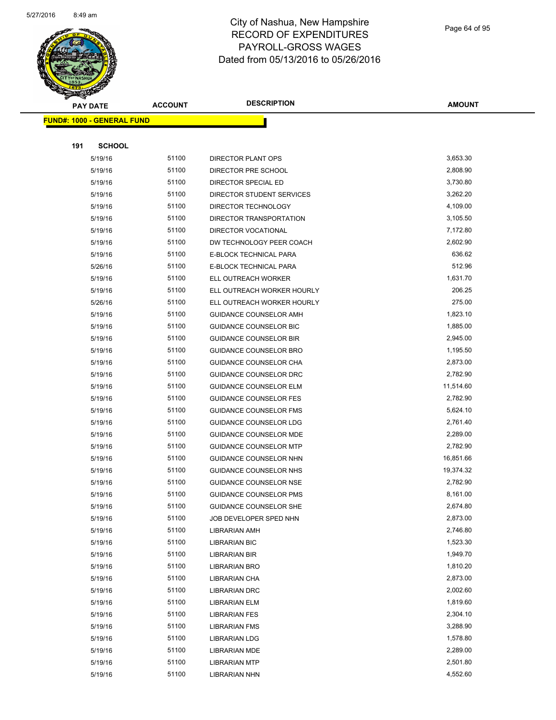

Page 64 of 95

|     | <b>PAY DATE</b>                   | <b>ACCOUNT</b> | <b>DESCRIPTION</b>                           | <b>AMOUNT</b>        |
|-----|-----------------------------------|----------------|----------------------------------------------|----------------------|
|     | <b>FUND#: 1000 - GENERAL FUND</b> |                |                                              |                      |
|     |                                   |                |                                              |                      |
| 191 | <b>SCHOOL</b>                     |                |                                              |                      |
|     | 5/19/16                           | 51100          | DIRECTOR PLANT OPS                           | 3,653.30             |
|     | 5/19/16                           | 51100          | DIRECTOR PRE SCHOOL                          | 2,808.90             |
|     | 5/19/16                           | 51100          | DIRECTOR SPECIAL ED                          | 3,730.80             |
|     | 5/19/16                           | 51100          | DIRECTOR STUDENT SERVICES                    | 3,262.20             |
|     | 5/19/16                           | 51100          | DIRECTOR TECHNOLOGY                          | 4,109.00             |
|     | 5/19/16                           | 51100          | DIRECTOR TRANSPORTATION                      | 3,105.50             |
|     | 5/19/16                           | 51100          | DIRECTOR VOCATIONAL                          | 7,172.80             |
|     | 5/19/16                           | 51100          | DW TECHNOLOGY PEER COACH                     | 2,602.90             |
|     | 5/19/16                           | 51100          | E-BLOCK TECHNICAL PARA                       | 636.62               |
|     | 5/26/16                           | 51100          | E-BLOCK TECHNICAL PARA                       | 512.96               |
|     | 5/19/16                           | 51100          | ELL OUTREACH WORKER                          | 1,631.70             |
|     | 5/19/16                           | 51100          | ELL OUTREACH WORKER HOURLY                   | 206.25               |
|     | 5/26/16                           | 51100          | ELL OUTREACH WORKER HOURLY                   | 275.00               |
|     | 5/19/16                           | 51100          | GUIDANCE COUNSELOR AMH                       | 1,823.10             |
|     | 5/19/16                           | 51100          | <b>GUIDANCE COUNSELOR BIC</b>                | 1,885.00             |
|     | 5/19/16                           | 51100          | <b>GUIDANCE COUNSELOR BIR</b>                | 2,945.00             |
|     | 5/19/16                           | 51100          | GUIDANCE COUNSELOR BRO                       | 1,195.50             |
|     | 5/19/16                           | 51100          | GUIDANCE COUNSELOR CHA                       | 2,873.00             |
|     | 5/19/16                           | 51100          | GUIDANCE COUNSELOR DRC                       | 2,782.90             |
|     | 5/19/16                           | 51100          | <b>GUIDANCE COUNSELOR ELM</b>                | 11,514.60            |
|     | 5/19/16                           | 51100          | <b>GUIDANCE COUNSELOR FES</b>                | 2,782.90             |
|     | 5/19/16                           | 51100          | <b>GUIDANCE COUNSELOR FMS</b>                | 5,624.10             |
|     | 5/19/16                           | 51100          | GUIDANCE COUNSELOR LDG                       | 2,761.40             |
|     | 5/19/16                           | 51100          | GUIDANCE COUNSELOR MDE                       | 2,289.00             |
|     | 5/19/16                           | 51100          | <b>GUIDANCE COUNSELOR MTP</b>                | 2,782.90             |
|     | 5/19/16                           | 51100          | GUIDANCE COUNSELOR NHN                       | 16,851.66            |
|     | 5/19/16                           | 51100          | GUIDANCE COUNSELOR NHS                       | 19,374.32            |
|     | 5/19/16                           | 51100          | <b>GUIDANCE COUNSELOR NSE</b>                | 2,782.90             |
|     | 5/19/16                           | 51100          | <b>GUIDANCE COUNSELOR PMS</b>                | 8,161.00             |
|     | 5/19/16                           | 51100          | GUIDANCE COUNSELOR SHE                       | 2,674.80             |
|     | 5/19/16                           | 51100          | JOB DEVELOPER SPED NHN                       | 2,873.00             |
|     | 5/19/16                           | 51100          | <b>LIBRARIAN AMH</b>                         | 2,746.80             |
|     | 5/19/16                           | 51100          | <b>LIBRARIAN BIC</b>                         | 1,523.30             |
|     | 5/19/16                           | 51100          | LIBRARIAN BIR                                | 1,949.70             |
|     | 5/19/16                           | 51100          | <b>LIBRARIAN BRO</b>                         | 1,810.20             |
|     | 5/19/16                           | 51100<br>51100 | <b>LIBRARIAN CHA</b>                         | 2,873.00<br>2,002.60 |
|     | 5/19/16                           | 51100          | <b>LIBRARIAN DRC</b>                         | 1,819.60             |
|     | 5/19/16<br>5/19/16                | 51100          | <b>LIBRARIAN ELM</b><br><b>LIBRARIAN FES</b> | 2,304.10             |
|     |                                   | 51100          |                                              | 3,288.90             |
|     | 5/19/16<br>5/19/16                | 51100          | <b>LIBRARIAN FMS</b><br><b>LIBRARIAN LDG</b> | 1,578.80             |
|     | 5/19/16                           | 51100          | <b>LIBRARIAN MDE</b>                         | 2,289.00             |
|     | 5/19/16                           | 51100          | <b>LIBRARIAN MTP</b>                         | 2,501.80             |
|     | 5/19/16                           | 51100          | <b>LIBRARIAN NHN</b>                         | 4,552.60             |
|     |                                   |                |                                              |                      |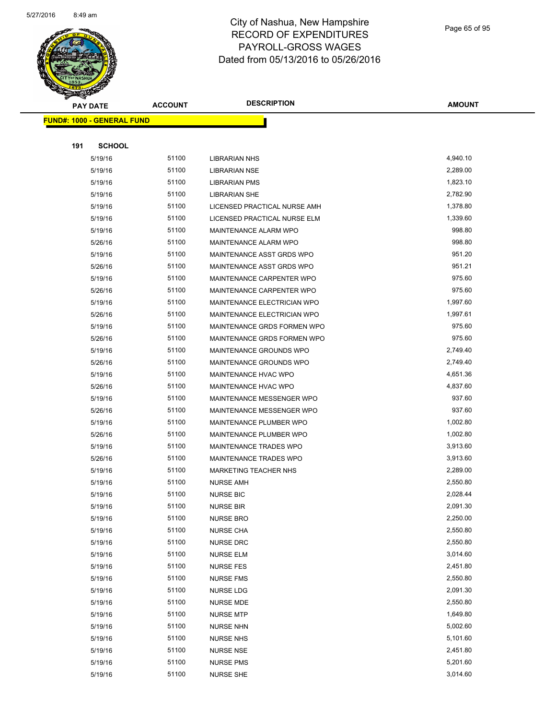

Page 65 of 95

| <b>PAY DATE</b>                   | <b>ACCOUNT</b> | <b>DESCRIPTION</b>           | <b>AMOUNT</b> |
|-----------------------------------|----------------|------------------------------|---------------|
| <b>FUND#: 1000 - GENERAL FUND</b> |                |                              |               |
|                                   |                |                              |               |
| <b>SCHOOL</b><br>191              |                |                              |               |
| 5/19/16                           | 51100          | <b>LIBRARIAN NHS</b>         | 4,940.10      |
| 5/19/16                           | 51100          | <b>LIBRARIAN NSE</b>         | 2,289.00      |
| 5/19/16                           | 51100          | <b>LIBRARIAN PMS</b>         | 1,823.10      |
| 5/19/16                           | 51100          | <b>LIBRARIAN SHE</b>         | 2,782.90      |
| 5/19/16                           | 51100          | LICENSED PRACTICAL NURSE AMH | 1,378.80      |
| 5/19/16                           | 51100          | LICENSED PRACTICAL NURSE ELM | 1,339.60      |
| 5/19/16                           | 51100          | MAINTENANCE ALARM WPO        | 998.80        |
| 5/26/16                           | 51100          | MAINTENANCE ALARM WPO        | 998.80        |
| 5/19/16                           | 51100          | MAINTENANCE ASST GRDS WPO    | 951.20        |
| 5/26/16                           | 51100          | MAINTENANCE ASST GRDS WPO    | 951.21        |
| 5/19/16                           | 51100          | MAINTENANCE CARPENTER WPO    | 975.60        |
| 5/26/16                           | 51100          | MAINTENANCE CARPENTER WPO    | 975.60        |
| 5/19/16                           | 51100          | MAINTENANCE ELECTRICIAN WPO  | 1,997.60      |
| 5/26/16                           | 51100          | MAINTENANCE ELECTRICIAN WPO  | 1,997.61      |
| 5/19/16                           | 51100          | MAINTENANCE GRDS FORMEN WPO  | 975.60        |
| 5/26/16                           | 51100          | MAINTENANCE GRDS FORMEN WPO  | 975.60        |
| 5/19/16                           | 51100          | MAINTENANCE GROUNDS WPO      | 2,749.40      |
| 5/26/16                           | 51100          | MAINTENANCE GROUNDS WPO      | 2,749.40      |
| 5/19/16                           | 51100          | MAINTENANCE HVAC WPO         | 4,651.36      |
| 5/26/16                           | 51100          | MAINTENANCE HVAC WPO         | 4,837.60      |
| 5/19/16                           | 51100          | MAINTENANCE MESSENGER WPO    | 937.60        |
| 5/26/16                           | 51100          | MAINTENANCE MESSENGER WPO    | 937.60        |
| 5/19/16                           | 51100          | MAINTENANCE PLUMBER WPO      | 1,002.80      |
| 5/26/16                           | 51100          | MAINTENANCE PLUMBER WPO      | 1,002.80      |
| 5/19/16                           | 51100          | MAINTENANCE TRADES WPO       | 3,913.60      |
| 5/26/16                           | 51100          | MAINTENANCE TRADES WPO       | 3,913.60      |
| 5/19/16                           | 51100          | <b>MARKETING TEACHER NHS</b> | 2,289.00      |
| 5/19/16                           | 51100          | <b>NURSE AMH</b>             | 2,550.80      |
| 5/19/16                           | 51100          | <b>NURSE BIC</b>             | 2,028.44      |
| 5/19/16                           | 51100          | <b>NURSE BIR</b>             | 2,091.30      |
| 5/19/16                           | 51100          | <b>NURSE BRO</b>             | 2,250.00      |
| 5/19/16                           | 51100          | <b>NURSE CHA</b>             | 2,550.80      |
| 5/19/16                           | 51100          | <b>NURSE DRC</b>             | 2,550.80      |
| 5/19/16                           | 51100          | <b>NURSE ELM</b>             | 3,014.60      |
| 5/19/16                           | 51100          | NURSE FES                    | 2,451.80      |
| 5/19/16                           | 51100          | <b>NURSE FMS</b>             | 2,550.80      |
| 5/19/16                           | 51100          | <b>NURSE LDG</b>             | 2,091.30      |
| 5/19/16                           | 51100          | <b>NURSE MDE</b>             | 2,550.80      |
| 5/19/16                           | 51100          | <b>NURSE MTP</b>             | 1,649.80      |
| 5/19/16                           | 51100          | <b>NURSE NHN</b>             | 5,002.60      |
| 5/19/16                           | 51100          | <b>NURSE NHS</b>             | 5,101.60      |
| 5/19/16                           | 51100          | NURSE NSE                    | 2,451.80      |
| 5/19/16                           | 51100          | <b>NURSE PMS</b>             | 5,201.60      |
| 5/19/16                           | 51100          | NURSE SHE                    | 3,014.60      |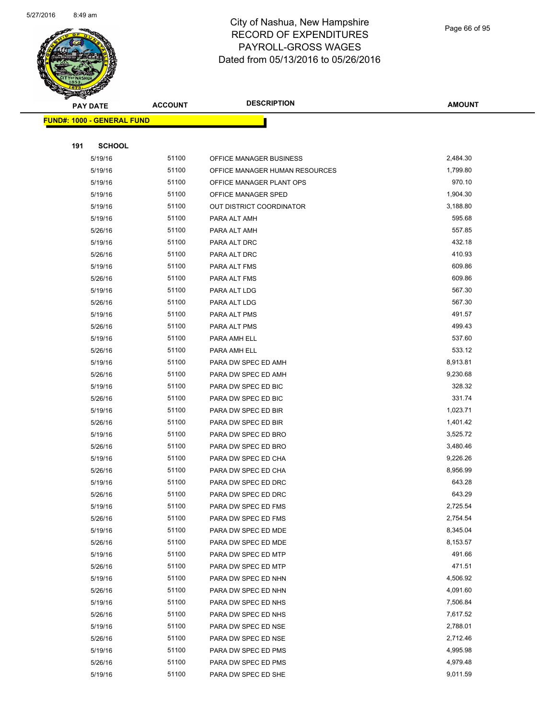

|     | <b>PAY DATE</b>                   | <b>ACCOUNT</b> | <b>DESCRIPTION</b>                         | <b>AMOUNT</b>        |
|-----|-----------------------------------|----------------|--------------------------------------------|----------------------|
|     | <b>FUND#: 1000 - GENERAL FUND</b> |                |                                            |                      |
|     |                                   |                |                                            |                      |
| 191 | <b>SCHOOL</b>                     |                |                                            |                      |
|     | 5/19/16                           | 51100          | OFFICE MANAGER BUSINESS                    | 2,484.30             |
|     | 5/19/16                           | 51100          | OFFICE MANAGER HUMAN RESOURCES             | 1,799.80             |
|     | 5/19/16                           | 51100          | OFFICE MANAGER PLANT OPS                   | 970.10               |
|     | 5/19/16                           | 51100          | OFFICE MANAGER SPED                        | 1,904.30             |
|     | 5/19/16                           | 51100          | OUT DISTRICT COORDINATOR                   | 3,188.80             |
|     | 5/19/16                           | 51100          | PARA ALT AMH                               | 595.68               |
|     | 5/26/16                           | 51100          | PARA ALT AMH                               | 557.85               |
|     | 5/19/16                           | 51100          | PARA ALT DRC                               | 432.18               |
|     | 5/26/16                           | 51100          | PARA ALT DRC                               | 410.93               |
|     | 5/19/16                           | 51100          | PARA ALT FMS                               | 609.86               |
|     | 5/26/16                           | 51100          | PARA ALT FMS                               | 609.86               |
|     | 5/19/16                           | 51100          | PARA ALT LDG                               | 567.30               |
|     | 5/26/16                           | 51100          | PARA ALT LDG                               | 567.30               |
|     | 5/19/16                           | 51100          | PARA ALT PMS                               | 491.57               |
|     | 5/26/16                           | 51100          | PARA ALT PMS                               | 499.43               |
|     | 5/19/16                           | 51100          | PARA AMH ELL                               | 537.60               |
|     | 5/26/16                           | 51100          | PARA AMH ELL                               | 533.12               |
|     | 5/19/16                           | 51100          | PARA DW SPEC ED AMH                        | 8,913.81             |
|     | 5/26/16                           | 51100          | PARA DW SPEC ED AMH                        | 9,230.68             |
|     | 5/19/16                           | 51100          | PARA DW SPEC ED BIC                        | 328.32               |
|     | 5/26/16                           | 51100          | PARA DW SPEC ED BIC                        | 331.74               |
|     | 5/19/16                           | 51100          | PARA DW SPEC ED BIR                        | 1,023.71             |
|     | 5/26/16                           | 51100          | PARA DW SPEC ED BIR                        | 1,401.42             |
|     | 5/19/16                           | 51100          | PARA DW SPEC ED BRO                        | 3,525.72             |
|     | 5/26/16                           | 51100          | PARA DW SPEC ED BRO                        | 3,480.46             |
|     | 5/19/16                           | 51100          | PARA DW SPEC ED CHA                        | 9,226.26             |
|     | 5/26/16                           | 51100          | PARA DW SPEC ED CHA                        | 8,956.99             |
|     | 5/19/16                           | 51100          | PARA DW SPEC ED DRC                        | 643.28               |
|     | 5/26/16                           | 51100          | PARA DW SPEC ED DRC                        | 643.29               |
|     | 5/19/16                           | 51100          | PARA DW SPEC ED FMS                        | 2,725.54             |
|     | 5/26/16                           | 51100          | PARA DW SPEC ED FMS                        | 2,754.54             |
|     | 5/19/16                           | 51100          | PARA DW SPEC ED MDE<br>PARA DW SPEC ED MDE | 8,345.04<br>8,153.57 |
|     | 5/26/16                           | 51100<br>51100 |                                            | 491.66               |
|     | 5/19/16<br>5/26/16                | 51100          | PARA DW SPEC ED MTP                        | 471.51               |
|     |                                   | 51100          | PARA DW SPEC ED MTP<br>PARA DW SPEC ED NHN | 4,506.92             |
|     | 5/19/16<br>5/26/16                | 51100          | PARA DW SPEC ED NHN                        | 4,091.60             |
|     | 5/19/16                           | 51100          | PARA DW SPEC ED NHS                        | 7,506.84             |
|     | 5/26/16                           | 51100          | PARA DW SPEC ED NHS                        | 7,617.52             |
|     | 5/19/16                           | 51100          | PARA DW SPEC ED NSE                        | 2,788.01             |
|     | 5/26/16                           | 51100          | PARA DW SPEC ED NSE                        | 2,712.46             |
|     | 5/19/16                           | 51100          | PARA DW SPEC ED PMS                        | 4,995.98             |
|     | 5/26/16                           | 51100          | PARA DW SPEC ED PMS                        | 4,979.48             |
|     | 5/19/16                           | 51100          | PARA DW SPEC ED SHE                        | 9,011.59             |
|     |                                   |                |                                            |                      |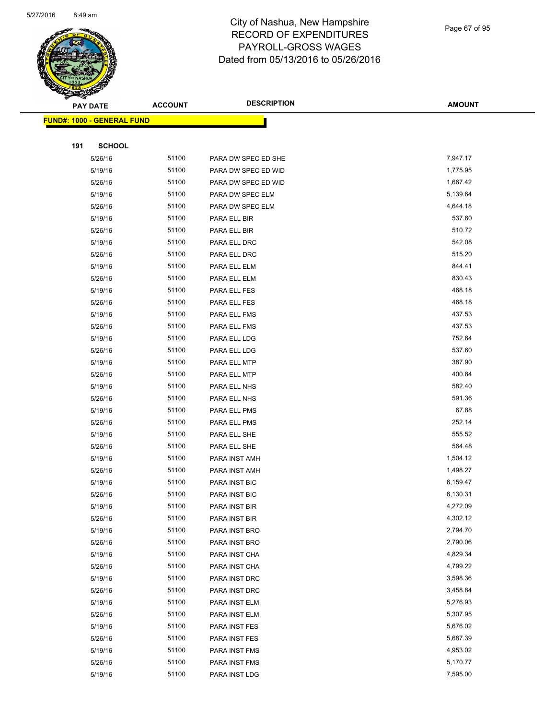

#### Page 67 of 95

|     | ॼ<br><b>PAY DATE</b>              | <b>ACCOUNT</b> | <b>DESCRIPTION</b>             | <b>AMOUNT</b>        |
|-----|-----------------------------------|----------------|--------------------------------|----------------------|
|     | <b>FUND#: 1000 - GENERAL FUND</b> |                |                                |                      |
|     |                                   |                |                                |                      |
| 191 | <b>SCHOOL</b>                     |                |                                |                      |
|     | 5/26/16                           | 51100          | PARA DW SPEC ED SHE            | 7,947.17             |
|     | 5/19/16                           | 51100          | PARA DW SPEC ED WID            | 1,775.95             |
|     | 5/26/16                           | 51100          | PARA DW SPEC ED WID            | 1,667.42             |
|     | 5/19/16                           | 51100          | PARA DW SPEC ELM               | 5,139.64             |
|     | 5/26/16                           | 51100          | PARA DW SPEC ELM               | 4,644.18             |
|     | 5/19/16                           | 51100          | PARA ELL BIR                   | 537.60               |
|     | 5/26/16                           | 51100          | PARA ELL BIR                   | 510.72               |
|     | 5/19/16                           | 51100          | PARA ELL DRC                   | 542.08               |
|     | 5/26/16                           | 51100          | PARA ELL DRC                   | 515.20               |
|     | 5/19/16                           | 51100          | PARA ELL ELM                   | 844.41               |
|     | 5/26/16                           | 51100          | PARA ELL ELM                   | 830.43               |
|     | 5/19/16                           | 51100          | PARA ELL FES                   | 468.18               |
|     | 5/26/16                           | 51100          | PARA ELL FES                   | 468.18               |
|     | 5/19/16                           | 51100          | PARA ELL FMS                   | 437.53               |
|     | 5/26/16                           | 51100          | PARA ELL FMS                   | 437.53               |
|     | 5/19/16                           | 51100          | PARA ELL LDG                   | 752.64               |
|     | 5/26/16                           | 51100          | PARA ELL LDG                   | 537.60               |
|     | 5/19/16                           | 51100          | PARA ELL MTP                   | 387.90               |
|     | 5/26/16                           | 51100          | PARA ELL MTP                   | 400.84               |
|     | 5/19/16                           | 51100          | PARA ELL NHS                   | 582.40               |
|     | 5/26/16                           | 51100          | PARA ELL NHS                   | 591.36               |
|     | 5/19/16                           | 51100          | PARA ELL PMS                   | 67.88                |
|     | 5/26/16                           | 51100          | PARA ELL PMS                   | 252.14               |
|     | 5/19/16                           | 51100          | PARA ELL SHE                   | 555.52               |
|     | 5/26/16                           | 51100          | PARA ELL SHE                   | 564.48               |
|     | 5/19/16                           | 51100          | PARA INST AMH                  | 1,504.12             |
|     | 5/26/16                           | 51100          | PARA INST AMH                  | 1,498.27             |
|     | 5/19/16                           | 51100          | PARA INST BIC                  | 6,159.47             |
|     | 5/26/16                           | 51100          | PARA INST BIC                  | 6,130.31             |
|     | 5/19/16                           | 51100          | PARA INST BIR                  | 4,272.09             |
|     | 5/26/16                           | 51100          | PARA INST BIR                  | 4,302.12             |
|     | 5/19/16                           | 51100          | PARA INST BRO                  | 2,794.70             |
|     | 5/26/16                           | 51100          | PARA INST BRO                  | 2,790.06             |
|     | 5/19/16                           | 51100          | PARA INST CHA                  | 4,829.34             |
|     | 5/26/16                           | 51100          | PARA INST CHA                  | 4,799.22             |
|     | 5/19/16                           | 51100          | PARA INST DRC                  | 3,598.36             |
|     | 5/26/16                           | 51100          | PARA INST DRC                  | 3,458.84             |
|     | 5/19/16                           | 51100          | PARA INST ELM                  | 5,276.93             |
|     | 5/26/16                           | 51100          | PARA INST ELM                  | 5,307.95             |
|     | 5/19/16                           | 51100          | PARA INST FES                  | 5,676.02<br>5,687.39 |
|     | 5/26/16                           | 51100<br>51100 | PARA INST FES                  | 4,953.02             |
|     | 5/19/16<br>5/26/16                | 51100          | PARA INST FMS<br>PARA INST FMS | 5,170.77             |
|     |                                   |                |                                | 7,595.00             |
|     | 5/19/16                           | 51100          | PARA INST LDG                  |                      |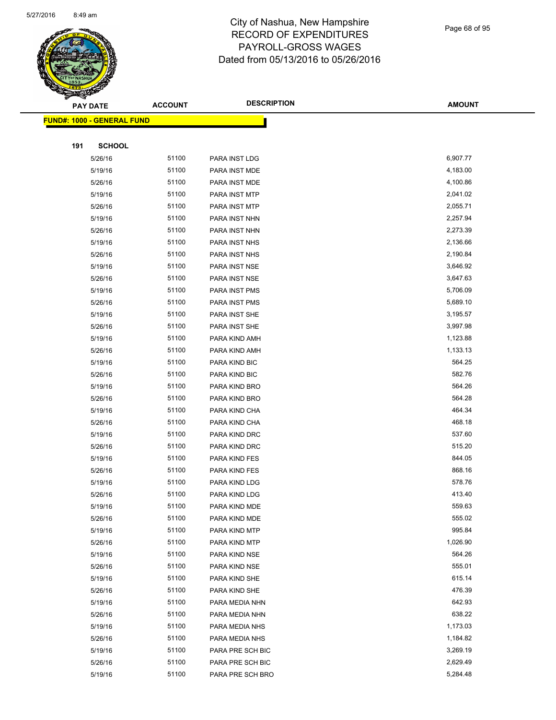

Page 68 of 95

|     | <b>PAY DATE</b>                    | <b>ACCOUNT</b> | <b>DESCRIPTION</b> | <b>AMOUNT</b> |
|-----|------------------------------------|----------------|--------------------|---------------|
|     | <u> FUND#: 1000 - GENERAL FUND</u> |                |                    |               |
|     |                                    |                |                    |               |
| 191 | <b>SCHOOL</b>                      |                |                    |               |
|     | 5/26/16                            | 51100          | PARA INST LDG      | 6,907.77      |
|     | 5/19/16                            | 51100          | PARA INST MDE      | 4,183.00      |
|     | 5/26/16                            | 51100          | PARA INST MDE      | 4,100.86      |
|     | 5/19/16                            | 51100          | PARA INST MTP      | 2,041.02      |
|     | 5/26/16                            | 51100          | PARA INST MTP      | 2,055.71      |
|     | 5/19/16                            | 51100          | PARA INST NHN      | 2,257.94      |
|     | 5/26/16                            | 51100          | PARA INST NHN      | 2,273.39      |
|     | 5/19/16                            | 51100          | PARA INST NHS      | 2,136.66      |
|     | 5/26/16                            | 51100          | PARA INST NHS      | 2,190.84      |
|     | 5/19/16                            | 51100          | PARA INST NSE      | 3,646.92      |
|     | 5/26/16                            | 51100          | PARA INST NSE      | 3,647.63      |
|     | 5/19/16                            | 51100          | PARA INST PMS      | 5,706.09      |
|     | 5/26/16                            | 51100          | PARA INST PMS      | 5,689.10      |
|     | 5/19/16                            | 51100          | PARA INST SHE      | 3,195.57      |
|     | 5/26/16                            | 51100          | PARA INST SHE      | 3,997.98      |
|     | 5/19/16                            | 51100          | PARA KIND AMH      | 1,123.88      |
|     | 5/26/16                            | 51100          | PARA KIND AMH      | 1,133.13      |
|     | 5/19/16                            | 51100          | PARA KIND BIC      | 564.25        |
|     | 5/26/16                            | 51100          | PARA KIND BIC      | 582.76        |
|     | 5/19/16                            | 51100          | PARA KIND BRO      | 564.26        |
|     | 5/26/16                            | 51100          | PARA KIND BRO      | 564.28        |
|     | 5/19/16                            | 51100          | PARA KIND CHA      | 464.34        |
|     | 5/26/16                            | 51100          | PARA KIND CHA      | 468.18        |
|     | 5/19/16                            | 51100          | PARA KIND DRC      | 537.60        |
|     | 5/26/16                            | 51100          | PARA KIND DRC      | 515.20        |
|     | 5/19/16                            | 51100          | PARA KIND FES      | 844.05        |
|     | 5/26/16                            | 51100          | PARA KIND FES      | 868.16        |
|     | 5/19/16                            | 51100          | PARA KIND LDG      | 578.76        |
|     | 5/26/16                            | 51100          | PARA KIND LDG      | 413.40        |
|     | 5/19/16                            | 51100          | PARA KIND MDE      | 559.63        |
|     | 5/26/16                            | 51100          | PARA KIND MDE      | 555.02        |
|     | 5/19/16                            | 51100          | PARA KIND MTP      | 995.84        |
|     | 5/26/16                            | 51100          | PARA KIND MTP      | 1,026.90      |
|     | 5/19/16                            | 51100          | PARA KIND NSE      | 564.26        |
|     | 5/26/16                            | 51100          | PARA KIND NSE      | 555.01        |
|     | 5/19/16                            | 51100          | PARA KIND SHE      | 615.14        |
|     | 5/26/16                            | 51100          | PARA KIND SHE      | 476.39        |
|     | 5/19/16                            | 51100          | PARA MEDIA NHN     | 642.93        |
|     | 5/26/16                            | 51100          | PARA MEDIA NHN     | 638.22        |
|     | 5/19/16                            | 51100          | PARA MEDIA NHS     | 1,173.03      |
|     | 5/26/16                            | 51100          | PARA MEDIA NHS     | 1,184.82      |
|     | 5/19/16                            | 51100          | PARA PRE SCH BIC   | 3,269.19      |
|     | 5/26/16                            | 51100          | PARA PRE SCH BIC   | 2,629.49      |
|     | 5/19/16                            | 51100          | PARA PRE SCH BRO   | 5,284.48      |
|     |                                    |                |                    |               |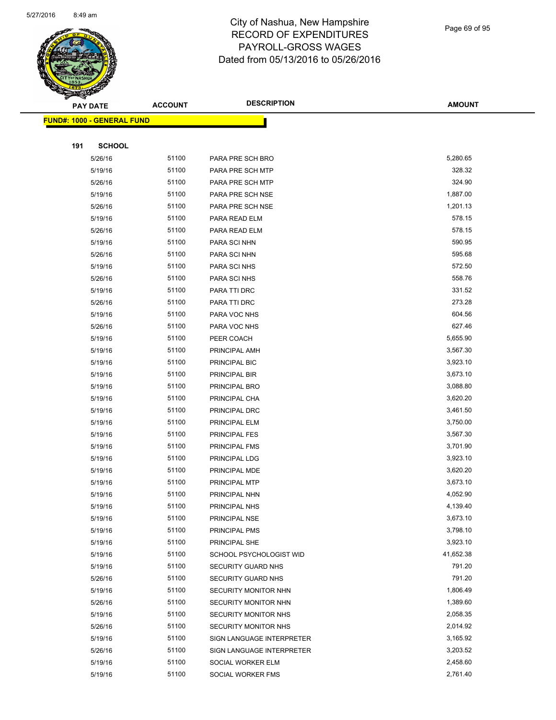

#### Page 69 of 95

|     | <b>PAY DATE</b>                    | <b>ACCOUNT</b> | <b>DESCRIPTION</b>        | <b>AMOUNT</b> |
|-----|------------------------------------|----------------|---------------------------|---------------|
|     | <u> FUND#: 1000 - GENERAL FUND</u> |                |                           |               |
|     |                                    |                |                           |               |
| 191 | <b>SCHOOL</b>                      |                |                           |               |
|     | 5/26/16                            | 51100          | PARA PRE SCH BRO          | 5,280.65      |
|     | 5/19/16                            | 51100          | PARA PRE SCH MTP          | 328.32        |
|     | 5/26/16                            | 51100          | PARA PRE SCH MTP          | 324.90        |
|     | 5/19/16                            | 51100          | PARA PRE SCH NSE          | 1,887.00      |
|     | 5/26/16                            | 51100          | PARA PRE SCH NSE          | 1,201.13      |
|     | 5/19/16                            | 51100          | PARA READ ELM             | 578.15        |
|     | 5/26/16                            | 51100          | PARA READ ELM             | 578.15        |
|     | 5/19/16                            | 51100          | PARA SCI NHN              | 590.95        |
|     | 5/26/16                            | 51100          | PARA SCI NHN              | 595.68        |
|     | 5/19/16                            | 51100          | PARA SCI NHS              | 572.50        |
|     | 5/26/16                            | 51100          | PARA SCI NHS              | 558.76        |
|     | 5/19/16                            | 51100          | PARA TTI DRC              | 331.52        |
|     | 5/26/16                            | 51100          | PARA TTI DRC              | 273.28        |
|     | 5/19/16                            | 51100          | PARA VOC NHS              | 604.56        |
|     | 5/26/16                            | 51100          | PARA VOC NHS              | 627.46        |
|     | 5/19/16                            | 51100          | PEER COACH                | 5,655.90      |
|     | 5/19/16                            | 51100          | PRINCIPAL AMH             | 3,567.30      |
|     | 5/19/16                            | 51100          | PRINCIPAL BIC             | 3,923.10      |
|     | 5/19/16                            | 51100          | PRINCIPAL BIR             | 3,673.10      |
|     | 5/19/16                            | 51100          | PRINCIPAL BRO             | 3,088.80      |
|     | 5/19/16                            | 51100          | PRINCIPAL CHA             | 3,620.20      |
|     | 5/19/16                            | 51100          | PRINCIPAL DRC             | 3,461.50      |
|     | 5/19/16                            | 51100          | PRINCIPAL ELM             | 3,750.00      |
|     | 5/19/16                            | 51100          | PRINCIPAL FES             | 3,567.30      |
|     | 5/19/16                            | 51100          | PRINCIPAL FMS             | 3,701.90      |
|     | 5/19/16                            | 51100          | PRINCIPAL LDG             | 3,923.10      |
|     | 5/19/16                            | 51100          | PRINCIPAL MDE             | 3,620.20      |
|     | 5/19/16                            | 51100          | PRINCIPAL MTP             | 3,673.10      |
|     | 5/19/16                            | 51100          | PRINCIPAL NHN             | 4,052.90      |
|     | 5/19/16                            | 51100          | PRINCIPAL NHS             | 4,139.40      |
|     | 5/19/16                            | 51100          | PRINCIPAL NSE             | 3,673.10      |
|     | 5/19/16                            | 51100          | PRINCIPAL PMS             | 3,798.10      |
|     | 5/19/16                            | 51100          | PRINCIPAL SHE             | 3,923.10      |
|     | 5/19/16                            | 51100          | SCHOOL PSYCHOLOGIST WID   | 41,652.38     |
|     | 5/19/16                            | 51100          | SECURITY GUARD NHS        | 791.20        |
|     | 5/26/16                            | 51100          | SECURITY GUARD NHS        | 791.20        |
|     | 5/19/16                            | 51100          | SECURITY MONITOR NHN      | 1,806.49      |
|     | 5/26/16                            | 51100          | SECURITY MONITOR NHN      | 1,389.60      |
|     | 5/19/16                            | 51100          | SECURITY MONITOR NHS      | 2,058.35      |
|     | 5/26/16                            | 51100          | SECURITY MONITOR NHS      | 2,014.92      |
|     | 5/19/16                            | 51100          | SIGN LANGUAGE INTERPRETER | 3,165.92      |
|     | 5/26/16                            | 51100          | SIGN LANGUAGE INTERPRETER | 3,203.52      |
|     | 5/19/16                            | 51100          | SOCIAL WORKER ELM         | 2,458.60      |
|     | 5/19/16                            | 51100          | SOCIAL WORKER FMS         | 2,761.40      |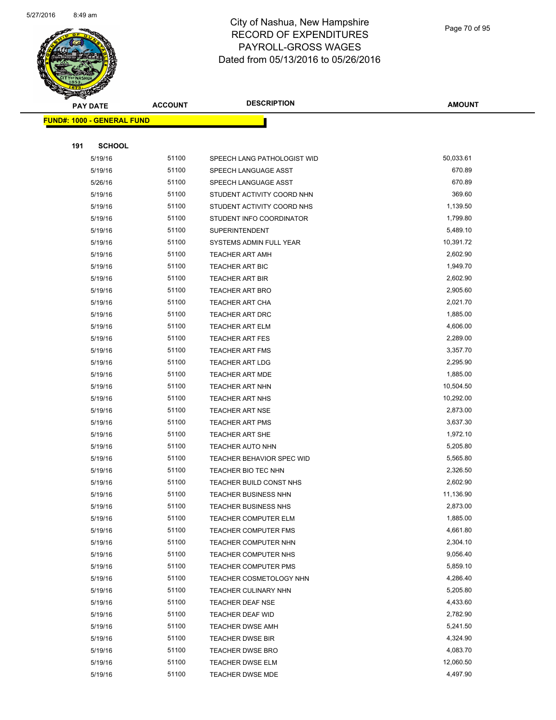

Page 70 of 95

| <b>PAY DATE</b>                   | <b>ACCOUNT</b> | <b>DESCRIPTION</b>          | <b>AMOUNT</b> |
|-----------------------------------|----------------|-----------------------------|---------------|
| <b>FUND#: 1000 - GENERAL FUND</b> |                |                             |               |
|                                   |                |                             |               |
| 191<br><b>SCHOOL</b>              |                |                             |               |
| 5/19/16                           | 51100          | SPEECH LANG PATHOLOGIST WID | 50,033.61     |
| 5/19/16                           | 51100          | SPEECH LANGUAGE ASST        | 670.89        |
| 5/26/16                           | 51100          | SPEECH LANGUAGE ASST        | 670.89        |
| 5/19/16                           | 51100          | STUDENT ACTIVITY COORD NHN  | 369.60        |
| 5/19/16                           | 51100          | STUDENT ACTIVITY COORD NHS  | 1,139.50      |
| 5/19/16                           | 51100          | STUDENT INFO COORDINATOR    | 1,799.80      |
| 5/19/16                           | 51100          | <b>SUPERINTENDENT</b>       | 5,489.10      |
| 5/19/16                           | 51100          | SYSTEMS ADMIN FULL YEAR     | 10,391.72     |
| 5/19/16                           | 51100          | TEACHER ART AMH             | 2,602.90      |
| 5/19/16                           | 51100          | <b>TEACHER ART BIC</b>      | 1,949.70      |
| 5/19/16                           | 51100          | <b>TEACHER ART BIR</b>      | 2,602.90      |
| 5/19/16                           | 51100          | TEACHER ART BRO             | 2,905.60      |
| 5/19/16                           | 51100          | TEACHER ART CHA             | 2,021.70      |
| 5/19/16                           | 51100          | TEACHER ART DRC             | 1,885.00      |
| 5/19/16                           | 51100          | TEACHER ART ELM             | 4,606.00      |
| 5/19/16                           | 51100          | <b>TEACHER ART FES</b>      | 2,289.00      |
| 5/19/16                           | 51100          | <b>TEACHER ART FMS</b>      | 3,357.70      |
| 5/19/16                           | 51100          | <b>TEACHER ART LDG</b>      | 2,295.90      |
| 5/19/16                           | 51100          | <b>TEACHER ART MDE</b>      | 1,885.00      |
| 5/19/16                           | 51100          | <b>TEACHER ART NHN</b>      | 10,504.50     |
| 5/19/16                           | 51100          | <b>TEACHER ART NHS</b>      | 10,292.00     |
| 5/19/16                           | 51100          | <b>TEACHER ART NSE</b>      | 2,873.00      |
| 5/19/16                           | 51100          | <b>TEACHER ART PMS</b>      | 3,637.30      |
| 5/19/16                           | 51100          | <b>TEACHER ART SHE</b>      | 1,972.10      |
| 5/19/16                           | 51100          | <b>TEACHER AUTO NHN</b>     | 5,205.80      |
| 5/19/16                           | 51100          | TEACHER BEHAVIOR SPEC WID   | 5,565.80      |
| 5/19/16                           | 51100          | TEACHER BIO TEC NHN         | 2,326.50      |
| 5/19/16                           | 51100          | TEACHER BUILD CONST NHS     | 2,602.90      |
| 5/19/16                           | 51100          | TEACHER BUSINESS NHN        | 11,136.90     |
| 5/19/16                           | 51100          | <b>TEACHER BUSINESS NHS</b> | 2,873.00      |
| 5/19/16                           | 51100          | <b>TEACHER COMPUTER ELM</b> | 1,885.00      |
| 5/19/16                           | 51100          | <b>TEACHER COMPUTER FMS</b> | 4,661.80      |
| 5/19/16                           | 51100          | TEACHER COMPUTER NHN        | 2,304.10      |
| 5/19/16                           | 51100          | TEACHER COMPUTER NHS        | 9,056.40      |
| 5/19/16                           | 51100          | <b>TEACHER COMPUTER PMS</b> | 5,859.10      |
| 5/19/16                           | 51100          | TEACHER COSMETOLOGY NHN     | 4,286.40      |
| 5/19/16                           | 51100          | TEACHER CULINARY NHN        | 5,205.80      |
| 5/19/16                           | 51100          | TEACHER DEAF NSE            | 4,433.60      |
| 5/19/16                           | 51100          | TEACHER DEAF WID            | 2,782.90      |
| 5/19/16                           | 51100          | <b>TEACHER DWSE AMH</b>     | 5,241.50      |
| 5/19/16                           | 51100          | <b>TEACHER DWSE BIR</b>     | 4,324.90      |
| 5/19/16                           | 51100          | <b>TEACHER DWSE BRO</b>     | 4,083.70      |
| 5/19/16                           | 51100          | <b>TEACHER DWSE ELM</b>     | 12,060.50     |
| 5/19/16                           | 51100          | <b>TEACHER DWSE MDE</b>     | 4,497.90      |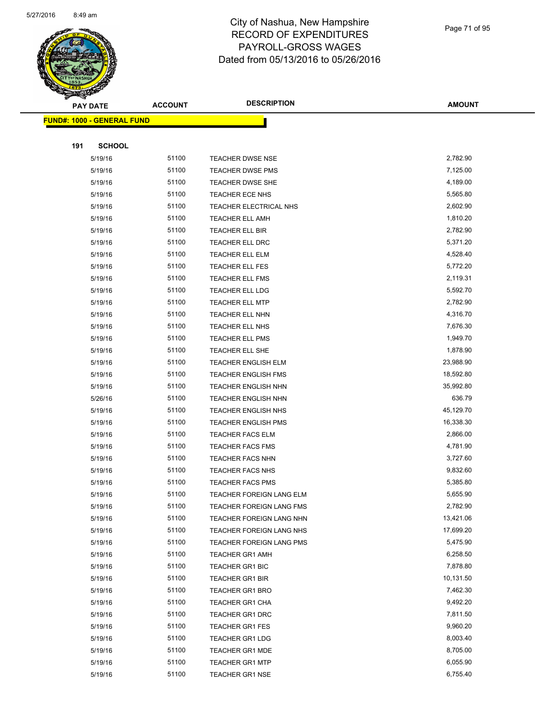

#### Page 71 of 95

|     | <b>PAY DATE</b>                   | <b>ACCOUNT</b> | <b>DESCRIPTION</b>         | <b>AMOUNT</b> |
|-----|-----------------------------------|----------------|----------------------------|---------------|
|     | <b>FUND#: 1000 - GENERAL FUND</b> |                |                            |               |
|     |                                   |                |                            |               |
| 191 | <b>SCHOOL</b>                     |                |                            |               |
|     | 5/19/16                           | 51100          | <b>TEACHER DWSE NSE</b>    | 2,782.90      |
|     | 5/19/16                           | 51100          | TEACHER DWSE PMS           | 7,125.00      |
|     | 5/19/16                           | 51100          | <b>TEACHER DWSE SHE</b>    | 4,189.00      |
|     | 5/19/16                           | 51100          | TEACHER ECE NHS            | 5,565.80      |
|     | 5/19/16                           | 51100          | TEACHER ELECTRICAL NHS     | 2,602.90      |
|     | 5/19/16                           | 51100          | TEACHER ELL AMH            | 1,810.20      |
|     | 5/19/16                           | 51100          | TEACHER ELL BIR            | 2,782.90      |
|     | 5/19/16                           | 51100          | TEACHER ELL DRC            | 5,371.20      |
|     | 5/19/16                           | 51100          | <b>TEACHER ELL ELM</b>     | 4,528.40      |
|     | 5/19/16                           | 51100          | TEACHER ELL FES            | 5,772.20      |
|     | 5/19/16                           | 51100          | TEACHER ELL FMS            | 2,119.31      |
|     | 5/19/16                           | 51100          | TEACHER ELL LDG            | 5,592.70      |
|     | 5/19/16                           | 51100          | <b>TEACHER ELL MTP</b>     | 2,782.90      |
|     | 5/19/16                           | 51100          | TEACHER ELL NHN            | 4,316.70      |
|     | 5/19/16                           | 51100          | TEACHER ELL NHS            | 7,676.30      |
|     | 5/19/16                           | 51100          | TEACHER ELL PMS            | 1,949.70      |
|     | 5/19/16                           | 51100          | TEACHER ELL SHE            | 1,878.90      |
|     | 5/19/16                           | 51100          | <b>TEACHER ENGLISH ELM</b> | 23,988.90     |
|     | 5/19/16                           | 51100          | <b>TEACHER ENGLISH FMS</b> | 18,592.80     |
|     | 5/19/16                           | 51100          | <b>TEACHER ENGLISH NHN</b> | 35,992.80     |
|     | 5/26/16                           | 51100          | <b>TEACHER ENGLISH NHN</b> | 636.79        |
|     | 5/19/16                           | 51100          | <b>TEACHER ENGLISH NHS</b> | 45,129.70     |
|     | 5/19/16                           | 51100          | <b>TEACHER ENGLISH PMS</b> | 16,338.30     |
|     | 5/19/16                           | 51100          | <b>TEACHER FACS ELM</b>    | 2,866.00      |
|     | 5/19/16                           | 51100          | <b>TEACHER FACS FMS</b>    | 4,781.90      |
|     | 5/19/16                           | 51100          | <b>TEACHER FACS NHN</b>    | 3,727.60      |
|     | 5/19/16                           | 51100          | <b>TEACHER FACS NHS</b>    | 9,832.60      |
|     | 5/19/16                           | 51100          | <b>TEACHER FACS PMS</b>    | 5,385.80      |
|     | 5/19/16                           | 51100          | TEACHER FOREIGN LANG ELM   | 5,655.90      |
|     | 5/19/16                           | 51100          | TEACHER FOREIGN LANG FMS   | 2,782.90      |
|     | 5/19/16                           | 51100          | TEACHER FOREIGN LANG NHN   | 13,421.06     |
|     | 5/19/16                           | 51100          | TEACHER FOREIGN LANG NHS   | 17,699.20     |
|     | 5/19/16                           | 51100          | TEACHER FOREIGN LANG PMS   | 5,475.90      |
|     | 5/19/16                           | 51100          | <b>TEACHER GR1 AMH</b>     | 6,258.50      |
|     | 5/19/16                           | 51100          | <b>TEACHER GR1 BIC</b>     | 7,878.80      |
|     | 5/19/16                           | 51100          | <b>TEACHER GR1 BIR</b>     | 10,131.50     |
|     | 5/19/16                           | 51100          | <b>TEACHER GR1 BRO</b>     | 7,462.30      |
|     | 5/19/16                           | 51100          | TEACHER GR1 CHA            | 9,492.20      |
|     | 5/19/16                           | 51100          | TEACHER GR1 DRC            | 7,811.50      |
|     | 5/19/16                           | 51100          | <b>TEACHER GR1 FES</b>     | 9,960.20      |
|     | 5/19/16                           | 51100          | <b>TEACHER GR1 LDG</b>     | 8,003.40      |
|     | 5/19/16                           | 51100          | <b>TEACHER GR1 MDE</b>     | 8,705.00      |
|     | 5/19/16                           | 51100          | <b>TEACHER GR1 MTP</b>     | 6,055.90      |
|     | 5/19/16                           | 51100          | <b>TEACHER GR1 NSE</b>     | 6,755.40      |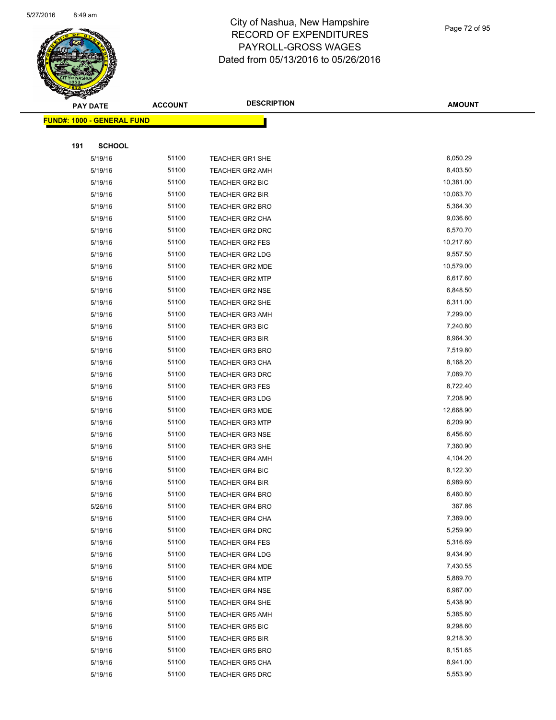

#### Page 72 of 95

|     | <b>PAY DATE</b>                   | <b>ACCOUNT</b> | <b>DESCRIPTION</b>     | <b>AMOUNT</b> |
|-----|-----------------------------------|----------------|------------------------|---------------|
|     | <b>FUND#: 1000 - GENERAL FUND</b> |                |                        |               |
|     |                                   |                |                        |               |
| 191 | <b>SCHOOL</b>                     |                |                        |               |
|     | 5/19/16                           | 51100          | <b>TEACHER GR1 SHE</b> | 6,050.29      |
|     | 5/19/16                           | 51100          | <b>TEACHER GR2 AMH</b> | 8,403.50      |
|     | 5/19/16                           | 51100          | <b>TEACHER GR2 BIC</b> | 10,381.00     |
|     | 5/19/16                           | 51100          | <b>TEACHER GR2 BIR</b> | 10,063.70     |
|     | 5/19/16                           | 51100          | <b>TEACHER GR2 BRO</b> | 5,364.30      |
|     | 5/19/16                           | 51100          | TEACHER GR2 CHA        | 9,036.60      |
|     | 5/19/16                           | 51100          | TEACHER GR2 DRC        | 6,570.70      |
|     | 5/19/16                           | 51100          | <b>TEACHER GR2 FES</b> | 10,217.60     |
|     | 5/19/16                           | 51100          | TEACHER GR2 LDG        | 9,557.50      |
|     | 5/19/16                           | 51100          | <b>TEACHER GR2 MDE</b> | 10,579.00     |
|     | 5/19/16                           | 51100          | <b>TEACHER GR2 MTP</b> | 6,617.60      |
|     | 5/19/16                           | 51100          | <b>TEACHER GR2 NSE</b> | 6,848.50      |
|     | 5/19/16                           | 51100          | <b>TEACHER GR2 SHE</b> | 6,311.00      |
|     | 5/19/16                           | 51100          | <b>TEACHER GR3 AMH</b> | 7,299.00      |
|     | 5/19/16                           | 51100          | <b>TEACHER GR3 BIC</b> | 7,240.80      |
|     | 5/19/16                           | 51100          | <b>TEACHER GR3 BIR</b> | 8,964.30      |
|     | 5/19/16                           | 51100          | <b>TEACHER GR3 BRO</b> | 7,519.80      |
|     | 5/19/16                           | 51100          | <b>TEACHER GR3 CHA</b> | 8,168.20      |
|     | 5/19/16                           | 51100          | <b>TEACHER GR3 DRC</b> | 7,089.70      |
|     | 5/19/16                           | 51100          | <b>TEACHER GR3 FES</b> | 8,722.40      |
|     | 5/19/16                           | 51100          | <b>TEACHER GR3 LDG</b> | 7,208.90      |
|     | 5/19/16                           | 51100          | <b>TEACHER GR3 MDE</b> | 12,668.90     |
|     | 5/19/16                           | 51100          | <b>TEACHER GR3 MTP</b> | 6,209.90      |
|     | 5/19/16                           | 51100          | <b>TEACHER GR3 NSE</b> | 6,456.60      |
|     | 5/19/16                           | 51100          | <b>TEACHER GR3 SHE</b> | 7,360.90      |
|     | 5/19/16                           | 51100          | <b>TEACHER GR4 AMH</b> | 4,104.20      |
|     | 5/19/16                           | 51100          | <b>TEACHER GR4 BIC</b> | 8,122.30      |
|     | 5/19/16                           | 51100          | <b>TEACHER GR4 BIR</b> | 6,989.60      |
|     | 5/19/16                           | 51100          | <b>TEACHER GR4 BRO</b> | 6,460.80      |
|     | 5/26/16                           | 51100          | <b>TEACHER GR4 BRO</b> | 367.86        |
|     | 5/19/16                           | 51100          | TEACHER GR4 CHA        | 7,389.00      |
|     | 5/19/16                           | 51100          | <b>TEACHER GR4 DRC</b> | 5,259.90      |
|     | 5/19/16                           | 51100          | <b>TEACHER GR4 FES</b> | 5,316.69      |
|     | 5/19/16                           | 51100          | <b>TEACHER GR4 LDG</b> | 9,434.90      |
|     | 5/19/16                           | 51100          | <b>TEACHER GR4 MDE</b> | 7,430.55      |
|     | 5/19/16                           | 51100          | TEACHER GR4 MTP        | 5,889.70      |
|     | 5/19/16                           | 51100          | <b>TEACHER GR4 NSE</b> | 6,987.00      |
|     | 5/19/16                           | 51100          | <b>TEACHER GR4 SHE</b> | 5,438.90      |
|     | 5/19/16                           | 51100          | <b>TEACHER GR5 AMH</b> | 5,385.80      |
|     | 5/19/16                           | 51100          | <b>TEACHER GR5 BIC</b> | 9,298.60      |
|     | 5/19/16                           | 51100          | TEACHER GR5 BIR        | 9,218.30      |
|     | 5/19/16                           | 51100          | <b>TEACHER GR5 BRO</b> | 8,151.65      |
|     | 5/19/16                           | 51100          | <b>TEACHER GR5 CHA</b> | 8,941.00      |
|     | 5/19/16                           | 51100          | TEACHER GR5 DRC        | 5,553.90      |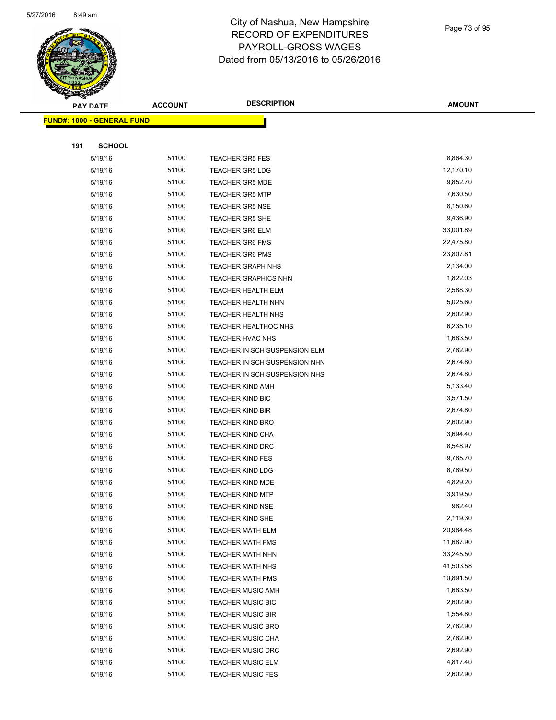

Page 73 of 95

| <b>PAY DATE</b>                   |               | <b>ACCOUNT</b> | <b>DESCRIPTION</b>            | <b>AMOUNT</b> |
|-----------------------------------|---------------|----------------|-------------------------------|---------------|
| <b>FUND#: 1000 - GENERAL FUND</b> |               |                |                               |               |
|                                   |               |                |                               |               |
| 191                               | <b>SCHOOL</b> |                |                               |               |
|                                   | 5/19/16       | 51100          | <b>TEACHER GR5 FES</b>        | 8,864.30      |
|                                   | 5/19/16       | 51100          | <b>TEACHER GR5 LDG</b>        | 12,170.10     |
|                                   | 5/19/16       | 51100          | <b>TEACHER GR5 MDE</b>        | 9,852.70      |
|                                   | 5/19/16       | 51100          | <b>TEACHER GR5 MTP</b>        | 7,630.50      |
|                                   | 5/19/16       | 51100          | <b>TEACHER GR5 NSE</b>        | 8,150.60      |
|                                   | 5/19/16       | 51100          | <b>TEACHER GR5 SHE</b>        | 9,436.90      |
|                                   | 5/19/16       | 51100          | <b>TEACHER GR6 ELM</b>        | 33,001.89     |
|                                   | 5/19/16       | 51100          | <b>TEACHER GR6 FMS</b>        | 22,475.80     |
|                                   | 5/19/16       | 51100          | <b>TEACHER GR6 PMS</b>        | 23,807.81     |
|                                   | 5/19/16       | 51100          | <b>TEACHER GRAPH NHS</b>      | 2,134.00      |
|                                   | 5/19/16       | 51100          | <b>TEACHER GRAPHICS NHN</b>   | 1,822.03      |
|                                   | 5/19/16       | 51100          | TEACHER HEALTH ELM            | 2,588.30      |
|                                   | 5/19/16       | 51100          | TEACHER HEALTH NHN            | 5,025.60      |
|                                   | 5/19/16       | 51100          | <b>TEACHER HEALTH NHS</b>     | 2,602.90      |
|                                   | 5/19/16       | 51100          | TEACHER HEALTHOC NHS          | 6,235.10      |
|                                   | 5/19/16       | 51100          | TEACHER HVAC NHS              | 1,683.50      |
|                                   | 5/19/16       | 51100          | TEACHER IN SCH SUSPENSION ELM | 2,782.90      |
|                                   | 5/19/16       | 51100          | TEACHER IN SCH SUSPENSION NHN | 2,674.80      |
|                                   | 5/19/16       | 51100          | TEACHER IN SCH SUSPENSION NHS | 2,674.80      |
|                                   | 5/19/16       | 51100          | <b>TEACHER KIND AMH</b>       | 5,133.40      |
|                                   | 5/19/16       | 51100          | TEACHER KIND BIC              | 3,571.50      |
|                                   | 5/19/16       | 51100          | <b>TEACHER KIND BIR</b>       | 2,674.80      |
|                                   | 5/19/16       | 51100          | <b>TEACHER KIND BRO</b>       | 2,602.90      |
|                                   | 5/19/16       | 51100          | TEACHER KIND CHA              | 3,694.40      |
|                                   | 5/19/16       | 51100          | <b>TEACHER KIND DRC</b>       | 8,548.97      |
|                                   | 5/19/16       | 51100          | <b>TEACHER KIND FES</b>       | 9,785.70      |
|                                   | 5/19/16       | 51100          | <b>TEACHER KIND LDG</b>       | 8,789.50      |
|                                   | 5/19/16       | 51100          | <b>TEACHER KIND MDE</b>       | 4,829.20      |
|                                   | 5/19/16       | 51100          | <b>TEACHER KIND MTP</b>       | 3,919.50      |
|                                   | 5/19/16       | 51100          | <b>TEACHER KIND NSE</b>       | 982.40        |
|                                   | 5/19/16       | 51100          | <b>TEACHER KIND SHE</b>       | 2,119.30      |
|                                   | 5/19/16       | 51100          | <b>TEACHER MATH ELM</b>       | 20,984.48     |
|                                   | 5/19/16       | 51100          | <b>TEACHER MATH FMS</b>       | 11,687.90     |
|                                   | 5/19/16       | 51100          | <b>TEACHER MATH NHN</b>       | 33,245.50     |
|                                   | 5/19/16       | 51100          | <b>TEACHER MATH NHS</b>       | 41,503.58     |
|                                   | 5/19/16       | 51100          | <b>TEACHER MATH PMS</b>       | 10,891.50     |
|                                   | 5/19/16       | 51100          | <b>TEACHER MUSIC AMH</b>      | 1,683.50      |
|                                   | 5/19/16       | 51100          | <b>TEACHER MUSIC BIC</b>      | 2,602.90      |
|                                   | 5/19/16       | 51100          | <b>TEACHER MUSIC BIR</b>      | 1,554.80      |
|                                   | 5/19/16       | 51100          | <b>TEACHER MUSIC BRO</b>      | 2,782.90      |
|                                   | 5/19/16       | 51100          | <b>TEACHER MUSIC CHA</b>      | 2,782.90      |
|                                   | 5/19/16       | 51100          | <b>TEACHER MUSIC DRC</b>      | 2,692.90      |
|                                   | 5/19/16       | 51100          | <b>TEACHER MUSIC ELM</b>      | 4,817.40      |
|                                   | 5/19/16       | 51100          | <b>TEACHER MUSIC FES</b>      | 2,602.90      |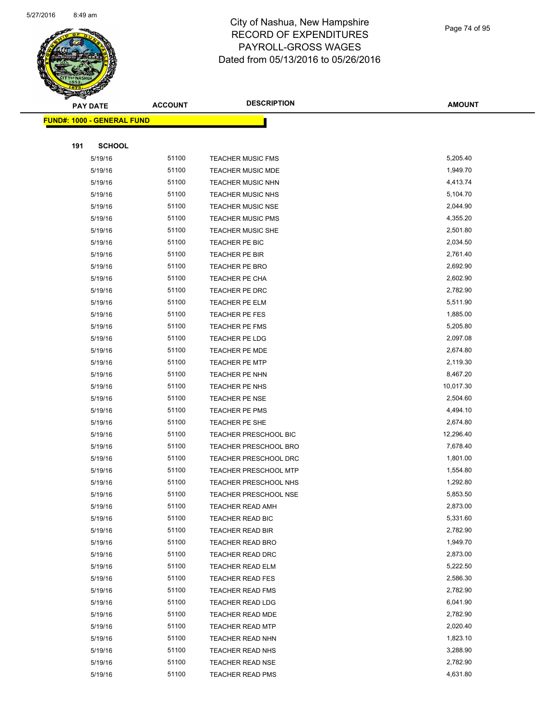

|     | <b>PAY DATE</b>                    | <b>ACCOUNT</b> | <b>DESCRIPTION</b>           | <b>AMOUNT</b> |
|-----|------------------------------------|----------------|------------------------------|---------------|
|     | <u> FUND#: 1000 - GENERAL FUND</u> |                |                              |               |
|     |                                    |                |                              |               |
| 191 | <b>SCHOOL</b>                      |                |                              |               |
|     | 5/19/16                            | 51100          | <b>TEACHER MUSIC FMS</b>     | 5,205.40      |
|     | 5/19/16                            | 51100          | <b>TEACHER MUSIC MDE</b>     | 1,949.70      |
|     | 5/19/16                            | 51100          | <b>TEACHER MUSIC NHN</b>     | 4,413.74      |
|     | 5/19/16                            | 51100          | TEACHER MUSIC NHS            | 5,104.70      |
|     | 5/19/16                            | 51100          | <b>TEACHER MUSIC NSE</b>     | 2,044.90      |
|     | 5/19/16                            | 51100          | <b>TEACHER MUSIC PMS</b>     | 4,355.20      |
|     | 5/19/16                            | 51100          | TEACHER MUSIC SHE            | 2,501.80      |
|     | 5/19/16                            | 51100          | TEACHER PE BIC               | 2,034.50      |
|     | 5/19/16                            | 51100          | TEACHER PE BIR               | 2,761.40      |
|     | 5/19/16                            | 51100          | <b>TEACHER PE BRO</b>        | 2,692.90      |
|     | 5/19/16                            | 51100          | TEACHER PE CHA               | 2,602.90      |
|     | 5/19/16                            | 51100          | TEACHER PE DRC               | 2,782.90      |
|     | 5/19/16                            | 51100          | TEACHER PE ELM               | 5,511.90      |
|     | 5/19/16                            | 51100          | TEACHER PE FES               | 1,885.00      |
|     | 5/19/16                            | 51100          | <b>TEACHER PE FMS</b>        | 5,205.80      |
|     | 5/19/16                            | 51100          | TEACHER PE LDG               | 2,097.08      |
|     | 5/19/16                            | 51100          | TEACHER PE MDE               | 2,674.80      |
|     | 5/19/16                            | 51100          | <b>TEACHER PE MTP</b>        | 2,119.30      |
|     | 5/19/16                            | 51100          | TEACHER PE NHN               | 8,467.20      |
|     | 5/19/16                            | 51100          | TEACHER PE NHS               | 10,017.30     |
|     | 5/19/16                            | 51100          | TEACHER PE NSE               | 2,504.60      |
|     | 5/19/16                            | 51100          | TEACHER PE PMS               | 4,494.10      |
|     | 5/19/16                            | 51100          | TEACHER PE SHE               | 2,674.80      |
|     | 5/19/16                            | 51100          | TEACHER PRESCHOOL BIC        | 12,296.40     |
|     | 5/19/16                            | 51100          | TEACHER PRESCHOOL BRO        | 7,678.40      |
|     | 5/19/16                            | 51100          | TEACHER PRESCHOOL DRC        | 1,801.00      |
|     | 5/19/16                            | 51100          | <b>TEACHER PRESCHOOL MTP</b> | 1,554.80      |
|     | 5/19/16                            | 51100          | <b>TEACHER PRESCHOOL NHS</b> | 1,292.80      |
|     | 5/19/16                            | 51100          | TEACHER PRESCHOOL NSE        | 5,853.50      |
|     | 5/19/16                            | 51100          | TEACHER READ AMH             | 2,873.00      |
|     | 5/19/16                            | 51100          | TEACHER READ BIC             | 5,331.60      |
|     | 5/19/16                            | 51100          | TEACHER READ BIR             | 2,782.90      |
|     | 5/19/16                            | 51100          | <b>TEACHER READ BRO</b>      | 1,949.70      |
|     | 5/19/16                            | 51100          | TEACHER READ DRC             | 2,873.00      |
|     | 5/19/16                            | 51100          | TEACHER READ ELM             | 5,222.50      |
|     | 5/19/16                            | 51100          | <b>TEACHER READ FES</b>      | 2,586.30      |
|     | 5/19/16                            | 51100          | <b>TEACHER READ FMS</b>      | 2,782.90      |
|     | 5/19/16                            | 51100          | <b>TEACHER READ LDG</b>      | 6,041.90      |
|     | 5/19/16                            | 51100          | TEACHER READ MDE             | 2,782.90      |
|     | 5/19/16                            | 51100          | <b>TEACHER READ MTP</b>      | 2,020.40      |
|     | 5/19/16                            | 51100          | <b>TEACHER READ NHN</b>      | 1,823.10      |
|     | 5/19/16                            | 51100          | TEACHER READ NHS             | 3,288.90      |
|     | 5/19/16                            | 51100          | TEACHER READ NSE             | 2,782.90      |
|     | 5/19/16                            | 51100          | <b>TEACHER READ PMS</b>      | 4,631.80      |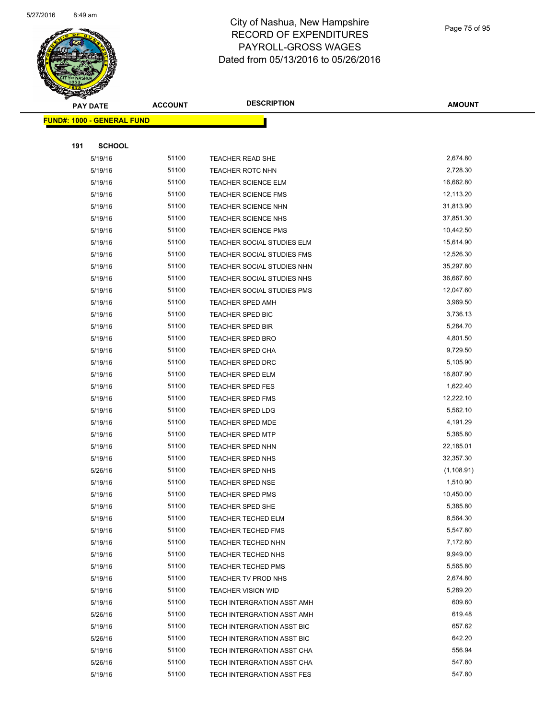

Page 75 of 95

| <b>PAY DATE</b>                   | <b>ACCOUNT</b> | <b>DESCRIPTION</b>                | <b>AMOUNT</b> |
|-----------------------------------|----------------|-----------------------------------|---------------|
| <b>FUND#: 1000 - GENERAL FUND</b> |                |                                   |               |
|                                   |                |                                   |               |
| 191<br><b>SCHOOL</b>              |                |                                   |               |
| 5/19/16                           | 51100          | TEACHER READ SHE                  | 2,674.80      |
| 5/19/16                           | 51100          | <b>TEACHER ROTC NHN</b>           | 2,728.30      |
| 5/19/16                           | 51100          | <b>TEACHER SCIENCE ELM</b>        | 16,662.80     |
| 5/19/16                           | 51100          | <b>TEACHER SCIENCE FMS</b>        | 12,113.20     |
| 5/19/16                           | 51100          | TEACHER SCIENCE NHN               | 31,813.90     |
| 5/19/16                           | 51100          | TEACHER SCIENCE NHS               | 37,851.30     |
| 5/19/16                           | 51100          | <b>TEACHER SCIENCE PMS</b>        | 10,442.50     |
| 5/19/16                           | 51100          | TEACHER SOCIAL STUDIES ELM        | 15,614.90     |
| 5/19/16                           | 51100          | TEACHER SOCIAL STUDIES FMS        | 12,526.30     |
| 5/19/16                           | 51100          | TEACHER SOCIAL STUDIES NHN        | 35,297.80     |
| 5/19/16                           | 51100          | TEACHER SOCIAL STUDIES NHS        | 36,667.60     |
| 5/19/16                           | 51100          | <b>TEACHER SOCIAL STUDIES PMS</b> | 12,047.60     |
| 5/19/16                           | 51100          | <b>TEACHER SPED AMH</b>           | 3,969.50      |
| 5/19/16                           | 51100          | <b>TEACHER SPED BIC</b>           | 3,736.13      |
| 5/19/16                           | 51100          | <b>TEACHER SPED BIR</b>           | 5,284.70      |
| 5/19/16                           | 51100          | TEACHER SPED BRO                  | 4,801.50      |
| 5/19/16                           | 51100          | <b>TEACHER SPED CHA</b>           | 9,729.50      |
| 5/19/16                           | 51100          | TEACHER SPED DRC                  | 5,105.90      |
| 5/19/16                           | 51100          | <b>TEACHER SPED ELM</b>           | 16,807.90     |
| 5/19/16                           | 51100          | <b>TEACHER SPED FES</b>           | 1,622.40      |
| 5/19/16                           | 51100          | <b>TEACHER SPED FMS</b>           | 12,222.10     |
| 5/19/16                           | 51100          | <b>TEACHER SPED LDG</b>           | 5,562.10      |
| 5/19/16                           | 51100          | <b>TEACHER SPED MDE</b>           | 4,191.29      |
| 5/19/16                           | 51100          | <b>TEACHER SPED MTP</b>           | 5,385.80      |
| 5/19/16                           | 51100          | <b>TEACHER SPED NHN</b>           | 22,185.01     |
| 5/19/16                           | 51100          | TEACHER SPED NHS                  | 32,357.30     |
| 5/26/16                           | 51100          | <b>TEACHER SPED NHS</b>           | (1, 108.91)   |
| 5/19/16                           | 51100          | <b>TEACHER SPED NSE</b>           | 1,510.90      |
| 5/19/16                           | 51100          | TEACHER SPED PMS                  | 10,450.00     |
| 5/19/16                           | 51100          | <b>TEACHER SPED SHE</b>           | 5,385.80      |
| 5/19/16                           | 51100          | <b>TEACHER TECHED ELM</b>         | 8,564.30      |
| 5/19/16                           | 51100          | <b>TEACHER TECHED FMS</b>         | 5,547.80      |
| 5/19/16                           | 51100          | <b>TEACHER TECHED NHN</b>         | 7,172.80      |
| 5/19/16                           | 51100          | <b>TEACHER TECHED NHS</b>         | 9,949.00      |
| 5/19/16                           | 51100          | <b>TEACHER TECHED PMS</b>         | 5,565.80      |
| 5/19/16                           | 51100          | TEACHER TV PROD NHS               | 2,674.80      |
| 5/19/16                           | 51100          | <b>TEACHER VISION WID</b>         | 5,289.20      |
| 5/19/16                           | 51100          | TECH INTERGRATION ASST AMH        | 609.60        |
| 5/26/16                           | 51100          | TECH INTERGRATION ASST AMH        | 619.48        |
| 5/19/16                           | 51100          | TECH INTERGRATION ASST BIC        | 657.62        |
| 5/26/16                           | 51100          | TECH INTERGRATION ASST BIC        | 642.20        |
| 5/19/16                           | 51100          | TECH INTERGRATION ASST CHA        | 556.94        |
| 5/26/16                           | 51100          | TECH INTERGRATION ASST CHA        | 547.80        |
| 5/19/16                           | 51100          | TECH INTERGRATION ASST FES        | 547.80        |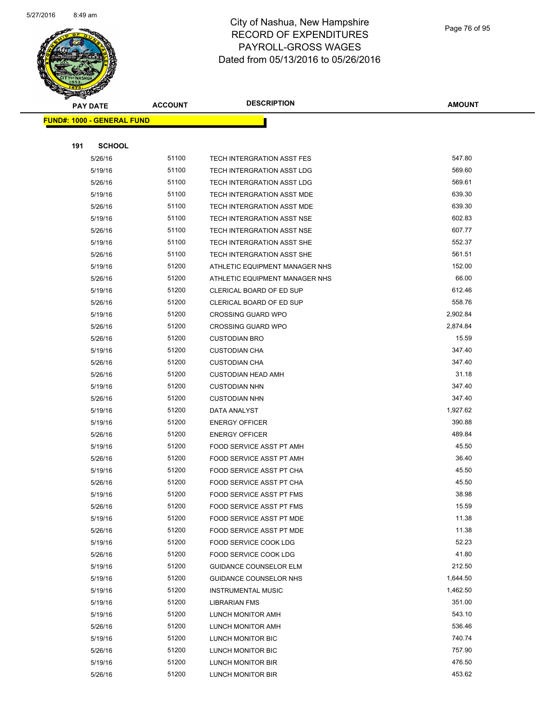

Page 76 of 95

|     | <b>PAY DATE</b>                    | <b>ACCOUNT</b> | <b>DESCRIPTION</b>              | <b>AMOUNT</b>    |
|-----|------------------------------------|----------------|---------------------------------|------------------|
|     | <u> FUND#: 1000 - GENERAL FUND</u> |                |                                 |                  |
|     |                                    |                |                                 |                  |
| 191 | <b>SCHOOL</b>                      |                |                                 |                  |
|     | 5/26/16                            | 51100          | TECH INTERGRATION ASST FES      | 547.80           |
|     | 5/19/16                            | 51100          | TECH INTERGRATION ASST LDG      | 569.60           |
|     | 5/26/16                            | 51100          | TECH INTERGRATION ASST LDG      | 569.61           |
|     | 5/19/16                            | 51100          | TECH INTERGRATION ASST MDE      | 639.30           |
|     | 5/26/16                            | 51100          | TECH INTERGRATION ASST MDE      | 639.30           |
|     | 5/19/16                            | 51100          | TECH INTERGRATION ASST NSE      | 602.83           |
|     | 5/26/16                            | 51100          | TECH INTERGRATION ASST NSE      | 607.77           |
|     | 5/19/16                            | 51100          | TECH INTERGRATION ASST SHE      | 552.37           |
|     | 5/26/16                            | 51100          | TECH INTERGRATION ASST SHE      | 561.51           |
|     | 5/19/16                            | 51200          | ATHLETIC EQUIPMENT MANAGER NHS  | 152.00           |
|     | 5/26/16                            | 51200          | ATHLETIC EQUIPMENT MANAGER NHS  | 66.00            |
|     | 5/19/16                            | 51200          | CLERICAL BOARD OF ED SUP        | 612.46           |
|     | 5/26/16                            | 51200          | CLERICAL BOARD OF ED SUP        | 558.76           |
|     | 5/19/16                            | 51200          | <b>CROSSING GUARD WPO</b>       | 2,902.84         |
|     | 5/26/16                            | 51200          | <b>CROSSING GUARD WPO</b>       | 2,874.84         |
|     | 5/26/16                            | 51200          | <b>CUSTODIAN BRO</b>            | 15.59            |
|     | 5/19/16                            | 51200          | <b>CUSTODIAN CHA</b>            | 347.40           |
|     | 5/26/16                            | 51200          | <b>CUSTODIAN CHA</b>            | 347.40           |
|     | 5/26/16                            | 51200          | <b>CUSTODIAN HEAD AMH</b>       | 31.18            |
|     | 5/19/16                            | 51200          | <b>CUSTODIAN NHN</b>            | 347.40           |
|     | 5/26/16                            | 51200          | <b>CUSTODIAN NHN</b>            | 347.40           |
|     | 5/19/16                            | 51200          | DATA ANALYST                    | 1,927.62         |
|     | 5/19/16                            | 51200          | <b>ENERGY OFFICER</b>           | 390.88           |
|     | 5/26/16                            | 51200          | <b>ENERGY OFFICER</b>           | 489.84           |
|     | 5/19/16                            | 51200          | FOOD SERVICE ASST PT AMH        | 45.50            |
|     | 5/26/16                            | 51200          | FOOD SERVICE ASST PT AMH        | 36.40            |
|     | 5/19/16                            | 51200          | FOOD SERVICE ASST PT CHA        | 45.50            |
|     | 5/26/16                            | 51200          | FOOD SERVICE ASST PT CHA        | 45.50            |
|     | 5/19/16                            | 51200          | <b>FOOD SERVICE ASST PT FMS</b> | 38.98            |
|     | 5/26/16                            | 51200          | FOOD SERVICE ASST PT FMS        | 15.59            |
|     | 5/19/16                            | 51200          | FOOD SERVICE ASST PT MDE        | 11.38            |
|     | 5/26/16                            | 51200          | FOOD SERVICE ASST PT MDE        | 11.38            |
|     | 5/19/16                            | 51200          | FOOD SERVICE COOK LDG           | 52.23            |
|     | 5/26/16                            | 51200          | FOOD SERVICE COOK LDG           | 41.80            |
|     | 5/19/16                            | 51200          | <b>GUIDANCE COUNSELOR ELM</b>   | 212.50           |
|     | 5/19/16                            | 51200          | GUIDANCE COUNSELOR NHS          | 1,644.50         |
|     | 5/19/16                            | 51200          | <b>INSTRUMENTAL MUSIC</b>       | 1,462.50         |
|     | 5/19/16                            | 51200          | LIBRARIAN FMS                   | 351.00           |
|     | 5/19/16                            | 51200          | LUNCH MONITOR AMH               | 543.10<br>536.46 |
|     | 5/26/16                            | 51200          | LUNCH MONITOR AMH               |                  |
|     | 5/19/16                            | 51200          | LUNCH MONITOR BIC               | 740.74<br>757.90 |
|     | 5/26/16                            | 51200          | LUNCH MONITOR BIC               |                  |
|     | 5/19/16                            | 51200          | LUNCH MONITOR BIR               | 476.50<br>453.62 |
|     | 5/26/16                            | 51200          | LUNCH MONITOR BIR               |                  |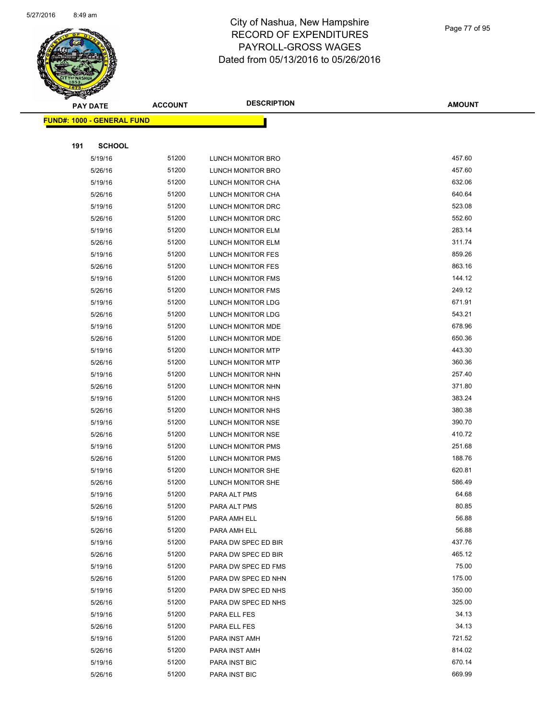

#### Page 77 of 95

|     | <b>PAY DATE</b>                    | <b>ACCOUNT</b> | <b>DESCRIPTION</b>       | <b>AMOUNT</b> |
|-----|------------------------------------|----------------|--------------------------|---------------|
|     | <u> FUND#: 1000 - GENERAL FUND</u> |                |                          |               |
|     |                                    |                |                          |               |
| 191 | <b>SCHOOL</b>                      |                |                          |               |
|     | 5/19/16                            | 51200          | LUNCH MONITOR BRO        | 457.60        |
|     | 5/26/16                            | 51200          | LUNCH MONITOR BRO        | 457.60        |
|     | 5/19/16                            | 51200          | LUNCH MONITOR CHA        | 632.06        |
|     | 5/26/16                            | 51200          | LUNCH MONITOR CHA        | 640.64        |
|     | 5/19/16                            | 51200          | LUNCH MONITOR DRC        | 523.08        |
|     | 5/26/16                            | 51200          | LUNCH MONITOR DRC        | 552.60        |
|     | 5/19/16                            | 51200          | LUNCH MONITOR ELM        | 283.14        |
|     | 5/26/16                            | 51200          | LUNCH MONITOR ELM        | 311.74        |
|     | 5/19/16                            | 51200          | LUNCH MONITOR FES        | 859.26        |
|     | 5/26/16                            | 51200          | LUNCH MONITOR FES        | 863.16        |
|     | 5/19/16                            | 51200          | LUNCH MONITOR FMS        | 144.12        |
|     | 5/26/16                            | 51200          | LUNCH MONITOR FMS        | 249.12        |
|     | 5/19/16                            | 51200          | LUNCH MONITOR LDG        | 671.91        |
|     | 5/26/16                            | 51200          | LUNCH MONITOR LDG        | 543.21        |
|     | 5/19/16                            | 51200          | LUNCH MONITOR MDE        | 678.96        |
|     | 5/26/16                            | 51200          | LUNCH MONITOR MDE        | 650.36        |
|     | 5/19/16                            | 51200          | <b>LUNCH MONITOR MTP</b> | 443.30        |
|     | 5/26/16                            | 51200          | LUNCH MONITOR MTP        | 360.36        |
|     | 5/19/16                            | 51200          | LUNCH MONITOR NHN        | 257.40        |
|     | 5/26/16                            | 51200          | LUNCH MONITOR NHN        | 371.80        |
|     | 5/19/16                            | 51200          | LUNCH MONITOR NHS        | 383.24        |
|     | 5/26/16                            | 51200          | LUNCH MONITOR NHS        | 380.38        |
|     | 5/19/16                            | 51200          | LUNCH MONITOR NSE        | 390.70        |
|     | 5/26/16                            | 51200          | LUNCH MONITOR NSE        | 410.72        |
|     | 5/19/16                            | 51200          | LUNCH MONITOR PMS        | 251.68        |
|     | 5/26/16                            | 51200          | <b>LUNCH MONITOR PMS</b> | 188.76        |
|     | 5/19/16                            | 51200          | LUNCH MONITOR SHE        | 620.81        |
|     | 5/26/16                            | 51200          | LUNCH MONITOR SHE        | 586.49        |
|     | 5/19/16                            | 51200          | PARA ALT PMS             | 64.68         |
|     | 5/26/16                            | 51200          | PARA ALT PMS             | 80.85         |
|     | 5/19/16                            | 51200          | PARA AMH ELL             | 56.88         |
|     | 5/26/16                            | 51200          | PARA AMH ELL             | 56.88         |
|     | 5/19/16                            | 51200          | PARA DW SPEC ED BIR      | 437.76        |
|     | 5/26/16                            | 51200          | PARA DW SPEC ED BIR      | 465.12        |
|     | 5/19/16                            | 51200          | PARA DW SPEC ED FMS      | 75.00         |
|     | 5/26/16                            | 51200          | PARA DW SPEC ED NHN      | 175.00        |
|     | 5/19/16                            | 51200          | PARA DW SPEC ED NHS      | 350.00        |
|     | 5/26/16                            | 51200          | PARA DW SPEC ED NHS      | 325.00        |
|     | 5/19/16                            | 51200          | PARA ELL FES             | 34.13         |
|     | 5/26/16                            | 51200          | PARA ELL FES             | 34.13         |
|     | 5/19/16                            | 51200          | PARA INST AMH            | 721.52        |
|     | 5/26/16                            | 51200          | PARA INST AMH            | 814.02        |
|     | 5/19/16                            | 51200          | PARA INST BIC            | 670.14        |
|     | 5/26/16                            | 51200          | PARA INST BIC            | 669.99        |
|     |                                    |                |                          |               |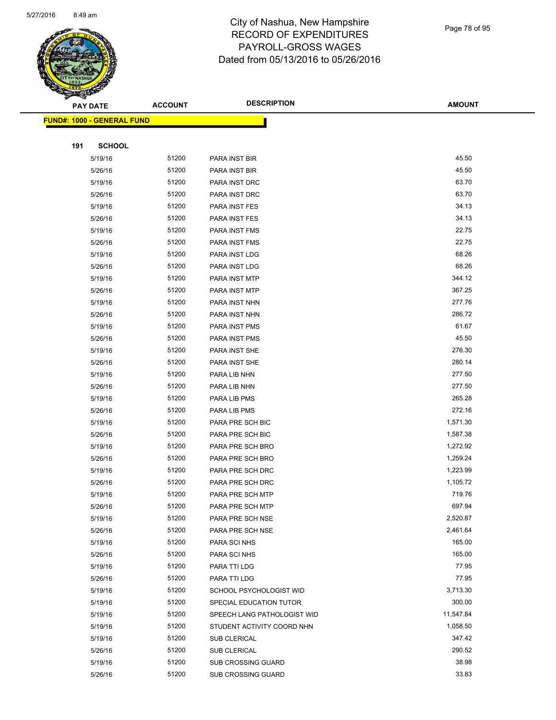

Page 78 of 95

|     | <b>PAY DATE</b>                    | <b>ACCOUNT</b> | <b>DESCRIPTION</b>          | <b>AMOUNT</b> |
|-----|------------------------------------|----------------|-----------------------------|---------------|
|     | <u> FUND#: 1000 - GENERAL FUND</u> |                |                             |               |
|     |                                    |                |                             |               |
| 191 | <b>SCHOOL</b>                      |                |                             |               |
|     | 5/19/16                            | 51200          | PARA INST BIR               | 45.50         |
|     | 5/26/16                            | 51200          | PARA INST BIR               | 45.50         |
|     | 5/19/16                            | 51200          | PARA INST DRC               | 63.70         |
|     | 5/26/16                            | 51200          | PARA INST DRC               | 63.70         |
|     | 5/19/16                            | 51200          | PARA INST FES               | 34.13         |
|     | 5/26/16                            | 51200          | PARA INST FES               | 34.13         |
|     | 5/19/16                            | 51200          | PARA INST FMS               | 22.75         |
|     | 5/26/16                            | 51200          | PARA INST FMS               | 22.75         |
|     | 5/19/16                            | 51200          | PARA INST LDG               | 68.26         |
|     | 5/26/16                            | 51200          | PARA INST LDG               | 68.26         |
|     | 5/19/16                            | 51200          | PARA INST MTP               | 344.12        |
|     | 5/26/16                            | 51200          | PARA INST MTP               | 367.25        |
|     | 5/19/16                            | 51200          | PARA INST NHN               | 277.76        |
|     | 5/26/16                            | 51200          | PARA INST NHN               | 286.72        |
|     | 5/19/16                            | 51200          | PARA INST PMS               | 61.67         |
|     | 5/26/16                            | 51200          | PARA INST PMS               | 45.50         |
|     | 5/19/16                            | 51200          | PARA INST SHE               | 276.30        |
|     | 5/26/16                            | 51200          | PARA INST SHE               | 280.14        |
|     | 5/19/16                            | 51200          | PARA LIB NHN                | 277.50        |
|     | 5/26/16                            | 51200          | PARA LIB NHN                | 277.50        |
|     | 5/19/16                            | 51200          | PARA LIB PMS                | 265.28        |
|     | 5/26/16                            | 51200          | PARA LIB PMS                | 272.16        |
|     | 5/19/16                            | 51200          | PARA PRE SCH BIC            | 1,571.30      |
|     | 5/26/16                            | 51200          | PARA PRE SCH BIC            | 1,587.38      |
|     | 5/19/16                            | 51200          | PARA PRE SCH BRO            | 1,272.92      |
|     | 5/26/16                            | 51200          | PARA PRE SCH BRO            | 1,259.24      |
|     | 5/19/16                            | 51200          | PARA PRE SCH DRC            | 1,223.99      |
|     | 5/26/16                            | 51200          | PARA PRE SCH DRC            | 1,105.72      |
|     | 5/19/16                            | 51200          | PARA PRE SCH MTP            | 719.76        |
|     | 5/26/16                            | 51200          | <b>PARA PRE SCH MTP</b>     | 697.94        |
|     | 5/19/16                            | 51200          | PARA PRE SCH NSE            | 2,520.87      |
|     | 5/26/16                            | 51200          | PARA PRE SCH NSE            | 2,461.64      |
|     | 5/19/16                            | 51200          | PARA SCI NHS                | 165.00        |
|     | 5/26/16                            | 51200          | PARA SCI NHS                | 165.00        |
|     | 5/19/16                            | 51200          | PARA TTI LDG                | 77.95         |
|     | 5/26/16                            | 51200          | PARA TTI LDG                | 77.95         |
|     | 5/19/16                            | 51200          | SCHOOL PSYCHOLOGIST WID     | 3,713.30      |
|     | 5/19/16                            | 51200          | SPECIAL EDUCATION TUTOR     | 300.00        |
|     | 5/19/16                            | 51200          | SPEECH LANG PATHOLOGIST WID | 11,547.84     |
|     | 5/19/16                            | 51200          | STUDENT ACTIVITY COORD NHN  | 1,058.50      |
|     | 5/19/16                            | 51200          | <b>SUB CLERICAL</b>         | 347.42        |
|     | 5/26/16                            | 51200          | SUB CLERICAL                | 290.52        |
|     | 5/19/16                            | 51200          | <b>SUB CROSSING GUARD</b>   | 38.98         |
|     | 5/26/16                            | 51200          | SUB CROSSING GUARD          | 33.83         |
|     |                                    |                |                             |               |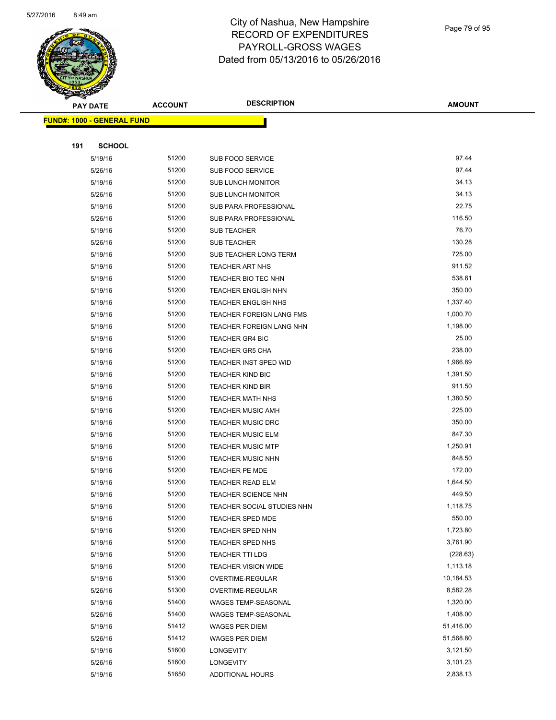

Page 79 of 95

| <b>PAY DATE</b>                   | <b>ACCOUNT</b> | <b>DESCRIPTION</b>            | <b>AMOUNT</b>          |
|-----------------------------------|----------------|-------------------------------|------------------------|
| <b>FUND#: 1000 - GENERAL FUND</b> |                |                               |                        |
|                                   |                |                               |                        |
| 191<br><b>SCHOOL</b>              |                |                               |                        |
| 5/19/16                           | 51200          | SUB FOOD SERVICE              | 97.44                  |
| 5/26/16                           | 51200          | <b>SUB FOOD SERVICE</b>       | 97.44                  |
| 5/19/16                           | 51200          | <b>SUB LUNCH MONITOR</b>      | 34.13                  |
| 5/26/16                           | 51200          | <b>SUB LUNCH MONITOR</b>      | 34.13                  |
| 5/19/16                           | 51200          | SUB PARA PROFESSIONAL         | 22.75                  |
| 5/26/16                           | 51200          | SUB PARA PROFESSIONAL         | 116.50                 |
| 5/19/16                           | 51200          | SUB TEACHER                   | 76.70                  |
| 5/26/16                           | 51200          | <b>SUB TEACHER</b>            | 130.28                 |
| 5/19/16                           | 51200          | SUB TEACHER LONG TERM         | 725.00                 |
| 5/19/16                           | 51200          | <b>TEACHER ART NHS</b>        | 911.52                 |
| 5/19/16                           | 51200          | TEACHER BIO TEC NHN           | 538.61                 |
| 5/19/16                           | 51200          | <b>TEACHER ENGLISH NHN</b>    | 350.00                 |
| 5/19/16                           | 51200          | <b>TEACHER ENGLISH NHS</b>    | 1,337.40               |
| 5/19/16                           | 51200          | TEACHER FOREIGN LANG FMS      | 1,000.70               |
| 5/19/16                           | 51200          | TEACHER FOREIGN LANG NHN      | 1,198.00               |
| 5/19/16                           | 51200          | <b>TEACHER GR4 BIC</b>        | 25.00                  |
| 5/19/16                           | 51200          | TEACHER GR5 CHA               | 238.00                 |
| 5/19/16                           | 51200          | TEACHER INST SPED WID         | 1,966.89               |
| 5/19/16                           | 51200          | <b>TEACHER KIND BIC</b>       | 1,391.50               |
| 5/19/16                           | 51200          | <b>TEACHER KIND BIR</b>       | 911.50                 |
| 5/19/16                           | 51200          | <b>TEACHER MATH NHS</b>       | 1,380.50               |
| 5/19/16                           | 51200          | <b>TEACHER MUSIC AMH</b>      | 225.00                 |
| 5/19/16                           | 51200          | <b>TEACHER MUSIC DRC</b>      | 350.00                 |
| 5/19/16                           | 51200          | <b>TEACHER MUSIC ELM</b>      | 847.30                 |
| 5/19/16                           | 51200          | <b>TEACHER MUSIC MTP</b>      | 1,250.91               |
| 5/19/16                           | 51200          | <b>TEACHER MUSIC NHN</b>      | 848.50                 |
| 5/19/16                           | 51200          | TEACHER PE MDE                | 172.00                 |
| 5/19/16                           | 51200          | <b>TEACHER READ ELM</b>       | 1,644.50               |
| 5/19/16                           | 51200          | <b>TEACHER SCIENCE NHN</b>    | 449.50                 |
| 5/19/16                           | 51200          | TEACHER SOCIAL STUDIES NHN    | 1,118.75               |
| 5/19/16                           | 51200          | <b>TEACHER SPED MDE</b>       | 550.00                 |
| 5/19/16                           | 51200          | <b>TEACHER SPED NHN</b>       | 1,723.80               |
| 5/19/16                           | 51200          | <b>TEACHER SPED NHS</b>       | 3,761.90               |
| 5/19/16                           | 51200          | <b>TEACHER TTI LDG</b>        | (228.63)               |
| 5/19/16                           | 51200          | <b>TEACHER VISION WIDE</b>    | 1,113.18               |
| 5/19/16                           | 51300          | OVERTIME-REGULAR              | 10,184.53              |
| 5/26/16                           | 51300          | OVERTIME-REGULAR              | 8,582.28               |
| 5/19/16                           | 51400          | WAGES TEMP-SEASONAL           | 1,320.00               |
| 5/26/16                           | 51400          | WAGES TEMP-SEASONAL           | 1,408.00               |
| 5/19/16                           | 51412<br>51412 | WAGES PER DIEM                | 51,416.00<br>51,568.80 |
| 5/26/16                           | 51600          | <b>WAGES PER DIEM</b>         | 3,121.50               |
| 5/19/16<br>5/26/16                | 51600          | LONGEVITY<br><b>LONGEVITY</b> | 3,101.23               |
| 5/19/16                           | 51650          | ADDITIONAL HOURS              | 2,838.13               |
|                                   |                |                               |                        |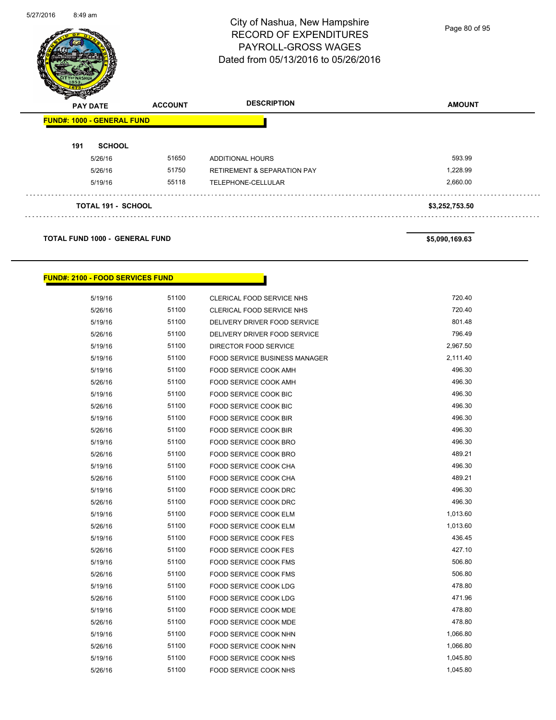

Page 80 of 95

| $\boldsymbol{z}$<br>$\tilde{\phantom{a}}$<br><b>PAY DATE</b> | <b>ACCOUNT</b> | <b>DESCRIPTION</b>                     | <b>AMOUNT</b>  |
|--------------------------------------------------------------|----------------|----------------------------------------|----------------|
| <b>FUND#: 1000 - GENERAL FUND</b>                            |                |                                        |                |
| 191<br><b>SCHOOL</b>                                         |                |                                        |                |
| 5/26/16                                                      | 51650          | <b>ADDITIONAL HOURS</b>                | 593.99         |
| 5/26/16                                                      | 51750          | <b>RETIREMENT &amp; SEPARATION PAY</b> | 1,228.99       |
| 5/19/16                                                      | 55118          | TELEPHONE-CELLULAR                     | 2,660.00       |
| <b>TOTAL 191 - SCHOOL</b>                                    |                |                                        | \$3,252,753.50 |
| <b>TOTAL FUND 1000 - GENERAL FUND</b>                        |                |                                        | \$5,090,169.63 |

# **FUND#: 2100 - FOOD SERVICES FUND**

| 5/19/16 | 51100 | CLERICAL FOOD SERVICE NHS            | 720.40   |
|---------|-------|--------------------------------------|----------|
| 5/26/16 | 51100 | CLERICAL FOOD SERVICE NHS            | 720.40   |
| 5/19/16 | 51100 | DELIVERY DRIVER FOOD SERVICE         | 801.48   |
| 5/26/16 | 51100 | DELIVERY DRIVER FOOD SERVICE         | 796.49   |
| 5/19/16 | 51100 | DIRECTOR FOOD SERVICE                | 2,967.50 |
| 5/19/16 | 51100 | <b>FOOD SERVICE BUSINESS MANAGER</b> | 2,111.40 |
| 5/19/16 | 51100 | FOOD SERVICE COOK AMH                | 496.30   |
| 5/26/16 | 51100 | <b>FOOD SERVICE COOK AMH</b>         | 496.30   |
| 5/19/16 | 51100 | FOOD SERVICE COOK BIC                | 496.30   |
| 5/26/16 | 51100 | <b>FOOD SERVICE COOK BIC</b>         | 496.30   |
| 5/19/16 | 51100 | <b>FOOD SERVICE COOK BIR</b>         | 496.30   |
| 5/26/16 | 51100 | FOOD SERVICE COOK BIR                | 496.30   |
| 5/19/16 | 51100 | FOOD SERVICE COOK BRO                | 496.30   |
| 5/26/16 | 51100 | <b>FOOD SERVICE COOK BRO</b>         | 489.21   |
| 5/19/16 | 51100 | FOOD SERVICE COOK CHA                | 496.30   |
| 5/26/16 | 51100 | <b>FOOD SERVICE COOK CHA</b>         | 489.21   |
| 5/19/16 | 51100 | <b>FOOD SERVICE COOK DRC</b>         | 496.30   |
| 5/26/16 | 51100 | <b>FOOD SERVICE COOK DRC</b>         | 496.30   |
| 5/19/16 | 51100 | FOOD SERVICE COOK ELM                | 1,013.60 |
| 5/26/16 | 51100 | <b>FOOD SERVICE COOK ELM</b>         | 1,013.60 |
| 5/19/16 | 51100 | <b>FOOD SERVICE COOK FES</b>         | 436.45   |
| 5/26/16 | 51100 | <b>FOOD SERVICE COOK FES</b>         | 427.10   |
| 5/19/16 | 51100 | <b>FOOD SERVICE COOK FMS</b>         | 506.80   |
| 5/26/16 | 51100 | <b>FOOD SERVICE COOK FMS</b>         | 506.80   |
| 5/19/16 | 51100 | FOOD SERVICE COOK LDG                | 478.80   |
| 5/26/16 | 51100 | FOOD SERVICE COOK LDG                | 471.96   |
| 5/19/16 | 51100 | FOOD SERVICE COOK MDE                | 478.80   |
| 5/26/16 | 51100 | FOOD SERVICE COOK MDE                | 478.80   |
| 5/19/16 | 51100 | FOOD SERVICE COOK NHN                | 1,066.80 |
| 5/26/16 | 51100 | FOOD SERVICE COOK NHN                | 1,066.80 |
| 5/19/16 | 51100 | FOOD SERVICE COOK NHS                | 1,045.80 |
| 5/26/16 | 51100 | FOOD SERVICE COOK NHS                | 1,045.80 |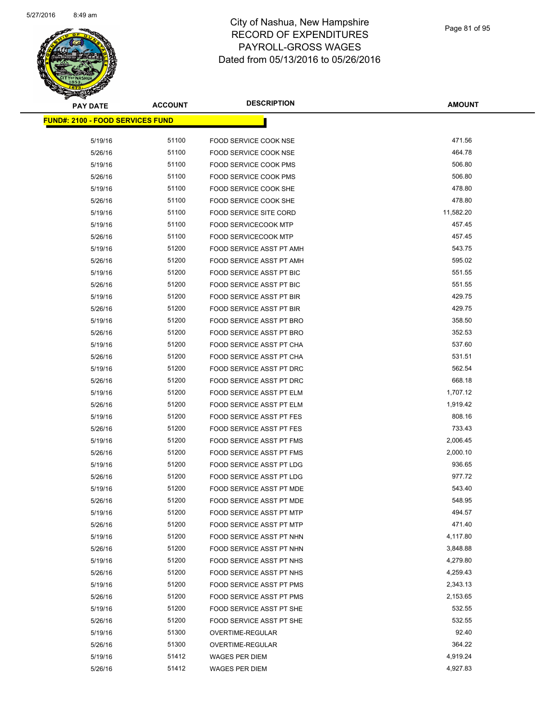

| <b>PAY DATE</b>                          | <b>ACCOUNT</b> | <b>DESCRIPTION</b>              | <b>AMOUNT</b> |
|------------------------------------------|----------------|---------------------------------|---------------|
| <u> FUND#: 2100 - FOOD SERVICES FUND</u> |                |                                 |               |
|                                          |                |                                 |               |
| 5/19/16                                  | 51100          | <b>FOOD SERVICE COOK NSE</b>    | 471.56        |
| 5/26/16                                  | 51100          | <b>FOOD SERVICE COOK NSE</b>    | 464.78        |
| 5/19/16                                  | 51100          | FOOD SERVICE COOK PMS           | 506.80        |
| 5/26/16                                  | 51100          | FOOD SERVICE COOK PMS           | 506.80        |
| 5/19/16                                  | 51100          | FOOD SERVICE COOK SHE           | 478.80        |
| 5/26/16                                  | 51100          | <b>FOOD SERVICE COOK SHE</b>    | 478.80        |
| 5/19/16                                  | 51100          | FOOD SERVICE SITE CORD          | 11,582.20     |
| 5/19/16                                  | 51100          | <b>FOOD SERVICECOOK MTP</b>     | 457.45        |
| 5/26/16                                  | 51100          | <b>FOOD SERVICECOOK MTP</b>     | 457.45        |
| 5/19/16                                  | 51200          | FOOD SERVICE ASST PT AMH        | 543.75        |
| 5/26/16                                  | 51200          | FOOD SERVICE ASST PT AMH        | 595.02        |
| 5/19/16                                  | 51200          | FOOD SERVICE ASST PT BIC        | 551.55        |
| 5/26/16                                  | 51200          | <b>FOOD SERVICE ASST PT BIC</b> | 551.55        |
| 5/19/16                                  | 51200          | FOOD SERVICE ASST PT BIR        | 429.75        |
| 5/26/16                                  | 51200          | <b>FOOD SERVICE ASST PT BIR</b> | 429.75        |
| 5/19/16                                  | 51200          | FOOD SERVICE ASST PT BRO        | 358.50        |
| 5/26/16                                  | 51200          | FOOD SERVICE ASST PT BRO        | 352.53        |
| 5/19/16                                  | 51200          | FOOD SERVICE ASST PT CHA        | 537.60        |
| 5/26/16                                  | 51200          | FOOD SERVICE ASST PT CHA        | 531.51        |
| 5/19/16                                  | 51200          | FOOD SERVICE ASST PT DRC        | 562.54        |
| 5/26/16                                  | 51200          | FOOD SERVICE ASST PT DRC        | 668.18        |
| 5/19/16                                  | 51200          | FOOD SERVICE ASST PT ELM        | 1,707.12      |
| 5/26/16                                  | 51200          | FOOD SERVICE ASST PT ELM        | 1,919.42      |
| 5/19/16                                  | 51200          | FOOD SERVICE ASST PT FES        | 808.16        |
| 5/26/16                                  | 51200          | <b>FOOD SERVICE ASST PT FES</b> | 733.43        |
| 5/19/16                                  | 51200          | <b>FOOD SERVICE ASST PT FMS</b> | 2,006.45      |
| 5/26/16                                  | 51200          | FOOD SERVICE ASST PT FMS        | 2,000.10      |
| 5/19/16                                  | 51200          | FOOD SERVICE ASST PT LDG        | 936.65        |
| 5/26/16                                  | 51200          | FOOD SERVICE ASST PT LDG        | 977.72        |
| 5/19/16                                  | 51200          | FOOD SERVICE ASST PT MDE        | 543.40        |
| 5/26/16                                  | 51200          | FOOD SERVICE ASST PT MDE        | 548.95        |
| 5/19/16                                  | 51200          | FOOD SERVICE ASST PT MTP        | 494.57        |
| 5/26/16                                  | 51200          | FOOD SERVICE ASST PT MTP        | 471.40        |
| 5/19/16                                  | 51200          | FOOD SERVICE ASST PT NHN        | 4,117.80      |
| 5/26/16                                  | 51200          | FOOD SERVICE ASST PT NHN        | 3,848.88      |
| 5/19/16                                  | 51200          | FOOD SERVICE ASST PT NHS        | 4,279.80      |
| 5/26/16                                  | 51200          | FOOD SERVICE ASST PT NHS        | 4,259.43      |
| 5/19/16                                  | 51200          | FOOD SERVICE ASST PT PMS        | 2,343.13      |
| 5/26/16                                  | 51200          | FOOD SERVICE ASST PT PMS        | 2,153.65      |
| 5/19/16                                  | 51200          | FOOD SERVICE ASST PT SHE        | 532.55        |
| 5/26/16                                  | 51200          | FOOD SERVICE ASST PT SHE        | 532.55        |
| 5/19/16                                  | 51300          | OVERTIME-REGULAR                | 92.40         |
| 5/26/16                                  | 51300          | OVERTIME-REGULAR                | 364.22        |
| 5/19/16                                  | 51412          | <b>WAGES PER DIEM</b>           | 4,919.24      |
| 5/26/16                                  | 51412          | WAGES PER DIEM                  | 4,927.83      |
|                                          |                |                                 |               |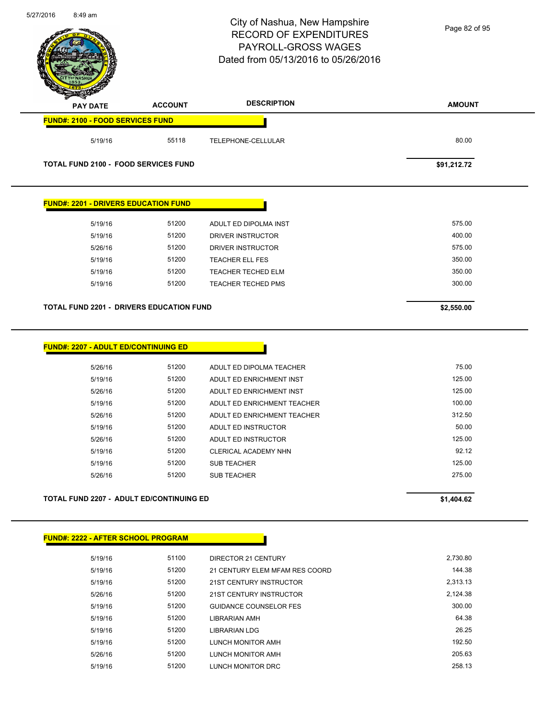|                                                 |                | City of Nashua, New Hampshire<br><b>RECORD OF EXPENDITURES</b><br>PAYROLL-GROSS WAGES<br>Dated from 05/13/2016 to 05/26/2016 | Page 82 of 95   |
|-------------------------------------------------|----------------|------------------------------------------------------------------------------------------------------------------------------|-----------------|
| <b>PAY DATE</b>                                 | <b>ACCOUNT</b> | <b>DESCRIPTION</b>                                                                                                           | <b>AMOUNT</b>   |
| <b>FUND#: 2100 - FOOD SERVICES FUND</b>         |                |                                                                                                                              |                 |
| 5/19/16                                         | 55118          | TELEPHONE-CELLULAR                                                                                                           | 80.00           |
| <b>TOTAL FUND 2100 - FOOD SERVICES FUND</b>     |                |                                                                                                                              | \$91,212.72     |
| <b>FUND#: 2201 - DRIVERS EDUCATION FUND</b>     |                |                                                                                                                              |                 |
| 5/19/16                                         | 51200          | ADULT ED DIPOLMA INST                                                                                                        | 575.00          |
| 5/19/16                                         | 51200          | DRIVER INSTRUCTOR                                                                                                            | 400.00          |
| 5/26/16                                         | 51200          | DRIVER INSTRUCTOR                                                                                                            | 575.00          |
| 5/19/16                                         | 51200          | <b>TEACHER ELL FES</b>                                                                                                       | 350.00          |
| 5/19/16                                         | 51200          | TEACHER TECHED ELM                                                                                                           | 350.00          |
| 5/19/16                                         | 51200          | TEACHER TECHED PMS                                                                                                           | 300.00          |
| <b>TOTAL FUND 2201 - DRIVERS EDUCATION FUND</b> |                |                                                                                                                              | \$2,550.00      |
| <b>FUND#: 2207 - ADULT ED/CONTINUING ED</b>     |                |                                                                                                                              |                 |
| 5/26/16                                         | 51200          | ADULT ED DIPOLMA TEACHER                                                                                                     | 75.00           |
| 5/19/16                                         | 51200          | ADULT ED ENRICHMENT INST                                                                                                     | 125.00          |
| 5/26/16                                         | 51200          | ADULT ED ENRICHMENT INST                                                                                                     | 125.00          |
| 5/19/16                                         | 51200          | ADULT ED ENRICHMENT TEACHER                                                                                                  | 100.00          |
| 5/26/16                                         | 51200          | ADULT ED ENRICHMENT TEACHER                                                                                                  | 312.50          |
| 5/19/16                                         | 51200<br>51200 | ADULT ED INSTRUCTOR<br>ADULT ED INSTRUCTOR                                                                                   | 50.00<br>125.00 |
| 5/26/16<br>5/19/16                              | 51200          | CLERICAL ACADEMY NHN                                                                                                         | 92.12           |
| 5/19/16                                         | 51200          | <b>SUB TEACHER</b>                                                                                                           | 125.00          |
| 5/26/16                                         | 51200          | <b>SUB TEACHER</b>                                                                                                           | 275.00          |
| <b>TOTAL FUND 2207 - ADULT ED/CONTINUING ED</b> |                |                                                                                                                              | \$1,404.62      |
| <b>FUND#: 2222 - AFTER SCHOOL PROGRAM</b>       |                |                                                                                                                              |                 |
| 5/19/16                                         | 51100          | DIRECTOR 21 CENTURY                                                                                                          | 2,730.80        |
| 5/19/16                                         | 51200          | 21 CENTURY ELEM MFAM RES COORD                                                                                               | 144.38          |
| 5/19/16                                         | 51200          | 21ST CENTURY INSTRUCTOR                                                                                                      | 2,313.13        |
| 5/26/16                                         | 51200          | 21ST CENTURY INSTRUCTOR                                                                                                      | 2,124.38        |
| 5/19/16                                         | 51200          | <b>GUIDANCE COUNSELOR FES</b>                                                                                                | 300.00          |
| 5/19/16                                         | 51200          | LIBRARIAN AMH                                                                                                                | 64.38           |
| 5/19/16                                         | 51200          | <b>LIBRARIAN LDG</b>                                                                                                         | 26.25           |

5/19/16 51200 LUNCH MONITOR AMH 5/26/16 51200 LUNCH MONITOR AMH 205.63 5/19/16 51200 LUNCH MONITOR DRC 258.13

5/27/2016 8:49 am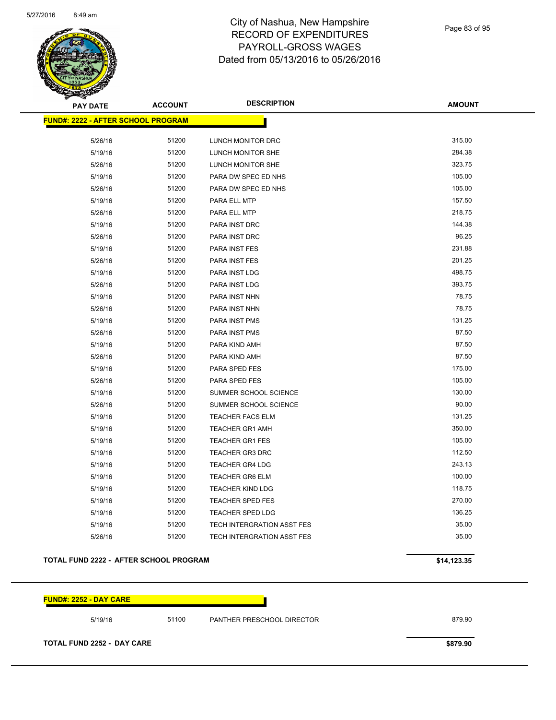

Page 83 of 95

| <b>PAY DATE</b>                            | <b>ACCOUNT</b> | <b>DESCRIPTION</b>                | <b>AMOUNT</b> |
|--------------------------------------------|----------------|-----------------------------------|---------------|
| <u> FUND#: 2222 - AFTER SCHOOL PROGRAM</u> |                |                                   |               |
| 5/26/16                                    | 51200          | LUNCH MONITOR DRC                 | 315.00        |
| 5/19/16                                    | 51200          | LUNCH MONITOR SHE                 | 284.38        |
| 5/26/16                                    | 51200          | <b>LUNCH MONITOR SHE</b>          | 323.75        |
| 5/19/16                                    | 51200          | PARA DW SPEC ED NHS               | 105.00        |
| 5/26/16                                    | 51200          | PARA DW SPEC ED NHS               | 105.00        |
| 5/19/16                                    | 51200          | PARA ELL MTP                      | 157.50        |
| 5/26/16                                    | 51200          | PARA ELL MTP                      | 218.75        |
| 5/19/16                                    | 51200          | PARA INST DRC                     | 144.38        |
| 5/26/16                                    | 51200          | PARA INST DRC                     | 96.25         |
| 5/19/16                                    | 51200          | PARA INST FES                     | 231.88        |
| 5/26/16                                    | 51200          | PARA INST FES                     | 201.25        |
| 5/19/16                                    | 51200          | PARA INST LDG                     | 498.75        |
| 5/26/16                                    | 51200          | PARA INST LDG                     | 393.75        |
| 5/19/16                                    | 51200          | PARA INST NHN                     | 78.75         |
| 5/26/16                                    | 51200          | PARA INST NHN                     | 78.75         |
| 5/19/16                                    | 51200          | PARA INST PMS                     | 131.25        |
| 5/26/16                                    | 51200          | PARA INST PMS                     | 87.50         |
| 5/19/16                                    | 51200          | PARA KIND AMH                     | 87.50         |
| 5/26/16                                    | 51200          | PARA KIND AMH                     | 87.50         |
| 5/19/16                                    | 51200          | PARA SPED FES                     | 175.00        |
| 5/26/16                                    | 51200          | PARA SPED FES                     | 105.00        |
| 5/19/16                                    | 51200          | SUMMER SCHOOL SCIENCE             | 130.00        |
| 5/26/16                                    | 51200          | SUMMER SCHOOL SCIENCE             | 90.00         |
| 5/19/16                                    | 51200          | <b>TEACHER FACS ELM</b>           | 131.25        |
| 5/19/16                                    | 51200          | <b>TEACHER GR1 AMH</b>            | 350.00        |
| 5/19/16                                    | 51200          | <b>TEACHER GR1 FES</b>            | 105.00        |
| 5/19/16                                    | 51200          | <b>TEACHER GR3 DRC</b>            | 112.50        |
| 5/19/16                                    | 51200          | <b>TEACHER GR4 LDG</b>            | 243.13        |
| 5/19/16                                    | 51200          | <b>TEACHER GR6 ELM</b>            | 100.00        |
| 5/19/16                                    | 51200          | <b>TEACHER KIND LDG</b>           | 118.75        |
| 5/19/16                                    | 51200          | <b>TEACHER SPED FES</b>           | 270.00        |
| 5/19/16                                    | 51200          | <b>TEACHER SPED LDG</b>           | 136.25        |
| 5/19/16                                    | 51200          | TECH INTERGRATION ASST FES        | 35.00         |
| 5/26/16                                    | 51200          | <b>TECH INTERGRATION ASST FES</b> | 35.00         |
|                                            |                |                                   |               |

#### **TOTAL FUND 2222 - AFTER SCHOOL PROGRAM \$14,123.35**

**FUND#: 2252 - DAY CARE** 5/19/16 51100 PANTHER PRESCHOOL DIRECTOR 879.90 **TOTAL FUND 2252 - DAY CARE \$879.90**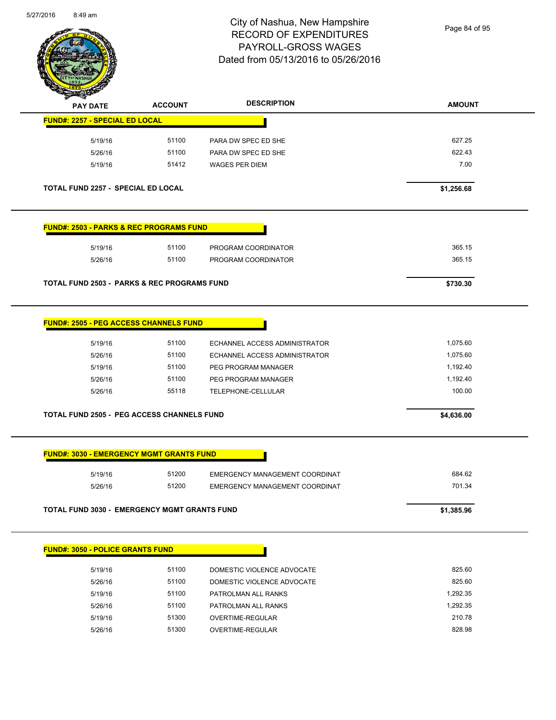

Page 84 of 95

| <b>PAY DATE</b>                                                                                                                                   | <b>ACCOUNT</b> | <b>DESCRIPTION</b>             | <b>AMOUNT</b> |
|---------------------------------------------------------------------------------------------------------------------------------------------------|----------------|--------------------------------|---------------|
| <b>FUND#: 2257 - SPECIAL ED LOCAL</b>                                                                                                             |                |                                |               |
| 5/19/16                                                                                                                                           | 51100          | PARA DW SPEC ED SHE            | 627.25        |
| 5/26/16                                                                                                                                           | 51100          | PARA DW SPEC ED SHE            | 622.43        |
| 5/19/16                                                                                                                                           | 51412          | <b>WAGES PER DIEM</b>          | 7.00          |
| TOTAL FUND 2257 - SPECIAL ED LOCAL                                                                                                                |                |                                | \$1,256.68    |
| <b>FUND#: 2503 - PARKS &amp; REC PROGRAMS FUND</b>                                                                                                |                |                                |               |
| 5/19/16                                                                                                                                           | 51100          | PROGRAM COORDINATOR            | 365.15        |
| 5/26/16                                                                                                                                           | 51100          | PROGRAM COORDINATOR            | 365.15        |
| <b>TOTAL FUND 2503 - PARKS &amp; REC PROGRAMS FUND</b>                                                                                            |                |                                | \$730.30      |
| <b>FUND#: 2505 - PEG ACCESS CHANNELS FUND</b>                                                                                                     |                |                                |               |
| 5/19/16                                                                                                                                           | 51100          | ECHANNEL ACCESS ADMINISTRATOR  | 1,075.60      |
| 5/26/16                                                                                                                                           | 51100          | ECHANNEL ACCESS ADMINISTRATOR  | 1,075.60      |
| 5/19/16                                                                                                                                           | 51100          | PEG PROGRAM MANAGER            | 1,192.40      |
| 5/26/16                                                                                                                                           | 51100          | PEG PROGRAM MANAGER            | 1,192.40      |
| 5/26/16                                                                                                                                           | 55118          | TELEPHONE-CELLULAR             | 100.00        |
|                                                                                                                                                   |                |                                |               |
| <b>TOTAL FUND 2505 - PEG ACCESS CHANNELS FUND</b>                                                                                                 |                |                                | \$4,636.00    |
|                                                                                                                                                   |                |                                |               |
| 5/19/16                                                                                                                                           | 51200          | EMERGENCY MANAGEMENT COORDINAT | 684.62        |
| 5/26/16                                                                                                                                           | 51200          | EMERGENCY MANAGEMENT COORDINAT | 701.34        |
|                                                                                                                                                   |                |                                | \$1,385.96    |
| <b>FUND#: 3030 - EMERGENCY MGMT GRANTS FUND</b><br><b>TOTAL FUND 3030 - EMERGENCY MGMT GRANTS FUND</b><br><b>FUND#: 3050 - POLICE GRANTS FUND</b> |                |                                |               |
| 5/19/16                                                                                                                                           | 51100          | DOMESTIC VIOLENCE ADVOCATE     | 825.60        |
| 5/26/16                                                                                                                                           | 51100          | DOMESTIC VIOLENCE ADVOCATE     | 825.60        |
| 5/19/16                                                                                                                                           | 51100          | PATROLMAN ALL RANKS            | 1,292.35      |
| 5/26/16                                                                                                                                           | 51100          | PATROLMAN ALL RANKS            | 1,292.35      |
| 5/19/16                                                                                                                                           | 51300          | OVERTIME-REGULAR               | 210.78        |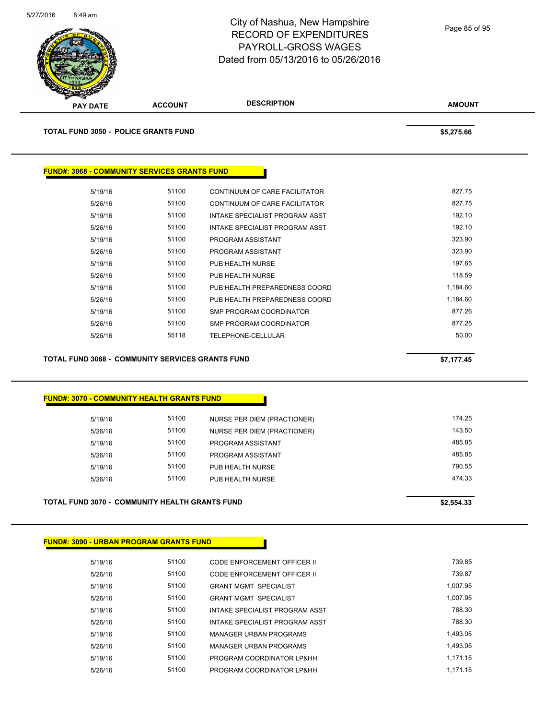

**TOTAL FUND 3050 - POLICE GRANTS FUND \$5,275.66** 

| <b>FUND#: 3068 - COMMUNITY SERVICES GRANTS FUND</b> |       |                                |          |
|-----------------------------------------------------|-------|--------------------------------|----------|
| 5/19/16                                             | 51100 | CONTINUUM OF CARE FACILITATOR  | 827.75   |
| 5/26/16                                             | 51100 | CONTINUUM OF CARE FACILITATOR  | 827.75   |
| 5/19/16                                             | 51100 | INTAKE SPECIALIST PROGRAM ASST | 192.10   |
| 5/26/16                                             | 51100 | INTAKE SPECIALIST PROGRAM ASST | 192.10   |
| 5/19/16                                             | 51100 | PROGRAM ASSISTANT              | 323.90   |
| 5/26/16                                             | 51100 | PROGRAM ASSISTANT              | 323.90   |
| 5/19/16                                             | 51100 | PUB HEALTH NURSE               | 197.65   |
| 5/26/16                                             | 51100 | PUB HEALTH NURSE               | 118.59   |
| 5/19/16                                             | 51100 | PUB HEALTH PREPAREDNESS COORD  | 1,184.60 |
| 5/26/16                                             | 51100 | PUB HEALTH PREPAREDNESS COORD  | 1,184.60 |
| 5/19/16                                             | 51100 | SMP PROGRAM COORDINATOR        | 877.26   |
| 5/26/16                                             | 51100 | SMP PROGRAM COORDINATOR        | 877.25   |
| 5/26/16                                             | 55118 | TELEPHONE-CELLULAR             | 50.00    |

#### **TOTAL FUND 3068 - COMMUNITY SERVICES GRANTS FUND \$7,177.45**

#### **FUND#: 3070 - COMMUNITY HEALTH GRANTS FUND**

| 5/19/16 | 51100 | NURSE PER DIEM (PRACTIONER) | 174.25 |
|---------|-------|-----------------------------|--------|
| 5/26/16 | 51100 | NURSE PER DIEM (PRACTIONER) | 143.50 |
| 5/19/16 | 51100 | PROGRAM ASSISTANT           | 485.85 |
| 5/26/16 | 51100 | PROGRAM ASSISTANT           | 485.85 |
| 5/19/16 | 51100 | PUB HEALTH NURSE            | 790.55 |
| 5/26/16 | 51100 | PUB HEALTH NURSE            | 474.33 |
|         |       |                             |        |

### **TOTAL FUND 3070 - COMMUNITY HEALTH GRANTS FUND \$2,554.33**

#### **FUND#: 3090 - URBAN PROGRAM GRANTS FUND**

| 5/19/16 | 51100 | CODE ENFORCEMENT OFFICER II    | 739.85   |
|---------|-------|--------------------------------|----------|
| 5/26/16 | 51100 | CODE ENFORCEMENT OFFICER II    | 739.87   |
| 5/19/16 | 51100 | <b>GRANT MGMT SPECIALIST</b>   | 1.007.95 |
| 5/26/16 | 51100 | <b>GRANT MGMT SPECIALIST</b>   | 1.007.95 |
| 5/19/16 | 51100 | INTAKE SPECIALIST PROGRAM ASST | 768.30   |
| 5/26/16 | 51100 | INTAKE SPECIALIST PROGRAM ASST | 768.30   |
| 5/19/16 | 51100 | MANAGER URBAN PROGRAMS         | 1.493.05 |
| 5/26/16 | 51100 | <b>MANAGER URBAN PROGRAMS</b>  | 1.493.05 |
| 5/19/16 | 51100 | PROGRAM COORDINATOR LP&HH      | 1.171.15 |
| 5/26/16 | 51100 | PROGRAM COORDINATOR LP&HH      | 1.171.15 |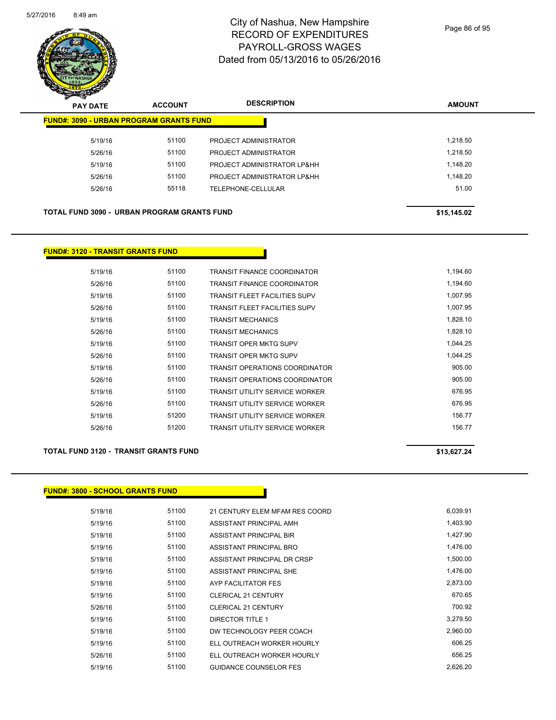

Page 86 of 95

| s<br>$\sim$<br><b>PAY DATE</b> | <b>ACCOUNT</b>                                     | <b>DESCRIPTION</b>          | <b>AMOUNT</b> |
|--------------------------------|----------------------------------------------------|-----------------------------|---------------|
|                                | <b>FUND#: 3090 - URBAN PROGRAM GRANTS FUND</b>     |                             |               |
| 5/19/16                        | 51100                                              | PROJECT ADMINISTRATOR       | 1.218.50      |
| 5/26/16                        | 51100                                              | PROJECT ADMINISTRATOR       | 1.218.50      |
| 5/19/16                        | 51100                                              | PROJECT ADMINISTRATOR LP&HH | 1.148.20      |
| 5/26/16                        | 51100                                              | PROJECT ADMINISTRATOR LP&HH | 1.148.20      |
| 5/26/16                        | 55118                                              | <b>TELEPHONE-CELLULAR</b>   | 51.00         |
|                                |                                                    |                             |               |
|                                | <b>TOTAL FUND 3090 - URBAN PROGRAM GRANTS FUND</b> |                             | \$15,145.02   |

#### **FUND#: 3120 - TRANSIT GRANTS FUND**

| 5/19/16 | 51100 | <b>TRANSIT FINANCE COORDINATOR</b>    | 1,194.60 |
|---------|-------|---------------------------------------|----------|
| 5/26/16 | 51100 | <b>TRANSIT FINANCE COORDINATOR</b>    | 1,194.60 |
| 5/19/16 | 51100 | <b>TRANSIT FLEET FACILITIES SUPV</b>  | 1,007.95 |
| 5/26/16 | 51100 | <b>TRANSIT FLEET FACILITIES SUPV</b>  | 1,007.95 |
| 5/19/16 | 51100 | <b>TRANSIT MECHANICS</b>              | 1,828.10 |
| 5/26/16 | 51100 | <b>TRANSIT MECHANICS</b>              | 1,828.10 |
| 5/19/16 | 51100 | <b>TRANSIT OPER MKTG SUPV</b>         | 1,044.25 |
| 5/26/16 | 51100 | <b>TRANSIT OPER MKTG SUPV</b>         | 1,044.25 |
| 5/19/16 | 51100 | <b>TRANSIT OPERATIONS COORDINATOR</b> | 905.00   |
| 5/26/16 | 51100 | <b>TRANSIT OPERATIONS COORDINATOR</b> | 905.00   |
| 5/19/16 | 51100 | <b>TRANSIT UTILITY SERVICE WORKER</b> | 676.95   |
| 5/26/16 | 51100 | <b>TRANSIT UTILITY SERVICE WORKER</b> | 676.95   |
| 5/19/16 | 51200 | <b>TRANSIT UTILITY SERVICE WORKER</b> | 156.77   |
| 5/26/16 | 51200 | <b>TRANSIT UTILITY SERVICE WORKER</b> | 156.77   |

#### **TOTAL FUND 3120 - TRANSIT GRANTS FUND \$13,627.24**

### **FUND#: 3800 - SCHOOL GRANTS FUND**

| 5/19/16 | 51100 | 21 CENTURY ELEM MFAM RES COORD | 6,039.91 |
|---------|-------|--------------------------------|----------|
| 5/19/16 | 51100 | ASSISTANT PRINCIPAL AMH        | 1,403.90 |
| 5/19/16 | 51100 | ASSISTANT PRINCIPAL BIR        | 1,427.90 |
| 5/19/16 | 51100 | ASSISTANT PRINCIPAL BRO        | 1,476.00 |
| 5/19/16 | 51100 | ASSISTANT PRINCIPAL DR CRSP    | 1,500.00 |
| 5/19/16 | 51100 | ASSISTANT PRINCIPAL SHE        | 1,476.00 |
| 5/19/16 | 51100 | AYP FACILITATOR FES            | 2,873.00 |
| 5/19/16 | 51100 | <b>CLERICAL 21 CENTURY</b>     | 670.65   |
| 5/26/16 | 51100 | <b>CLERICAL 21 CENTURY</b>     | 700.92   |
| 5/19/16 | 51100 | DIRECTOR TITLE 1               | 3,279.50 |
| 5/19/16 | 51100 | DW TECHNOLOGY PEER COACH       | 2.960.00 |
| 5/19/16 | 51100 | ELL OUTREACH WORKER HOURLY     | 606.25   |
| 5/26/16 | 51100 | ELL OUTREACH WORKER HOURLY     | 656.25   |
| 5/19/16 | 51100 | <b>GUIDANCE COUNSELOR FES</b>  | 2.626.20 |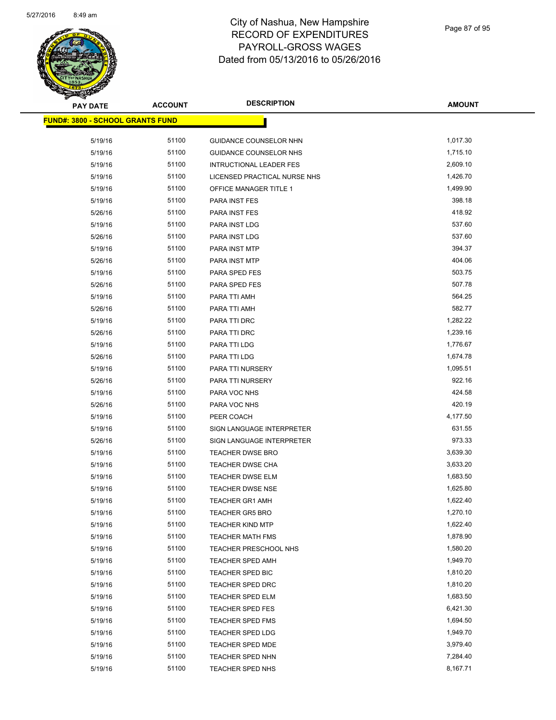

| <b>PAY DATE</b>                          | <b>ACCOUNT</b> | <b>DESCRIPTION</b>             | <b>AMOUNT</b> |
|------------------------------------------|----------------|--------------------------------|---------------|
| <u> FUND#: 3800 - SCHOOL GRANTS FUND</u> |                |                                |               |
| 5/19/16                                  | 51100          | GUIDANCE COUNSELOR NHN         | 1,017.30      |
| 5/19/16                                  | 51100          | GUIDANCE COUNSELOR NHS         | 1,715.10      |
| 5/19/16                                  | 51100          | <b>INTRUCTIONAL LEADER FES</b> | 2,609.10      |
| 5/19/16                                  | 51100          | LICENSED PRACTICAL NURSE NHS   | 1,426.70      |
| 5/19/16                                  | 51100          | <b>OFFICE MANAGER TITLE 1</b>  | 1,499.90      |
| 5/19/16                                  | 51100          | PARA INST FES                  | 398.18        |
| 5/26/16                                  | 51100          | PARA INST FES                  | 418.92        |
| 5/19/16                                  | 51100          | PARA INST LDG                  | 537.60        |
| 5/26/16                                  | 51100          | PARA INST LDG                  | 537.60        |
| 5/19/16                                  | 51100          | PARA INST MTP                  | 394.37        |
| 5/26/16                                  | 51100          | PARA INST MTP                  | 404.06        |
| 5/19/16                                  | 51100          | PARA SPED FES                  | 503.75        |
| 5/26/16                                  | 51100          | PARA SPED FES                  | 507.78        |
| 5/19/16                                  | 51100          | PARA TTI AMH                   | 564.25        |
| 5/26/16                                  | 51100          | PARA TTI AMH                   | 582.77        |
| 5/19/16                                  | 51100          | PARA TTI DRC                   | 1,282.22      |
| 5/26/16                                  | 51100          | PARA TTI DRC                   | 1,239.16      |
| 5/19/16                                  | 51100          | PARA TTI LDG                   | 1,776.67      |
| 5/26/16                                  | 51100          | PARA TTI LDG                   | 1,674.78      |
| 5/19/16                                  | 51100          | PARA TTI NURSERY               | 1,095.51      |
| 5/26/16                                  | 51100          | PARA TTI NURSERY               | 922.16        |
| 5/19/16                                  | 51100          | PARA VOC NHS                   | 424.58        |
| 5/26/16                                  | 51100          | PARA VOC NHS                   | 420.19        |
| 5/19/16                                  | 51100          | PEER COACH                     | 4,177.50      |
| 5/19/16                                  | 51100          | SIGN LANGUAGE INTERPRETER      | 631.55        |
| 5/26/16                                  | 51100          | SIGN LANGUAGE INTERPRETER      | 973.33        |
| 5/19/16                                  | 51100          | <b>TEACHER DWSE BRO</b>        | 3,639.30      |
| 5/19/16                                  | 51100          | <b>TEACHER DWSE CHA</b>        | 3,633.20      |
| 5/19/16                                  | 51100          | TEACHER DWSE ELM               | 1,683.50      |
| 5/19/16                                  | 51100          | <b>TEACHER DWSE NSE</b>        | 1,625.80      |
| 5/19/16                                  | 51100          | <b>TEACHER GR1 AMH</b>         | 1,622.40      |
| 5/19/16                                  | 51100          | <b>TEACHER GR5 BRO</b>         | 1,270.10      |
| 5/19/16                                  | 51100          | <b>TEACHER KIND MTP</b>        | 1,622.40      |
| 5/19/16                                  | 51100          | <b>TEACHER MATH FMS</b>        | 1,878.90      |
| 5/19/16                                  | 51100          | <b>TEACHER PRESCHOOL NHS</b>   | 1,580.20      |
| 5/19/16                                  | 51100          | TEACHER SPED AMH               | 1,949.70      |
| 5/19/16                                  | 51100          | TEACHER SPED BIC               | 1,810.20      |
| 5/19/16                                  | 51100          | TEACHER SPED DRC               | 1,810.20      |
| 5/19/16                                  | 51100          | <b>TEACHER SPED ELM</b>        | 1,683.50      |
| 5/19/16                                  | 51100          | <b>TEACHER SPED FES</b>        | 6,421.30      |
| 5/19/16                                  | 51100          | TEACHER SPED FMS               | 1,694.50      |
| 5/19/16                                  | 51100          | <b>TEACHER SPED LDG</b>        | 1,949.70      |
| 5/19/16                                  | 51100          | TEACHER SPED MDE               | 3,979.40      |
| 5/19/16                                  | 51100          | <b>TEACHER SPED NHN</b>        | 7,284.40      |
| 5/19/16                                  | 51100          | TEACHER SPED NHS               | 8,167.71      |
|                                          |                |                                |               |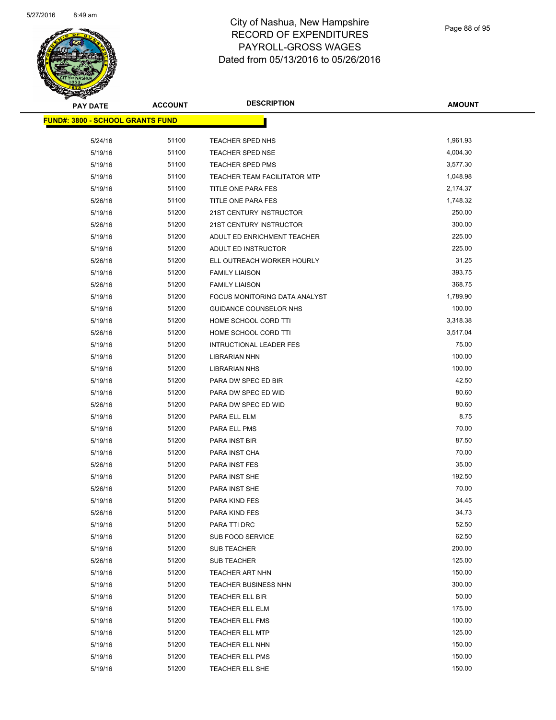

| <b>PAY DATE</b>                          | <b>ACCOUNT</b> | <b>DESCRIPTION</b>                  | <b>AMOUNT</b> |
|------------------------------------------|----------------|-------------------------------------|---------------|
| <u> FUND#: 3800 - SCHOOL GRANTS FUND</u> |                |                                     |               |
| 5/24/16                                  | 51100          | TEACHER SPED NHS                    | 1,961.93      |
| 5/19/16                                  | 51100          | TEACHER SPED NSE                    | 4,004.30      |
| 5/19/16                                  | 51100          | <b>TEACHER SPED PMS</b>             | 3,577.30      |
| 5/19/16                                  | 51100          | <b>TEACHER TEAM FACILITATOR MTP</b> | 1,048.98      |
| 5/19/16                                  | 51100          | TITLE ONE PARA FES                  | 2,174.37      |
| 5/26/16                                  | 51100          | TITLE ONE PARA FES                  | 1,748.32      |
| 5/19/16                                  | 51200          | 21ST CENTURY INSTRUCTOR             | 250.00        |
| 5/26/16                                  | 51200          | 21ST CENTURY INSTRUCTOR             | 300.00        |
| 5/19/16                                  | 51200          | ADULT ED ENRICHMENT TEACHER         | 225.00        |
| 5/19/16                                  | 51200          | ADULT ED INSTRUCTOR                 | 225.00        |
| 5/26/16                                  | 51200          | ELL OUTREACH WORKER HOURLY          | 31.25         |
| 5/19/16                                  | 51200          | <b>FAMILY LIAISON</b>               | 393.75        |
| 5/26/16                                  | 51200          | <b>FAMILY LIAISON</b>               | 368.75        |
| 5/19/16                                  | 51200          | FOCUS MONITORING DATA ANALYST       | 1,789.90      |
| 5/19/16                                  | 51200          | <b>GUIDANCE COUNSELOR NHS</b>       | 100.00        |
| 5/19/16                                  | 51200          | HOME SCHOOL CORD TTI                | 3,318.38      |
| 5/26/16                                  | 51200          | HOME SCHOOL CORD TTI                | 3,517.04      |
| 5/19/16                                  | 51200          | <b>INTRUCTIONAL LEADER FES</b>      | 75.00         |
| 5/19/16                                  | 51200          | <b>LIBRARIAN NHN</b>                | 100.00        |
| 5/19/16                                  | 51200          | <b>LIBRARIAN NHS</b>                | 100.00        |
| 5/19/16                                  | 51200          | PARA DW SPEC ED BIR                 | 42.50         |
| 5/19/16                                  | 51200          | PARA DW SPEC ED WID                 | 80.60         |
| 5/26/16                                  | 51200          | PARA DW SPEC ED WID                 | 80.60         |
| 5/19/16                                  | 51200          | PARA ELL ELM                        | 8.75          |
| 5/19/16                                  | 51200          | PARA ELL PMS                        | 70.00         |
| 5/19/16                                  | 51200          | PARA INST BIR                       | 87.50         |
| 5/19/16                                  | 51200          | PARA INST CHA                       | 70.00         |
| 5/26/16                                  | 51200          | PARA INST FES                       | 35.00         |
| 5/19/16                                  | 51200          | PARA INST SHE                       | 192.50        |
| 5/26/16                                  | 51200          | PARA INST SHE                       | 70.00         |
| 5/19/16                                  | 51200          | PARA KIND FES                       | 34.45         |
| 5/26/16                                  | 51200          | PARA KIND FES                       | 34.73         |
| 5/19/16                                  | 51200          | PARA TTI DRC                        | 52.50         |
| 5/19/16                                  | 51200          | SUB FOOD SERVICE                    | 62.50         |
| 5/19/16                                  | 51200          | <b>SUB TEACHER</b>                  | 200.00        |
| 5/26/16                                  | 51200          | <b>SUB TEACHER</b>                  | 125.00        |
| 5/19/16                                  | 51200          | TEACHER ART NHN                     | 150.00        |
| 5/19/16                                  | 51200          | TEACHER BUSINESS NHN                | 300.00        |
| 5/19/16                                  | 51200          | TEACHER ELL BIR                     | 50.00         |
| 5/19/16                                  | 51200          | TEACHER ELL ELM                     | 175.00        |
| 5/19/16                                  | 51200          | <b>TEACHER ELL FMS</b>              | 100.00        |
| 5/19/16                                  | 51200          | <b>TEACHER ELL MTP</b>              | 125.00        |
| 5/19/16                                  | 51200          | TEACHER ELL NHN                     | 150.00        |
| 5/19/16                                  | 51200          | TEACHER ELL PMS                     | 150.00        |
| 5/19/16                                  | 51200          | TEACHER ELL SHE                     | 150.00        |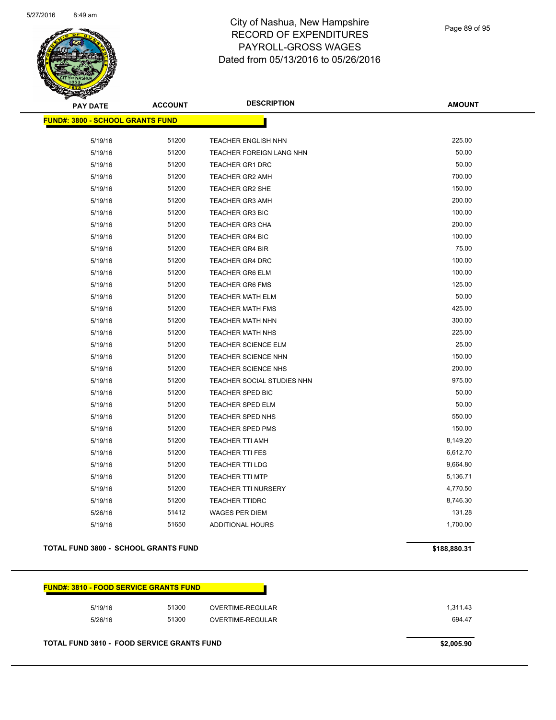

| <b>PAY DATE</b>                         | <b>ACCOUNT</b> | <b>DESCRIPTION</b>         | <b>AMOUNT</b> |
|-----------------------------------------|----------------|----------------------------|---------------|
| <b>FUND#: 3800 - SCHOOL GRANTS FUND</b> |                |                            |               |
| 5/19/16                                 | 51200          | <b>TEACHER ENGLISH NHN</b> | 225.00        |
| 5/19/16                                 | 51200          | TEACHER FOREIGN LANG NHN   | 50.00         |
| 5/19/16                                 | 51200          | TEACHER GR1 DRC            | 50.00         |
| 5/19/16                                 | 51200          | <b>TEACHER GR2 AMH</b>     | 700.00        |
| 5/19/16                                 | 51200          | <b>TEACHER GR2 SHE</b>     | 150.00        |
| 5/19/16                                 | 51200          | <b>TEACHER GR3 AMH</b>     | 200.00        |
| 5/19/16                                 | 51200          | <b>TEACHER GR3 BIC</b>     | 100.00        |
| 5/19/16                                 | 51200          | <b>TEACHER GR3 CHA</b>     | 200.00        |
| 5/19/16                                 | 51200          | <b>TEACHER GR4 BIC</b>     | 100.00        |
| 5/19/16                                 | 51200          | <b>TEACHER GR4 BIR</b>     | 75.00         |
| 5/19/16                                 | 51200          | <b>TEACHER GR4 DRC</b>     | 100.00        |
| 5/19/16                                 | 51200          | <b>TEACHER GR6 ELM</b>     | 100.00        |
| 5/19/16                                 | 51200          | <b>TEACHER GR6 FMS</b>     | 125.00        |
| 5/19/16                                 | 51200          | <b>TEACHER MATH ELM</b>    | 50.00         |
| 5/19/16                                 | 51200          | <b>TEACHER MATH FMS</b>    | 425.00        |
| 5/19/16                                 | 51200          | TEACHER MATH NHN           | 300.00        |
| 5/19/16                                 | 51200          | <b>TEACHER MATH NHS</b>    | 225.00        |
| 5/19/16                                 | 51200          | <b>TEACHER SCIENCE ELM</b> | 25.00         |
| 5/19/16                                 | 51200          | <b>TEACHER SCIENCE NHN</b> | 150.00        |
| 5/19/16                                 | 51200          | <b>TEACHER SCIENCE NHS</b> | 200.00        |
| 5/19/16                                 | 51200          | TEACHER SOCIAL STUDIES NHN | 975.00        |
| 5/19/16                                 | 51200          | <b>TEACHER SPED BIC</b>    | 50.00         |
| 5/19/16                                 | 51200          | <b>TEACHER SPED ELM</b>    | 50.00         |
| 5/19/16                                 | 51200          | TEACHER SPED NHS           | 550.00        |
| 5/19/16                                 | 51200          | <b>TEACHER SPED PMS</b>    | 150.00        |
| 5/19/16                                 | 51200          | <b>TEACHER TTI AMH</b>     | 8,149.20      |
| 5/19/16                                 | 51200          | <b>TEACHER TTI FES</b>     | 6,612.70      |
| 5/19/16                                 | 51200          | <b>TEACHER TTI LDG</b>     | 9,664.80      |
| 5/19/16                                 | 51200          | <b>TEACHER TTI MTP</b>     | 5,136.71      |
| 5/19/16                                 | 51200          | <b>TEACHER TTI NURSERY</b> | 4,770.50      |
| 5/19/16                                 | 51200          | <b>TEACHER TTIDRC</b>      | 8,746.30      |
| 5/26/16                                 | 51412          | <b>WAGES PER DIEM</b>      | 131.28        |
| 5/19/16                                 | 51650          | <b>ADDITIONAL HOURS</b>    | 1,700.00      |

#### **TOTAL FUND 3800 - SCHOOL GRANTS FUND \$188,880.31**

| 1.311.43 | OVERTIME-REGULAR | 51300 | 5/19/16 |
|----------|------------------|-------|---------|
| 694.47   | OVERTIME-REGULAR | 51300 | 5/26/16 |

**TOTAL FUND 3810 - FOOD SERVICE GRANTS FUND \$2,005.90**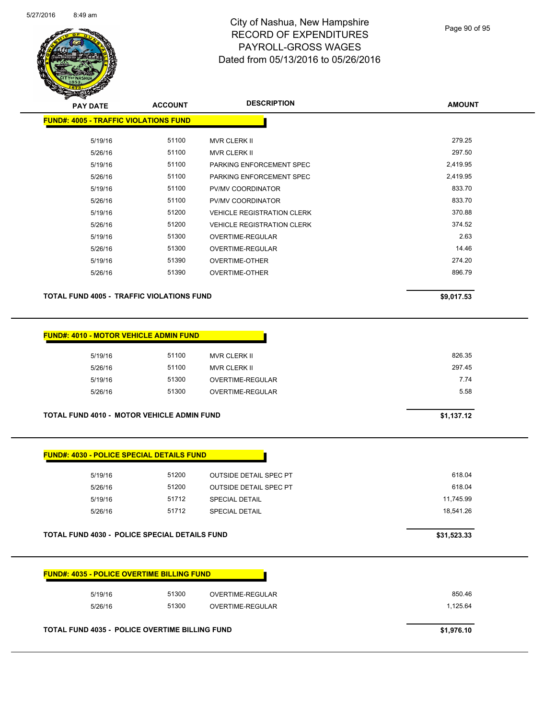

Page 90 of 95

| <b>PAY DATE</b>                                  | <b>ACCOUNT</b> | <b>DESCRIPTION</b>                | <b>AMOUNT</b> |
|--------------------------------------------------|----------------|-----------------------------------|---------------|
| <b>FUND#: 4005 - TRAFFIC VIOLATIONS FUND</b>     |                |                                   |               |
| 5/19/16                                          | 51100          | <b>MVR CLERK II</b>               | 279.25        |
| 5/26/16                                          | 51100          | <b>MVR CLERK II</b>               | 297.50        |
| 5/19/16                                          | 51100          | PARKING ENFORCEMENT SPEC          | 2,419.95      |
| 5/26/16                                          | 51100          | PARKING ENFORCEMENT SPEC          | 2,419.95      |
| 5/19/16                                          | 51100          | PV/MV COORDINATOR                 | 833.70        |
| 5/26/16                                          | 51100          | PV/MV COORDINATOR                 | 833.70        |
| 5/19/16                                          | 51200          | <b>VEHICLE REGISTRATION CLERK</b> | 370.88        |
| 5/26/16                                          | 51200          | <b>VEHICLE REGISTRATION CLERK</b> | 374.52        |
| 5/19/16                                          | 51300          | OVERTIME-REGULAR                  | 2.63          |
| 5/26/16                                          | 51300          | OVERTIME-REGULAR                  | 14.46         |
| 5/19/16                                          | 51390          | <b>OVERTIME-OTHER</b>             | 274.20        |
| 5/26/16                                          | 51390          | OVERTIME-OTHER                    | 896.79        |
|                                                  |                |                                   |               |
| <b>TOTAL FUND 4005 - TRAFFIC VIOLATIONS FUND</b> |                |                                   | \$9,017.53    |
|                                                  |                |                                   |               |
|                                                  |                |                                   |               |

| <b>FUND#: 4010 - MOTOR VEHICLE ADMIN FUND</b>     |            |                     |        |
|---------------------------------------------------|------------|---------------------|--------|
| 5/19/16                                           | 51100      | MVR CLERK II        | 826.35 |
| 5/26/16                                           | 51100      | <b>MVR CLERK II</b> | 297.45 |
| 5/19/16                                           | 51300      | OVERTIME-REGULAR    | 7.74   |
| 5/26/16                                           | 51300      | OVERTIME-REGULAR    | 5.58   |
|                                                   |            |                     |        |
| <b>TOTAL FUND 4010 - MOTOR VEHICLE ADMIN FUND</b> | \$1,137.12 |                     |        |

|  | <b>FUND#: 4030 - POLICE SPECIAL DETAILS FUND</b> |  |
|--|--------------------------------------------------|--|
|  |                                                  |  |

| 5/19/16 | 51200 | <b>OUTSIDE DETAIL SPEC PT</b> | 618.04    |
|---------|-------|-------------------------------|-----------|
| 5/26/16 | 51200 | <b>OUTSIDE DETAIL SPEC PT</b> | 618.04    |
| 5/19/16 | 51712 | <b>SPECIAL DETAIL</b>         | 11.745.99 |
| 5/26/16 | 51712 | <b>SPECIAL DETAIL</b>         | 18.541.26 |
|         |       |                               |           |

**TOTAL FUND 4030 - POLICE SPECIAL DETAILS FUND <b>EXAMPLE 2018 \$31,523.33** 

| 5/19/16 | 51300 | OVERTIME-REGULAR | 850.46   |
|---------|-------|------------------|----------|
| 5/26/16 | 51300 | OVERTIME-REGULAR | 1.125.64 |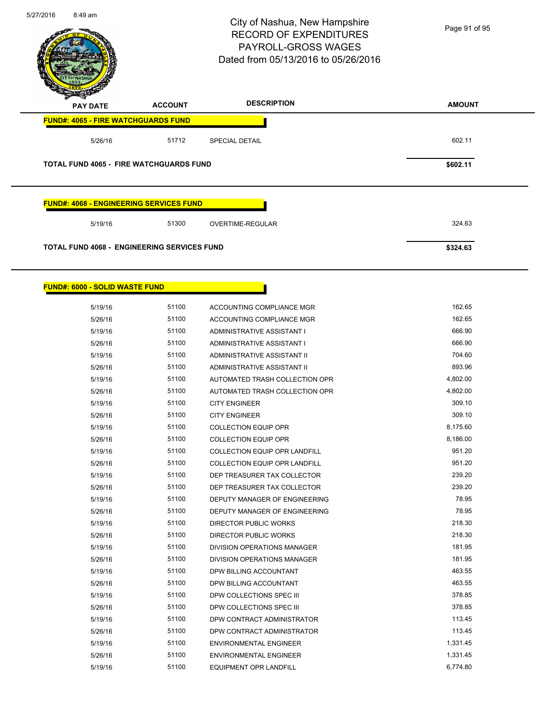

5/19/16 51100 ENVIRONMENTAL ENGINEER 5/19/16 1,331.45 5/26/16 51100 ENVIRONMENTAL ENGINEER 5/26/16 51100 51100 5/19/16 51100 EQUIPMENT OPR LANDFILL 6,774.80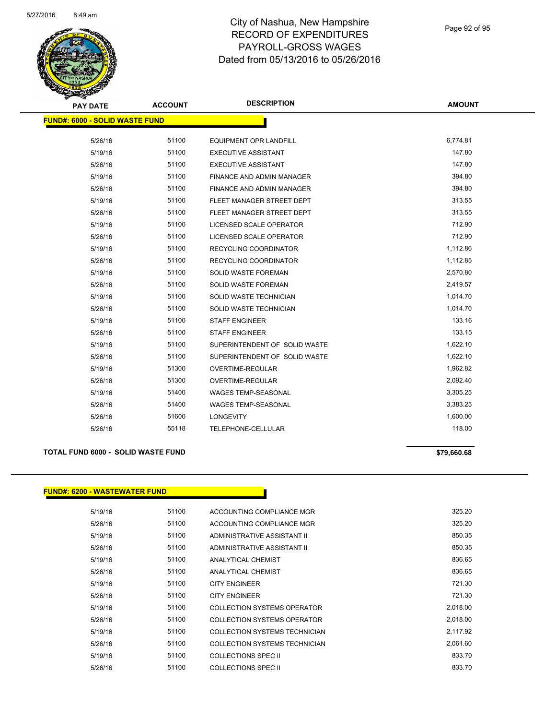

Page 92 of 95

| <b>PAY DATE</b>                       | <b>ACCOUNT</b> | <b>DESCRIPTION</b>               | <b>AMOUNT</b> |
|---------------------------------------|----------------|----------------------------------|---------------|
| <b>FUND#: 6000 - SOLID WASTE FUND</b> |                |                                  |               |
| 5/26/16                               | 51100          | <b>EQUIPMENT OPR LANDFILL</b>    | 6,774.81      |
| 5/19/16                               | 51100          | <b>EXECUTIVE ASSISTANT</b>       | 147.80        |
| 5/26/16                               | 51100          | <b>EXECUTIVE ASSISTANT</b>       | 147.80        |
| 5/19/16                               | 51100          | FINANCE AND ADMIN MANAGER        | 394.80        |
| 5/26/16                               | 51100          | <b>FINANCE AND ADMIN MANAGER</b> | 394.80        |
| 5/19/16                               | 51100          | FLEET MANAGER STREET DEPT        | 313.55        |
| 5/26/16                               | 51100          | FLEET MANAGER STREET DEPT        | 313.55        |
| 5/19/16                               | 51100          | LICENSED SCALE OPERATOR          | 712.90        |
| 5/26/16                               | 51100          | <b>LICENSED SCALE OPERATOR</b>   | 712.90        |
| 5/19/16                               | 51100          | <b>RECYCLING COORDINATOR</b>     | 1,112.86      |
| 5/26/16                               | 51100          | <b>RECYCLING COORDINATOR</b>     | 1,112.85      |
| 5/19/16                               | 51100          | SOLID WASTE FOREMAN              | 2,570.80      |
| 5/26/16                               | 51100          | <b>SOLID WASTE FOREMAN</b>       | 2,419.57      |
| 5/19/16                               | 51100          | SOLID WASTE TECHNICIAN           | 1,014.70      |
| 5/26/16                               | 51100          | SOLID WASTE TECHNICIAN           | 1,014.70      |
| 5/19/16                               | 51100          | <b>STAFF ENGINEER</b>            | 133.16        |
| 5/26/16                               | 51100          | <b>STAFF ENGINEER</b>            | 133.15        |
| 5/19/16                               | 51100          | SUPERINTENDENT OF SOLID WASTE    | 1,622.10      |
| 5/26/16                               | 51100          | SUPERINTENDENT OF SOLID WASTE    | 1,622.10      |
| 5/19/16                               | 51300          | <b>OVERTIME-REGULAR</b>          | 1,962.82      |
| 5/26/16                               | 51300          | OVERTIME-REGULAR                 | 2,092.40      |
| 5/19/16                               | 51400          | <b>WAGES TEMP-SEASONAL</b>       | 3,305.25      |
| 5/26/16                               | 51400          | <b>WAGES TEMP-SEASONAL</b>       | 3,383.25      |
| 5/26/16                               | 51600          | <b>LONGEVITY</b>                 | 1,600.00      |
| 5/26/16                               | 55118          | <b>TELEPHONE-CELLULAR</b>        | 118.00        |
|                                       |                |                                  |               |

#### **TOTAL FUND 6000 - SOLID WASTE FUND \$79,660.68**

### **FUND#: 6200 - WASTEWATER FUND**

| 5/19/16 | 51100 | ACCOUNTING COMPLIANCE MGR            | 325.20   |
|---------|-------|--------------------------------------|----------|
| 5/26/16 | 51100 | ACCOUNTING COMPLIANCE MGR            | 325.20   |
| 5/19/16 | 51100 | ADMINISTRATIVE ASSISTANT II          | 850.35   |
| 5/26/16 | 51100 | ADMINISTRATIVE ASSISTANT II          | 850.35   |
| 5/19/16 | 51100 | ANALYTICAL CHEMIST                   | 836.65   |
| 5/26/16 | 51100 | ANALYTICAL CHEMIST                   | 836.65   |
| 5/19/16 | 51100 | <b>CITY ENGINEER</b>                 | 721.30   |
| 5/26/16 | 51100 | <b>CITY ENGINEER</b>                 | 721.30   |
| 5/19/16 | 51100 | COLLECTION SYSTEMS OPERATOR          | 2,018.00 |
| 5/26/16 | 51100 | COLLECTION SYSTEMS OPERATOR          | 2,018.00 |
| 5/19/16 | 51100 | <b>COLLECTION SYSTEMS TECHNICIAN</b> | 2.117.92 |
| 5/26/16 | 51100 | COLLECTION SYSTEMS TECHNICIAN        | 2,061.60 |
| 5/19/16 | 51100 | COLLECTIONS SPEC II                  | 833.70   |
| 5/26/16 | 51100 | <b>COLLECTIONS SPEC II</b>           | 833.70   |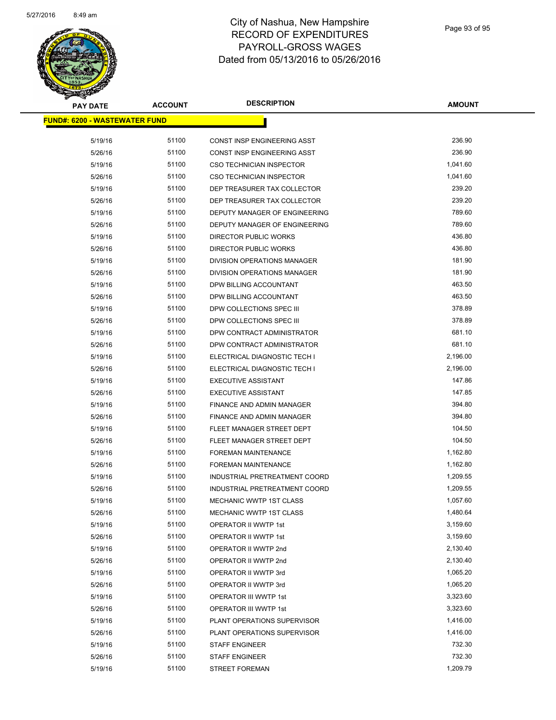

| <b>PAY DATE</b>                       | <b>ACCOUNT</b> | <b>DESCRIPTION</b>              | <b>AMOUNT</b> |
|---------------------------------------|----------------|---------------------------------|---------------|
| <u> FUND#: 6200 - WASTEWATER FUND</u> |                |                                 |               |
|                                       |                |                                 |               |
| 5/19/16                               | 51100          | CONST INSP ENGINEERING ASST     | 236.90        |
| 5/26/16                               | 51100          | CONST INSP ENGINEERING ASST     | 236.90        |
| 5/19/16                               | 51100          | <b>CSO TECHNICIAN INSPECTOR</b> | 1,041.60      |
| 5/26/16                               | 51100          | CSO TECHNICIAN INSPECTOR        | 1,041.60      |
| 5/19/16                               | 51100          | DEP TREASURER TAX COLLECTOR     | 239.20        |
| 5/26/16                               | 51100          | DEP TREASURER TAX COLLECTOR     | 239.20        |
| 5/19/16                               | 51100          | DEPUTY MANAGER OF ENGINEERING   | 789.60        |
| 5/26/16                               | 51100          | DEPUTY MANAGER OF ENGINEERING   | 789.60        |
| 5/19/16                               | 51100          | DIRECTOR PUBLIC WORKS           | 436.80        |
| 5/26/16                               | 51100          | DIRECTOR PUBLIC WORKS           | 436.80        |
| 5/19/16                               | 51100          | DIVISION OPERATIONS MANAGER     | 181.90        |
| 5/26/16                               | 51100          | DIVISION OPERATIONS MANAGER     | 181.90        |
| 5/19/16                               | 51100          | DPW BILLING ACCOUNTANT          | 463.50        |
| 5/26/16                               | 51100          | DPW BILLING ACCOUNTANT          | 463.50        |
| 5/19/16                               | 51100          | DPW COLLECTIONS SPEC III        | 378.89        |
| 5/26/16                               | 51100          | DPW COLLECTIONS SPEC III        | 378.89        |
| 5/19/16                               | 51100          | DPW CONTRACT ADMINISTRATOR      | 681.10        |
| 5/26/16                               | 51100          | DPW CONTRACT ADMINISTRATOR      | 681.10        |
| 5/19/16                               | 51100          | ELECTRICAL DIAGNOSTIC TECH I    | 2,196.00      |
| 5/26/16                               | 51100          | ELECTRICAL DIAGNOSTIC TECH I    | 2,196.00      |
| 5/19/16                               | 51100          | <b>EXECUTIVE ASSISTANT</b>      | 147.86        |
| 5/26/16                               | 51100          | <b>EXECUTIVE ASSISTANT</b>      | 147.85        |
| 5/19/16                               | 51100          | FINANCE AND ADMIN MANAGER       | 394.80        |
| 5/26/16                               | 51100          | FINANCE AND ADMIN MANAGER       | 394.80        |
| 5/19/16                               | 51100          | FLEET MANAGER STREET DEPT       | 104.50        |
| 5/26/16                               | 51100          | FLEET MANAGER STREET DEPT       | 104.50        |
| 5/19/16                               | 51100          | FOREMAN MAINTENANCE             | 1,162.80      |
| 5/26/16                               | 51100          | <b>FOREMAN MAINTENANCE</b>      | 1,162.80      |
| 5/19/16                               | 51100          | INDUSTRIAL PRETREATMENT COORD   | 1,209.55      |
| 5/26/16                               | 51100          | INDUSTRIAL PRETREATMENT COORD   | 1,209.55      |
| 5/19/16                               | 51100          | MECHANIC WWTP 1ST CLASS         | 1,057.60      |
| 5/26/16                               | 51100          | MECHANIC WWTP 1ST CLASS         | 1,480.64      |
| 5/19/16                               | 51100          | OPERATOR II WWTP 1st            | 3,159.60      |
| 5/26/16                               | 51100          | OPERATOR II WWTP 1st            | 3,159.60      |
| 5/19/16                               | 51100          | OPERATOR II WWTP 2nd            | 2,130.40      |
| 5/26/16                               | 51100          | OPERATOR II WWTP 2nd            | 2,130.40      |
| 5/19/16                               | 51100          | OPERATOR II WWTP 3rd            | 1,065.20      |
| 5/26/16                               | 51100          | OPERATOR II WWTP 3rd            | 1,065.20      |
| 5/19/16                               | 51100          | OPERATOR III WWTP 1st           | 3,323.60      |
| 5/26/16                               | 51100          | OPERATOR III WWTP 1st           | 3,323.60      |
| 5/19/16                               | 51100          | PLANT OPERATIONS SUPERVISOR     | 1,416.00      |
| 5/26/16                               | 51100          | PLANT OPERATIONS SUPERVISOR     | 1,416.00      |
| 5/19/16                               | 51100          | STAFF ENGINEER                  | 732.30        |
| 5/26/16                               | 51100          | <b>STAFF ENGINEER</b>           | 732.30        |
| 5/19/16                               | 51100          | <b>STREET FOREMAN</b>           | 1,209.79      |
|                                       |                |                                 |               |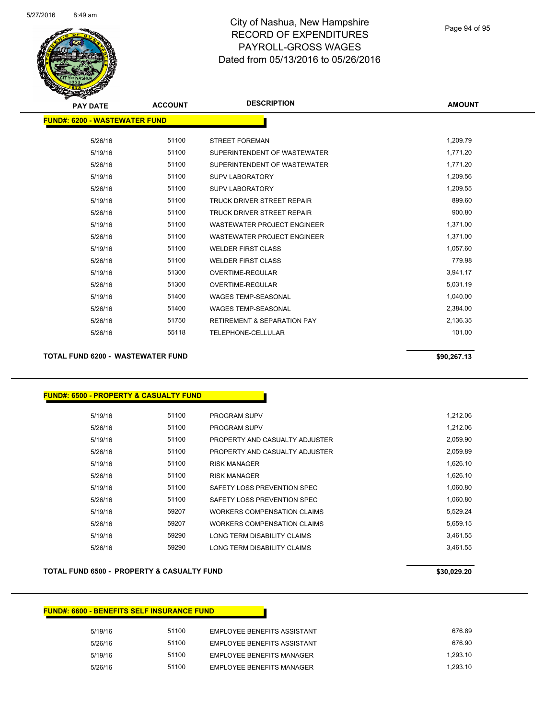

| <b>PAY DATE</b>                      | <b>ACCOUNT</b> | <b>DESCRIPTION</b>                     | <b>AMOUNT</b> |
|--------------------------------------|----------------|----------------------------------------|---------------|
| <b>FUND#: 6200 - WASTEWATER FUND</b> |                |                                        |               |
| 5/26/16                              | 51100          | <b>STREET FOREMAN</b>                  | 1,209.79      |
| 5/19/16                              | 51100          | SUPERINTENDENT OF WASTEWATER           | 1,771.20      |
| 5/26/16                              | 51100          | SUPERINTENDENT OF WASTEWATER           | 1,771.20      |
| 5/19/16                              | 51100          | <b>SUPV LABORATORY</b>                 | 1,209.56      |
| 5/26/16                              | 51100          | <b>SUPV LABORATORY</b>                 | 1,209.55      |
| 5/19/16                              | 51100          | <b>TRUCK DRIVER STREET REPAIR</b>      | 899.60        |
| 5/26/16                              | 51100          | TRUCK DRIVER STREET REPAIR             | 900.80        |
| 5/19/16                              | 51100          | <b>WASTEWATER PROJECT ENGINEER</b>     | 1,371.00      |
| 5/26/16                              | 51100          | <b>WASTEWATER PROJECT ENGINEER</b>     | 1,371.00      |
| 5/19/16                              | 51100          | <b>WELDER FIRST CLASS</b>              | 1,057.60      |
| 5/26/16                              | 51100          | <b>WELDER FIRST CLASS</b>              | 779.98        |
| 5/19/16                              | 51300          | <b>OVERTIME-REGULAR</b>                | 3,941.17      |
| 5/26/16                              | 51300          | <b>OVERTIME-REGULAR</b>                | 5,031.19      |
| 5/19/16                              | 51400          | <b>WAGES TEMP-SEASONAL</b>             | 1,040.00      |
| 5/26/16                              | 51400          | <b>WAGES TEMP-SEASONAL</b>             | 2,384.00      |
| 5/26/16                              | 51750          | <b>RETIREMENT &amp; SEPARATION PAY</b> | 2,136.35      |
| 5/26/16                              | 55118          | <b>TELEPHONE-CELLULAR</b>              | 101.00        |
|                                      |                |                                        |               |

### **TOTAL FUND 6200 - WASTEWATER FUND \$90,267.13**

#### **FUND#: 6500 - PROPERTY & CASUALTY FUND**

| 5/19/16 | 51100 | <b>PROGRAM SUPV</b>            | 1.212.06 |
|---------|-------|--------------------------------|----------|
| 5/26/16 | 51100 | <b>PROGRAM SUPV</b>            | 1,212.06 |
| 5/19/16 | 51100 | PROPERTY AND CASUALTY ADJUSTER | 2.059.90 |
| 5/26/16 | 51100 | PROPERTY AND CASUALTY ADJUSTER | 2,059.89 |
| 5/19/16 | 51100 | <b>RISK MANAGER</b>            | 1,626.10 |
| 5/26/16 | 51100 | <b>RISK MANAGER</b>            | 1.626.10 |
| 5/19/16 | 51100 | SAFETY LOSS PREVENTION SPEC    | 1,060.80 |
| 5/26/16 | 51100 | SAFETY LOSS PREVENTION SPEC    | 1.060.80 |
| 5/19/16 | 59207 | WORKERS COMPENSATION CLAIMS    | 5.529.24 |
| 5/26/16 | 59207 | WORKERS COMPENSATION CLAIMS    | 5,659.15 |
| 5/19/16 | 59290 | LONG TERM DISABILITY CLAIMS    | 3.461.55 |
| 5/26/16 | 59290 | LONG TERM DISABILITY CLAIMS    | 3.461.55 |

#### **TOTAL FUND 6500 - PROPERTY & CASUALTY FUND \$30,029.20**

# **FUND#: 6600 - BENEFITS SELF INSURANCE FUND** 5/19/16 51100 EMPLOYEE BENEFITS ASSISTANT 676.89 5/26/16 51100 EMPLOYEE BENEFITS ASSISTANT 676.90 5/19/16 51100 EMPLOYEE BENEFITS MANAGER 1,293.10 5/26/16 51100 EMPLOYEE BENEFITS MANAGER 1,293.10